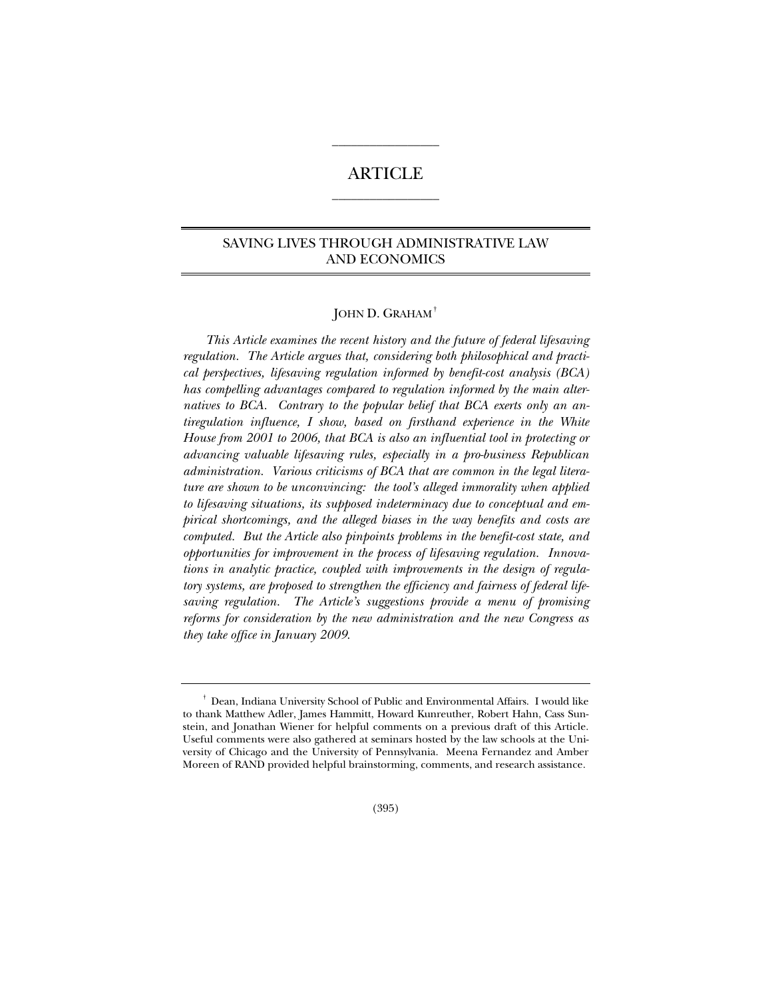# ARTICLE  $\overline{\phantom{a}}$  , where the contract of the contract of  $\overline{\phantom{a}}$

 $\overline{\phantom{a}}$  , where the contract of the contract of  $\overline{\phantom{a}}$ 

## SAVING LIVES THROUGH ADMINISTRATIVE LAW AND ECONOMICS

## JOHN D. GRAHAM†

*This Article examines the recent history and the future of federal lifesaving regulation. The Article argues that, considering both philosophical and practical perspectives, lifesaving regulation informed by benefit-cost analysis (BCA) has compelling advantages compared to regulation informed by the main alternatives to BCA. Contrary to the popular belief that BCA exerts only an antiregulation influence, I show, based on firsthand experience in the White House from 2001 to 2006, that BCA is also an influential tool in protecting or advancing valuable lifesaving rules, especially in a pro-business Republican administration. Various criticisms of BCA that are common in the legal literature are shown to be unconvincing: the tool's alleged immorality when applied to lifesaving situations, its supposed indeterminacy due to conceptual and empirical shortcomings, and the alleged biases in the way benefits and costs are computed. But the Article also pinpoints problems in the benefit-cost state, and opportunities for improvement in the process of lifesaving regulation. Innovations in analytic practice, coupled with improvements in the design of regulatory systems, are proposed to strengthen the efficiency and fairness of federal lifesaving regulation. The Article's suggestions provide a menu of promising reforms for consideration by the new administration and the new Congress as they take office in January 2009.* 

<sup>†</sup> Dean, Indiana University School of Public and Environmental Affairs. I would like to thank Matthew Adler, James Hammitt, Howard Kunreuther, Robert Hahn, Cass Sunstein, and Jonathan Wiener for helpful comments on a previous draft of this Article. Useful comments were also gathered at seminars hosted by the law schools at the University of Chicago and the University of Pennsylvania. Meena Fernandez and Amber Moreen of RAND provided helpful brainstorming, comments, and research assistance.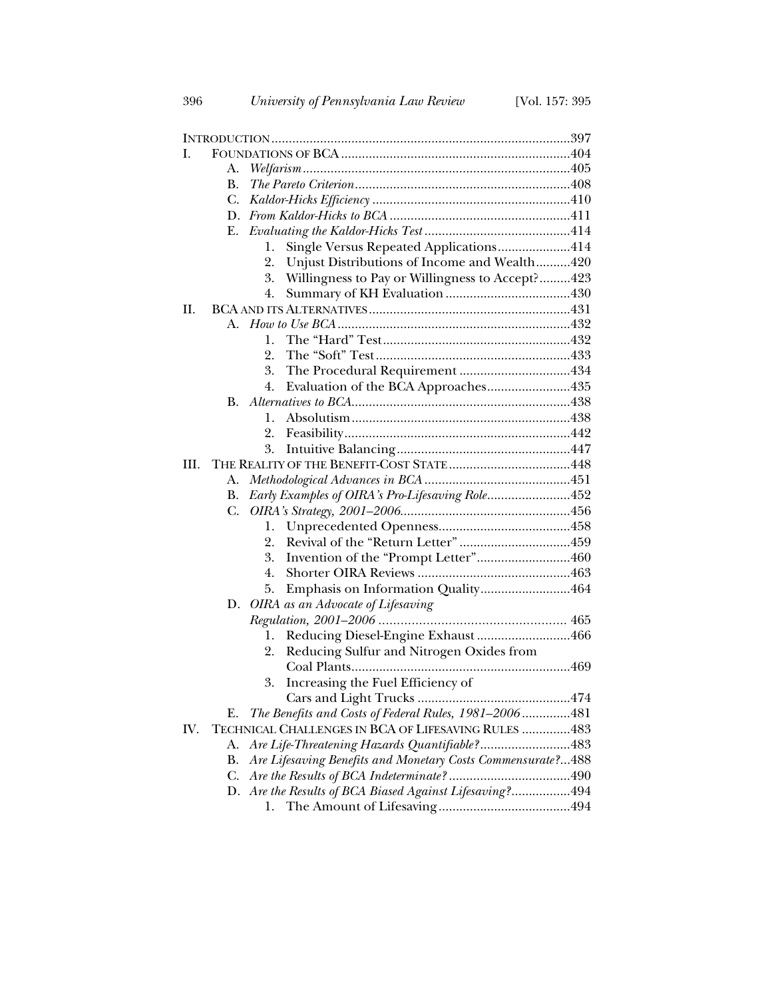| I.   |    |                                                             |  |  |
|------|----|-------------------------------------------------------------|--|--|
|      | А. |                                                             |  |  |
|      | В. |                                                             |  |  |
|      | C. |                                                             |  |  |
|      | D. |                                                             |  |  |
|      | Е. |                                                             |  |  |
|      |    | Single Versus Repeated Applications414<br>1.                |  |  |
|      |    | 2.<br>Unjust Distributions of Income and Wealth420          |  |  |
|      |    | Willingness to Pay or Willingness to Accept?423<br>3.       |  |  |
|      |    | 4.                                                          |  |  |
| Н.   |    |                                                             |  |  |
|      |    |                                                             |  |  |
|      |    | 1.                                                          |  |  |
|      |    | 2.                                                          |  |  |
|      |    | The Procedural Requirement 434<br>3.                        |  |  |
|      |    | Evaluation of the BCA Approaches435<br>4.                   |  |  |
|      | B. |                                                             |  |  |
|      |    | 1.                                                          |  |  |
|      |    | 2.                                                          |  |  |
|      |    | 3.                                                          |  |  |
| III. |    |                                                             |  |  |
|      | А. |                                                             |  |  |
|      | В. | Early Examples of OIRA's Pro-Lifesaving Role452             |  |  |
|      | C. |                                                             |  |  |
|      |    | 1.                                                          |  |  |
|      |    | 2.                                                          |  |  |
|      |    | Invention of the "Prompt Letter"460<br>3.                   |  |  |
|      |    | 4.                                                          |  |  |
|      |    | Emphasis on Information Quality464<br>5.                    |  |  |
|      | D. | OIRA as an Advocate of Lifesaving                           |  |  |
|      |    |                                                             |  |  |
|      |    | Reducing Diesel-Engine Exhaust 466<br>1.                    |  |  |
|      |    | Reducing Sulfur and Nitrogen Oxides from<br>2.              |  |  |
|      |    |                                                             |  |  |
|      |    | Increasing the Fuel Efficiency of<br>3.                     |  |  |
|      |    | Cars and Light Trucks<br>474                                |  |  |
|      | Е. | The Benefits and Costs of Federal Rules, 1981-2006481       |  |  |
| IV.  |    | TECHNICAL CHALLENGES IN BCA OF LIFESAVING RULES 483         |  |  |
|      | А. | Are Life-Threatening Hazards Quantifiable?483               |  |  |
|      | В. | Are Lifesaving Benefits and Monetary Costs Commensurate?488 |  |  |
|      | C. |                                                             |  |  |
|      | D. | Are the Results of BCA Biased Against Lifesaving?494        |  |  |
|      |    | Ī.                                                          |  |  |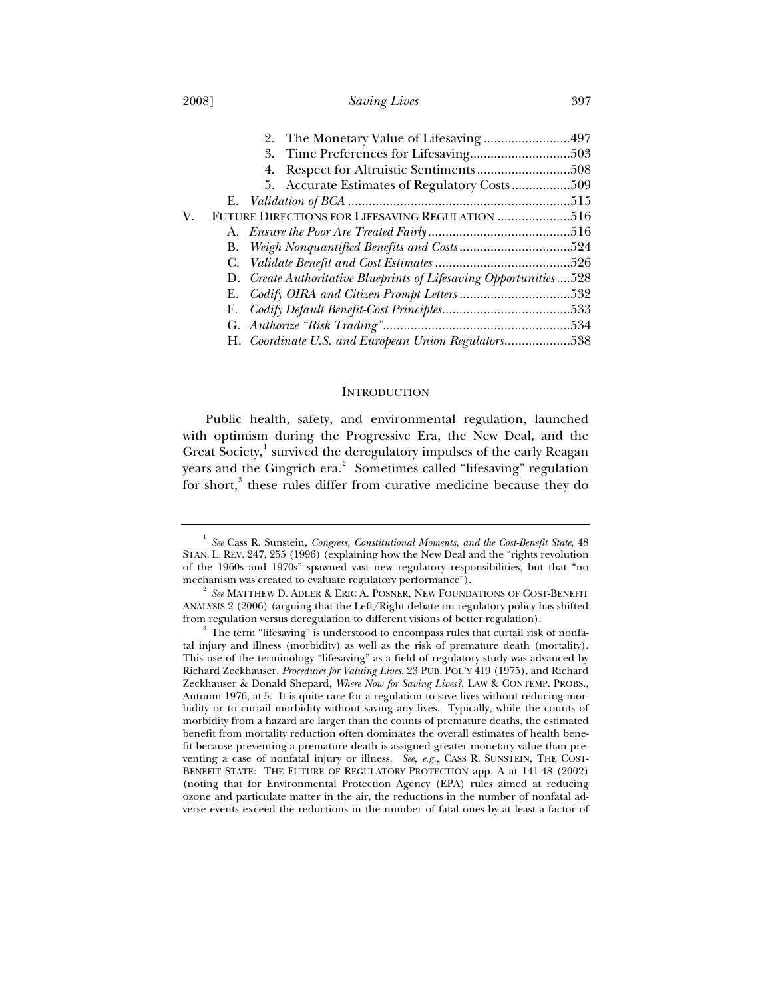#### 2008] *Saving Lives* 397

|    | 4.                                                                |  |
|----|-------------------------------------------------------------------|--|
|    | 5. Accurate Estimates of Regulatory Costs509                      |  |
|    |                                                                   |  |
| V. | FUTURE DIRECTIONS FOR LIFESAVING REGULATION 516                   |  |
|    |                                                                   |  |
|    |                                                                   |  |
|    |                                                                   |  |
|    | D. Create Authoritative Blueprints of Lifesaving Opportunities528 |  |
|    |                                                                   |  |
|    |                                                                   |  |
|    |                                                                   |  |
|    | H. Coordinate U.S. and European Union Regulators538               |  |

#### **INTRODUCTION**

Public health, safety, and environmental regulation, launched with optimism during the Progressive Era, the New Deal, and the Great Society,<sup>1</sup> survived the deregulatory impulses of the early Reagan years and the Gingrich era. $^2$  Sometimes called "lifesaving" regulation for short,<sup>3</sup> these rules differ from curative medicine because they do

<sup>1</sup> *See* Cass R. Sunstein, *Congress, Constitutional Moments, and the Cost-Benefit State*, 48 STAN. L. REV. 247, 255 (1996) (explaining how the New Deal and the "rights revolution of the 1960s and 1970s" spawned vast new regulatory responsibilities, but that "no mechanism was created to evaluate regulatory performance").

 $^2$   $\,$  See MATTHEW D. ADLER & ERIC A. POSNER, NEW FOUNDATIONS OF COST-BENEFIT ANALYSIS 2 (2006) (arguing that the Left/Right debate on regulatory policy has shifted from regulation versus deregulation to different visions of better regulation).

 $3$  The term "lifesaving" is understood to encompass rules that curtail risk of nonfatal injury and illness (morbidity) as well as the risk of premature death (mortality). This use of the terminology "lifesaving" as a field of regulatory study was advanced by Richard Zeckhauser, *Procedures for Valuing Lives*, 23 PUB. POL'Y 419 (1975), and Richard Zeckhauser & Donald Shepard, *Where Now for Saving Lives?*, LAW & CONTEMP. PROBS., Autumn 1976, at 5. It is quite rare for a regulation to save lives without reducing morbidity or to curtail morbidity without saving any lives. Typically, while the counts of morbidity from a hazard are larger than the counts of premature deaths, the estimated benefit from mortality reduction often dominates the overall estimates of health benefit because preventing a premature death is assigned greater monetary value than preventing a case of nonfatal injury or illness. *See, e.g.*, CASS R. SUNSTEIN, THE COST-BENEFIT STATE: THE FUTURE OF REGULATORY PROTECTION app. A at 141-48 (2002) (noting that for Environmental Protection Agency (EPA) rules aimed at reducing ozone and particulate matter in the air, the reductions in the number of nonfatal adverse events exceed the reductions in the number of fatal ones by at least a factor of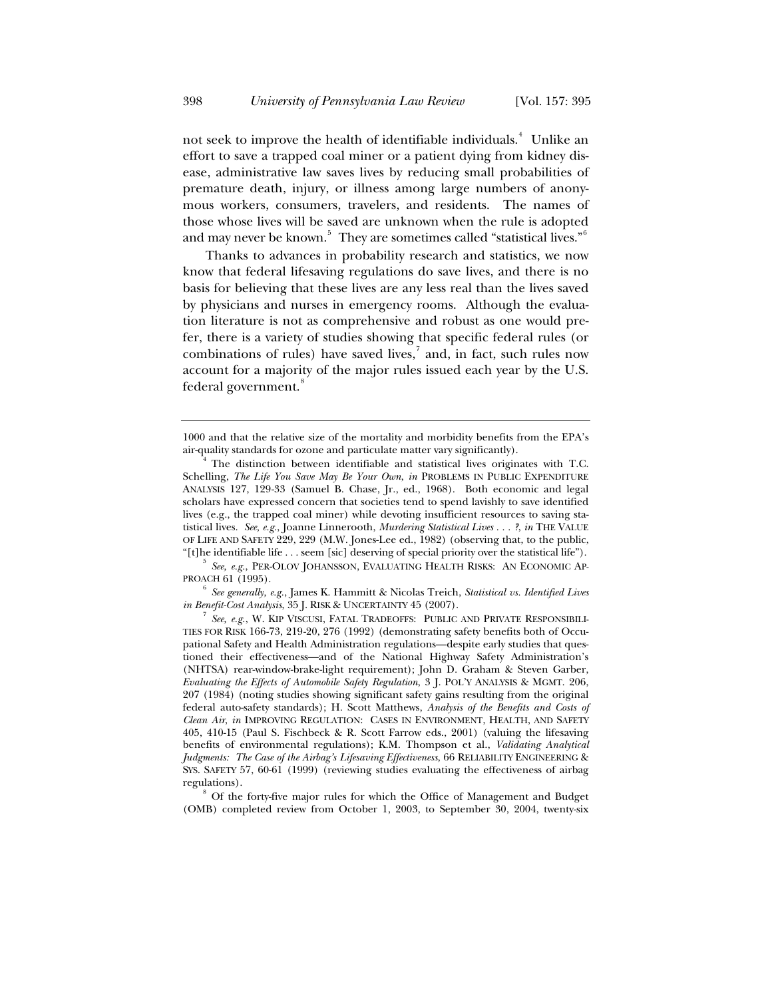not seek to improve the health of identifiable individuals.<sup>4</sup> Unlike an effort to save a trapped coal miner or a patient dying from kidney disease, administrative law saves lives by reducing small probabilities of premature death, injury, or illness among large numbers of anonymous workers, consumers, travelers, and residents. The names of those whose lives will be saved are unknown when the rule is adopted and may never be known. $^5\,$  They are sometimes called "statistical lives." $^6\,$ 

Thanks to advances in probability research and statistics, we now know that federal lifesaving regulations do save lives, and there is no basis for believing that these lives are any less real than the lives saved by physicians and nurses in emergency rooms. Although the evaluation literature is not as comprehensive and robust as one would prefer, there is a variety of studies showing that specific federal rules (or combinations of rules) have saved lives, $\frac{7}{1}$  and, in fact, such rules now account for a majority of the major rules issued each year by the U.S. federal government.<sup>8</sup>

*See generally, e.g.*, James K. Hammitt & Nicolas Treich, *Statistical vs. Identified Lives in Benefit-Cost Analysis*, 35 J. RISK & UNCERTAINTY 45 (2007).

<sup>1000</sup> and that the relative size of the mortality and morbidity benefits from the EPA's air-quality standards for ozone and particulate matter vary significantly). 4

The distinction between identifiable and statistical lives originates with T.C. Schelling, *The Life You Save May Be Your Own*, *in* PROBLEMS IN PUBLIC EXPENDITURE ANALYSIS 127, 129-33 (Samuel B. Chase, Jr., ed., 1968). Both economic and legal scholars have expressed concern that societies tend to spend lavishly to save identified lives (e.g., the trapped coal miner) while devoting insufficient resources to saving statistical lives. *See, e.g.*, Joanne Linnerooth, *Murdering Statistical Lives . . . ?*, *in* THE VALUE OF LIFE AND SAFETY 229, 229 (M.W. Jones-Lee ed., 1982) (observing that, to the public, "[t]he identifiable life . . . seem [sic] deserving of special priority over the statistical life"). 5

*See, e.g.*, PER-OLOV JOHANSSON, EVALUATING HEALTH RISKS: AN ECONOMIC AP-PROACH 61 (1995).

*See, e.g.*, W. KIP VISCUSI, FATAL TRADEOFFS: PUBLIC AND PRIVATE RESPONSIBILI-TIES FOR RISK 166-73, 219-20, 276 (1992) (demonstrating safety benefits both of Occupational Safety and Health Administration regulations—despite early studies that questioned their effectiveness—and of the National Highway Safety Administration's (NHTSA) rear-window-brake-light requirement); John D. Graham & Steven Garber, *Evaluating the Effects of Automobile Safety Regulation*, 3 J. POL'Y ANALYSIS & MGMT. 206, 207 (1984) (noting studies showing significant safety gains resulting from the original federal auto-safety standards); H. Scott Matthews, *Analysis of the Benefits and Costs of Clean Air*, *in* IMPROVING REGULATION: CASES IN ENVIRONMENT, HEALTH, AND SAFETY 405, 410-15 (Paul S. Fischbeck & R. Scott Farrow eds., 2001) (valuing the lifesaving benefits of environmental regulations); K.M. Thompson et al., *Validating Analytical Judgments: The Case of the Airbag's Lifesaving Effectiveness*, 66 RELIABILITY ENGINEERING & SYS. SAFETY 57, 60-61 (1999) (reviewing studies evaluating the effectiveness of airbag regulations).<br><sup>8</sup> Of the forty-five major rules for which the Office of Management and Budget

<sup>(</sup>OMB) completed review from October 1, 2003, to September 30, 2004, twenty-six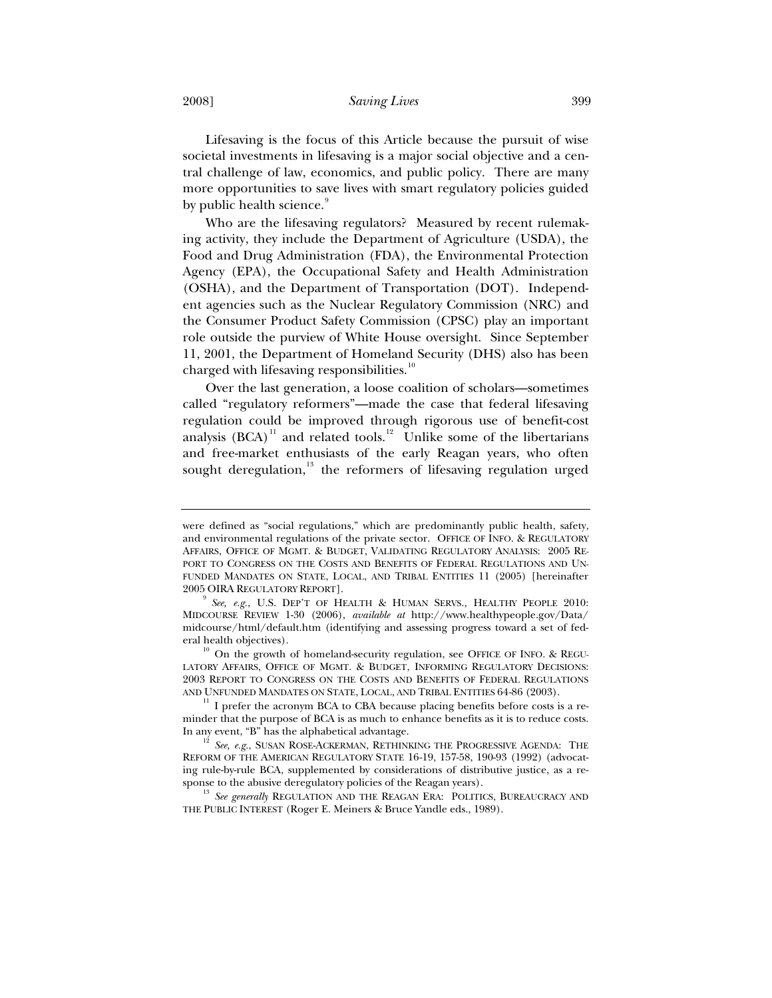2008] *Saving Lives* 399

Lifesaving is the focus of this Article because the pursuit of wise societal investments in lifesaving is a major social objective and a central challenge of law, economics, and public policy. There are many more opportunities to save lives with smart regulatory policies guided by public health science.

Who are the lifesaving regulators? Measured by recent rulemaking activity, they include the Department of Agriculture (USDA), the Food and Drug Administration (FDA), the Environmental Protection Agency (EPA), the Occupational Safety and Health Administration (OSHA), and the Department of Transportation (DOT). Independent agencies such as the Nuclear Regulatory Commission (NRC) and the Consumer Product Safety Commission (CPSC) play an important role outside the purview of White House oversight. Since September 11, 2001, the Department of Homeland Security (DHS) also has been charged with lifesaving responsibilities.<sup>10</sup>

Over the last generation, a loose coalition of scholars—sometimes called "regulatory reformers"—made the case that federal lifesaving regulation could be improved through rigorous use of benefit-cost analysis  $(BCA)^{11}$  and related tools.<sup>12</sup> Unlike some of the libertarians and free-market enthusiasts of the early Reagan years, who often sought deregulation,<sup>13</sup> the reformers of lifesaving regulation urged

were defined as "social regulations," which are predominantly public health, safety, and environmental regulations of the private sector. OFFICE OF INFO. & REGULATORY AFFAIRS, OFFICE OF MGMT.&BUDGET, VALIDATING REGULATORY ANALYSIS: 2005 RE-PORT TO CONGRESS ON THE COSTS AND BENEFITS OF FEDERAL REGULATIONS AND UN-FUNDED MANDATES ON STATE, LOCAL, AND TRIBAL ENTITIES 11 (2005) [hereinafter 2005 OIRA REGULATORY REPORT].

<sup>&</sup>lt;sup>9</sup> See, e.g., U.S. DEP'T OF HEALTH & HUMAN SERVS., HEALTHY PEOPLE 2010: MIDCOURSE REVIEW 1-30 (2006), *available at* http://www.healthypeople.gov/Data/ midcourse/html/default.htm (identifying and assessing progress toward a set of federal health objectives).<br><sup>10</sup> On the growth of homeland-security regulation, see OFFICE OF INFO. & REGU-

LATORY AFFAIRS, OFFICE OF MGMT. & BUDGET, INFORMING REGULATORY DECISIONS: 2003 REPORT TO CONGRESS ON THE COSTS AND BENEFITS OF FEDERAL REGULATIONS AND UNFUNDED MANDATES ON STATE, LOCAL, AND TRIBAL ENTITIES 64-86 (2003).

 $11$  I prefer the acronym BCA to CBA because placing benefits before costs is a reminder that the purpose of BCA is as much to enhance benefits as it is to reduce costs. In any event, "B" has the alphabetical advantage. 12 *See, e.g.*, SUSAN ROSE-ACKERMAN, RETHINKING THE PROGRESSIVE AGENDA: THE

REFORM OF THE AMERICAN REGULATORY STATE 16-19, 157-58, 190-93 (1992) (advocating rule-by-rule BCA, supplemented by considerations of distributive justice, as a response to the abusive deregulatory policies of the Reagan years). <sup>13</sup> *See generally* REGULATION AND THE REAGAN ERA: POLITICS, BUREAUCRACY AND

THE PUBLIC INTEREST (Roger E. Meiners & Bruce Yandle eds., 1989).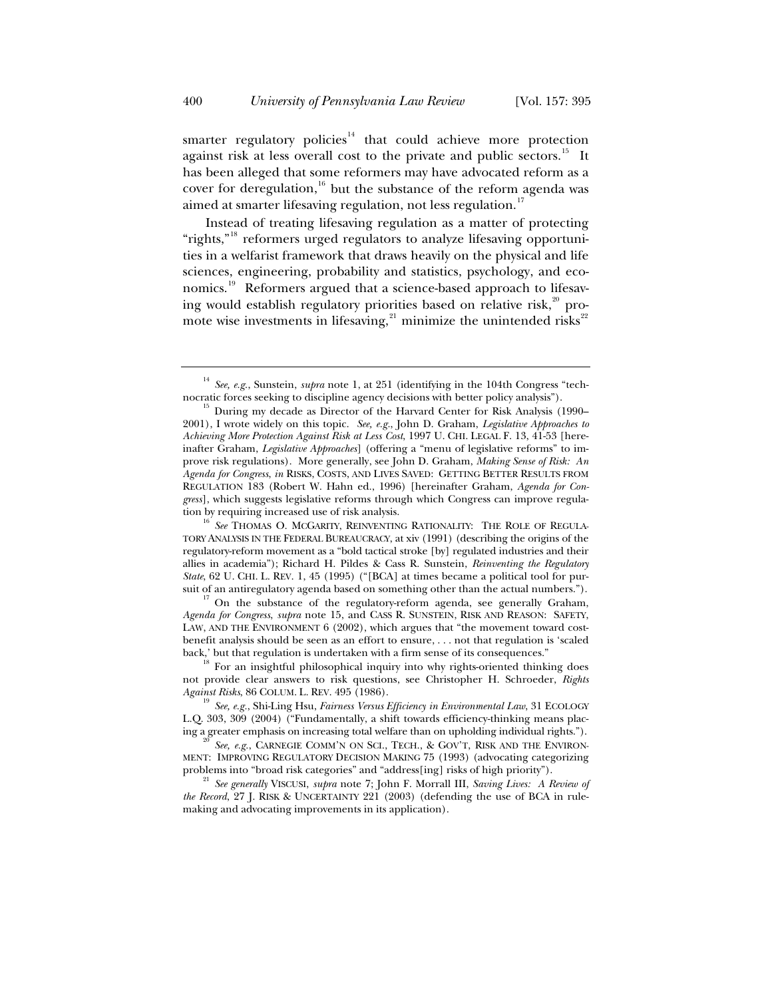smarter regulatory policies $14$  that could achieve more protection against risk at less overall cost to the private and public sectors.<sup>15</sup> It has been alleged that some reformers may have advocated reform as a cover for deregulation, $16$  but the substance of the reform agenda was aimed at smarter lifesaving regulation, not less regulation.<sup>17</sup>

Instead of treating lifesaving regulation as a matter of protecting "rights,"<sup>18</sup> reformers urged regulators to analyze lifesaving opportunities in a welfarist framework that draws heavily on the physical and life sciences, engineering, probability and statistics, psychology, and economics.<sup>19</sup> Reformers argued that a science-based approach to lifesaving would establish regulatory priorities based on relative risk,<sup>20</sup> promote wise investments in lifesaving, $21$  minimize the unintended risks $22$ 

<sup>16</sup> See THOMAS O. MCGARITY, REINVENTING RATIONALITY: THE ROLE OF REGULA-TORY ANALYSIS IN THE FEDERAL BUREAUCRACY, at xiv (1991) (describing the origins of the regulatory-reform movement as a "bold tactical stroke [by] regulated industries and their allies in academia"); Richard H. Pildes & Cass R. Sunstein, *Reinventing the Regulatory State*, 62 U. CHI. L. REV. 1, 45 (1995) ("[BCA] at times became a political tool for pursuit of an antiregulatory agenda based on something other than the actual numbers.").

 $\sigma$ <sup>17</sup> On the substance of the regulatory-reform agenda, see generally Graham, *Agenda for Congress*, *supra* note 15, and CASS R. SUNSTEIN, RISK AND REASON: SAFETY, LAW, AND THE ENVIRONMENT 6 (2002), which argues that "the movement toward costbenefit analysis should be seen as an effort to ensure, . . . not that regulation is 'scaled back,' but that regulation is undertaken with a firm sense of its consequences."<br><sup>18</sup> For an insightful philosophical inquiry into why rights-oriented thinking does

not provide clear answers to risk questions, see Christopher H. Schroeder, *Rights* 

<sup>19</sup> See, e.g., Shi-Ling Hsu, Fairness Versus Efficiency in Environmental Law, 31 ECOLOGY L.Q. 303, 309 (2004) ("Fundamentally, a shift towards efficiency-thinking means placing a greater emphasis on increasing total welfare than on upholding individual rights.").

See, e.g., CARNEGIE COMM'N ON SCI., TECH., & GOV'T, RISK AND THE ENVIRON-MENT: IMPROVING REGULATORY DECISION MAKING 75 (1993) (advocating categorizing problems into "broad risk categories" and "address[ing] risks of high priority").

<sup>21</sup> See generally VISCUSI, *supra* note 7; John F. Morrall III, *Saving Lives: A Review of the Record*, 27 J. RISK & UNCERTAINTY 221 (2003) (defending the use of BCA in rulemaking and advocating improvements in its application).

<sup>&</sup>lt;sup>14</sup> *See, e.g.*, Sunstein, *supra* note 1, at 251 (identifying in the 104th Congress "tech-<br>nocratic forces seeking to discipline agency decisions with better policy analysis").

 $15$  During my decade as Director of the Harvard Center for Risk Analysis (1990– 2001), I wrote widely on this topic. *See, e.g.*, John D. Graham, *Legislative Approaches to Achieving More Protection Against Risk at Less Cost*, 1997 U. CHI. LEGAL F. 13, 41-53 [hereinafter Graham, *Legislative Approaches*] (offering a "menu of legislative reforms" to improve risk regulations). More generally, see John D. Graham, *Making Sense of Risk: An Agenda for Congress*, *in* RISKS, COSTS, AND LIVES SAVED: GETTING BETTER RESULTS FROM REGULATION 183 (Robert W. Hahn ed., 1996) [hereinafter Graham, *Agenda for Congress*], which suggests legislative reforms through which Congress can improve regula-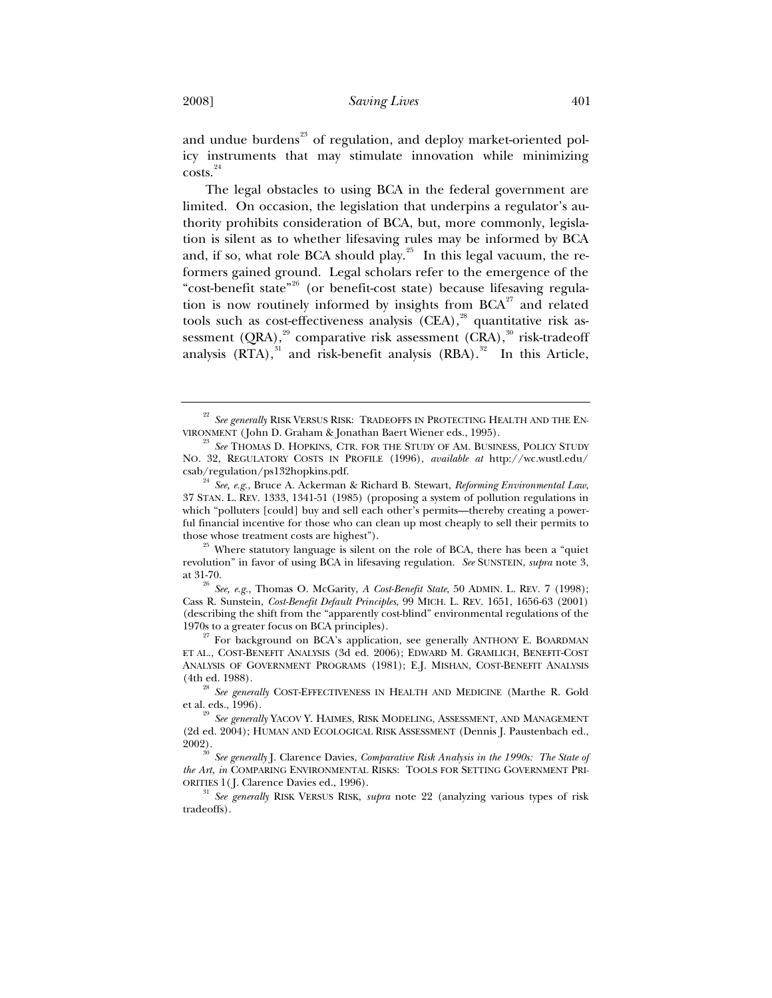and undue burdens $^{23}$  of regulation, and deploy market-oriented policy instruments that may stimulate innovation while minimizing  $costs.<sup>24</sup>$ 

The legal obstacles to using BCA in the federal government are limited. On occasion, the legislation that underpins a regulator's authority prohibits consideration of BCA, but, more commonly, legislation is silent as to whether lifesaving rules may be informed by BCA and, if so, what role BCA should play.<sup>25</sup> In this legal vacuum, the reformers gained ground. Legal scholars refer to the emergence of the "cost-benefit state<sup>"26</sup> (or benefit-cost state) because lifesaving regulation is now routinely informed by insights from  $BCA^{27}$  and related tools such as cost-effectiveness analysis  $(CEA)$ ,<sup>28</sup> quantitative risk assessment (QRA), $^{29}$  comparative risk assessment (CRA), $^{30}$  risk-tradeoff analysis  $(RTA),$ <sup>31</sup> and risk-benefit analysis  $(RBA).$ <sup>32</sup> In this Article,

revolution" in favor of using BCA in lifesaving regulation. *See* SUNSTEIN, *supra* note 3, at 31-70. 26 *See, e.g.*, Thomas O. McGarity, *A Cost-Benefit State*, 50 ADMIN. L. REV. 7 (1998);

Cass R. Sunstein, *Cost-Benefit Default Principles*, 99 MICH. L. REV. 1651, 1656-63 (2001) (describing the shift from the "apparently cost-blind" environmental regulations of the

1970s to a greater focus on BCA principles).<br><sup>27</sup> For background on BCA's application, see generally ANTHONY E. BOARDMAN ET AL., COST-BENEFIT ANALYSIS (3d ed. 2006); EDWARD M. GRAMLICH, BENEFIT-COST ANALYSIS OF GOVERNMENT PROGRAMS (1981); E.J. MISHAN, COST-BENEFIT ANALYSIS (4th ed. 1988).

 $^{28}$   $\it See$   $\it generally$  COST-EFFECTIVENESS IN HEALTH AND MEDICINE (Marthe R. Gold et al. eds., 1996).

 $^{22}$  *See generally* RISK VERSUS RISK: TRADEOFFS IN PROTECTING HEALTH AND THE ENVIRONMENT (John D. Graham & Jonathan Baert Wiener eds., 1995).

<sup>&</sup>lt;sup>23</sup> *See* THOMAS D. HOPKINS, CTR. FOR THE STUDY OF AM. BUSINESS, POLICY STUDY NO. 32, REGULATORY COSTS IN PROFILE (1996), *available at* http://wc.wustl.edu/

csab/regulation/ps132hopkins.pdf. 24 *See, e.g.*, Bruce A. Ackerman & Richard B. Stewart, *Reforming Environmental Law*, 37 STAN. L. REV. 1333, 1341-51 (1985) (proposing a system of pollution regulations in which "polluters [could] buy and sell each other's permits—thereby creating a powerful financial incentive for those who can clean up most cheaply to sell their permits to those whose treatment costs are highest").<br><sup>25</sup> Where statutory language is silent on the role of BCA, there has been a "quiet"

<sup>&</sup>lt;sup>29</sup> See generally YACOV Y. HAIMES, RISK MODELING, ASSESSMENT, AND MANAGEMENT (2d ed. 2004); HUMAN AND ECOLOGICAL RISK ASSESSMENT (Dennis J. Paustenbach ed., 2002).

<sup>&</sup>lt;sup>30</sup> See generally J. Clarence Davies, *Comparative Risk Analysis in the 1990s: The State of the Art*, *in* COMPARING ENVIRONMENTAL RISKS: TOOLS FOR SETTING GOVERNMENT PRI-ORITIES 1( J. Clarence Davies ed., 1996). 31 *See generally* RISK VERSUS RISK, *supra* note 22 (analyzing various types of risk

tradeoffs).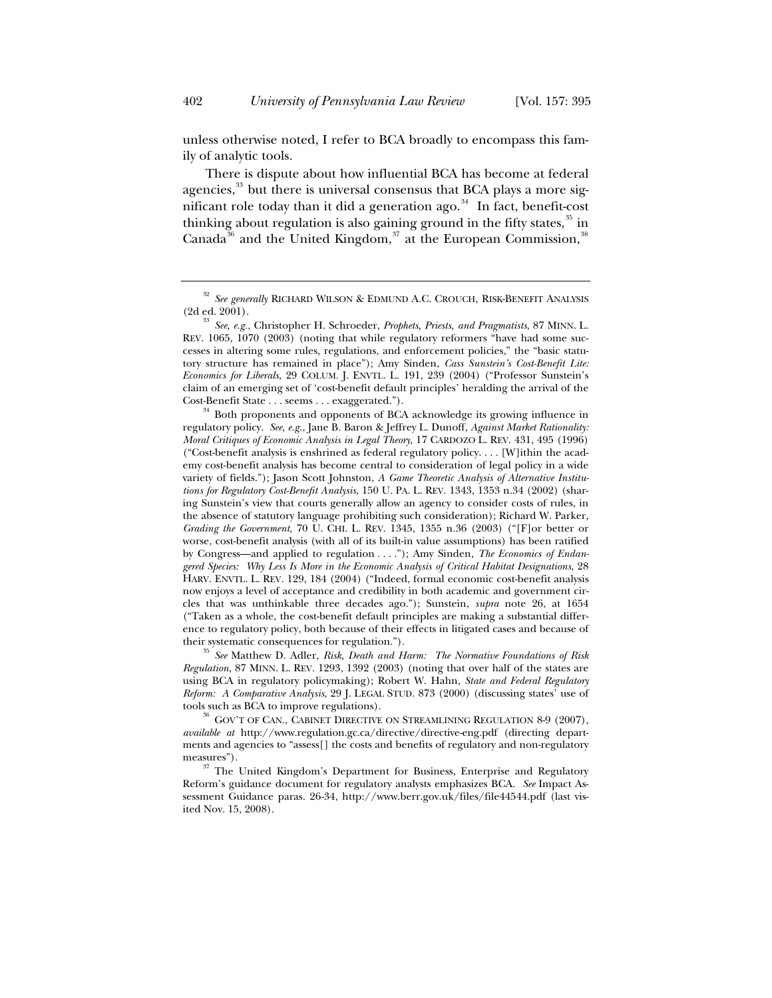unless otherwise noted, I refer to BCA broadly to encompass this family of analytic tools.

There is dispute about how influential BCA has become at federal agencies,<sup>33</sup> but there is universal consensus that BCA plays a more significant role today than it did a generation ago.<sup>34</sup> In fact, benefit-cost thinking about regulation is also gaining ground in the fifty states,  $35$  in Canada<sup>36</sup> and the United Kingdom,<sup>37</sup> at the European Commission,<sup>3</sup>

*Regulation*, 87 MINN. L. REV. 1293, 1392 (2003) (noting that over half of the states are using BCA in regulatory policymaking); Robert W. Hahn, *State and Federal Regulatory Reform: A Comparative Analysis*, 29 J. LEGAL STUD. 873 (2000) (discussing states' use of tools such as BCA to improve regulations).<br><sup>36</sup> GOV'T OF CAN., CABINET DIRECTIVE ON STREAMLINING REGULATION 8-9 (2007),

*available at* http://www.regulation.gc.ca/directive/directive-eng.pdf (directing departments and agencies to "assess[] the costs and benefits of regulatory and non-regulatory measures").

 $37$  The United Kingdom's Department for Business, Enterprise and Regulatory Reform's guidance document for regulatory analysts emphasizes BCA. *See* Impact Assessment Guidance paras. 26-34, http://www.berr.gov.uk/files/file44544.pdf (last visited Nov. 15, 2008).

 $^{32}$  *See generally* RICHARD WILSON & EDMUND A.C. CROUCH, RISK-BENEFIT ANALYSIS (2d ed. 2001).

<sup>&</sup>lt;sup>33</sup> See, e.g., Christopher H. Schroeder, *Prophets, Priests, and Pragmatists*, 87 MINN. L. REV. 1065, 1070 (2003) (noting that while regulatory reformers "have had some successes in altering some rules, regulations, and enforcement policies," the "basic statutory structure has remained in place"); Amy Sinden, *Cass Sunstein's Cost-Benefit Lite: Economics for Liberals*, 29 COLUM. J. ENVTL. L. 191, 239 (2004) ("Professor Sunstein's claim of an emerging set of 'cost-benefit default principles' heralding the arrival of the Cost-Benefit State . . . seems . . . exaggerated.").<br><sup>34</sup> Both proponents and opponents of BCA acknowledge its growing influence in

regulatory policy. *See, e.g.*, Jane B. Baron & Jeffrey L. Dunoff, *Against Market Rationality: Moral Critiques of Economic Analysis in Legal Theory*, 17 CARDOZO L. REV. 431, 495 (1996) ("Cost-benefit analysis is enshrined as federal regulatory policy.... [W] ithin the academy cost-benefit analysis has become central to consideration of legal policy in a wide variety of fields."); Jason Scott Johnston, *A Game Theoretic Analysis of Alternative Institutions for Regulatory Cost-Benefit Analysis*, 150 U. PA. L. REV. 1343, 1353 n.34 (2002) (sharing Sunstein's view that courts generally allow an agency to consider costs of rules, in the absence of statutory language prohibiting such consideration); Richard W. Parker, *Grading the Government*, 70 U. CHI. L. REV. 1345, 1355 n.36 (2003) ("[F]or better or worse, cost-benefit analysis (with all of its built-in value assumptions) has been ratified by Congress—and applied to regulation . . . ."); Amy Sinden, *The Economics of Endangered Species: Why Less Is More in the Economic Analysis of Critical Habitat Designations*, 28 HARV. ENVTL. L. REV. 129, 184 (2004) ("Indeed, formal economic cost-benefit analysis now enjoys a level of acceptance and credibility in both academic and government circles that was unthinkable three decades ago."); Sunstein, *supra* note 26, at 1654 ("Taken as a whole, the cost-benefit default principles are making a substantial difference to regulatory policy, both because of their effects in litigated cases and because of their systematic consequences for regulation."). 35 *See* Matthew D. Adler, *Risk, Death and Harm: The Normative Foundations of Risk*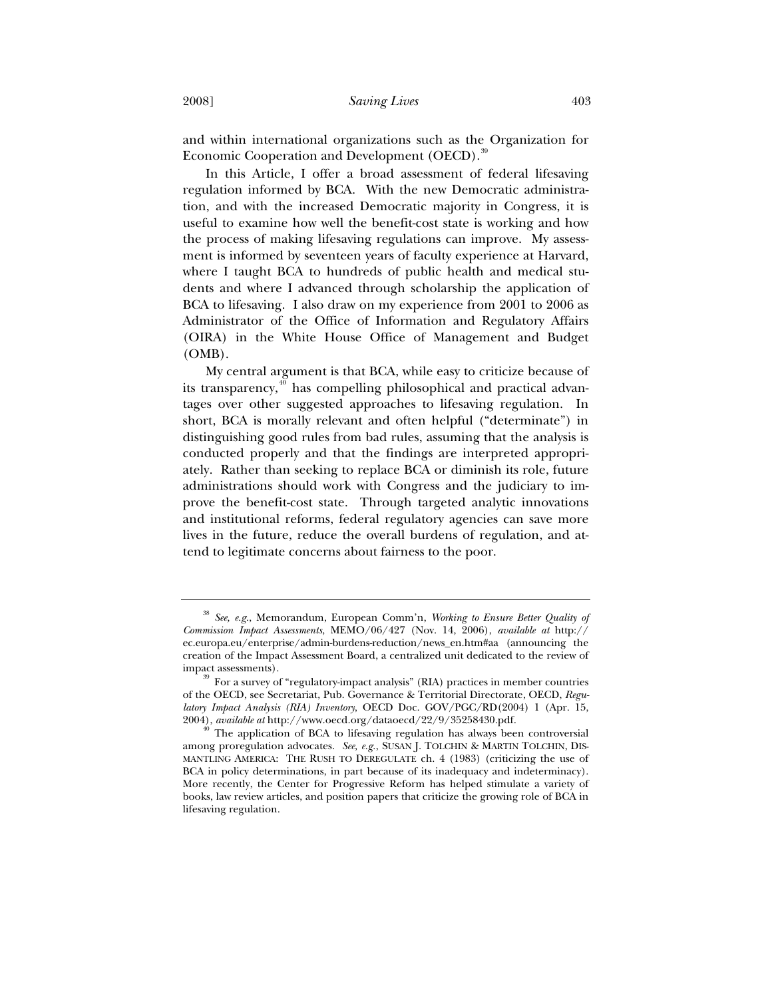and within international organizations such as the Organization for Economic Cooperation and Development (OECD).<sup>39</sup>

In this Article, I offer a broad assessment of federal lifesaving regulation informed by BCA. With the new Democratic administration, and with the increased Democratic majority in Congress, it is useful to examine how well the benefit-cost state is working and how the process of making lifesaving regulations can improve. My assessment is informed by seventeen years of faculty experience at Harvard, where I taught BCA to hundreds of public health and medical students and where I advanced through scholarship the application of BCA to lifesaving. I also draw on my experience from 2001 to 2006 as Administrator of the Office of Information and Regulatory Affairs (OIRA) in the White House Office of Management and Budget (OMB).

My central argument is that BCA, while easy to criticize because of its transparency, $40$  has compelling philosophical and practical advantages over other suggested approaches to lifesaving regulation. In short, BCA is morally relevant and often helpful ("determinate") in distinguishing good rules from bad rules, assuming that the analysis is conducted properly and that the findings are interpreted appropriately. Rather than seeking to replace BCA or diminish its role, future administrations should work with Congress and the judiciary to improve the benefit-cost state. Through targeted analytic innovations and institutional reforms, federal regulatory agencies can save more lives in the future, reduce the overall burdens of regulation, and attend to legitimate concerns about fairness to the poor.

<sup>38</sup> *See, e.g.*, Memorandum, European Comm'n, *Working to Ensure Better Quality of Commission Impact Assessments*, MEMO/06/427 (Nov. 14, 2006), *available at* http:// ec.europa.eu/enterprise/admin-burdens-reduction/news\_en.htm#aa (announcing the creation of the Impact Assessment Board, a centralized unit dedicated to the review of impact assessments).<br><sup>39</sup> For a survey of "regulatory-impact analysis" (RIA) practices in member countries

of the OECD, see Secretariat, Pub. Governance & Territorial Directorate, OECD, *Regulatory Impact Analysis (RIA) Inventory*, OECD Doc. GOV/PGC/RD(2004) 1 (Apr. 15,

<sup>&</sup>lt;sup>2</sup> The application of BCA to lifesaving regulation has always been controversial among proregulation advocates. *See, e.g.*, SUSAN J. TOLCHIN & MARTIN TOLCHIN, DIS-MANTLING AMERICA: THE RUSH TO DEREGULATE ch. 4 (1983) (criticizing the use of BCA in policy determinations, in part because of its inadequacy and indeterminacy). More recently, the Center for Progressive Reform has helped stimulate a variety of books, law review articles, and position papers that criticize the growing role of BCA in lifesaving regulation.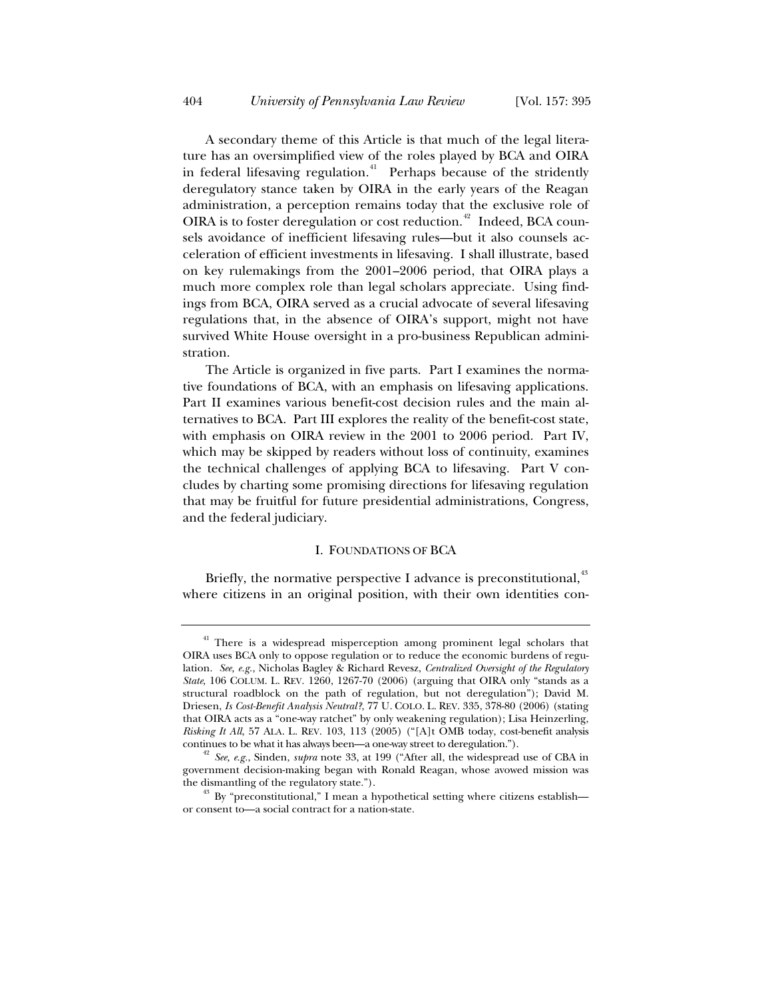A secondary theme of this Article is that much of the legal literature has an oversimplified view of the roles played by BCA and OIRA in federal lifesaving regulation.<sup>41</sup> Perhaps because of the stridently deregulatory stance taken by OIRA in the early years of the Reagan administration, a perception remains today that the exclusive role of OIRA is to foster deregulation or cost reduction.<sup>42</sup> Indeed, BCA counsels avoidance of inefficient lifesaving rules—but it also counsels acceleration of efficient investments in lifesaving. I shall illustrate, based on key rulemakings from the 2001–2006 period, that OIRA plays a much more complex role than legal scholars appreciate. Using findings from BCA, OIRA served as a crucial advocate of several lifesaving regulations that, in the absence of OIRA's support, might not have survived White House oversight in a pro-business Republican administration.

The Article is organized in five parts. Part I examines the normative foundations of BCA, with an emphasis on lifesaving applications. Part II examines various benefit-cost decision rules and the main alternatives to BCA. Part III explores the reality of the benefit-cost state, with emphasis on OIRA review in the 2001 to 2006 period. Part IV, which may be skipped by readers without loss of continuity, examines the technical challenges of applying BCA to lifesaving. Part V concludes by charting some promising directions for lifesaving regulation that may be fruitful for future presidential administrations, Congress, and the federal judiciary.

### I. FOUNDATIONS OF BCA

Briefly, the normative perspective I advance is preconstitutional,<sup>43</sup> where citizens in an original position, with their own identities con-

<sup>&</sup>lt;sup>41</sup> There is a widespread misperception among prominent legal scholars that OIRA uses BCA only to oppose regulation or to reduce the economic burdens of regulation. *See, e.g.*, Nicholas Bagley & Richard Revesz, *Centralized Oversight of the Regulatory State*, 106 COLUM. L. REV. 1260, 1267-70 (2006) (arguing that OIRA only "stands as a structural roadblock on the path of regulation, but not deregulation"); David M. Driesen, *Is Cost-Benefit Analysis Neutral?*, 77 U. COLO. L. REV. 335, 378-80 (2006) (stating that OIRA acts as a "one-way ratchet" by only weakening regulation); Lisa Heinzerling, *Risking It All*, 57 ALA. L. REV. 103, 113 (2005) ("[A]t OMB today, cost-benefit analysis

continues to be what it has always been—a one-way street to deregulation."). 42 *See, e.g.*, Sinden, *supra* note 33, at 199 ("After all, the widespread use of CBA in government decision-making began with Ronald Reagan, whose avowed mission was

the dismantling of the regulatory state.").<br><sup>43</sup> By "preconstitutional," I mean a hypothetical setting where citizens establish or consent to—a social contract for a nation-state.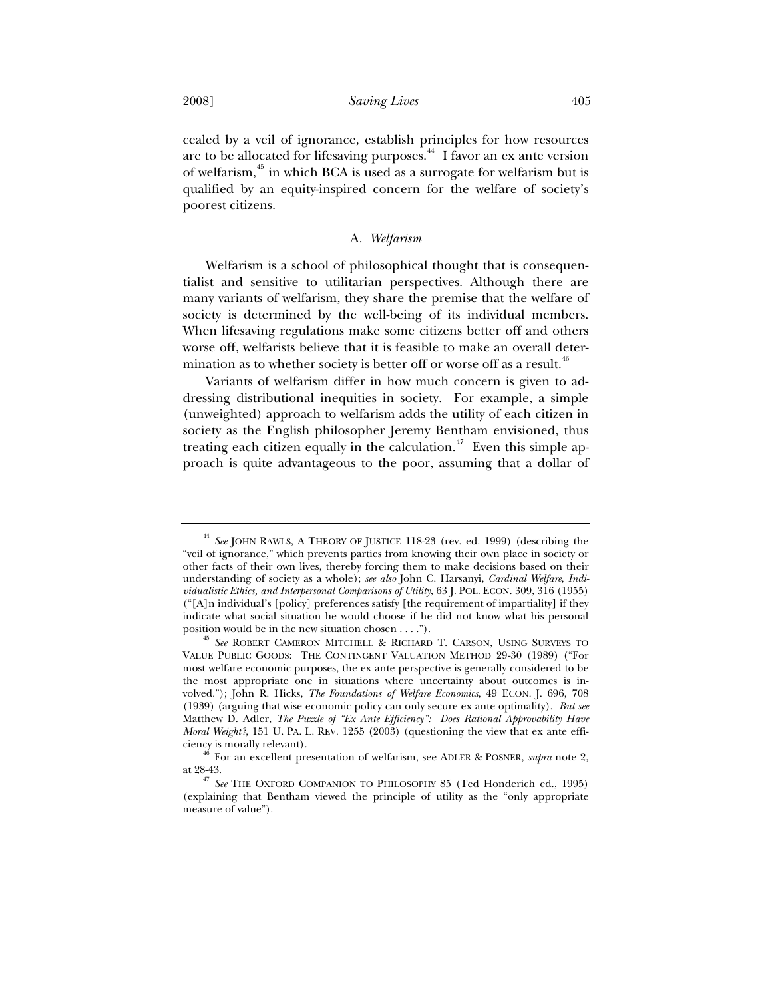cealed by a veil of ignorance, establish principles for how resources are to be allocated for lifesaving purposes.44 I favor an ex ante version of welfarism,45 in which BCA is used as a surrogate for welfarism but is qualified by an equity-inspired concern for the welfare of society's poorest citizens.

## A. *Welfarism*

Welfarism is a school of philosophical thought that is consequentialist and sensitive to utilitarian perspectives. Although there are many variants of welfarism, they share the premise that the welfare of society is determined by the well-being of its individual members. When lifesaving regulations make some citizens better off and others worse off, welfarists believe that it is feasible to make an overall determination as to whether society is better off or worse off as a result.<sup>46</sup>

Variants of welfarism differ in how much concern is given to addressing distributional inequities in society. For example, a simple (unweighted) approach to welfarism adds the utility of each citizen in society as the English philosopher Jeremy Bentham envisioned, thus treating each citizen equally in the calculation.<sup> $47$ </sup> Even this simple approach is quite advantageous to the poor, assuming that a dollar of

<sup>44</sup> *See* JOHN RAWLS, A THEORY OF JUSTICE 118-23 (rev. ed. 1999) (describing the "veil of ignorance," which prevents parties from knowing their own place in society or other facts of their own lives, thereby forcing them to make decisions based on their understanding of society as a whole); *see also* John C. Harsanyi, *Cardinal Welfare, Individualistic Ethics, and Interpersonal Comparisons of Utility*, 63 J. POL. ECON. 309, 316 (1955) ("[A]n individual's [policy] preferences satisfy [the requirement of impartiality] if they indicate what social situation he would choose if he did not know what his personal position would be in the new situation chosen . . . .").

<sup>&</sup>lt;sup>45</sup> See ROBERT CAMERON MITCHELL & RICHARD T. CARSON, USING SURVEYS TO VALUE PUBLIC GOODS: THE CONTINGENT VALUATION METHOD 29-30 (1989) ("For most welfare economic purposes, the ex ante perspective is generally considered to be the most appropriate one in situations where uncertainty about outcomes is involved."); John R. Hicks, *The Foundations of Welfare Economics*, 49 ECON. J. 696, 708 (1939) (arguing that wise economic policy can only secure ex ante optimality). *But see* Matthew D. Adler, *The Puzzle of "Ex Ante Efficiency": Does Rational Approvability Have Moral Weight?*, 151 U. PA. L. REV. 1255 (2003) (questioning the view that ex ante effi-

ciency is morally relevant). 46 For an excellent presentation of welfarism, see ADLER & POSNER, *supra* note 2,

at 28-43. 47 *See* THE OXFORD COMPANION TO PHILOSOPHY 85 (Ted Honderich ed., 1995) (explaining that Bentham viewed the principle of utility as the "only appropriate measure of value").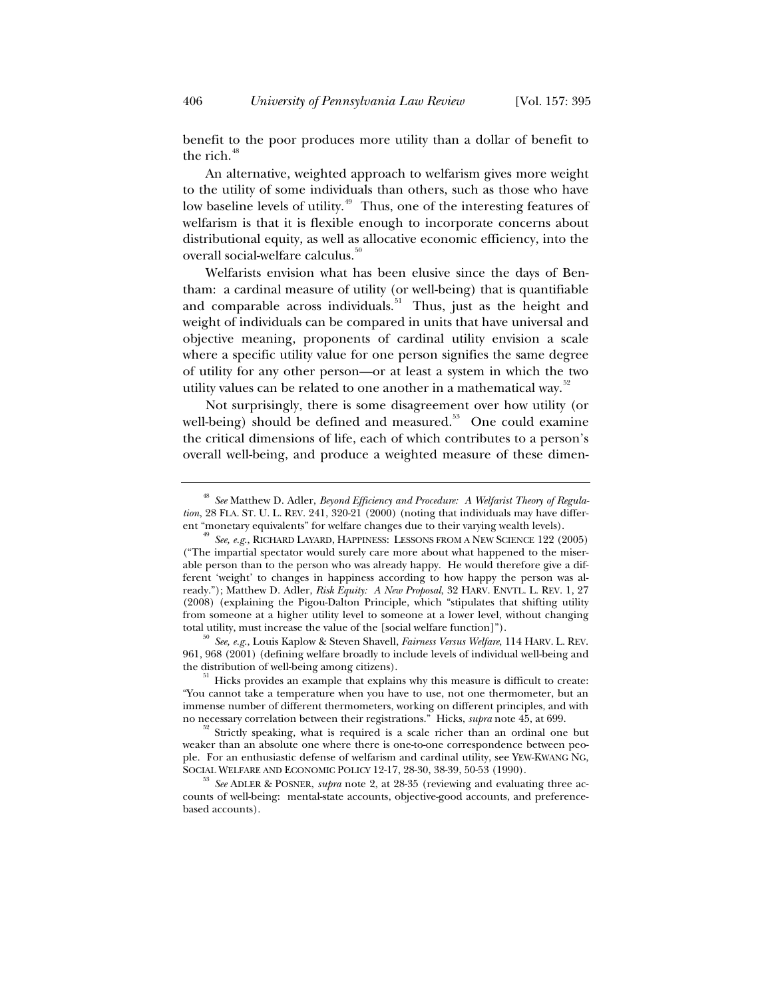benefit to the poor produces more utility than a dollar of benefit to the rich. $48$ 

An alternative, weighted approach to welfarism gives more weight to the utility of some individuals than others, such as those who have low baseline levels of utility.<sup>49</sup> Thus, one of the interesting features of welfarism is that it is flexible enough to incorporate concerns about distributional equity, as well as allocative economic efficiency, into the overall social-welfare calculus.<sup>51</sup>

Welfarists envision what has been elusive since the days of Bentham: a cardinal measure of utility (or well-being) that is quantifiable and comparable across individuals.<sup>51</sup> Thus, just as the height and weight of individuals can be compared in units that have universal and objective meaning, proponents of cardinal utility envision a scale where a specific utility value for one person signifies the same degree of utility for any other person—or at least a system in which the two utility values can be related to one another in a mathematical way.<sup>52</sup>

Not surprisingly, there is some disagreement over how utility (or well-being) should be defined and measured. $53$  One could examine the critical dimensions of life, each of which contributes to a person's overall well-being, and produce a weighted measure of these dimen-

961, 968 (2001) (defining welfare broadly to include levels of individual well-being and

<sup>48</sup> *See* Matthew D. Adler, *Beyond Efficiency and Procedure: A Welfarist Theory of Regulation*, 28 FLA. ST. U. L. REV. 241, 320-21 (2000) (noting that individuals may have different "monetary equivalents" for welfare changes due to their varying wealth levels).

See, e.g., RICHARD LAYARD, HAPPINESS: LESSONS FROM A NEW SCIENCE 122 (2005) ("The impartial spectator would surely care more about what happened to the miserable person than to the person who was already happy. He would therefore give a different 'weight' to changes in happiness according to how happy the person was already."); Matthew D. Adler, *Risk Equity: A New Proposal*, 32 HARV. ENVTL. L. REV. 1, 27 (2008) (explaining the Pigou-Dalton Principle, which "stipulates that shifting utility from someone at a higher utility level to someone at a lower level, without changing total utility, must increase the value of the [social welfare function]"). 50 *See, e.g.*, Louis Kaplow & Steven Shavell, *Fairness Versus Welfare*, 114 HARV. L. REV.

Hicks provides an example that explains why this measure is difficult to create: "You cannot take a temperature when you have to use, not one thermometer, but an immense number of different thermometers, working on different principles, and with no necessary correlation between their registrations." Hicks, *supra* note 45, at 699.

<sup>&</sup>lt;sup>52</sup> Strictly speaking, what is required is a scale richer than an ordinal one but weaker than an absolute one where there is one-to-one correspondence between people. For an enthusiastic defense of welfarism and cardinal utility, see YEW-KWANG NG,

<sup>&</sup>lt;sup>53</sup> See ADLER & POSNER, *supra* note 2, at 28-35 (reviewing and evaluating three accounts of well-being: mental-state accounts, objective-good accounts, and preferencebased accounts).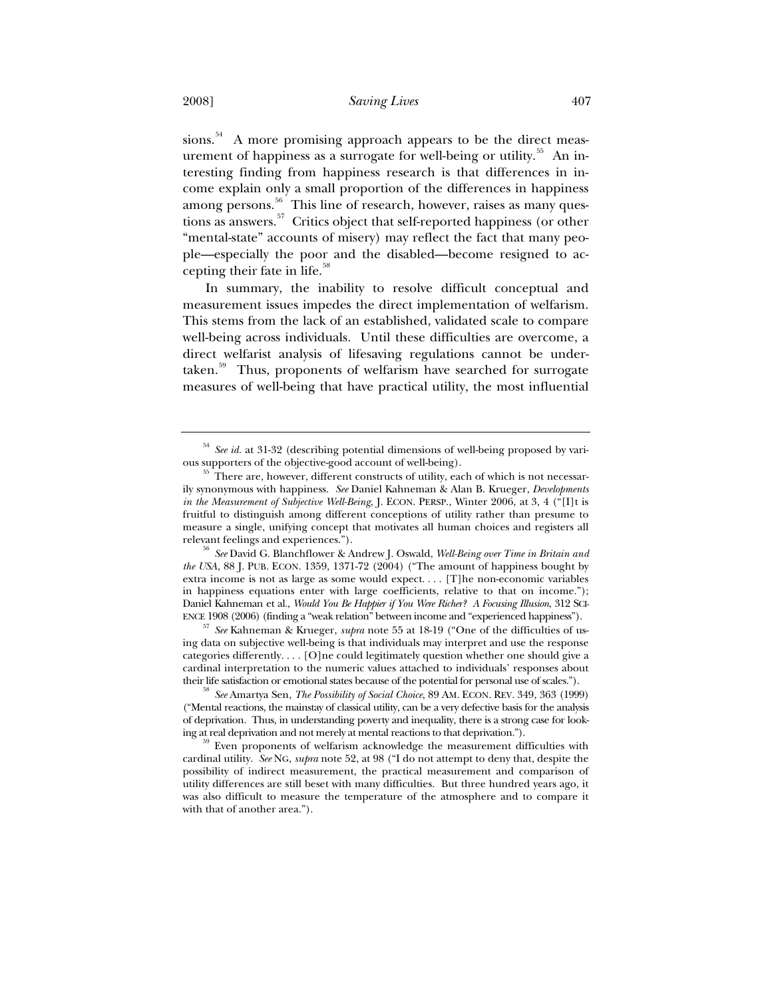sions.<sup>54</sup> A more promising approach appears to be the direct measurement of happiness as a surrogate for well-being or utility.<sup>55</sup> An interesting finding from happiness research is that differences in income explain only a small proportion of the differences in happiness among persons. $^{56}$  This line of research, however, raises as many questions as answers.<sup>57</sup> Critics object that self-reported happiness (or other "mental-state" accounts of misery) may reflect the fact that many people—especially the poor and the disabled—become resigned to accepting their fate in life.<sup>58</sup>

In summary, the inability to resolve difficult conceptual and measurement issues impedes the direct implementation of welfarism. This stems from the lack of an established, validated scale to compare well-being across individuals. Until these difficulties are overcome, a direct welfarist analysis of lifesaving regulations cannot be undertaken.<sup>59</sup> Thus, proponents of welfarism have searched for surrogate measures of well-being that have practical utility, the most influential

*the USA*, 88 J. PUB. ECON. 1359, 1371-72 (2004) ("The amount of happiness bought by extra income is not as large as some would expect. . . . [T]he non-economic variables in happiness equations enter with large coefficients, relative to that on income."); Daniel Kahneman et al., *Would You Be Happier if You Were Richer? A Focusing Illusion*, 312 SCI-ENCE 1908 (2006) (finding a "weak relation" between income and "experienced happiness").

<sup>57</sup> *See* Kahneman & Krueger, *supra* note 55 at 18-19 ("One of the difficulties of using data on subjective well-being is that individuals may interpret and use the response categories differently. . . . [O]ne could legitimately question whether one should give a cardinal interpretation to the numeric values attached to individuals' responses about

their life satisfaction or emotional states because of the potential for personal use of scales."). 58 *See* Amartya Sen, *The Possibility of Social Choice*, 89 AM. ECON. REV. 349, 363 (1999) ("Mental reactions, the mainstay of classical utility, can be a very defective basis for the analysis of deprivation. Thus, in understanding poverty and inequality, there is a strong case for looking at real deprivation and not merely at mental reactions to that deprivation.").<br><sup>59</sup> Even proponents of welfarism acknowledge the measurement difficulties with

cardinal utility. *See* NG, *supra* note 52, at 98 ("I do not attempt to deny that, despite the possibility of indirect measurement, the practical measurement and comparison of utility differences are still beset with many difficulties. But three hundred years ago, it was also difficult to measure the temperature of the atmosphere and to compare it with that of another area.").

<sup>&</sup>lt;sup>54</sup> *See id.* at 31-32 (describing potential dimensions of well-being proposed by various supporters of the objective-good account of well-being).

There are, however, different constructs of utility, each of which is not necessarily synonymous with happiness. *See* Daniel Kahneman & Alan B. Krueger, *Developments in the Measurement of Subjective Well-Being*, J. ECON. PERSP., Winter 2006, at 3, 4 ("[I]t is fruitful to distinguish among different conceptions of utility rather than presume to measure a single, unifying concept that motivates all human choices and registers all relevant feelings and experiences."). 56 *See* David G. Blanchflower & Andrew J. Oswald, *Well-Being over Time in Britain and*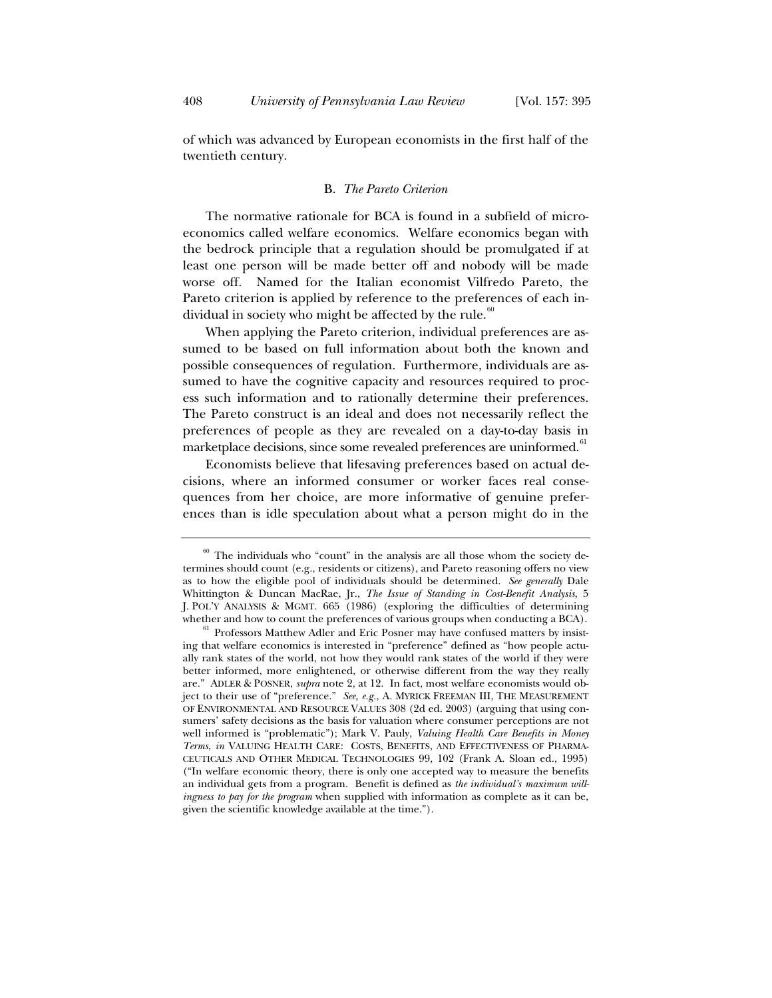of which was advanced by European economists in the first half of the twentieth century.

### B. *The Pareto Criterion*

The normative rationale for BCA is found in a subfield of microeconomics called welfare economics. Welfare economics began with the bedrock principle that a regulation should be promulgated if at least one person will be made better off and nobody will be made worse off. Named for the Italian economist Vilfredo Pareto, the Pareto criterion is applied by reference to the preferences of each individual in society who might be affected by the rule. $60$ 

When applying the Pareto criterion, individual preferences are assumed to be based on full information about both the known and possible consequences of regulation. Furthermore, individuals are assumed to have the cognitive capacity and resources required to process such information and to rationally determine their preferences. The Pareto construct is an ideal and does not necessarily reflect the preferences of people as they are revealed on a day-to-day basis in marketplace decisions, since some revealed preferences are uninformed.<sup>61</sup>

Economists believe that lifesaving preferences based on actual decisions, where an informed consumer or worker faces real consequences from her choice, are more informative of genuine preferences than is idle speculation about what a person might do in the

 $60$  The individuals who "count" in the analysis are all those whom the society determines should count (e.g., residents or citizens), and Pareto reasoning offers no view as to how the eligible pool of individuals should be determined. *See generally* Dale Whittington & Duncan MacRae, Jr., *The Issue of Standing in Cost-Benefit Analysis*, 5 J. POL'Y ANALYSIS & MGMT. 665 (1986) (exploring the difficulties of determining whether and how to count the preferences of various groups when conducting a BCA).<br><sup>61</sup> Professors Matthew Adler and Eric Posner may have confused matters by insist-

ing that welfare economics is interested in "preference" defined as "how people actually rank states of the world, not how they would rank states of the world if they were better informed, more enlightened, or otherwise different from the way they really are." ADLER & POSNER, *supra* note 2, at 12. In fact, most welfare economists would object to their use of "preference." *See, e.g.*, A. MYRICK FREEMAN III, THE MEASUREMENT OF ENVIRONMENTAL AND RESOURCE VALUES 308 (2d ed. 2003) (arguing that using consumers' safety decisions as the basis for valuation where consumer perceptions are not well informed is "problematic"); Mark V. Pauly, *Valuing Health Care Benefits in Money Terms*, *in* VALUING HEALTH CARE: COSTS, BENEFITS, AND EFFECTIVENESS OF PHARMA-CEUTICALS AND OTHER MEDICAL TECHNOLOGIES 99, 102 (Frank A. Sloan ed., 1995) ("In welfare economic theory, there is only one accepted way to measure the benefits an individual gets from a program. Benefit is defined as *the individual's maximum willingness to pay for the program* when supplied with information as complete as it can be, given the scientific knowledge available at the time.").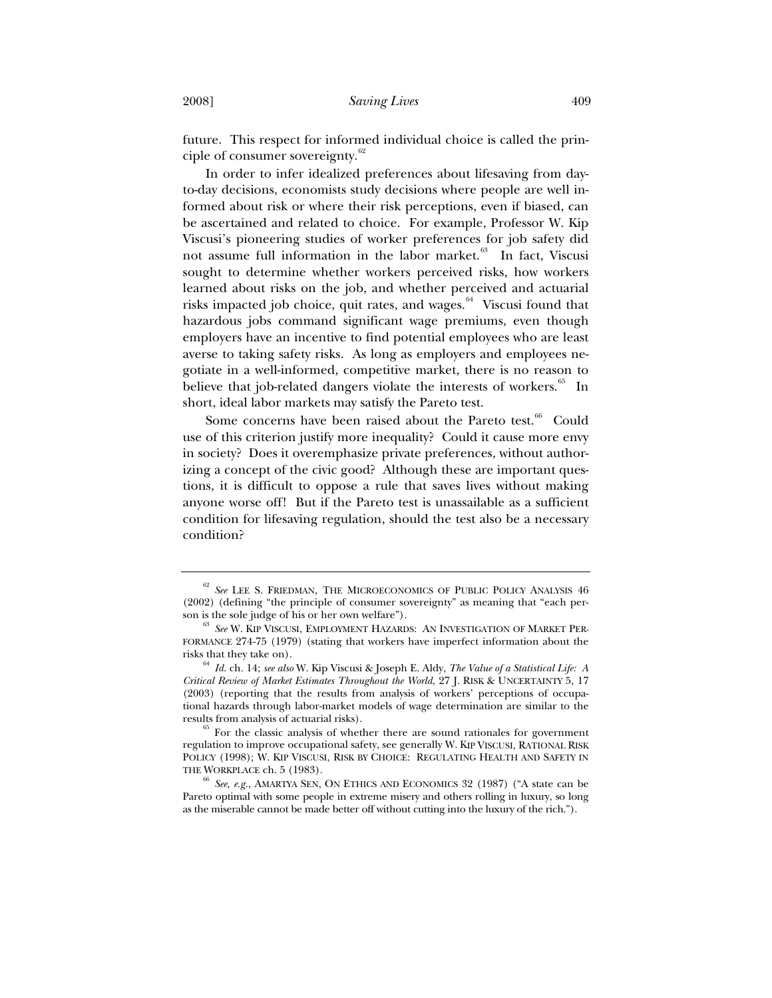future. This respect for informed individual choice is called the principle of consumer sovereignty.<sup>62</sup>

In order to infer idealized preferences about lifesaving from dayto-day decisions, economists study decisions where people are well informed about risk or where their risk perceptions, even if biased, can be ascertained and related to choice. For example, Professor W. Kip Viscusi's pioneering studies of worker preferences for job safety did not assume full information in the labor market.<sup>63</sup> In fact, Viscusi sought to determine whether workers perceived risks, how workers learned about risks on the job, and whether perceived and actuarial risks impacted job choice, quit rates, and wages. $64$  Viscusi found that hazardous jobs command significant wage premiums, even though employers have an incentive to find potential employees who are least averse to taking safety risks. As long as employers and employees negotiate in a well-informed, competitive market, there is no reason to believe that job-related dangers violate the interests of workers.<sup>65</sup> In short, ideal labor markets may satisfy the Pareto test.

Some concerns have been raised about the Pareto test.<sup>66</sup> Could use of this criterion justify more inequality? Could it cause more envy in society? Does it overemphasize private preferences, without authorizing a concept of the civic good? Although these are important questions, it is difficult to oppose a rule that saves lives without making anyone worse off! But if the Pareto test is unassailable as a sufficient condition for lifesaving regulation, should the test also be a necessary condition?

<sup>62</sup> *See* LEE S. FRIEDMAN, THE MICROECONOMICS OF PUBLIC POLICY ANALYSIS 46 (2002) (defining "the principle of consumer sovereignty" as meaning that "each per-

<sup>&</sup>lt;sup>63</sup> See W. KIP VISCUSI, EMPLOYMENT HAZARDS: AN INVESTIGATION OF MARKET PER-FORMANCE 274-75 (1979) (stating that workers have imperfect information about the risks that they take on).

<sup>64</sup> *Id.* ch. 14; *see also* W. Kip Viscusi & Joseph E. Aldy, *The Value of a Statistical Life: A Critical Review of Market Estimates Throughout the World*, 27 J. RISK & UNCERTAINTY 5, 17 (2003) (reporting that the results from analysis of workers' perceptions of occupational hazards through labor-market models of wage determination are similar to the results from analysis of actuarial risks).  $^{65}$  For the classic analysis of whether there are sound rationales for government

regulation to improve occupational safety, see generally W. KIP VISCUSI, RATIONAL RISK POLICY (1998); W. KIP VISCUSI, RISK BY CHOICE: REGULATING HEALTH AND SAFETY IN THE WORKPLACE ch. 5 (1983). 66 *See, e.g.*, AMARTYA SEN, ON ETHICS AND ECONOMICS 32 (1987) ("A state can be

Pareto optimal with some people in extreme misery and others rolling in luxury, so long as the miserable cannot be made better off without cutting into the luxury of the rich.").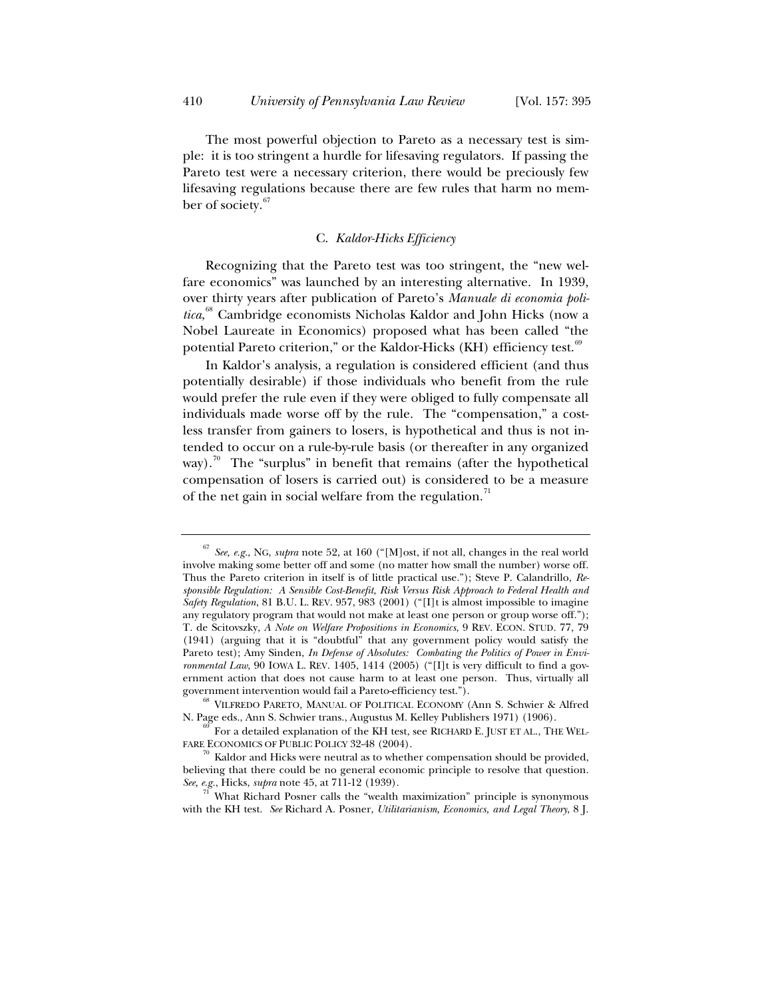The most powerful objection to Pareto as a necessary test is simple: it is too stringent a hurdle for lifesaving regulators. If passing the Pareto test were a necessary criterion, there would be preciously few lifesaving regulations because there are few rules that harm no member of society.<sup>67</sup>

## C. *Kaldor-Hicks Efficiency*

Recognizing that the Pareto test was too stringent, the "new welfare economics" was launched by an interesting alternative. In 1939, over thirty years after publication of Pareto's *Manuale di economia politica*, 68 Cambridge economists Nicholas Kaldor and John Hicks (now a Nobel Laureate in Economics) proposed what has been called "the potential Pareto criterion," or the Kaldor-Hicks (KH) efficiency test.<sup>69</sup>

In Kaldor's analysis, a regulation is considered efficient (and thus potentially desirable) if those individuals who benefit from the rule would prefer the rule even if they were obliged to fully compensate all individuals made worse off by the rule. The "compensation," a costless transfer from gainers to losers, is hypothetical and thus is not intended to occur on a rule-by-rule basis (or thereafter in any organized way).<sup>70</sup> The "surplus" in benefit that remains (after the hypothetical compensation of losers is carried out) is considered to be a measure of the net gain in social welfare from the regulation.<sup>11</sup>

<sup>67</sup> *See, e.g.*, NG, *supra* note 52, at 160 ("[M]ost, if not all, changes in the real world involve making some better off and some (no matter how small the number) worse off. Thus the Pareto criterion in itself is of little practical use."); Steve P. Calandrillo, *Responsible Regulation: A Sensible Cost-Benefit, Risk Versus Risk Approach to Federal Health and Safety Regulation*, 81 B.U. L. REV. 957, 983 (2001) ("[I]t is almost impossible to imagine any regulatory program that would not make at least one person or group worse off."); T. de Scitovszky, *A Note on Welfare Propositions in Economics*, 9 REV. ECON. STUD. 77, 79 (1941) (arguing that it is "doubtful" that any government policy would satisfy the Pareto test); Amy Sinden, *In Defense of Absolutes: Combating the Politics of Power in Environmental Law*, 90 IOWA L. REV. 1405, 1414 (2005) ("[I]t is very difficult to find a government action that does not cause harm to at least one person. Thus, virtually all government intervention would fail a Pareto-efficiency test.").<br><sup>68</sup> VILFREDO PARETO, MANUAL OF POLITICAL ECONOMY (Ann S. Schwier & Alfred

N. Page eds., Ann S. Schwier trans., Augustus M. Kelley Publishers 1971) (1906).  $^{69}$  For a detailed explanation of the KH test, see RICHARD E. JUST ET AL., THE WEL-

FARE ECONOMICS OF PUBLIC POLICY 32-48 (2004).<br><sup>70</sup> Kaldor and Hicks were neutral as to whether compensation should be provided,

believing that there could be no general economic principle to resolve that question.<br>See, e.g., Hicks, supra note 45, at 711-12 (1939).

What Richard Posner calls the "wealth maximization" principle is synonymous with the KH test. *See* Richard A. Posner, *Utilitarianism, Economics, and Legal Theory*, 8 J.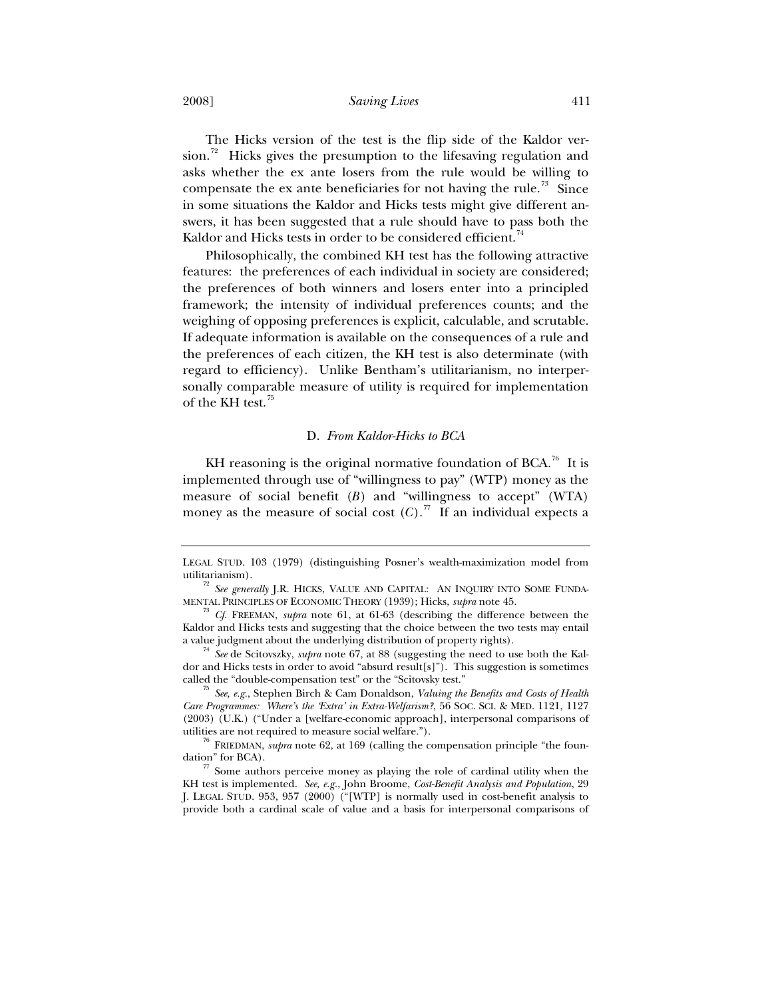2008] *Saving Lives* 411

The Hicks version of the test is the flip side of the Kaldor version.<sup>72</sup> Hicks gives the presumption to the lifesaving regulation and asks whether the ex ante losers from the rule would be willing to compensate the ex ante beneficiaries for not having the rule.<sup>73</sup> Since in some situations the Kaldor and Hicks tests might give different answers, it has been suggested that a rule should have to pass both the Kaldor and Hicks tests in order to be considered efficient.<sup>74</sup>

Philosophically, the combined KH test has the following attractive features: the preferences of each individual in society are considered; the preferences of both winners and losers enter into a principled framework; the intensity of individual preferences counts; and the weighing of opposing preferences is explicit, calculable, and scrutable. If adequate information is available on the consequences of a rule and the preferences of each citizen, the KH test is also determinate (with regard to efficiency). Unlike Bentham's utilitarianism, no interpersonally comparable measure of utility is required for implementation of the KH test.<sup>75</sup>

## D. *From Kaldor-Hicks to BCA*

KH reasoning is the original normative foundation of BCA.<sup>76</sup> It is implemented through use of "willingness to pay" (WTP) money as the measure of social benefit  $(B)$  and "willingness to accept" (WTA) money as the measure of social cost  $(C)$ .<sup>77</sup> If an individual expects a

LEGAL STUD. 103 (1979) (distinguishing Posner's wealth-maximization model from utilitarianism). 72 *See generally* J.R. HICKS, VALUE AND CAPITAL: AN INQUIRY INTO SOME FUNDA-

MENTAL PRINCIPLES OF ECONOMIC THEORY (1939); Hicks, *supra* note 45. 73 *Cf.* FREEMAN, *supra* note 61, at 61-63 (describing the difference between the

Kaldor and Hicks tests and suggesting that the choice between the two tests may entail a value judgment about the underlying distribution of property rights). 74 *See* de Scitovszky, *supra* note 67, at 88 (suggesting the need to use both the Kal-

dor and Hicks tests in order to avoid "absurd result[s]"). This suggestion is sometimes called the "double-compensation test" or the "Scitovsky test." 75 *See, e.g.*, Stephen Birch & Cam Donaldson, *Valuing the Benefits and Costs of Health* 

*Care Programmes: Where's the 'Extra' in Extra-Welfarism?*, 56 SOC. SCI.&MED. 1121, 1127 (2003) (U.K.) ("Under a [welfare-economic approach], interpersonal comparisons of

utilities are not required to measure social welfare.").<br><sup>76</sup> FRIEDMAN, *supra* note 62, at 169 (calling the compensation principle "the foun-<br>dation" for BCA).

 $\frac{77}{2}$  Some authors perceive money as playing the role of cardinal utility when the KH test is implemented. *See, e.g.*, John Broome, *Cost-Benefit Analysis and Population*, 29 J. LEGAL STUD. 953, 957 (2000) ("[WTP] is normally used in cost-benefit analysis to provide both a cardinal scale of value and a basis for interpersonal comparisons of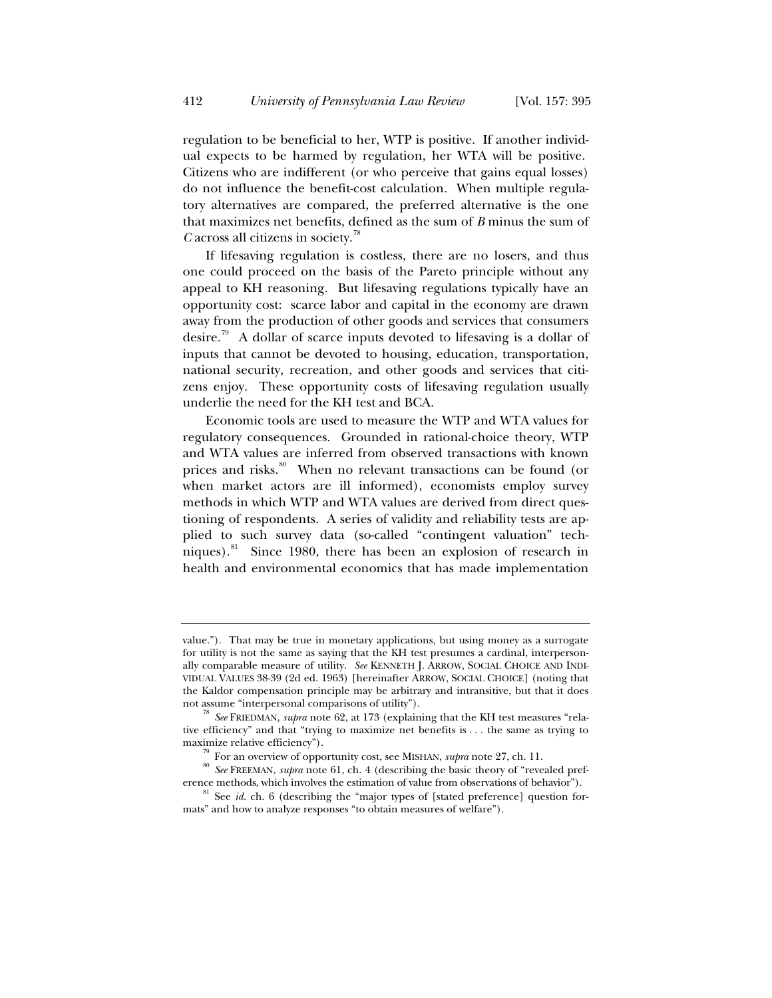regulation to be beneficial to her, WTP is positive. If another individual expects to be harmed by regulation, her WTA will be positive. Citizens who are indifferent (or who perceive that gains equal losses) do not influence the benefit-cost calculation. When multiple regulatory alternatives are compared, the preferred alternative is the one that maximizes net benefits, defined as the sum of *B* minus the sum of *C* across all citizens in society.<sup>78</sup>

If lifesaving regulation is costless, there are no losers, and thus one could proceed on the basis of the Pareto principle without any appeal to KH reasoning. But lifesaving regulations typically have an opportunity cost: scarce labor and capital in the economy are drawn away from the production of other goods and services that consumers desire.<sup>79</sup> A dollar of scarce inputs devoted to lifesaving is a dollar of inputs that cannot be devoted to housing, education, transportation, national security, recreation, and other goods and services that citizens enjoy. These opportunity costs of lifesaving regulation usually underlie the need for the KH test and BCA.

Economic tools are used to measure the WTP and WTA values for regulatory consequences. Grounded in rational-choice theory, WTP and WTA values are inferred from observed transactions with known prices and risks.<sup>80</sup> When no relevant transactions can be found (or when market actors are ill informed), economists employ survey methods in which WTP and WTA values are derived from direct questioning of respondents. A series of validity and reliability tests are applied to such survey data (so-called "contingent valuation" techniques).<sup>81</sup> Since 1980, there has been an explosion of research in health and environmental economics that has made implementation

value."). That may be true in monetary applications, but using money as a surrogate for utility is not the same as saying that the KH test presumes a cardinal, interpersonally comparable measure of utility. *See* KENNETH J. ARROW, SOCIAL CHOICE AND INDI-VIDUAL VALUES 38-39 (2d ed. 1963) [hereinafter ARROW, SOCIAL CHOICE] (noting that the Kaldor compensation principle may be arbitrary and intransitive, but that it does not assume "interpersonal comparisons of utility"). 78 *See* FRIEDMAN, *supra* note 62, at 173 (explaining that the KH test measures "rela-

tive efficiency" and that "trying to maximize net benefits is . . . the same as trying to

<sup>&</sup>lt;sup>79</sup> For an overview of opportunity cost, see MISHAN, *supra* note 27, ch. 11.<br><sup>80</sup> *See* FREEMAN, *supra* note 61, ch. 4 (describing the basic theory of "revealed pref-<br>erence methods, which involves the estimation of val

 $e^{81}$  See *id.* ch. 6 (describing the "major types of [stated preference] question formats" and how to analyze responses "to obtain measures of welfare").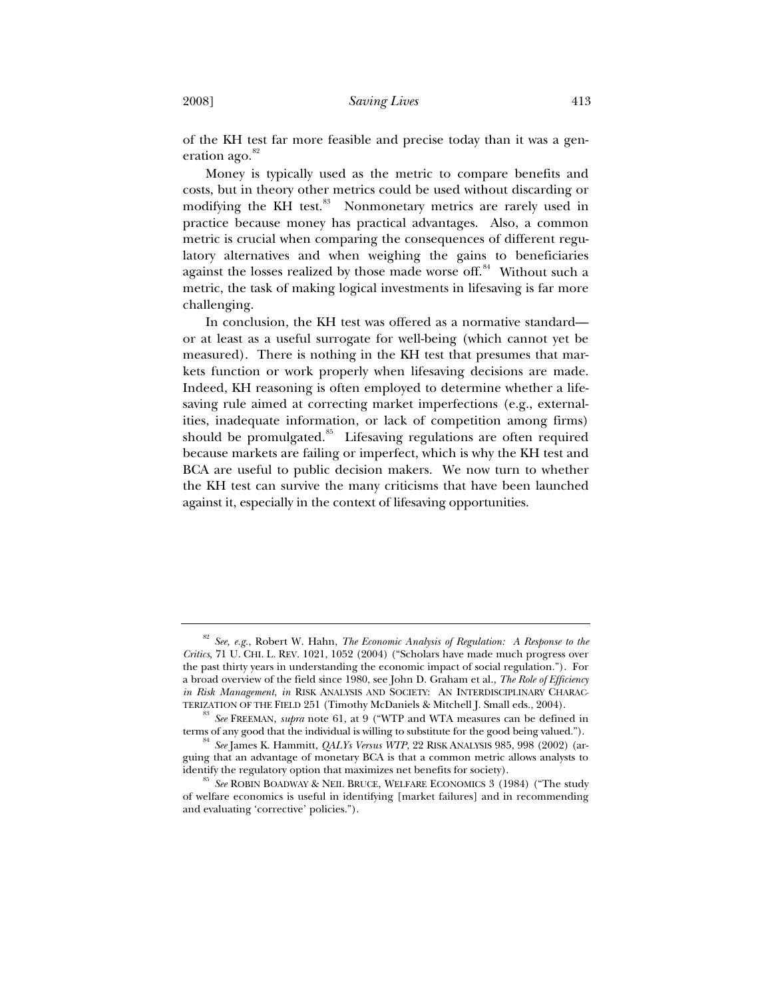of the KH test far more feasible and precise today than it was a generation ago.<sup>82</sup>

Money is typically used as the metric to compare benefits and costs, but in theory other metrics could be used without discarding or modifying the KH test.<sup>83</sup> Nonmonetary metrics are rarely used in practice because money has practical advantages. Also, a common metric is crucial when comparing the consequences of different regulatory alternatives and when weighing the gains to beneficiaries against the losses realized by those made worse off.<sup>84</sup> Without such a metric, the task of making logical investments in lifesaving is far more challenging.

In conclusion, the KH test was offered as a normative standard or at least as a useful surrogate for well-being (which cannot yet be measured). There is nothing in the KH test that presumes that markets function or work properly when lifesaving decisions are made. Indeed, KH reasoning is often employed to determine whether a lifesaving rule aimed at correcting market imperfections (e.g., externalities, inadequate information, or lack of competition among firms) should be promulgated. $85$  Lifesaving regulations are often required because markets are failing or imperfect, which is why the KH test and BCA are useful to public decision makers. We now turn to whether the KH test can survive the many criticisms that have been launched against it, especially in the context of lifesaving opportunities.

<sup>82</sup> *See, e.g.*, Robert W. Hahn, *The Economic Analysis of Regulation: A Response to the Critics*, 71 U. CHI. L. REV. 1021, 1052 (2004) ("Scholars have made much progress over the past thirty years in understanding the economic impact of social regulation."). For a broad overview of the field since 1980, see John D. Graham et al., *The Role of Efficiency in Risk Management*, *in* RISK ANALYSIS AND SOCIETY: AN INTERDISCIPLINARY CHARAC-<br>TERIZATION OF THE FIELD 251 (Timothy McDaniels & Mitchell J. Small eds., 2004).

<sup>&</sup>lt;sup>83</sup> See FREEMAN, *supra* note 61, at 9 ("WTP and WTA measures can be defined in terms of any good that the individual is willing to substitute for the good being valued.").

<sup>&</sup>lt;sup>84</sup> See James K. Hammitt, *QALYs Versus WTP*, 22 RISK ANALYSIS 985, 998 (2002) (arguing that an advantage of monetary BCA is that a common metric allows analysts to identify the regulatory option that maximizes net benefits for society).<br><sup>85</sup> *See* ROBIN BOADWAY & NEIL BRUCE, WELFARE ECONOMICS 3 (1984) ("The study

of welfare economics is useful in identifying [market failures] and in recommending and evaluating 'corrective' policies.").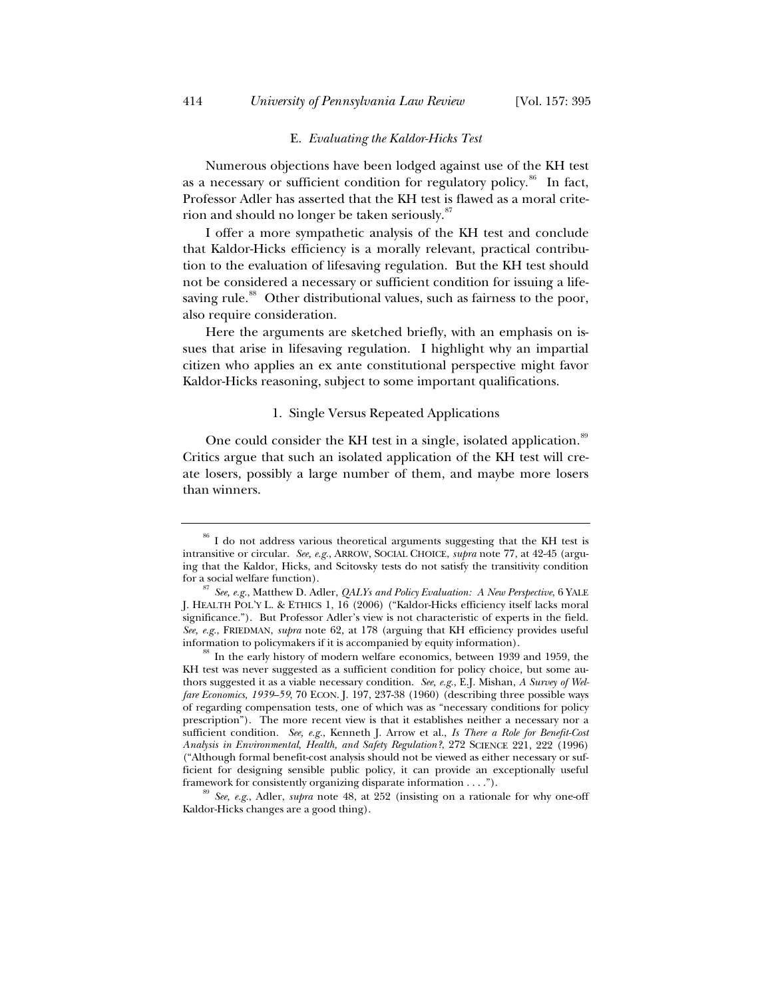#### E. *Evaluating the Kaldor-Hicks Test*

Numerous objections have been lodged against use of the KH test as a necessary or sufficient condition for regulatory policy.<sup>86</sup> In fact, Professor Adler has asserted that the KH test is flawed as a moral criterion and should no longer be taken seriously.<sup>87</sup>

I offer a more sympathetic analysis of the KH test and conclude that Kaldor-Hicks efficiency is a morally relevant, practical contribution to the evaluation of lifesaving regulation. But the KH test should not be considered a necessary or sufficient condition for issuing a lifesaving rule.<sup>88</sup> Other distributional values, such as fairness to the poor, also require consideration.

Here the arguments are sketched briefly, with an emphasis on issues that arise in lifesaving regulation. I highlight why an impartial citizen who applies an ex ante constitutional perspective might favor Kaldor-Hicks reasoning, subject to some important qualifications.

#### 1. Single Versus Repeated Applications

One could consider the KH test in a single, isolated application.<sup>89</sup> Critics argue that such an isolated application of the KH test will create losers, possibly a large number of them, and maybe more losers than winners.

<sup>&</sup>lt;sup>86</sup> I do not address various theoretical arguments suggesting that the KH test is intransitive or circular. *See, e.g.*, ARROW, SOCIAL CHOICE, *supra* note 77, at 42-45 (arguing that the Kaldor, Hicks, and Scitovsky tests do not satisfy the transitivity condition

for a social welfare function). 87 *See, e.g.*, Matthew D. Adler, *QALYs and Policy Evaluation: A New Perspective*, 6 YALE J. HEALTH POL'Y L. & ETHICS 1, 16 (2006) ("Kaldor-Hicks efficiency itself lacks moral significance."). But Professor Adler's view is not characteristic of experts in the field. *See, e.g.*, FRIEDMAN, *supra* note 62*,* at 178 (arguing that KH efficiency provides useful

<sup>&</sup>lt;sup>88</sup> In the early history of modern welfare economics, between 1939 and 1959, the KH test was never suggested as a sufficient condition for policy choice, but some authors suggested it as a viable necessary condition. *See, e.g.*, E.J. Mishan, *A Survey of Welfare Economics, 1939–59*, 70 ECON. J. 197, 237-38 (1960) (describing three possible ways of regarding compensation tests, one of which was as "necessary conditions for policy prescription"). The more recent view is that it establishes neither a necessary nor a sufficient condition. *See, e.g.*, Kenneth J. Arrow et al., *Is There a Role for Benefit-Cost Analysis in Environmental, Health, and Safety Regulation?*, 272 SCIENCE 221, 222 (1996) ("Although formal benefit-cost analysis should not be viewed as either necessary or sufficient for designing sensible public policy, it can provide an exceptionally useful framework for consistently organizing disparate information . . . .").<br><sup>89</sup> *See, e.g.*, Adler, *supra* note 48, at 252 (insisting on a rationale for why one-off

Kaldor-Hicks changes are a good thing).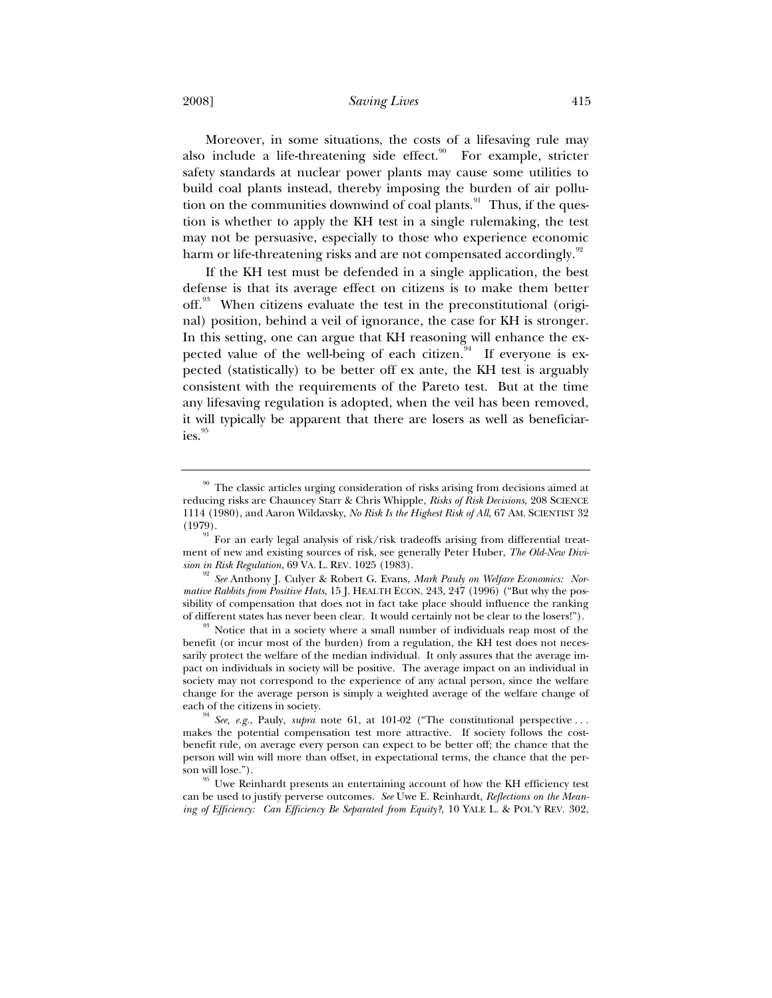2008] *Saving Lives* 415

Moreover, in some situations, the costs of a lifesaving rule may also include a life-threatening side effect. $90$  For example, stricter safety standards at nuclear power plants may cause some utilities to build coal plants instead, thereby imposing the burden of air pollution on the communities downwind of coal plants.<sup>91</sup> Thus, if the question is whether to apply the KH test in a single rulemaking, the test may not be persuasive, especially to those who experience economic harm or life-threatening risks and are not compensated accordingly.<sup>92</sup>

If the KH test must be defended in a single application, the best defense is that its average effect on citizens is to make them better off.<sup>93</sup> When citizens evaluate the test in the preconstitutional (original) position, behind a veil of ignorance, the case for KH is stronger. In this setting, one can argue that KH reasoning will enhance the expected value of the well-being of each citizen. $94$  If everyone is expected (statistically) to be better off ex ante, the KH test is arguably consistent with the requirements of the Pareto test. But at the time any lifesaving regulation is adopted, when the veil has been removed, it will typically be apparent that there are losers as well as beneficiaries.<sup>95</sup>

 $^{90}$  The classic articles urging consideration of risks arising from decisions aimed at reducing risks are Chauncey Starr & Chris Whipple, *Risks of Risk Decisions*, 208 SCIENCE 1114 (1980), and Aaron Wildavsky, *No Risk Is the Highest Risk of All*, 67 AM. SCIENTIST 32 (1979).

<sup>91</sup> For an early legal analysis of risk/risk tradeoffs arising from differential treatment of new and existing sources of risk, see generally Peter Huber, *The Old-New Divi-*

<sup>&</sup>lt;sup>92</sup> See Anthony J. Culyer & Robert G. Evans, *Mark Pauly on Welfare Economics: Normative Rabbits from Positive Hats*, 15 J. HEALTH ECON. 243, 247 (1996) ("But why the possibility of compensation that does not in fact take place should influence the ranking of different states has never been clear. It would certainly not be clear to the losers!").

<sup>&</sup>lt;sup>93</sup> Notice that in a society where a small number of individuals reap most of the benefit (or incur most of the burden) from a regulation, the KH test does not necessarily protect the welfare of the median individual. It only assures that the average impact on individuals in society will be positive. The average impact on an individual in society may not correspond to the experience of any actual person, since the welfare change for the average person is simply a weighted average of the welfare change of each of the citizens in society.<br><sup>94</sup> *See, e.g.*, Pauly, *supra* note 61, at 101-02 ("The constitutional perspective ...

makes the potential compensation test more attractive. If society follows the costbenefit rule, on average every person can expect to be better off; the chance that the person will win will more than offset, in expectational terms, the chance that the per-

son will lose."). 95 Uwe Reinhardt presents an entertaining account of how the KH efficiency test can be used to justify perverse outcomes. *See* Uwe E. Reinhardt, *Reflections on the Meaning of Efficiency: Can Efficiency Be Separated from Equity?*, 10 YALE L. & POL'Y REV. 302,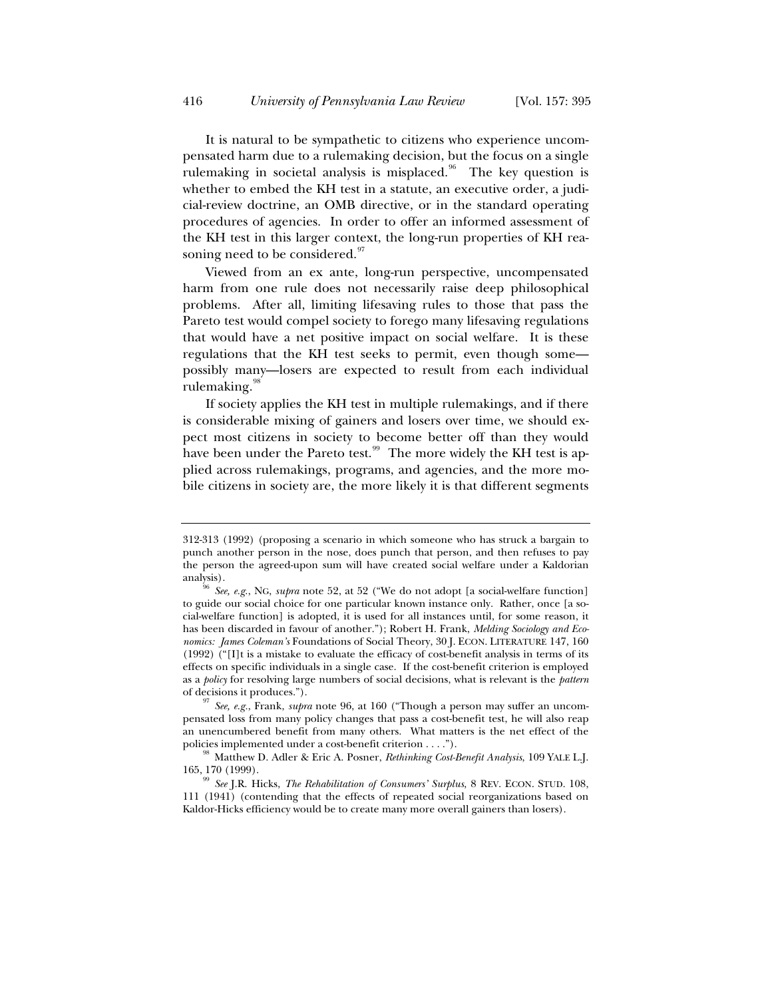It is natural to be sympathetic to citizens who experience uncompensated harm due to a rulemaking decision, but the focus on a single rulemaking in societal analysis is misplaced.<sup>96</sup> The key question is whether to embed the KH test in a statute, an executive order, a judicial-review doctrine, an OMB directive, or in the standard operating procedures of agencies. In order to offer an informed assessment of the KH test in this larger context, the long-run properties of KH reasoning need to be considered.<sup>97</sup>

Viewed from an ex ante, long-run perspective, uncompensated harm from one rule does not necessarily raise deep philosophical problems. After all, limiting lifesaving rules to those that pass the Pareto test would compel society to forego many lifesaving regulations that would have a net positive impact on social welfare. It is these regulations that the KH test seeks to permit, even though some possibly many—losers are expected to result from each individual rulemaking.<sup>98</sup>

If society applies the KH test in multiple rulemakings, and if there is considerable mixing of gainers and losers over time, we should expect most citizens in society to become better off than they would have been under the Pareto test.<sup>99</sup> The more widely the KH test is applied across rulemakings, programs, and agencies, and the more mobile citizens in society are, the more likely it is that different segments

<sup>312-313 (1992) (</sup>proposing a scenario in which someone who has struck a bargain to punch another person in the nose, does punch that person, and then refuses to pay the person the agreed-upon sum will have created social welfare under a Kaldorian analysis).

<sup>96</sup> *See, e.g.*, NG, *supra* note 52, at 52 ("We do not adopt [a social-welfare function] to guide our social choice for one particular known instance only. Rather, once [a social-welfare function] is adopted, it is used for all instances until, for some reason, it has been discarded in favour of another."); Robert H. Frank, *Melding Sociology and Economics: James Coleman's* Foundations of Social Theory, 30 J. ECON. LITERATURE 147, 160 (1992) ("[I]t is a mistake to evaluate the efficacy of cost-benefit analysis in terms of its effects on specific individuals in a single case. If the cost-benefit criterion is employed as a *policy* for resolving large numbers of social decisions, what is relevant is the *pattern*

of decisions it produces."). 97 *See, e.g.*, Frank, *supra* note 96, at 160 ("Though a person may suffer an uncompensated loss from many policy changes that pass a cost-benefit test, he will also reap an unencumbered benefit from many others. What matters is the net effect of the

policies implemented under a cost-benefit criterion . . . .").<br><sup>98</sup> Matthew D. Adler & Eric A. Posner, *Rethinking Cost-Benefit Analysis*, 109 YALE L.J.

<sup>165, 170 (1999). 99</sup> *See* J.R. Hicks, *The Rehabilitation of Consumers' Surplus*, 8 REV. ECON. STUD. 108, 111 (1941) (contending that the effects of repeated social reorganizations based on Kaldor-Hicks efficiency would be to create many more overall gainers than losers).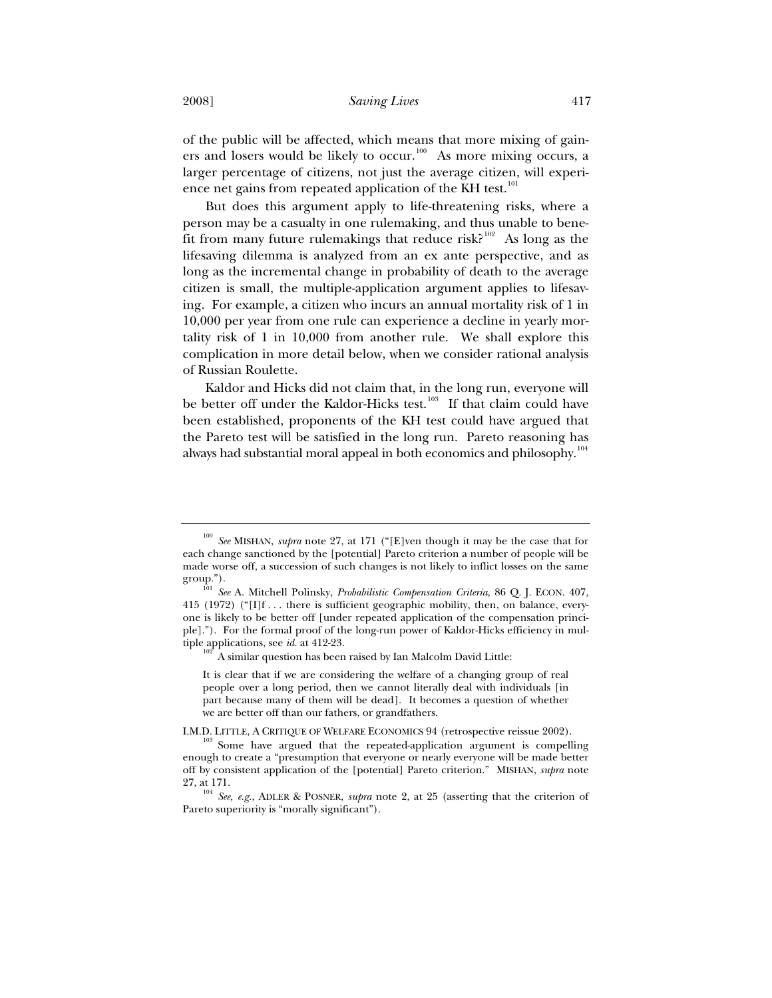of the public will be affected, which means that more mixing of gainers and losers would be likely to occur.<sup>100</sup> As more mixing occurs, a larger percentage of citizens, not just the average citizen, will experience net gains from repeated application of the KH test.<sup>101</sup>

But does this argument apply to life-threatening risks, where a person may be a casualty in one rulemaking, and thus unable to benefit from many future rulemakings that reduce risk?<sup>102</sup> As long as the lifesaving dilemma is analyzed from an ex ante perspective, and as long as the incremental change in probability of death to the average citizen is small, the multiple-application argument applies to lifesaving. For example, a citizen who incurs an annual mortality risk of 1 in 10,000 per year from one rule can experience a decline in yearly mortality risk of 1 in 10,000 from another rule. We shall explore this complication in more detail below, when we consider rational analysis of Russian Roulette.

Kaldor and Hicks did not claim that, in the long run, everyone will be better off under the Kaldor-Hicks test.<sup>103</sup> If that claim could have been established, proponents of the KH test could have argued that the Pareto test will be satisfied in the long run. Pareto reasoning has always had substantial moral appeal in both economics and philosophy.<sup>104</sup>

<sup>100</sup> *See* MISHAN, *supra* note 27, at 171 ("[E]ven though it may be the case that for each change sanctioned by the [potential] Pareto criterion a number of people will be made worse off, a succession of such changes is not likely to inflict losses on the same

group."). 101 *See* A. Mitchell Polinsky, *Probabilistic Compensation Criteria*, 86 Q. J. ECON. 407, 415 (1972) (" $[I]$ f... there is sufficient geographic mobility, then, on balance, everyone is likely to be better off [under repeated application of the compensation principle]."). For the formal proof of the long-run power of Kaldor-Hicks efficiency in multiple applications, see *id.* at 412-23.<br><sup>102</sup> A similar question has been raised by Ian Malcolm David Little:

It is clear that if we are considering the welfare of a changing group of real people over a long period, then we cannot literally deal with individuals [in part because many of them will be dead]. It becomes a question of whether we are better off than our fathers, or grandfathers.

I.M.D. LITTLE, A CRITIQUE OF WELFARE ECONOMICS 94 (retrospective reissue 2002). 103 Some have argued that the repeated-application argument is compelling enough to create a "presumption that everyone or nearly everyone will be made better off by consistent application of the [potential] Pareto criterion." MISHAN, *supra* note 27, at 171. 104 *See, e.g.*, ADLER & POSNER, *supra* note 2, at 25 (asserting that the criterion of

Pareto superiority is "morally significant").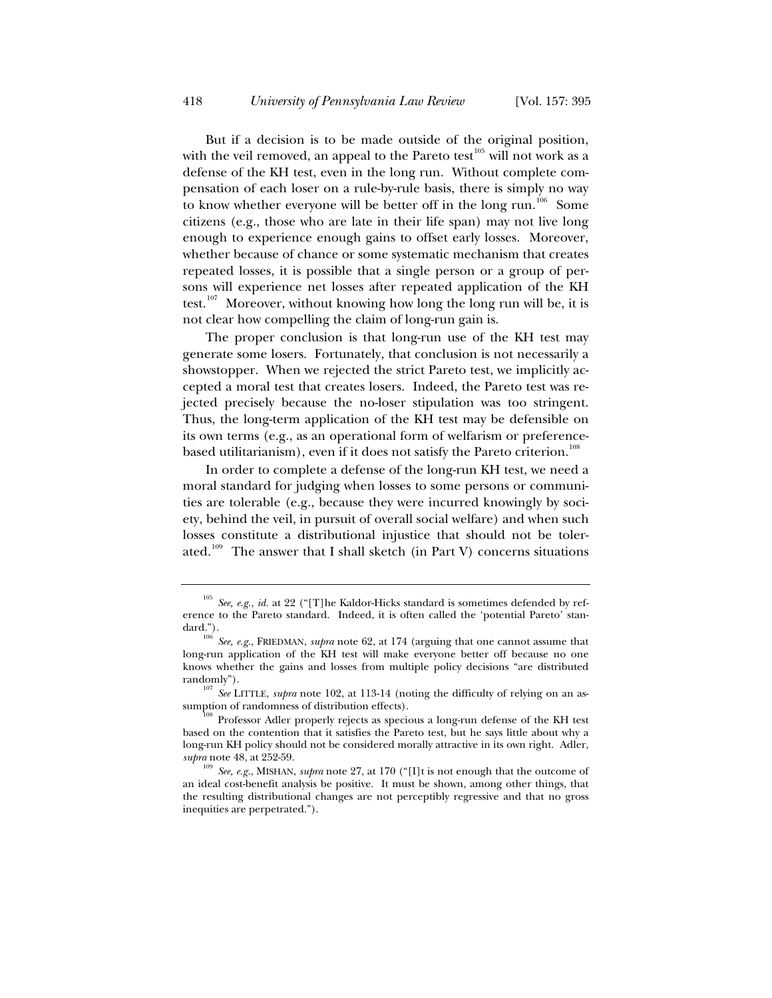But if a decision is to be made outside of the original position, with the veil removed, an appeal to the Pareto test<sup>105</sup> will not work as a defense of the KH test, even in the long run. Without complete compensation of each loser on a rule-by-rule basis, there is simply no way to know whether everyone will be better off in the long run.<sup>106</sup> Some citizens (e.g., those who are late in their life span) may not live long enough to experience enough gains to offset early losses. Moreover, whether because of chance or some systematic mechanism that creates repeated losses, it is possible that a single person or a group of persons will experience net losses after repeated application of the KH test.<sup>107</sup> Moreover, without knowing how long the long run will be, it is not clear how compelling the claim of long-run gain is.

The proper conclusion is that long-run use of the KH test may generate some losers. Fortunately, that conclusion is not necessarily a showstopper. When we rejected the strict Pareto test, we implicitly accepted a moral test that creates losers. Indeed, the Pareto test was rejected precisely because the no-loser stipulation was too stringent. Thus, the long-term application of the KH test may be defensible on its own terms (e.g., as an operational form of welfarism or preferencebased utilitarianism), even if it does not satisfy the Pareto criterion.<sup>10</sup>

In order to complete a defense of the long-run KH test, we need a moral standard for judging when losses to some persons or communities are tolerable (e.g., because they were incurred knowingly by society, behind the veil, in pursuit of overall social welfare) and when such losses constitute a distributional injustice that should not be tolerated.<sup>109</sup> The answer that I shall sketch (in Part V) concerns situations

<sup>105</sup> *See, e.g.*, *id.* at 22 ("[T]he Kaldor-Hicks standard is sometimes defended by reference to the Pareto standard. Indeed, it is often called the 'potential Pareto' standard.").

See, e.g., FRIEDMAN, *supra* note 62, at 174 (arguing that one cannot assume that long-run application of the KH test will make everyone better off because no one knows whether the gains and losses from multiple policy decisions "are distributed randomly").<br><sup>107</sup> *See* LITTLE, *supra* note 102, at 113-14 (noting the difficulty of relying on an as-

sumption of randomness of distribution effects).<br><sup>108</sup> Professor Adler properly rejects as specious a long-run defense of the KH test

based on the contention that it satisfies the Pareto test, but he says little about why a long-run KH policy should not be considered morally attractive in its own right. Adler, *supra* note 48, at 252-59.

See, e.g., MISHAN, *supra* note 27, at 170 ("[I]t is not enough that the outcome of an ideal cost-benefit analysis be positive. It must be shown, among other things, that the resulting distributional changes are not perceptibly regressive and that no gross inequities are perpetrated.").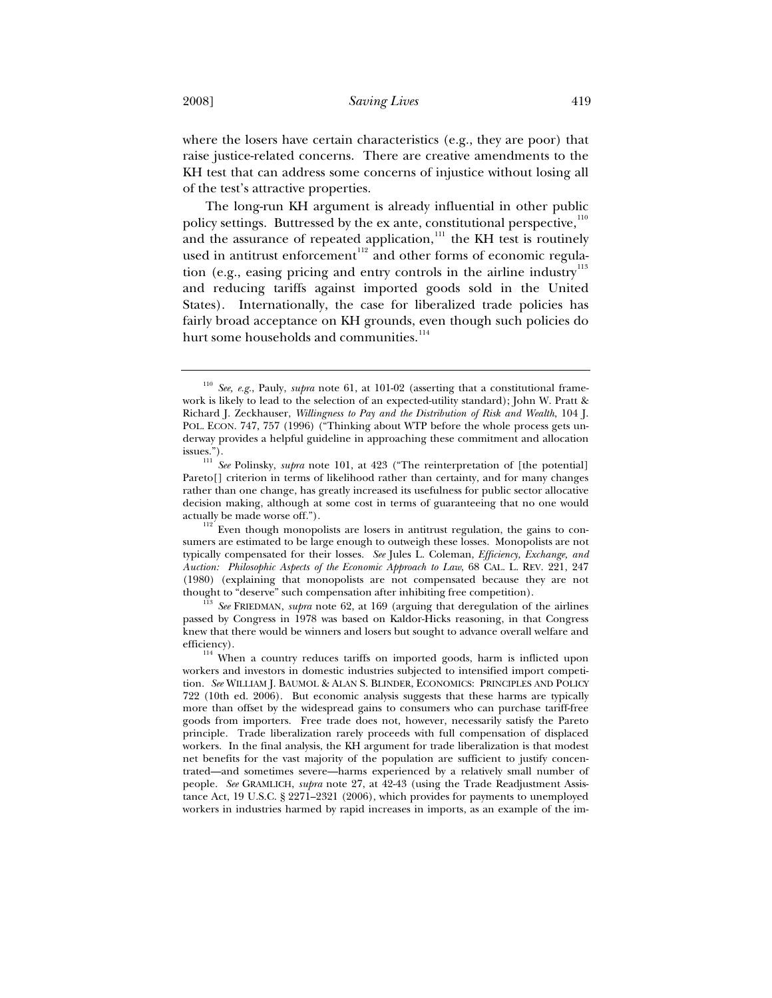where the losers have certain characteristics (e.g., they are poor) that raise justice-related concerns. There are creative amendments to the KH test that can address some concerns of injustice without losing all of the test's attractive properties.

The long-run KH argument is already influential in other public policy settings. Buttressed by the ex ante, constitutional perspective,<sup>110</sup> and the assurance of repeated application, $\frac{1}{11}$  the KH test is routinely used in antitrust enforcement $112$  and other forms of economic regulation (e.g., easing pricing and entry controls in the airline industry $113$ and reducing tariffs against imported goods sold in the United States). Internationally, the case for liberalized trade policies has fairly broad acceptance on KH grounds, even though such policies do hurt some households and communities.<sup>114</sup>

<sup>110</sup> *See, e.g.*, Pauly, *supra* note 61, at 101-02 (asserting that a constitutional framework is likely to lead to the selection of an expected-utility standard); John W. Pratt & Richard J. Zeckhauser, *Willingness to Pay and the Distribution of Risk and Wealth*, 104 J. POL. ECON. 747, 757 (1996) ("Thinking about WTP before the whole process gets underway provides a helpful guideline in approaching these commitment and allocation issues.").

See Polinsky, *supra* note 101, at 423 ("The reinterpretation of [the potential] Pareto[] criterion in terms of likelihood rather than certainty, and for many changes rather than one change, has greatly increased its usefulness for public sector allocative decision making, although at some cost in terms of guaranteeing that no one would

actually be made worse off.").  $112$  Even though monopolists are losers in antitrust regulation, the gains to consumers are estimated to be large enough to outweigh these losses. Monopolists are not typically compensated for their losses. *See* Jules L. Coleman, *Efficiency, Exchange, and Auction: Philosophic Aspects of the Economic Approach to Law*, 68 CAL. L. REV. 221, 247 (1980) (explaining that monopolists are not compensated because they are not thought to "deserve" such compensation after inhibiting free competition). 113 *See* FRIEDMAN, *supra* note 62, at 169 (arguing that deregulation of the airlines

passed by Congress in 1978 was based on Kaldor-Hicks reasoning, in that Congress knew that there would be winners and losers but sought to advance overall welfare and efficiency).

<sup>&</sup>lt;sup>114</sup> When a country reduces tariffs on imported goods, harm is inflicted upon workers and investors in domestic industries subjected to intensified import competition. *See* WILLIAM J. BAUMOL & ALAN S. BLINDER, ECONOMICS: PRINCIPLES AND POLICY 722 (10th ed. 2006). But economic analysis suggests that these harms are typically more than offset by the widespread gains to consumers who can purchase tariff-free goods from importers. Free trade does not, however, necessarily satisfy the Pareto principle. Trade liberalization rarely proceeds with full compensation of displaced workers. In the final analysis, the KH argument for trade liberalization is that modest net benefits for the vast majority of the population are sufficient to justify concentrated—and sometimes severe—harms experienced by a relatively small number of people. *See* GRAMLICH, *supra* note 27, at 42-43 (using the Trade Readjustment Assistance Act, 19 U.S.C. § 2271–2321 (2006), which provides for payments to unemployed workers in industries harmed by rapid increases in imports, as an example of the im-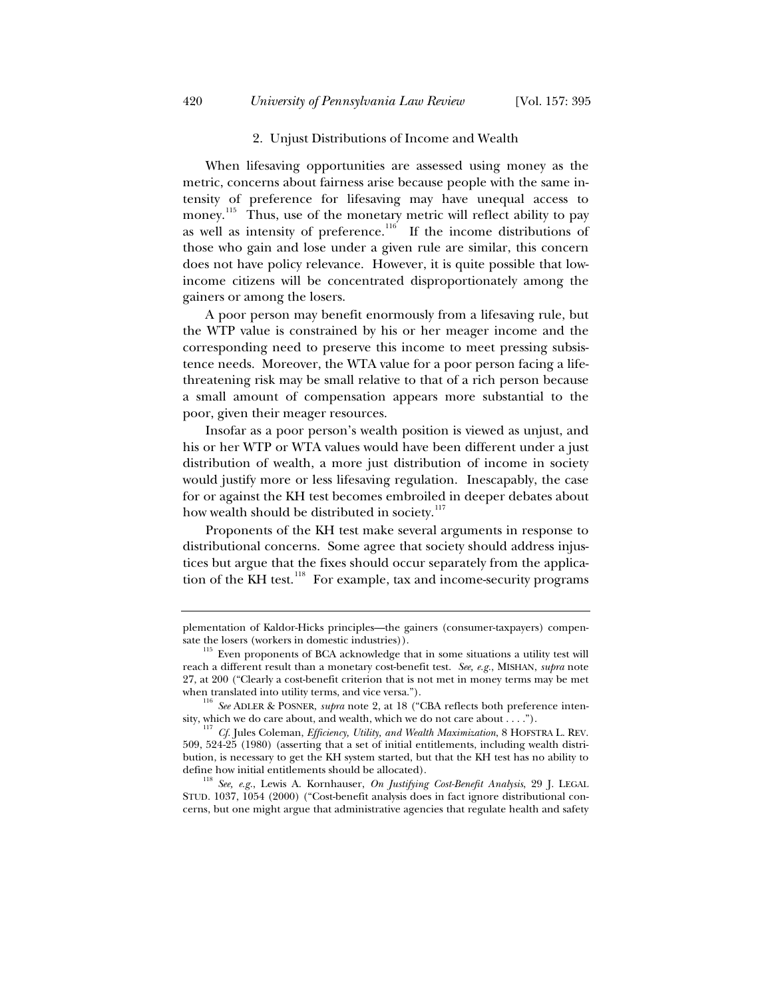#### 2. Unjust Distributions of Income and Wealth

When lifesaving opportunities are assessed using money as the metric, concerns about fairness arise because people with the same intensity of preference for lifesaving may have unequal access to money.<sup>115</sup> Thus, use of the monetary metric will reflect ability to pay as well as intensity of preference.<sup>116</sup> If the income distributions of those who gain and lose under a given rule are similar, this concern does not have policy relevance. However, it is quite possible that lowincome citizens will be concentrated disproportionately among the gainers or among the losers.

A poor person may benefit enormously from a lifesaving rule, but the WTP value is constrained by his or her meager income and the corresponding need to preserve this income to meet pressing subsistence needs. Moreover, the WTA value for a poor person facing a lifethreatening risk may be small relative to that of a rich person because a small amount of compensation appears more substantial to the poor, given their meager resources.

Insofar as a poor person's wealth position is viewed as unjust, and his or her WTP or WTA values would have been different under a just distribution of wealth, a more just distribution of income in society would justify more or less lifesaving regulation. Inescapably, the case for or against the KH test becomes embroiled in deeper debates about how wealth should be distributed in society.<sup>117</sup>

Proponents of the KH test make several arguments in response to distributional concerns. Some agree that society should address injustices but argue that the fixes should occur separately from the application of the KH test.<sup>118</sup> For example, tax and income-security programs

define how initial entitlements should be allocated). 118 *See, e.g.*, Lewis A. Kornhauser, *On Justifying Cost-Benefit Analysis*, 29 J. LEGAL STUD. 1037, 1054 (2000) ("Cost-benefit analysis does in fact ignore distributional concerns, but one might argue that administrative agencies that regulate health and safety

plementation of Kaldor-Hicks principles—the gainers (consumer-taxpayers) compensate the losers (workers in domestic industries)).  $115$  Even proponents of BCA acknowledge that in some situations a utility test will

reach a different result than a monetary cost-benefit test. *See, e.g.*, MISHAN, *supra* note 27, at 200 ("Clearly a cost-benefit criterion that is not met in money terms may be met

when translated into utility terms, and vice versa.").<br><sup>116</sup> *See* ADLER & POSNER, *supra* note 2, at 18 ("CBA reflects both preference intensity, which we do care about, and wealth, which we do not care about . . . .").

<sup>&</sup>lt;sup>17</sup> Cf. Jules Coleman, *Efficiency, Utility, and Wealth Maximization*, 8 HOFSTRA L. REV. 509, 524-25 (1980) (asserting that a set of initial entitlements, including wealth distribution, is necessary to get the KH system started, but that the KH test has no ability to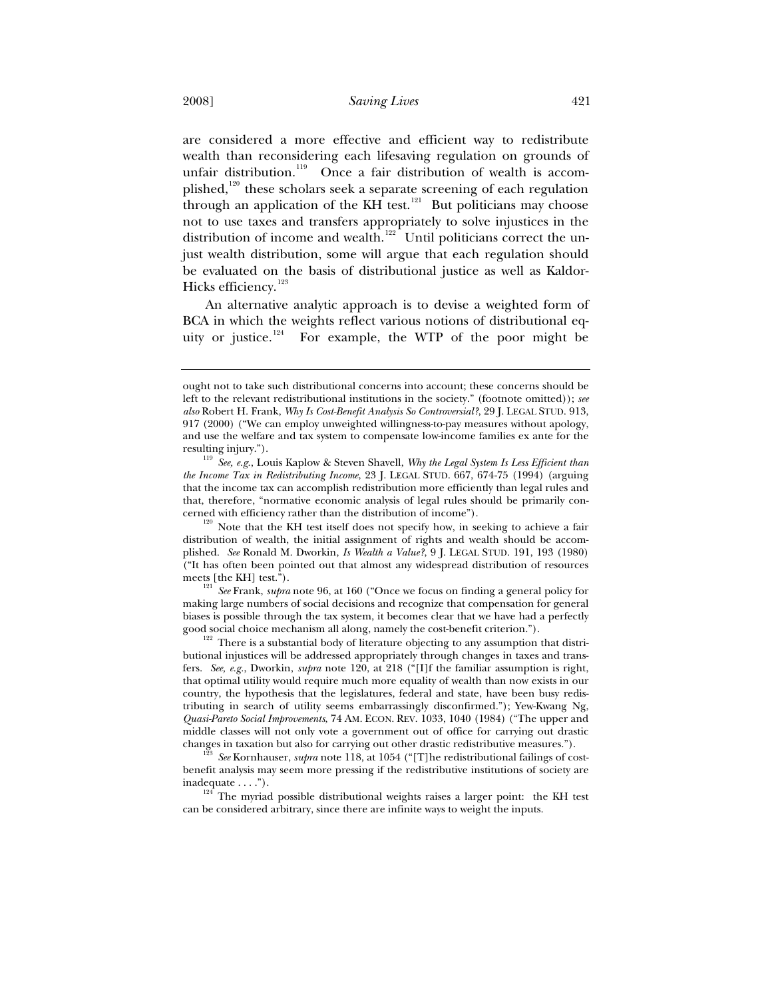are considered a more effective and efficient way to redistribute wealth than reconsidering each lifesaving regulation on grounds of unfair distribution.<sup>119</sup> Once a fair distribution of wealth is accomplished,<sup>120</sup> these scholars seek a separate screening of each regulation through an application of the KH test.<sup>121</sup> But politicians may choose not to use taxes and transfers appropriately to solve injustices in the distribution of income and wealth.<sup>122</sup> Until politicians correct the unjust wealth distribution, some will argue that each regulation should be evaluated on the basis of distributional justice as well as Kaldor-Hicks efficiency.<sup>123</sup>

An alternative analytic approach is to devise a weighted form of BCA in which the weights reflect various notions of distributional equity or justice.<sup>124</sup> For example, the WTP of the poor might be

cerned with efficiency rather than the distribution of income").<br><sup>120</sup> Note that the KH test itself does not specify how, in seeking to achieve a fair distribution of wealth, the initial assignment of rights and wealth should be accomplished. *See* Ronald M. Dworkin, *Is Wealth a Value?*, 9 J. LEGAL STUD. 191, 193 (1980) ("It has often been pointed out that almost any widespread distribution of resources

meets [the KH] test.").<br><sup>121</sup> *See* Frank, *supra* note 96, at 160 ("Once we focus on finding a general policy for making large numbers of social decisions and recognize that compensation for general biases is possible through the tax system, it becomes clear that we have had a perfectly good social choice mechanism all along, namely the cost-benefit criterion.").

 $122$  There is a substantial body of literature objecting to any assumption that distributional injustices will be addressed appropriately through changes in taxes and transfers. *See, e.g.*, Dworkin, *supra* note 120, at 218 ("[I]f the familiar assumption is right, that optimal utility would require much more equality of wealth than now exists in our country, the hypothesis that the legislatures, federal and state, have been busy redistributing in search of utility seems embarrassingly disconfirmed."); Yew-Kwang Ng, *Quasi-Pareto Social Improvements*, 74 AM. ECON. REV. 1033, 1040 (1984) ("The upper and middle classes will not only vote a government out of office for carrying out drastic changes in taxation but also for carrying out other drastic redistributive measures."). 123 *See* Kornhauser, *supra* note 118, at 1054 ("[T]he redistributional failings of cost-

benefit analysis may seem more pressing if the redistributive institutions of society are inadequate  $\dots$ .").

 $124$ <sup>T24</sup> The myriad possible distributional weights raises a larger point: the KH test can be considered arbitrary, since there are infinite ways to weight the inputs.

ought not to take such distributional concerns into account; these concerns should be left to the relevant redistributional institutions in the society." (footnote omitted)); *see also* Robert H. Frank, *Why Is Cost-Benefit Analysis So Controversial?*, 29 J. LEGAL STUD. 913, 917 (2000) ("We can employ unweighted willingness-to-pay measures without apology, and use the welfare and tax system to compensate low-income families ex ante for the

resulting injury."). 119 *See, e.g.*, Louis Kaplow & Steven Shavell, *Why the Legal System Is Less Efficient than the Income Tax in Redistributing Income*, 23 J. LEGAL STUD. 667, 674-75 (1994) (arguing that the income tax can accomplish redistribution more efficiently than legal rules and that, therefore, "normative economic analysis of legal rules should be primarily con-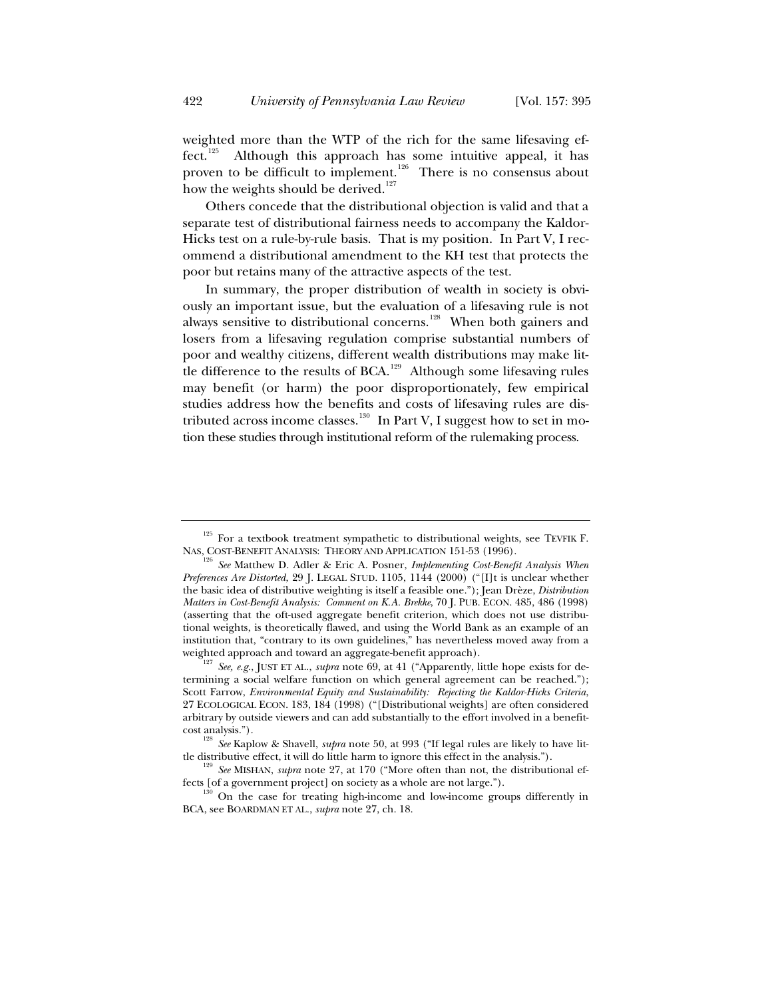weighted more than the WTP of the rich for the same lifesaving effect.<sup>125</sup> Although this approach has some intuitive appeal, it has Although this approach has some intuitive appeal, it has proven to be difficult to implement.<sup>126</sup> There is no consensus about how the weights should be derived. $127$ 

Others concede that the distributional objection is valid and that a separate test of distributional fairness needs to accompany the Kaldor-Hicks test on a rule-by-rule basis. That is my position. In Part V, I recommend a distributional amendment to the KH test that protects the poor but retains many of the attractive aspects of the test.

In summary, the proper distribution of wealth in society is obviously an important issue, but the evaluation of a lifesaving rule is not always sensitive to distributional concerns.<sup>128</sup> When both gainers and losers from a lifesaving regulation comprise substantial numbers of poor and wealthy citizens, different wealth distributions may make little difference to the results of BCA.<sup>129</sup> Although some lifesaving rules may benefit (or harm) the poor disproportionately, few empirical studies address how the benefits and costs of lifesaving rules are distributed across income classes.<sup>130</sup> In Part V, I suggest how to set in motion these studies through institutional reform of the rulemaking process.

 $^{125}$  For a textbook treatment sympathetic to distributional weights, see TEVFIK F. NAS, COST-BENEFIT ANALYSIS: THEORY AND APPLICATION 151-53 (1996).

<sup>&</sup>lt;sup>126</sup> See Matthew D. Adler & Eric A. Posner, *Implementing Cost-Benefit Analysis When Preferences Are Distorted*, 29 J. LEGAL STUD. 1105, 1144 (2000) ("[I]t is unclear whether the basic idea of distributive weighting is itself a feasible one."); Jean Drèze, *Distribution Matters in Cost-Benefit Analysis: Comment on K.A. Brekke*, 70 J. PUB. ECON. 485, 486 (1998) (asserting that the oft-used aggregate benefit criterion, which does not use distributional weights, is theoretically flawed, and using the World Bank as an example of an institution that, "contrary to its own guidelines," has nevertheless moved away from a weighted approach and toward an aggregate-benefit approach). 127 *See, e.g.*, JUST ET AL., *supra* note 69, at 41 ("Apparently, little hope exists for de-

termining a social welfare function on which general agreement can be reached."); Scott Farrow, *Environmental Equity and Sustainability: Rejecting the Kaldor-Hicks Criteria*, 27 ECOLOGICAL ECON. 183, 184 (1998) ("[Distributional weights] are often considered arbitrary by outside viewers and can add substantially to the effort involved in a benefit-

cost analysis."). 128 *See* Kaplow & Shavell, *supra* note 50, at 993 ("If legal rules are likely to have lit-

tle distributive effect, it will do little harm to ignore this effect in the analysis.").<br><sup>129</sup> *See* MISHAN, *supra* note 27, at 170 ("More often than not, the distributional effects [of a government project] on society a

on the case for treating high-income and low-income groups differently in BCA, see BOARDMAN ET AL., *supra* note 27, ch. 18.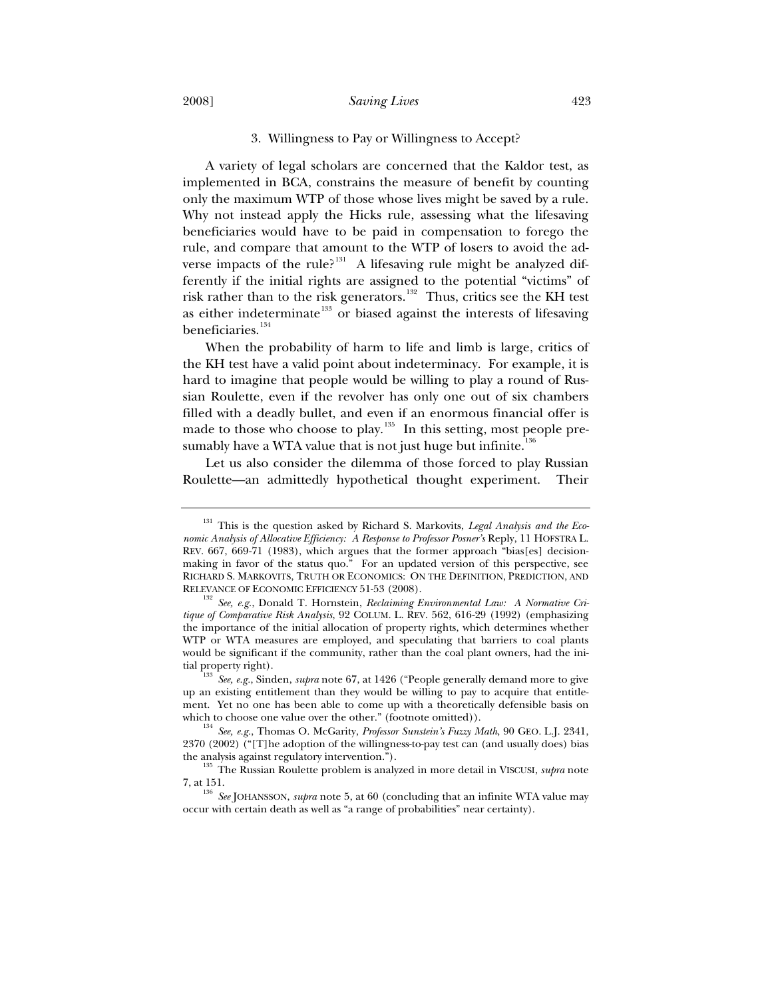#### 3. Willingness to Pay or Willingness to Accept?

A variety of legal scholars are concerned that the Kaldor test, as implemented in BCA, constrains the measure of benefit by counting only the maximum WTP of those whose lives might be saved by a rule. Why not instead apply the Hicks rule, assessing what the lifesaving beneficiaries would have to be paid in compensation to forego the rule, and compare that amount to the WTP of losers to avoid the adverse impacts of the rule?<sup>131</sup> A lifesaving rule might be analyzed differently if the initial rights are assigned to the potential "victims" of risk rather than to the risk generators.<sup>132</sup> Thus, critics see the KH test as either indeterminate<sup>133</sup> or biased against the interests of lifesaving beneficiaries.<sup>134</sup>

When the probability of harm to life and limb is large, critics of the KH test have a valid point about indeterminacy. For example, it is hard to imagine that people would be willing to play a round of Russian Roulette, even if the revolver has only one out of six chambers filled with a deadly bullet, and even if an enormous financial offer is made to those who choose to play.<sup>135</sup> In this setting, most people presumably have a WTA value that is not just huge but infinite.<sup>13</sup>

Let us also consider the dilemma of those forced to play Russian Roulette—an admittedly hypothetical thought experiment. Their

<sup>&</sup>lt;sup>131</sup> This is the question asked by Richard S. Markovits, *Legal Analysis and the Economic Analysis of Allocative Efficiency: A Response to Professor Posner's* Reply, 11 HOFSTRA L. REV. 667, 669-71 (1983), which argues that the former approach "bias[es] decisionmaking in favor of the status quo." For an updated version of this perspective, see RICHARD S. MARKOVITS, TRUTH OR ECONOMICS: ON THE DEFINITION, PREDICTION, AND

RELEVANCE OF ECONOMIC EFFICIENCY 51-53 (2008).<br><sup>132</sup> *See, e.g.*, Donald T. Hornstein, *Reclaiming Environmental Law: A Normative Critique of Comparative Risk Analysis*, 92 COLUM. L. REV. 562, 616-29 (1992) (emphasizing the importance of the initial allocation of property rights, which determines whether WTP or WTA measures are employed, and speculating that barriers to coal plants would be significant if the community, rather than the coal plant owners, had the ini-

See, e.g., Sinden, *supra* note 67, at 1426 ("People generally demand more to give up an existing entitlement than they would be willing to pay to acquire that entitlement. Yet no one has been able to come up with a theoretically defensible basis on

which to choose one value over the other." (footnote omitted)).<br><sup>134</sup> *See, e.g.*, Thomas O. McGarity, *Professor Sunstein's Fuzzy Math*, 90 GEO. L.J. 2341, 2370 (2002) ("[T]he adoption of the willingness-to-pay test can (and usually does) bias

the analysis against regulatory intervention."). 135 The Russian Roulette problem is analyzed in more detail in VISCUSI, *supra* note

<sup>7,</sup> at 151. 136 *See* JOHANSSON, *supra* note 5, at 60 (concluding that an infinite WTA value may occur with certain death as well as "a range of probabilities" near certainty).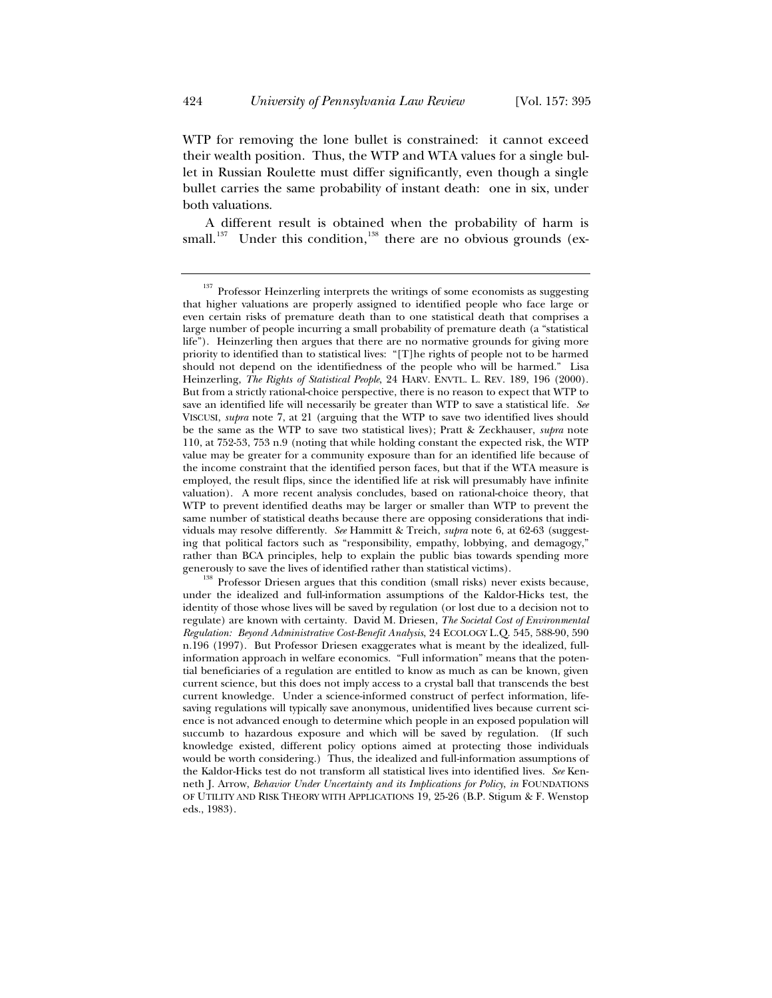WTP for removing the lone bullet is constrained: it cannot exceed their wealth position. Thus, the WTP and WTA values for a single bullet in Russian Roulette must differ significantly, even though a single bullet carries the same probability of instant death: one in six, under both valuations.

A different result is obtained when the probability of harm is small.<sup>137</sup> Under this condition,<sup>138</sup> there are no obvious grounds (ex-

<sup>&</sup>lt;sup>137</sup> Professor Heinzerling interprets the writings of some economists as suggesting that higher valuations are properly assigned to identified people who face large or even certain risks of premature death than to one statistical death that comprises a large number of people incurring a small probability of premature death (a "statistical life"). Heinzerling then argues that there are no normative grounds for giving more priority to identified than to statistical lives: "[T]he rights of people not to be harmed should not depend on the identifiedness of the people who will be harmed." Lisa Heinzerling, *The Rights of Statistical People*, 24 HARV. ENVTL. L. REV. 189, 196 (2000). But from a strictly rational-choice perspective, there is no reason to expect that WTP to save an identified life will necessarily be greater than WTP to save a statistical life. *See* VISCUSI, *supra* note 7, at 21 (arguing that the WTP to save two identified lives should be the same as the WTP to save two statistical lives); Pratt & Zeckhauser, *supra* note 110, at 752-53, 753 n.9 (noting that while holding constant the expected risk, the WTP value may be greater for a community exposure than for an identified life because of the income constraint that the identified person faces, but that if the WTA measure is employed, the result flips, since the identified life at risk will presumably have infinite valuation). A more recent analysis concludes, based on rational-choice theory, that WTP to prevent identified deaths may be larger or smaller than WTP to prevent the same number of statistical deaths because there are opposing considerations that individuals may resolve differently. *See* Hammitt & Treich, *supra* note 6, at 62-63 (suggesting that political factors such as "responsibility, empathy, lobbying, and demagogy," rather than BCA principles, help to explain the public bias towards spending more generously to save the lives of identified rather than statistical victims).

Professor Driesen argues that this condition (small risks) never exists because, under the idealized and full-information assumptions of the Kaldor-Hicks test, the identity of those whose lives will be saved by regulation (or lost due to a decision not to regulate) are known with certainty. David M. Driesen, *The Societal Cost of Environmental Regulation: Beyond Administrative Cost-Benefit Analysis*, 24 ECOLOGY L.Q. 545, 588-90, 590 n.196 (1997). But Professor Driesen exaggerates what is meant by the idealized, fullinformation approach in welfare economics. "Full information" means that the potential beneficiaries of a regulation are entitled to know as much as can be known, given current science, but this does not imply access to a crystal ball that transcends the best current knowledge. Under a science-informed construct of perfect information, lifesaving regulations will typically save anonymous, unidentified lives because current science is not advanced enough to determine which people in an exposed population will succumb to hazardous exposure and which will be saved by regulation. (If such knowledge existed, different policy options aimed at protecting those individuals would be worth considering.) Thus, the idealized and full-information assumptions of the Kaldor-Hicks test do not transform all statistical lives into identified lives. *See* Kenneth J. Arrow, *Behavior Under Uncertainty and its Implications for Policy*, *in* FOUNDATIONS OF UTILITY AND RISK THEORY WITH APPLICATIONS 19, 25-26 (B.P. Stigum & F. Wenstop eds., 1983).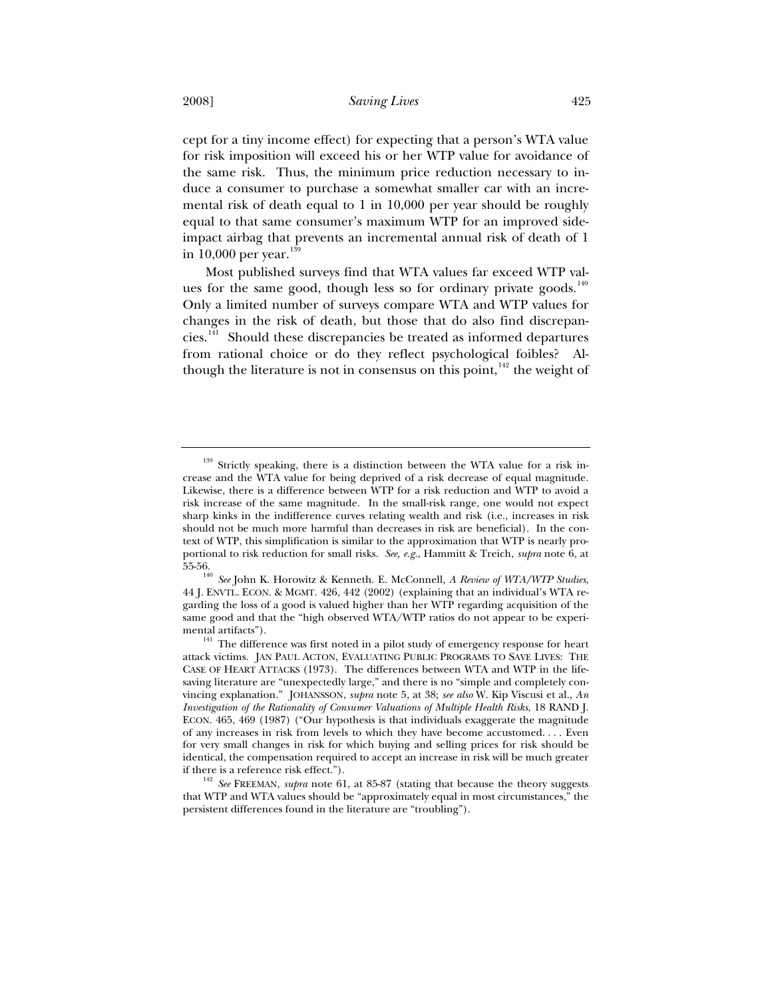cept for a tiny income effect) for expecting that a person's WTA value for risk imposition will exceed his or her WTP value for avoidance of the same risk. Thus, the minimum price reduction necessary to induce a consumer to purchase a somewhat smaller car with an incremental risk of death equal to 1 in 10,000 per year should be roughly equal to that same consumer's maximum WTP for an improved sideimpact airbag that prevents an incremental annual risk of death of 1 in  $10,000$  per year.<sup>13</sup>

Most published surveys find that WTA values far exceed WTP values for the same good, though less so for ordinary private goods. $140$ Only a limited number of surveys compare WTA and WTP values for changes in the risk of death, but those that do also find discrepancies.<sup>141</sup> Should these discrepancies be treated as informed departures from rational choice or do they reflect psychological foibles? Although the literature is not in consensus on this point,  $142$  the weight of

 $139$  Strictly speaking, there is a distinction between the WTA value for a risk increase and the WTA value for being deprived of a risk decrease of equal magnitude. Likewise, there is a difference between WTP for a risk reduction and WTP to avoid a risk increase of the same magnitude. In the small-risk range, one would not expect sharp kinks in the indifference curves relating wealth and risk (i.e., increases in risk should not be much more harmful than decreases in risk are beneficial). In the context of WTP, this simplification is similar to the approximation that WTP is nearly proportional to risk reduction for small risks. *See, e.g.*, Hammitt & Treich, *supra* note 6, at 55-56. 140 *See* John K. Horowitz & Kenneth. E. McConnell, *A Review of WTA/WTP Studies*,

<sup>44</sup> J. ENVTL. ECON.&MGMT. 426, 442 (2002) (explaining that an individual's WTA regarding the loss of a good is valued higher than her WTP regarding acquisition of the same good and that the "high observed WTA/WTP ratios do not appear to be experi-

mental artifacts").<br><sup>141</sup> The difference was first noted in a pilot study of emergency response for heart attack victims. JAN PAUL ACTON, EVALUATING PUBLIC PROGRAMS TO SAVE LIVES: THE CASE OF HEART ATTACKS (1973). The differences between WTA and WTP in the lifesaving literature are "unexpectedly large," and there is no "simple and completely convincing explanation." JOHANSSON, *supra* note 5, at 38; *see also* W. Kip Viscusi et al., *An Investigation of the Rationality of Consumer Valuations of Multiple Health Risks*, 18 RAND J. ECON. 465, 469 (1987) ("Our hypothesis is that individuals exaggerate the magnitude of any increases in risk from levels to which they have become accustomed. . . . Even for very small changes in risk for which buying and selling prices for risk should be identical, the compensation required to accept an increase in risk will be much greater

if there is a reference risk effect.").<br><sup>142</sup> *See* FREEMAN, *supra* note 61, at 85-87 (stating that because the theory suggests that WTP and WTA values should be "approximately equal in most circumstances," the persistent differences found in the literature are "troubling").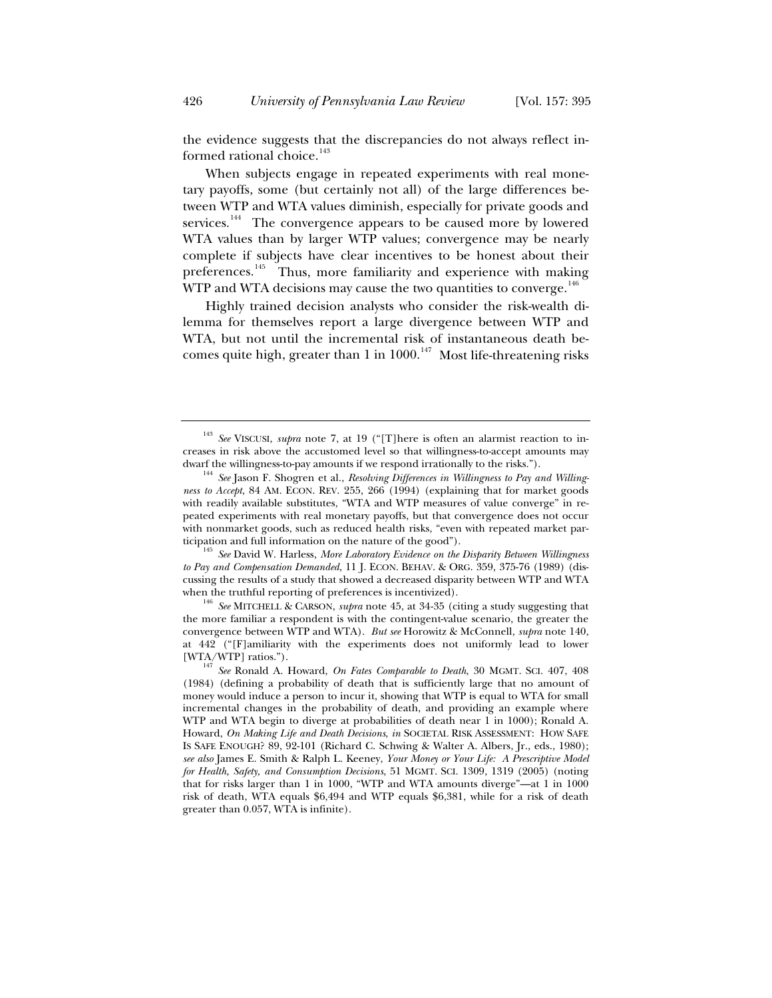the evidence suggests that the discrepancies do not always reflect informed rational choice.<sup>143</sup>

When subjects engage in repeated experiments with real monetary payoffs, some (but certainly not all) of the large differences between WTP and WTA values diminish, especially for private goods and services.<sup>144</sup> The convergence appears to be caused more by lowered WTA values than by larger WTP values; convergence may be nearly complete if subjects have clear incentives to be honest about their preferences.<sup>145</sup> Thus, more familiarity and experience with making WTP and WTA decisions may cause the two quantities to converge.<sup>146</sup>

Highly trained decision analysts who consider the risk-wealth dilemma for themselves report a large divergence between WTP and WTA, but not until the incremental risk of instantaneous death becomes quite high, greater than 1 in  $1000$ .<sup>147</sup> Most life-threatening risks

*to Pay and Compensation Demanded*, 11 J. ECON. BEHAV.&ORG. 359, 375-76 (1989) (discussing the results of a study that showed a decreased disparity between WTP and WTA when the truthful reporting of preferences is incentivized).<br><sup>146</sup> *See* MITCHELL & CARSON, *supra* note 45, at 34-35 (citing a study suggesting that

the more familiar a respondent is with the contingent-value scenario, the greater the convergence between WTP and WTA). *But see* Horowitz & McConnell, *supra* note 140, at 442 ("[F]amiliarity with the experiments does not uniformly lead to lower

<sup>143</sup> *See* VISCUSI, *supra* note 7, at 19 ("[T]here is often an alarmist reaction to increases in risk above the accustomed level so that willingness-to-accept amounts may

dwarf the willingness-to-pay amounts if we respond irrationally to the risks."). 144 *See* Jason F. Shogren et al., *Resolving Differences in Willingness to Pay and Willingness to Accept*, 84 AM. ECON. REV. 255, 266 (1994) (explaining that for market goods with readily available substitutes, "WTA and WTP measures of value converge" in repeated experiments with real monetary payoffs, but that convergence does not occur with nonmarket goods, such as reduced health risks, "even with repeated market participation and full information on the nature of the good").<br><sup>145</sup> *See* David W. Harless, *More Laboratory Evidence on the Disparity Between Willingness* 

<sup>[</sup>WTA/WTP] ratios."). 147 *See* Ronald A. Howard, *On Fates Comparable to Death*, 30 MGMT. SCI. 407, 408 (1984) (defining a probability of death that is sufficiently large that no amount of money would induce a person to incur it, showing that WTP is equal to WTA for small incremental changes in the probability of death, and providing an example where WTP and WTA begin to diverge at probabilities of death near 1 in 1000); Ronald A. Howard, *On Making Life and Death Decisions*, *in* SOCIETAL RISK ASSESSMENT: HOW SAFE IS SAFE ENOUGH? 89, 92-101 (Richard C. Schwing & Walter A. Albers, Jr., eds., 1980); *see also* James E. Smith & Ralph L. Keeney, *Your Money or Your Life: A Prescriptive Model for Health, Safety, and Consumption Decisions*, 51 MGMT. SCI. 1309, 1319 (2005) (noting that for risks larger than 1 in 1000, "WTP and WTA amounts diverge"—at 1 in 1000 risk of death, WTA equals \$6,494 and WTP equals \$6,381, while for a risk of death greater than 0.057, WTA is infinite).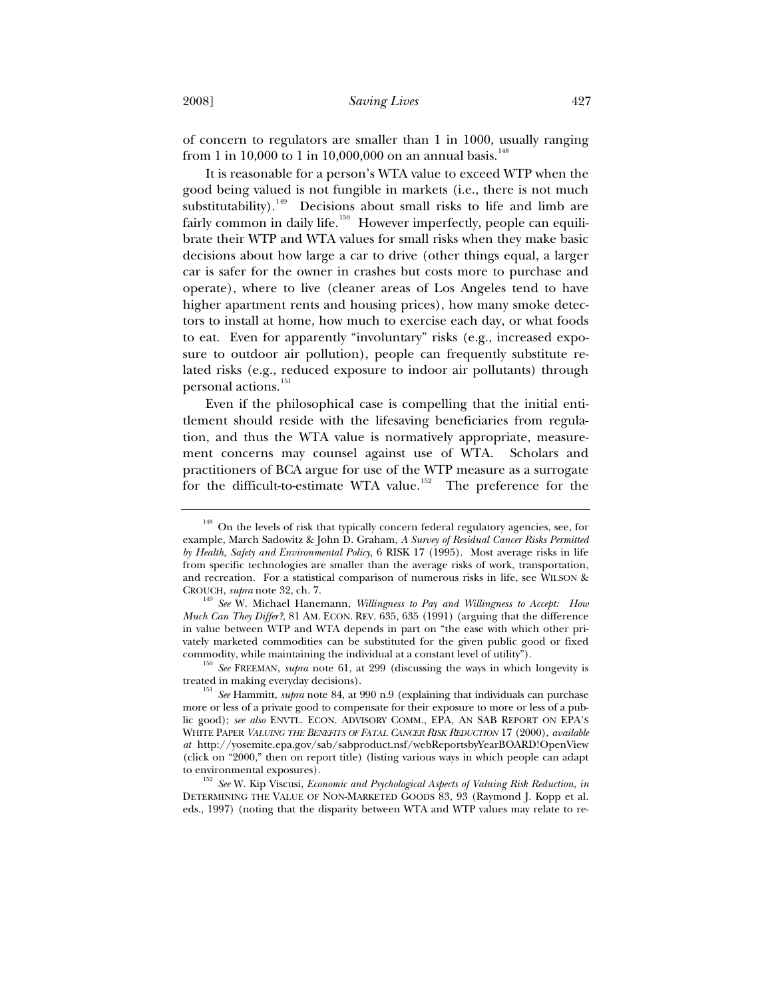of concern to regulators are smaller than 1 in 1000, usually ranging from 1 in 10,000 to 1 in 10,000,000 on an annual basis.<sup>148</sup>

It is reasonable for a person's WTA value to exceed WTP when the good being valued is not fungible in markets (i.e., there is not much substitutability).<sup>149</sup> Decisions about small risks to life and limb are fairly common in daily life.<sup>150</sup> However imperfectly, people can equilibrate their WTP and WTA values for small risks when they make basic decisions about how large a car to drive (other things equal, a larger car is safer for the owner in crashes but costs more to purchase and operate), where to live (cleaner areas of Los Angeles tend to have higher apartment rents and housing prices), how many smoke detectors to install at home, how much to exercise each day, or what foods to eat. Even for apparently "involuntary" risks (e.g., increased exposure to outdoor air pollution), people can frequently substitute related risks (e.g., reduced exposure to indoor air pollutants) through personal actions.<sup>151</sup>

Even if the philosophical case is compelling that the initial entitlement should reside with the lifesaving beneficiaries from regulation, and thus the WTA value is normatively appropriate, measurement concerns may counsel against use of WTA. Scholars and practitioners of BCA argue for use of the WTP measure as a surrogate for the difficult-to-estimate WTA value.<sup>152</sup> The preference for the

<sup>&</sup>lt;sup>148</sup> On the levels of risk that typically concern federal regulatory agencies, see, for example, March Sadowitz & John D. Graham, *A Survey of Residual Cancer Risks Permitted by Health, Safety and Environmental Policy*, 6 RISK 17 (1995). Most average risks in life from specific technologies are smaller than the average risks of work, transportation, and recreation. For a statistical comparison of numerous risks in life, see WILSON &

CROUCH, *supra* note 32, ch. 7. 149 *See* W. Michael Hanemann, *Willingness to Pay and Willingness to Accept: How Much Can They Differ?*, 81 AM. ECON. REV. 635, 635 (1991) (arguing that the difference in value between WTP and WTA depends in part on "the ease with which other privately marketed commodities can be substituted for the given public good or fixed

commodity, while maintaining the individual at a constant level of utility"). 150 *See* FREEMAN, *supra* note 61, at 299 (discussing the ways in which longevity is treated in making everyday decisions). 151 *See* Hammitt, *supra* note 84, at 990 n.9 (explaining that individuals can purchase

more or less of a private good to compensate for their exposure to more or less of a public good); *see also* ENVTL. ECON. ADVISORY COMM., EPA, AN SAB REPORT ON EPA'S WHITE PAPER *VALUING THE BENEFITS OF FATAL CANCER RISK REDUCTION* 17 (2000), *available at* http://yosemite.epa.gov/sab/sabproduct.nsf/webReportsbyYearBOARD!OpenView (click on "2000," then on report title) (listing various ways in which people can adapt

to environmental exposures). 152 *See* W. Kip Viscusi, *Economic and Psychological Aspects of Valuing Risk Reduction*, *in* DETERMINING THE VALUE OF NON-MARKETED GOODS 83, 93 (Raymond J. Kopp et al. eds., 1997) (noting that the disparity between WTA and WTP values may relate to re-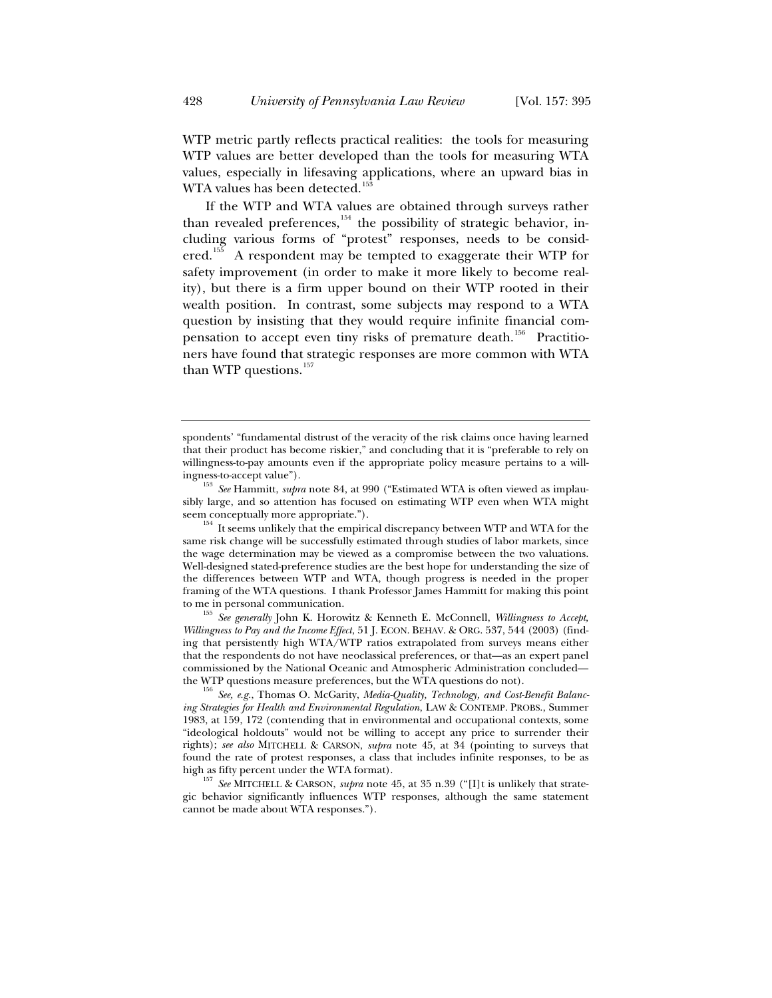WTP metric partly reflects practical realities: the tools for measuring WTP values are better developed than the tools for measuring WTA values, especially in lifesaving applications, where an upward bias in WTA values has been detected.<sup>158</sup>

If the WTP and WTA values are obtained through surveys rather than revealed preferences, $154$  the possibility of strategic behavior, including various forms of "protest" responses, needs to be consid- $\text{ered.}^{155}$  A respondent may be tempted to exaggerate their WTP for safety improvement (in order to make it more likely to become reality), but there is a firm upper bound on their WTP rooted in their wealth position. In contrast, some subjects may respond to a WTA question by insisting that they would require infinite financial compensation to accept even tiny risks of premature death.<sup>156</sup> Practitioners have found that strategic responses are more common with WTA than WTP questions.<sup>157</sup>

ingness-to-accept value"). 153 *See* Hammitt, *supra* note 84, at 990 ("Estimated WTA is often viewed as implausibly large, and so attention has focused on estimating WTP even when WTA might

seem conceptually more appropriate.").<br><sup>154</sup> It seems unlikely that the empirical discrepancy between WTP and WTA for the same risk change will be successfully estimated through studies of labor markets, since the wage determination may be viewed as a compromise between the two valuations. Well-designed stated-preference studies are the best hope for understanding the size of the differences between WTP and WTA, though progress is needed in the proper framing of the WTA questions. I thank Professor James Hammitt for making this point

to me in personal communication. 155 *See generally* John K. Horowitz & Kenneth E. McConnell, *Willingness to Accept, Willingness to Pay and the Income Effect*, 51 J. ECON. BEHAV.&ORG. 537, 544 (2003) (finding that persistently high WTA/WTP ratios extrapolated from surveys means either that the respondents do not have neoclassical preferences, or that—as an expert panel commissioned by the National Oceanic and Atmospheric Administration concluded the WTP questions measure preferences, but the WTA questions do not). 156 *See, e.g.*, Thomas O. McGarity, *Media-Quality, Technology, and Cost-Benefit Balanc-*

*ing Strategies for Health and Environmental Regulation*, LAW & CONTEMP. PROBS., Summer 1983, at 159, 172 (contending that in environmental and occupational contexts, some "ideological holdouts" would not be willing to accept any price to surrender their rights); *see also* MITCHELL & CARSON, *supra* note 45, at 34 (pointing to surveys that found the rate of protest responses, a class that includes infinite responses, to be as

high as fifty percent under the WTA format). 157 *See* MITCHELL & CARSON, *supra* note 45, at 35 n.39 ("[I]t is unlikely that strategic behavior significantly influences WTP responses, although the same statement cannot be made about WTA responses.").

spondents' "fundamental distrust of the veracity of the risk claims once having learned that their product has become riskier," and concluding that it is "preferable to rely on willingness-to-pay amounts even if the appropriate policy measure pertains to a will-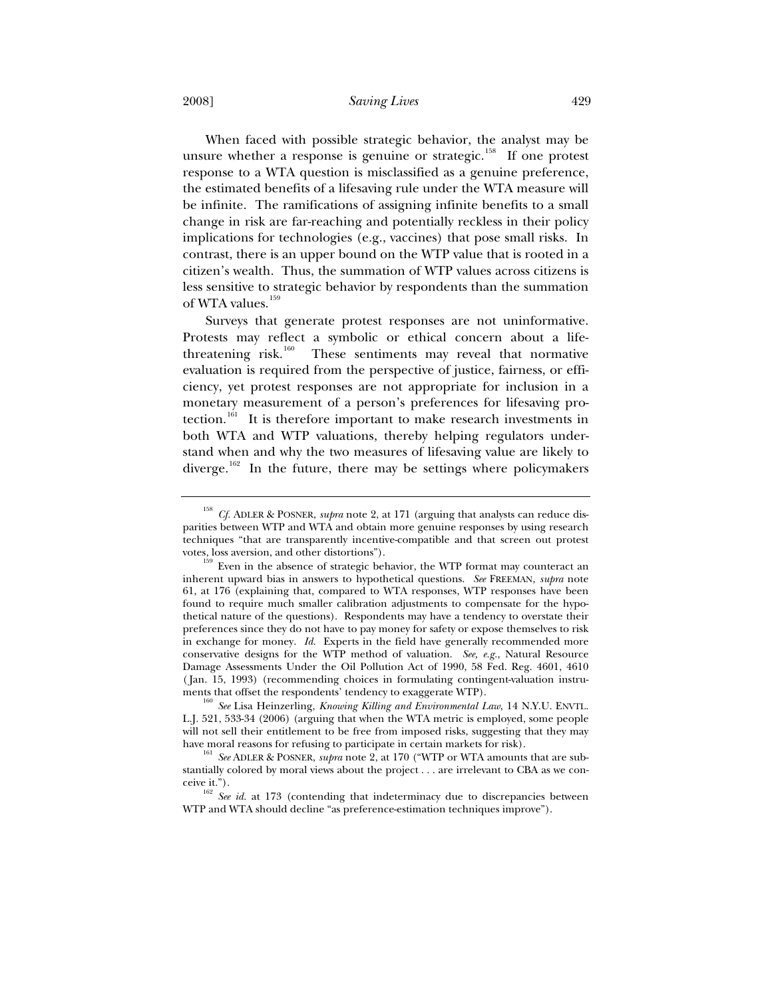2008] *Saving Lives* 429

When faced with possible strategic behavior, the analyst may be unsure whether a response is genuine or strategic.<sup>158</sup> If one protest response to a WTA question is misclassified as a genuine preference, the estimated benefits of a lifesaving rule under the WTA measure will be infinite. The ramifications of assigning infinite benefits to a small change in risk are far-reaching and potentially reckless in their policy implications for technologies (e.g., vaccines) that pose small risks. In contrast, there is an upper bound on the WTP value that is rooted in a citizen's wealth. Thus, the summation of WTP values across citizens is less sensitive to strategic behavior by respondents than the summation of WTA values.<sup>159</sup>

Surveys that generate protest responses are not uninformative. Protests may reflect a symbolic or ethical concern about a lifethreatening risk.<sup>160</sup> These sentiments may reveal that normative evaluation is required from the perspective of justice, fairness, or efficiency, yet protest responses are not appropriate for inclusion in a monetary measurement of a person's preferences for lifesaving protection.<sup>161</sup> It is therefore important to make research investments in both WTA and WTP valuations, thereby helping regulators understand when and why the two measures of lifesaving value are likely to diverge.<sup>162</sup> In the future, there may be settings where policymakers

<sup>158</sup> *Cf.* ADLER & POSNER, *supra* note 2, at 171 (arguing that analysts can reduce disparities between WTP and WTA and obtain more genuine responses by using research techniques "that are transparently incentive-compatible and that screen out protest

votes, loss aversion, and other distortions").  $^{159}$  Even in the absence of strategic behavior, the WTP format may counteract an inherent upward bias in answers to hypothetical questions. *See* FREEMAN, *supra* note 61, at 176 (explaining that, compared to WTA responses, WTP responses have been found to require much smaller calibration adjustments to compensate for the hypothetical nature of the questions). Respondents may have a tendency to overstate their preferences since they do not have to pay money for safety or expose themselves to risk in exchange for money. *Id.* Experts in the field have generally recommended more conservative designs for the WTP method of valuation. *See, e.g.*, Natural Resource Damage Assessments Under the Oil Pollution Act of 1990, 58 Fed. Reg. 4601, 4610 (Jan. 15, 1993) (recommending choices in formulating contingent-valuation instruments that offset the respondents' tendency to exaggerate WTP).

<sup>&</sup>lt;sup>160</sup> See Lisa Heinzerling, *Knowing Killing and Environmental Law*, 14 N.Y.U. ENVTL. L.J. 521, 533-34 (2006) (arguing that when the WTA metric is employed, some people will not sell their entitlement to be free from imposed risks, suggesting that they may have moral reasons for refusing to participate in certain markets for risk).<br><sup>161</sup> *See* ADLER & POSNER, *supra* note 2, at 170 ("WTP or WTA amounts that are sub-

stantially colored by moral views about the project . . . are irrelevant to CBA as we con-

ceive it."). 162 *See id.* at 173 (contending that indeterminacy due to discrepancies between WTP and WTA should decline "as preference-estimation techniques improve").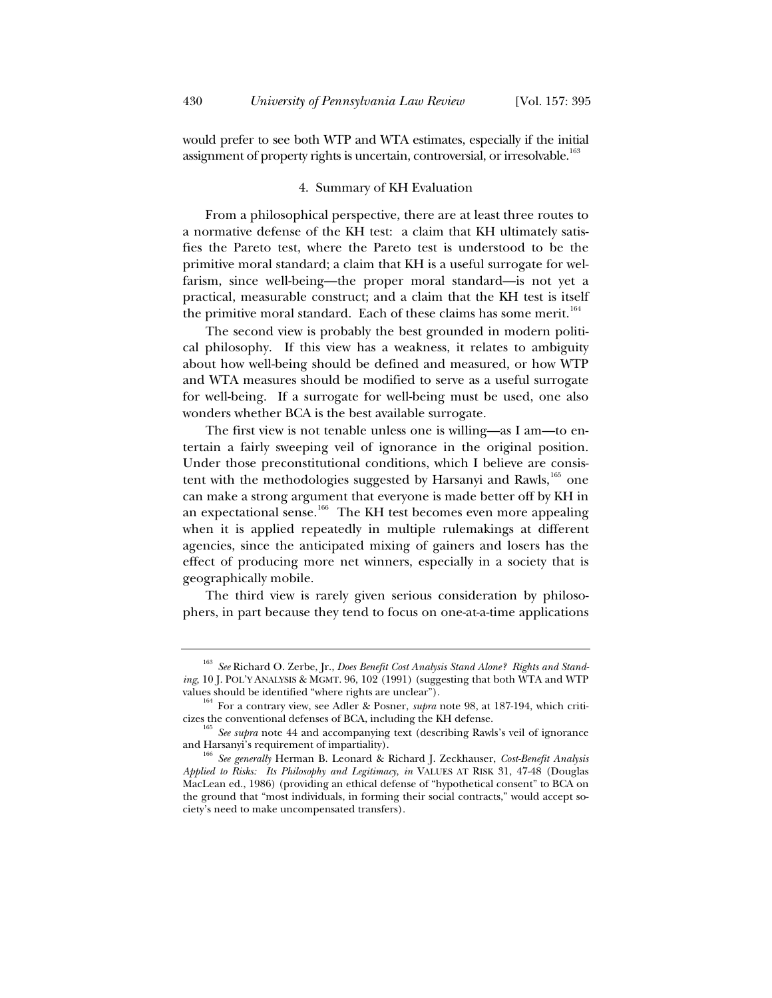would prefer to see both WTP and WTA estimates, especially if the initial assignment of property rights is uncertain, controversial, or irresolvable.<sup>163</sup>

#### 4. Summary of KH Evaluation

From a philosophical perspective, there are at least three routes to a normative defense of the KH test: a claim that KH ultimately satisfies the Pareto test, where the Pareto test is understood to be the primitive moral standard; a claim that KH is a useful surrogate for welfarism, since well-being—the proper moral standard—is not yet a practical, measurable construct; and a claim that the KH test is itself the primitive moral standard. Each of these claims has some merit.<sup>164</sup>

The second view is probably the best grounded in modern political philosophy. If this view has a weakness, it relates to ambiguity about how well-being should be defined and measured, or how WTP and WTA measures should be modified to serve as a useful surrogate for well-being. If a surrogate for well-being must be used, one also wonders whether BCA is the best available surrogate.

The first view is not tenable unless one is willing—as I am—to entertain a fairly sweeping veil of ignorance in the original position. Under those preconstitutional conditions, which I believe are consistent with the methodologies suggested by Harsanyi and Rawls, <sup>165</sup> one can make a strong argument that everyone is made better off by KH in an expectational sense.<sup>166</sup> The KH test becomes even more appealing when it is applied repeatedly in multiple rulemakings at different agencies, since the anticipated mixing of gainers and losers has the effect of producing more net winners, especially in a society that is geographically mobile.

The third view is rarely given serious consideration by philosophers, in part because they tend to focus on one-at-a-time applications

<sup>163</sup> *See* Richard O. Zerbe, Jr., *Does Benefit Cost Analysis Stand Alone? Rights and Standing*, 10 J. POL'Y ANALYSIS & MGMT. 96, 102 (1991) (suggesting that both WTA and WTP values should be identified "where rights are unclear").

<sup>&</sup>lt;sup>164</sup> For a contrary view, see Adler & Posner, *supra* note 98, at 187-194, which criti-

cizes the conventional defenses of BCA, including the KH defense. 165 *See supra* note 44 and accompanying text (describing Rawls's veil of ignorance

and Harsanyi's requirement of impartiality). 166 *See generally* Herman B. Leonard & Richard J. Zeckhauser, *Cost-Benefit Analysis Applied to Risks: Its Philosophy and Legitimacy*, *in* VALUES AT RISK 31, 47-48 (Douglas MacLean ed., 1986) (providing an ethical defense of "hypothetical consent" to BCA on the ground that "most individuals, in forming their social contracts," would accept society's need to make uncompensated transfers).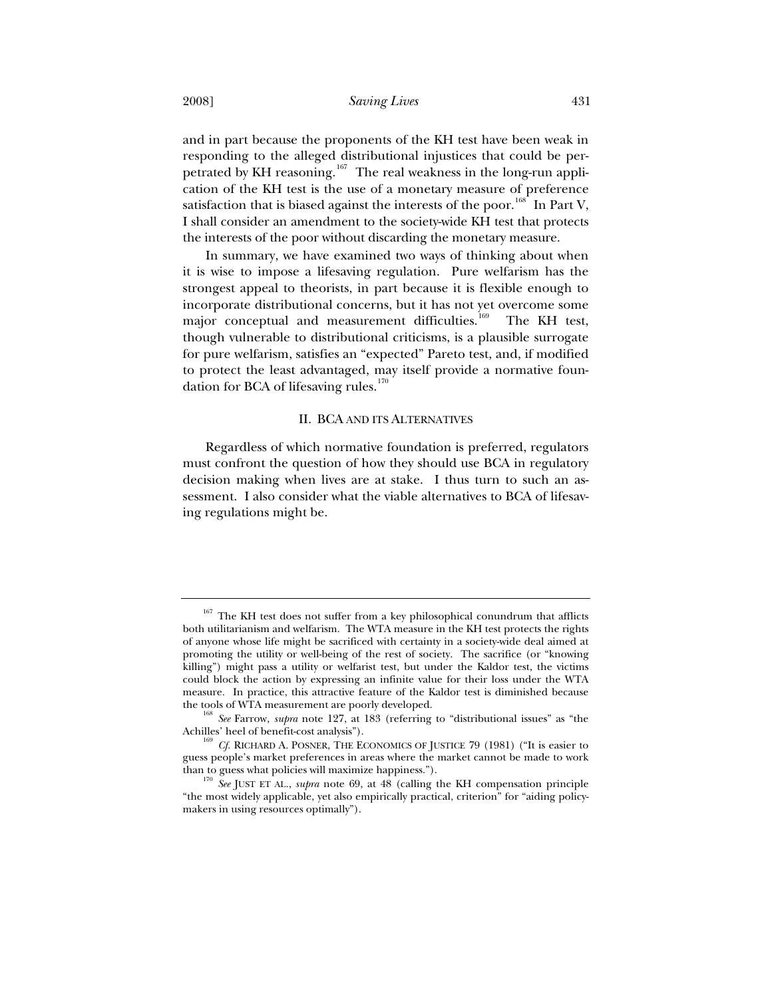and in part because the proponents of the KH test have been weak in responding to the alleged distributional injustices that could be perpetrated by KH reasoning.<sup>167</sup> The real weakness in the long-run application of the KH test is the use of a monetary measure of preference satisfaction that is biased against the interests of the poor.<sup>168</sup> In Part V, I shall consider an amendment to the society-wide KH test that protects the interests of the poor without discarding the monetary measure.

In summary, we have examined two ways of thinking about when it is wise to impose a lifesaving regulation. Pure welfarism has the strongest appeal to theorists, in part because it is flexible enough to incorporate distributional concerns, but it has not yet overcome some major conceptual and measurement difficulties.<sup>169</sup> The KH test, though vulnerable to distributional criticisms, is a plausible surrogate for pure welfarism, satisfies an "expected" Pareto test, and, if modified to protect the least advantaged, may itself provide a normative foundation for BCA of lifesaving rules. $170$ 

### II. BCA AND ITS ALTERNATIVES

Regardless of which normative foundation is preferred, regulators must confront the question of how they should use BCA in regulatory decision making when lives are at stake. I thus turn to such an assessment. I also consider what the viable alternatives to BCA of lifesaving regulations might be.

 $167$  The KH test does not suffer from a key philosophical conundrum that afflicts both utilitarianism and welfarism. The WTA measure in the KH test protects the rights of anyone whose life might be sacrificed with certainty in a society-wide deal aimed at promoting the utility or well-being of the rest of society. The sacrifice (or "knowing killing") might pass a utility or welfarist test, but under the Kaldor test, the victims could block the action by expressing an infinite value for their loss under the WTA measure. In practice, this attractive feature of the Kaldor test is diminished because

<sup>&</sup>lt;sup>168</sup> See Farrow, *supra* note 127, at 183 (referring to "distributional issues" as "the Achilles' heel of benefit-cost analysis").<br><sup>169</sup> *Cf.* RICHARD A. POSNER, THE ECONOMICS OF JUSTICE 79 (1981) ("It is easier to

guess people's market preferences in areas where the market cannot be made to work

<sup>&</sup>lt;sup>170</sup> See JUST ET AL., *supra* note 69, at 48 (calling the KH compensation principle "the most widely applicable, yet also empirically practical, criterion" for "aiding policymakers in using resources optimally").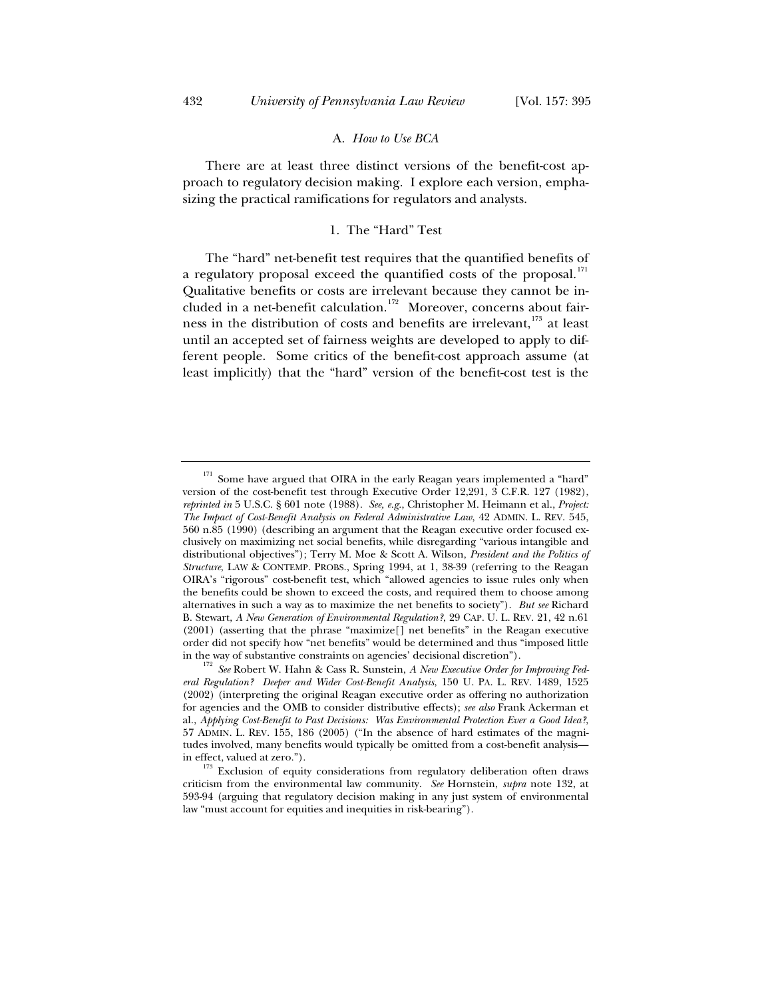## A. *How to Use BCA*

There are at least three distinct versions of the benefit-cost approach to regulatory decision making. I explore each version, emphasizing the practical ramifications for regulators and analysts.

## 1. The "Hard" Test

The "hard" net-benefit test requires that the quantified benefits of a regulatory proposal exceed the quantified costs of the proposal.<sup>171</sup> Qualitative benefits or costs are irrelevant because they cannot be included in a net-benefit calculation.<sup>172</sup> Moreover, concerns about fairness in the distribution of costs and benefits are irrelevant,<sup>173</sup> at least until an accepted set of fairness weights are developed to apply to different people. Some critics of the benefit-cost approach assume (at least implicitly) that the "hard" version of the benefit-cost test is the

Some have argued that OIRA in the early Reagan years implemented a "hard" version of the cost-benefit test through Executive Order 12,291, 3 C.F.R. 127 (1982), *reprinted in* 5 U.S.C. § 601 note (1988). *See, e.g.*, Christopher M. Heimann et al., *Project: The Impact of Cost-Benefit Analysis on Federal Administrative Law*, 42 ADMIN. L. REV. 545, 560 n.85 (1990) (describing an argument that the Reagan executive order focused exclusively on maximizing net social benefits, while disregarding "various intangible and distributional objectives"); Terry M. Moe & Scott A. Wilson, *President and the Politics of Structure*, LAW & CONTEMP. PROBS., Spring 1994, at 1, 38-39 (referring to the Reagan OIRA's "rigorous" cost-benefit test, which "allowed agencies to issue rules only when the benefits could be shown to exceed the costs, and required them to choose among alternatives in such a way as to maximize the net benefits to society"). *But see* Richard B. Stewart, *A New Generation of Environmental Regulation?*, 29 CAP. U. L. REV. 21, 42 n.61 (2001) (asserting that the phrase "maximize[] net benefits" in the Reagan executive order did not specify how "net benefits" would be determined and thus "imposed little in the way of substantive constraints on agencies' decisional discretion"). 172 *See* Robert W. Hahn & Cass R. Sunstein, *A New Executive Order for Improving Fed-*

*eral Regulation? Deeper and Wider Cost-Benefit Analysis*, 150 U. PA. L. REV. 1489, 1525 (2002) (interpreting the original Reagan executive order as offering no authorization for agencies and the OMB to consider distributive effects); *see also* Frank Ackerman et al., *Applying Cost-Benefit to Past Decisions: Was Environmental Protection Ever a Good Idea?*, 57 ADMIN. L. REV. 155, 186 (2005) ("In the absence of hard estimates of the magnitudes involved, many benefits would typically be omitted from a cost-benefit analysis in effect, valued at zero.").  $173$  Exclusion of equity considerations from regulatory deliberation often draws

criticism from the environmental law community. *See* Hornstein, *supra* note 132, at 593-94 (arguing that regulatory decision making in any just system of environmental law "must account for equities and inequities in risk-bearing").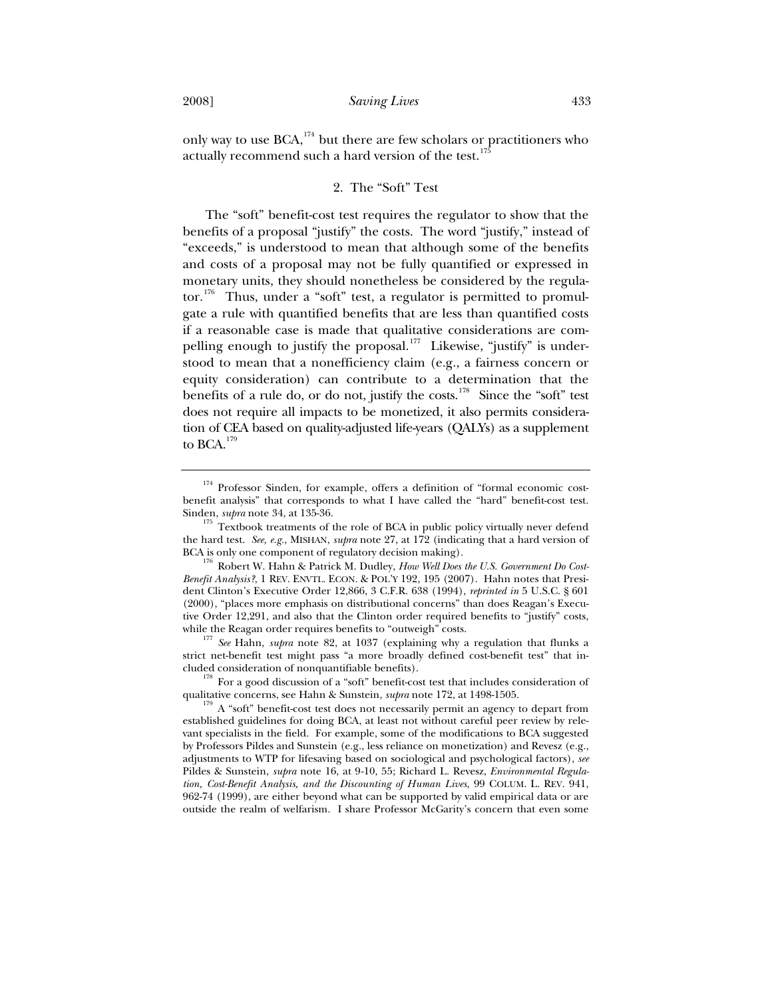only way to use  $BCA$ ,<sup>174</sup> but there are few scholars or practitioners who actually recommend such a hard version of the test. $17$ 

# 2. The "Soft" Test

The "soft" benefit-cost test requires the regulator to show that the benefits of a proposal "justify" the costs. The word "justify," instead of "exceeds," is understood to mean that although some of the benefits and costs of a proposal may not be fully quantified or expressed in monetary units, they should nonetheless be considered by the regulator. $176$  Thus, under a "soft" test, a regulator is permitted to promulgate a rule with quantified benefits that are less than quantified costs if a reasonable case is made that qualitative considerations are compelling enough to justify the proposal.<sup>177</sup> Likewise, "justify" is understood to mean that a nonefficiency claim (e.g., a fairness concern or equity consideration) can contribute to a determination that the benefits of a rule do, or do not, justify the costs.<sup>178</sup> Since the "soft" test does not require all impacts to be monetized, it also permits consideration of CEA based on quality-adjusted life-years (QALYs) as a supplement to BCA.<sup>179</sup>

<sup>177</sup> See Hahn, *supra* note 82, at 1037 (explaining why a regulation that flunks a strict net-benefit test might pass "a more broadly defined cost-benefit test" that included consideration of nonquantifiable benefits). 178 For a good discussion of a "soft" benefit-cost test that includes consideration of

qualitative concerns, see Hahn & Sunstein, *supra* note 172, at 1498-1505.<br><sup>179</sup> A "soft" benefit-cost test does not necessarily permit an agency to depart from

<sup>&</sup>lt;sup>174</sup> Professor Sinden, for example, offers a definition of "formal economic costbenefit analysis" that corresponds to what I have called the "hard" benefit-cost test.

Sinden, *supra* note 34, at 135-36.<br><sup>175</sup> Textbook treatments of the role of BCA in public policy virtually never defend the hard test. *See, e.g.*, MISHAN, *supra* note 27, at 172 (indicating that a hard version of

BCA is only one component of regulatory decision making).<br><sup>176</sup> Robert W. Hahn & Patrick M. Dudley, *How Well Does the U.S. Government Do Cost-Benefit Analysis?*, 1 REV. ENVTL. ECON. & POL'Y 192, 195 (2007). Hahn notes that President Clinton's Executive Order 12,866, 3 C.F.R. 638 (1994), *reprinted in* 5 U.S.C. § 601 (2000), "places more emphasis on distributional concerns" than does Reagan's Executive Order 12,291, and also that the Clinton order required benefits to "justify" costs, while the Reagan order requires benefits to "outweigh" costs.

established guidelines for doing BCA, at least not without careful peer review by relevant specialists in the field. For example, some of the modifications to BCA suggested by Professors Pildes and Sunstein (e.g., less reliance on monetization) and Revesz (e.g., adjustments to WTP for lifesaving based on sociological and psychological factors), *see* Pildes & Sunstein, *supra* note 16, at 9-10, 55; Richard L. Revesz, *Environmental Regulation, Cost-Benefit Analysis, and the Discounting of Human Lives*, 99 COLUM. L. REV. 941, 962-74 (1999), are either beyond what can be supported by valid empirical data or are outside the realm of welfarism. I share Professor McGarity's concern that even some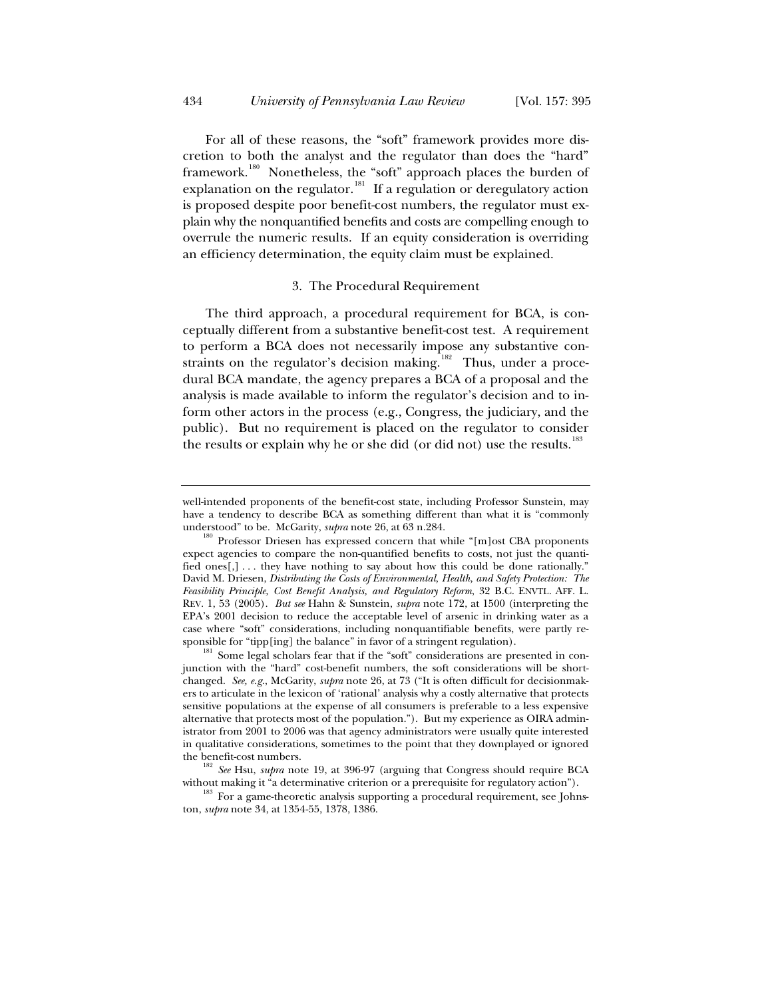For all of these reasons, the "soft" framework provides more discretion to both the analyst and the regulator than does the "hard" framework.<sup>180</sup> Nonetheless, the "soft" approach places the burden of explanation on the regulator.<sup>181</sup> If a regulation or deregulatory action is proposed despite poor benefit-cost numbers, the regulator must explain why the nonquantified benefits and costs are compelling enough to overrule the numeric results. If an equity consideration is overriding an efficiency determination, the equity claim must be explained.

### 3. The Procedural Requirement

The third approach, a procedural requirement for BCA, is conceptually different from a substantive benefit-cost test. A requirement to perform a BCA does not necessarily impose any substantive constraints on the regulator's decision making.<sup>182</sup> Thus, under a procedural BCA mandate, the agency prepares a BCA of a proposal and the analysis is made available to inform the regulator's decision and to inform other actors in the process (e.g., Congress, the judiciary, and the public). But no requirement is placed on the regulator to consider the results or explain why he or she did (or did not) use the results.<sup>183</sup>

well-intended proponents of the benefit-cost state, including Professor Sunstein, may have a tendency to describe BCA as something different than what it is "commonly

understood" to be. McGarity, *supra* note 26, at 63 n.284.<br><sup>180</sup> Professor Driesen has expressed concern that while "[m]ost CBA proponents expect agencies to compare the non-quantified benefits to costs, not just the quantified ones[,] . . . they have nothing to say about how this could be done rationally." David M. Driesen, *Distributing the Costs of Environmental, Health, and Safety Protection: The Feasibility Principle, Cost Benefit Analysis, and Regulatory Reform*, 32 B.C. ENVTL. AFF. L. REV. 1, 53 (2005). *But see* Hahn & Sunstein, *supra* note 172, at 1500 (interpreting the EPA's 2001 decision to reduce the acceptable level of arsenic in drinking water as a case where "soft" considerations, including nonquantifiable benefits, were partly responsible for "tipp[ing] the balance" in favor of a stringent regulation).<br><sup>181</sup> Some legal scholars fear that if the "soft" considerations are presented in con-

junction with the "hard" cost-benefit numbers, the soft considerations will be shortchanged. *See, e.g.*, McGarity, *supra* note 26, at 73 ("It is often difficult for decisionmakers to articulate in the lexicon of 'rational' analysis why a costly alternative that protects sensitive populations at the expense of all consumers is preferable to a less expensive alternative that protects most of the population."). But my experience as OIRA administrator from 2001 to 2006 was that agency administrators were usually quite interested in qualitative considerations, sometimes to the point that they downplayed or ignored

the benefit-cost numbers.<br><sup>182</sup> *See* Hsu, *supra* note 19, at 396-97 (arguing that Congress should require BCA

without making it "a determinative criterion or a prerequisite for regulatory action").  $183$  For a game-theoretic analysis supporting a procedural requirement, see Johnston, *supra* note 34, at 1354-55, 1378, 1386.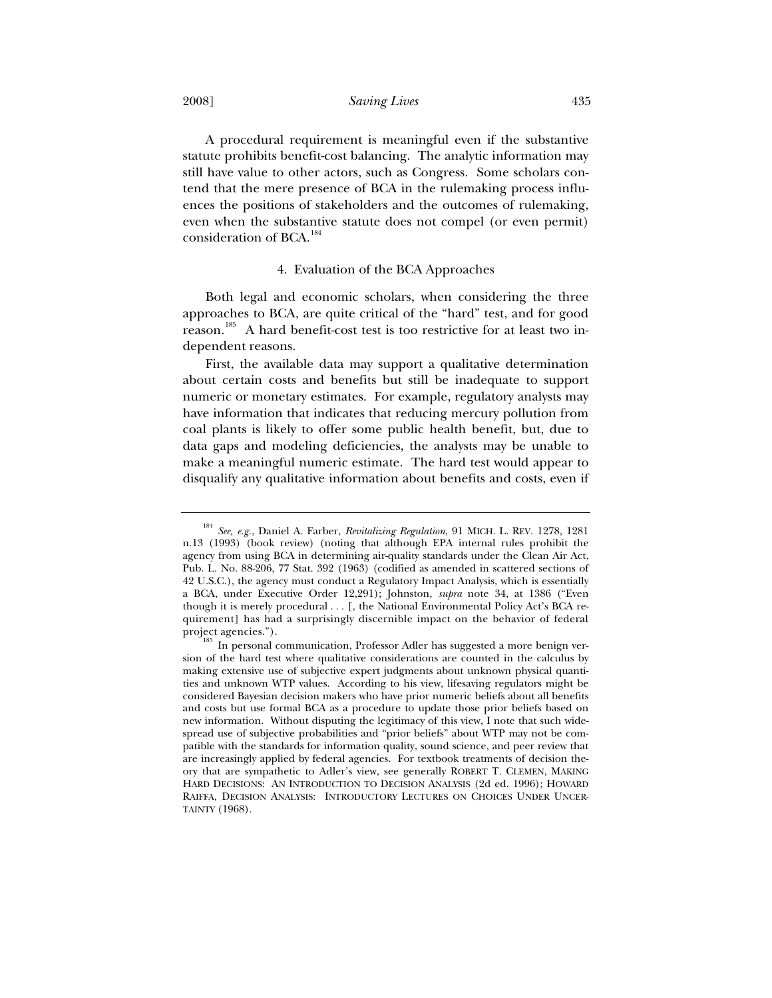2008] *Saving Lives* 435

A procedural requirement is meaningful even if the substantive statute prohibits benefit-cost balancing. The analytic information may still have value to other actors, such as Congress. Some scholars contend that the mere presence of BCA in the rulemaking process influences the positions of stakeholders and the outcomes of rulemaking, even when the substantive statute does not compel (or even permit) consideration of BCA.<sup>184</sup>

## 4. Evaluation of the BCA Approaches

Both legal and economic scholars, when considering the three approaches to BCA, are quite critical of the "hard" test, and for good reason.<sup>185</sup> A hard benefit-cost test is too restrictive for at least two independent reasons.

First, the available data may support a qualitative determination about certain costs and benefits but still be inadequate to support numeric or monetary estimates. For example, regulatory analysts may have information that indicates that reducing mercury pollution from coal plants is likely to offer some public health benefit, but, due to data gaps and modeling deficiencies, the analysts may be unable to make a meaningful numeric estimate. The hard test would appear to disqualify any qualitative information about benefits and costs, even if

<sup>184</sup> *See, e.g.*, Daniel A. Farber, *Revitalizing Regulation*, 91 MICH. L. REV. 1278, 1281 n.13 (1993) (book review) (noting that although EPA internal rules prohibit the agency from using BCA in determining air-quality standards under the Clean Air Act, Pub. L. No. 88-206, 77 Stat. 392 (1963) (codified as amended in scattered sections of 42 U.S.C.), the agency must conduct a Regulatory Impact Analysis, which is essentially a BCA, under Executive Order 12,291); Johnston, *supra* note 34, at 1386 ("Even though it is merely procedural . . . [, the National Environmental Policy Act's BCA requirement] has had a surprisingly discernible impact on the behavior of federal

project agencies.").  $\frac{185}{185}$  In personal communication, Professor Adler has suggested a more benign version of the hard test where qualitative considerations are counted in the calculus by making extensive use of subjective expert judgments about unknown physical quantities and unknown WTP values. According to his view, lifesaving regulators might be considered Bayesian decision makers who have prior numeric beliefs about all benefits and costs but use formal BCA as a procedure to update those prior beliefs based on new information. Without disputing the legitimacy of this view, I note that such widespread use of subjective probabilities and "prior beliefs" about WTP may not be compatible with the standards for information quality, sound science, and peer review that are increasingly applied by federal agencies. For textbook treatments of decision theory that are sympathetic to Adler's view, see generally ROBERT T. CLEMEN, MAKING HARD DECISIONS: AN INTRODUCTION TO DECISION ANALYSIS (2d ed. 1996); HOWARD RAIFFA, DECISION ANALYSIS: INTRODUCTORY LECTURES ON CHOICES UNDER UNCER-TAINTY (1968).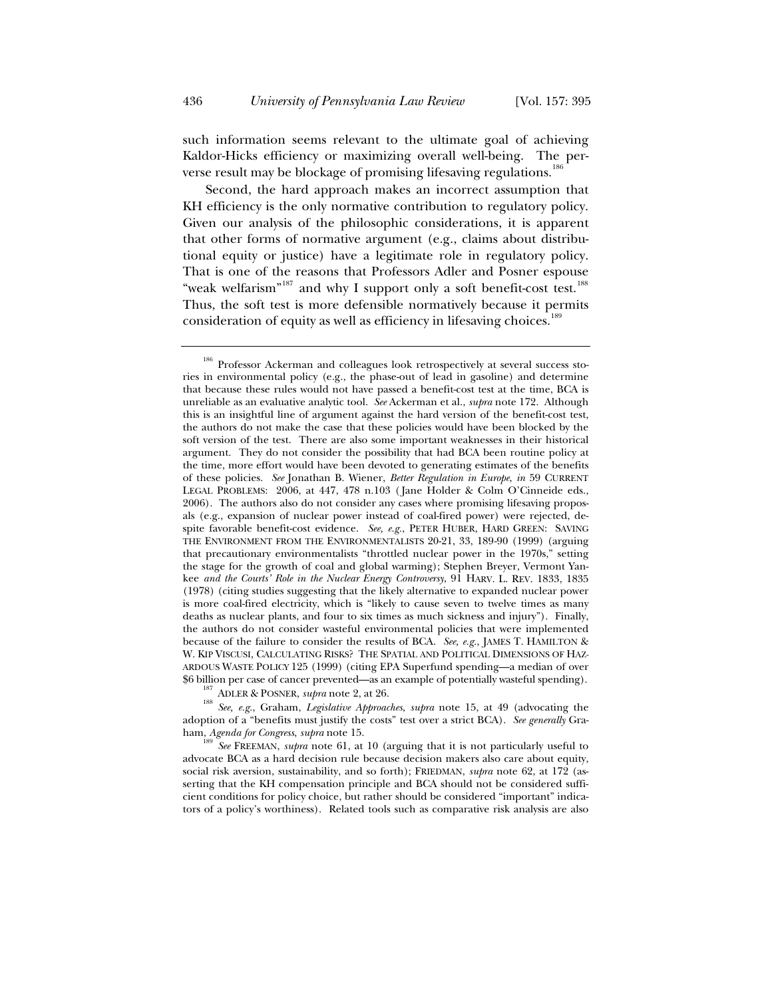such information seems relevant to the ultimate goal of achieving Kaldor-Hicks efficiency or maximizing overall well-being. The perverse result may be blockage of promising lifesaving regulations.<sup>1</sup>

Second, the hard approach makes an incorrect assumption that KH efficiency is the only normative contribution to regulatory policy. Given our analysis of the philosophic considerations, it is apparent that other forms of normative argument (e.g., claims about distributional equity or justice) have a legitimate role in regulatory policy. That is one of the reasons that Professors Adler and Posner espouse "weak welfarism"<sup>187</sup> and why I support only a soft benefit-cost test.<sup>188</sup> Thus, the soft test is more defensible normatively because it permits consideration of equity as well as efficiency in lifesaving choices.<sup>189</sup>

adoption of a "benefits must justify the costs" test over a strict BCA). *See generally* Graham, *Agenda for Congress*, *supra* note 15.<br><sup>189</sup> *See* FREEMAN, *supra* note 61, at 10 (arguing that it is not particularly useful to

advocate BCA as a hard decision rule because decision makers also care about equity, social risk aversion, sustainability, and so forth); FRIEDMAN, *supra* note 62, at 172 (asserting that the KH compensation principle and BCA should not be considered sufficient conditions for policy choice, but rather should be considered "important" indicators of a policy's worthiness). Related tools such as comparative risk analysis are also

<sup>&</sup>lt;sup>186</sup> Professor Ackerman and colleagues look retrospectively at several success stories in environmental policy (e.g., the phase-out of lead in gasoline) and determine that because these rules would not have passed a benefit-cost test at the time, BCA is unreliable as an evaluative analytic tool. *See* Ackerman et al., *supra* note 172. Although this is an insightful line of argument against the hard version of the benefit-cost test, the authors do not make the case that these policies would have been blocked by the soft version of the test. There are also some important weaknesses in their historical argument. They do not consider the possibility that had BCA been routine policy at the time, more effort would have been devoted to generating estimates of the benefits of these policies. *See* Jonathan B. Wiener, *Better Regulation in Europe*, *in* 59 CURRENT LEGAL PROBLEMS: 2006, at 447, 478 n.103 ( Jane Holder & Colm O'Cinneide eds., 2006). The authors also do not consider any cases where promising lifesaving proposals (e.g., expansion of nuclear power instead of coal-fired power) were rejected, despite favorable benefit-cost evidence. *See, e.g.*, PETER HUBER, HARD GREEN: SAVING THE ENVIRONMENT FROM THE ENVIRONMENTALISTS 20-21, 33, 189-90 (1999) (arguing that precautionary environmentalists "throttled nuclear power in the 1970s," setting the stage for the growth of coal and global warming); Stephen Breyer, Vermont Yankee *and the Courts' Role in the Nuclear Energy Controversy*, 91 HARV. L. REV. 1833, 1835 (1978) (citing studies suggesting that the likely alternative to expanded nuclear power is more coal-fired electricity, which is "likely to cause seven to twelve times as many deaths as nuclear plants, and four to six times as much sickness and injury"). Finally, the authors do not consider wasteful environmental policies that were implemented because of the failure to consider the results of BCA. *See, e.g.*, JAMES T. HAMILTON & W. KIP VISCUSI, CALCULATING RISKS? THE SPATIAL AND POLITICAL DIMENSIONS OF HAZ-ARDOUS WASTE POLICY 125 (1999) (citing EPA Superfund spending—a median of over \$6 billion per case of cancer prevented—as an example of potentially wasteful spending).<br><sup>187</sup> ADLER & POSNER, *supra* note 2, at 26.<br><sup>188</sup> See, e.g., Graham, *Legislative Approaches*, *supra* note 15, at 49 (advocating th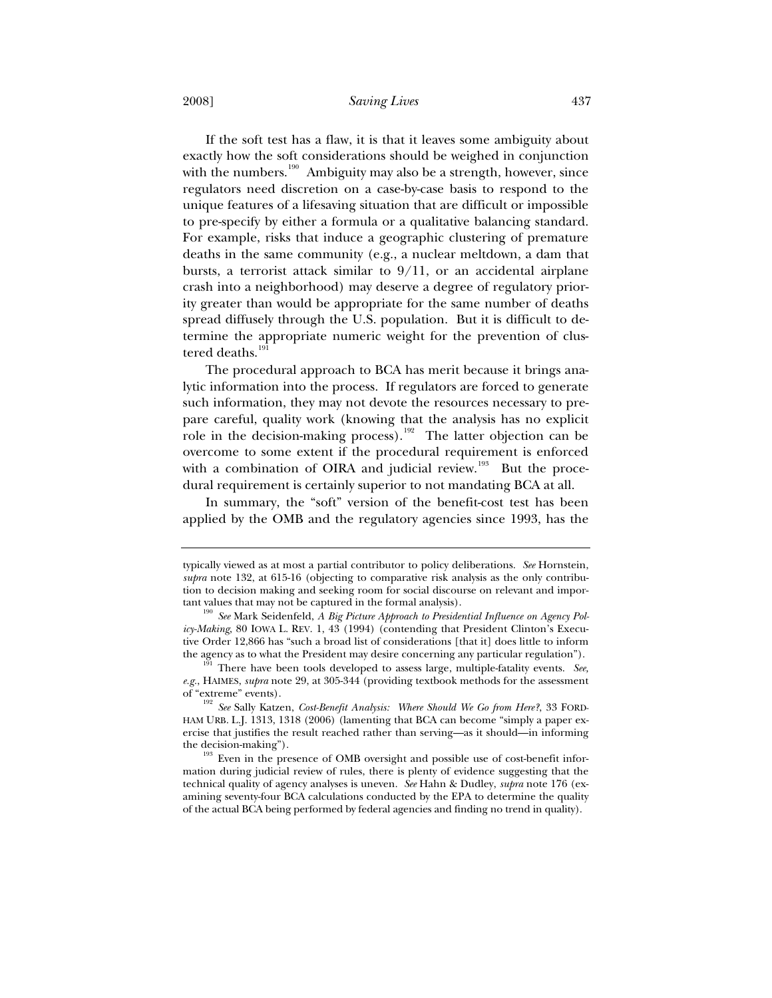2008] *Saving Lives* 437

If the soft test has a flaw, it is that it leaves some ambiguity about exactly how the soft considerations should be weighed in conjunction with the numbers.<sup>190</sup> Ambiguity may also be a strength, however, since regulators need discretion on a case-by-case basis to respond to the unique features of a lifesaving situation that are difficult or impossible to pre-specify by either a formula or a qualitative balancing standard. For example, risks that induce a geographic clustering of premature deaths in the same community (e.g., a nuclear meltdown, a dam that bursts, a terrorist attack similar to  $9/11$ , or an accidental airplane crash into a neighborhood) may deserve a degree of regulatory priority greater than would be appropriate for the same number of deaths spread diffusely through the U.S. population. But it is difficult to determine the appropriate numeric weight for the prevention of clustered deaths.<sup>191</sup>

The procedural approach to BCA has merit because it brings analytic information into the process. If regulators are forced to generate such information, they may not devote the resources necessary to prepare careful, quality work (knowing that the analysis has no explicit role in the decision-making process).<sup>192</sup> The latter objection can be overcome to some extent if the procedural requirement is enforced with a combination of OIRA and judicial review.<sup>193</sup> But the procedural requirement is certainly superior to not mandating BCA at all.

In summary, the "soft" version of the benefit-cost test has been applied by the OMB and the regulatory agencies since 1993, has the

typically viewed as at most a partial contributor to policy deliberations. *See* Hornstein, *supra* note 132, at 615-16 (objecting to comparative risk analysis as the only contribution to decision making and seeking room for social discourse on relevant and important values that may not be captured in the formal analysis).

<sup>&</sup>lt;sup>190</sup> See Mark Seidenfeld, *A Big Picture Approach to Presidential Influence on Agency Policy-Making*, 80 IOWA L. REV. 1, 43 (1994) (contending that President Clinton's Executive Order 12,866 has "such a broad list of considerations [that it] does little to inform the agency as to what the President may desire concerning any particular regulation"). 191 There have been tools developed to assess large, multiple-fatality events. *See,*

*e.g.*, HAIMES, *supra* note 29, at 305-344 (providing textbook methods for the assessment

<sup>&</sup>lt;sup>192</sup> See Sally Katzen, *Cost-Benefit Analysis:* Where Should We Go from Here?, 33 FORD-HAM URB. L.J. 1313, 1318 (2006) (lamenting that BCA can become "simply a paper exercise that justifies the result reached rather than serving—as it should—in informing

the decision-making").  $193$  Even in the presence of OMB oversight and possible use of cost-benefit information during judicial review of rules, there is plenty of evidence suggesting that the technical quality of agency analyses is uneven. *See* Hahn & Dudley, *supra* note 176 (examining seventy-four BCA calculations conducted by the EPA to determine the quality of the actual BCA being performed by federal agencies and finding no trend in quality).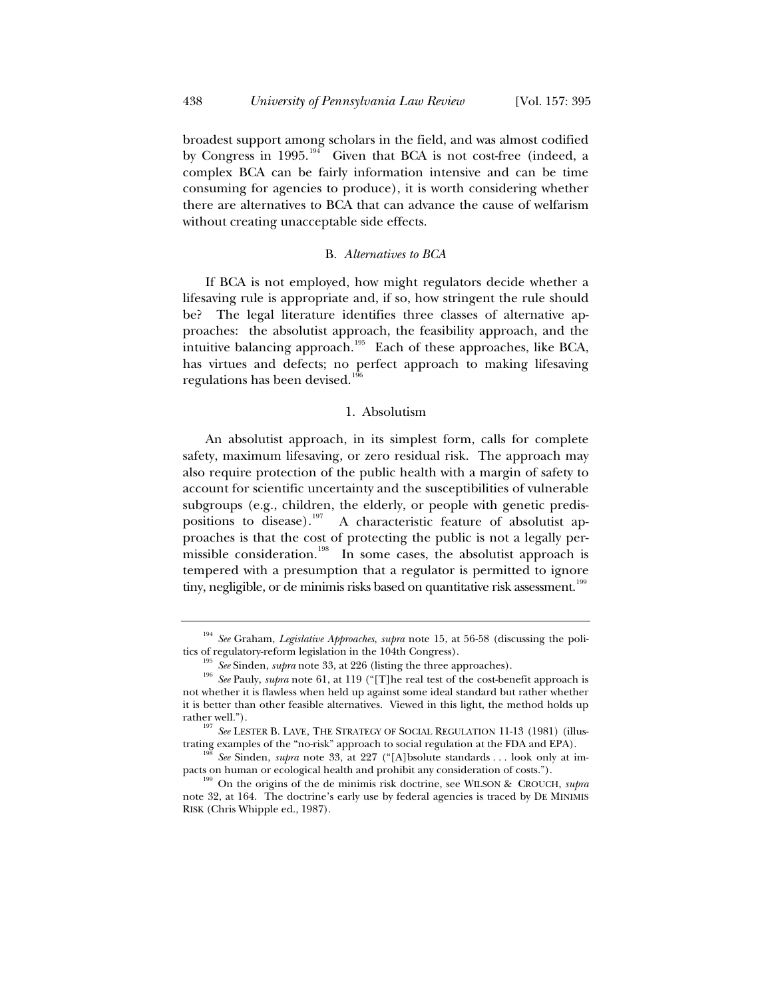broadest support among scholars in the field, and was almost codified by Congress in 1995.<sup>194</sup> Given that BCA is not cost-free (indeed, a complex BCA can be fairly information intensive and can be time consuming for agencies to produce), it is worth considering whether there are alternatives to BCA that can advance the cause of welfarism without creating unacceptable side effects.

## B. *Alternatives to BCA*

If BCA is not employed, how might regulators decide whether a lifesaving rule is appropriate and, if so, how stringent the rule should be? The legal literature identifies three classes of alternative approaches: the absolutist approach, the feasibility approach, and the intuitive balancing approach.<sup>195</sup> Each of these approaches, like BCA, has virtues and defects; no perfect approach to making lifesaving regulations has been devised.1

### 1. Absolutism

An absolutist approach, in its simplest form, calls for complete safety, maximum lifesaving, or zero residual risk. The approach may also require protection of the public health with a margin of safety to account for scientific uncertainty and the susceptibilities of vulnerable subgroups (e.g., children, the elderly, or people with genetic predispositions to disease).<sup>197</sup> A characteristic feature of absolutist approaches is that the cost of protecting the public is not a legally permissible consideration.<sup>198</sup> In some cases, the absolutist approach is tempered with a presumption that a regulator is permitted to ignore tiny, negligible, or de minimis risks based on quantitative risk assessment.<sup>199</sup>

<sup>&</sup>lt;sup>194</sup> *See* Graham, *Legislative Approaches*, *supra* note 15, at 56-58 (discussing the politics of regulatory-reform legislation in the 104th Congress).

<sup>&</sup>lt;sup>195</sup> See Sinden, *supra* note 33, at 226 (listing the three approaches).<br><sup>196</sup> See Pauly, *supra* note 61, at 119 ("[T]he real test of the cost-benefit approach is not whether it is flawless when held up against some ideal standard but rather whether it is better than other feasible alternatives. Viewed in this light, the method holds up

rather well.").<br><sup>197</sup> *See* LESTER B. LAVE, THE STRATEGY OF SOCIAL REGULATION 11-13 (1981) (illus-

trating examples of the "no-risk" approach to social regulation at the FDA and EPA). 198 *See* Sinden, *supra* note 33, at 227 ("[A]bsolute standards . . . look only at im-

pacts on human or ecological health and prohibit any consideration of costs."). 199 On the origins of the de minimis risk doctrine, see WILSON & CROUCH, *supra* note 32, at 164. The doctrine's early use by federal agencies is traced by DE MINIMIS RISK (Chris Whipple ed., 1987).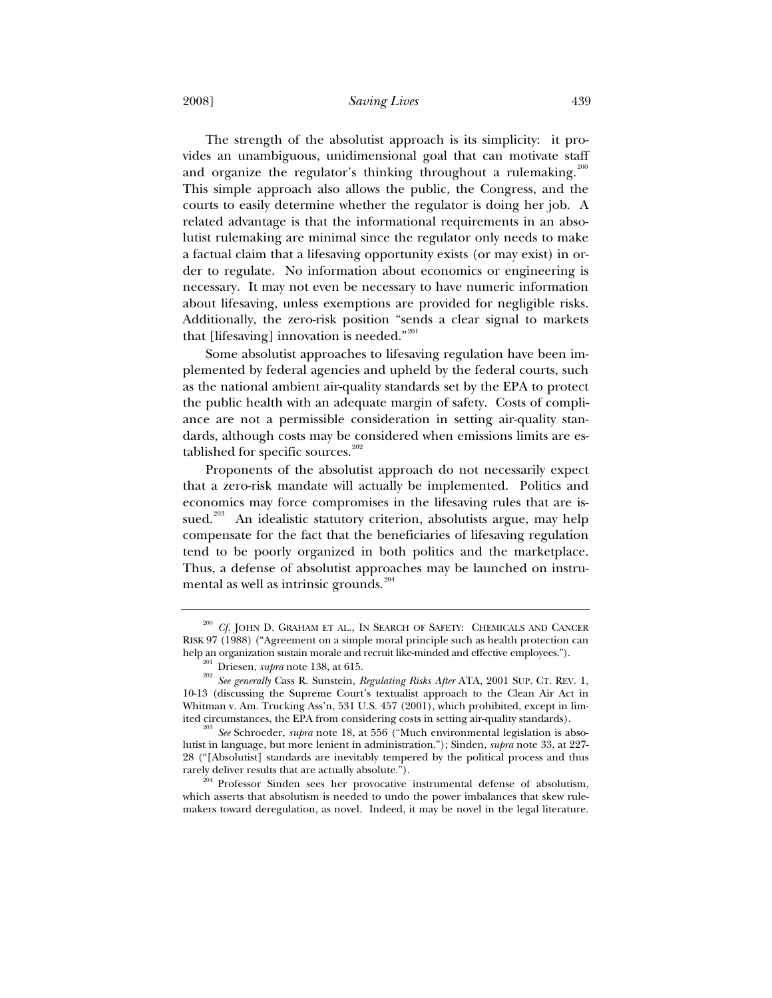2008] *Saving Lives* 439

The strength of the absolutist approach is its simplicity: it provides an unambiguous, unidimensional goal that can motivate staff and organize the regulator's thinking throughout a rulemaking.<sup>200</sup> This simple approach also allows the public, the Congress, and the courts to easily determine whether the regulator is doing her job. A related advantage is that the informational requirements in an absolutist rulemaking are minimal since the regulator only needs to make a factual claim that a lifesaving opportunity exists (or may exist) in order to regulate. No information about economics or engineering is necessary. It may not even be necessary to have numeric information about lifesaving, unless exemptions are provided for negligible risks. Additionally, the zero-risk position "sends a clear signal to markets that [lifesaving] innovation is needed." $201$ 

Some absolutist approaches to lifesaving regulation have been implemented by federal agencies and upheld by the federal courts, such as the national ambient air-quality standards set by the EPA to protect the public health with an adequate margin of safety. Costs of compliance are not a permissible consideration in setting air-quality standards, although costs may be considered when emissions limits are established for specific sources. $202$ 

Proponents of the absolutist approach do not necessarily expect that a zero-risk mandate will actually be implemented. Politics and economics may force compromises in the lifesaving rules that are issued.<sup>203</sup> An idealistic statutory criterion, absolutists argue, may help compensate for the fact that the beneficiaries of lifesaving regulation tend to be poorly organized in both politics and the marketplace. Thus, a defense of absolutist approaches may be launched on instrumental as well as intrinsic grounds. $204$ 

rarely deliver results that are actually absolute.").<br><sup>204</sup> Professor Sinden sees her provocative instrumental defense of absolutism, which asserts that absolutism is needed to undo the power imbalances that skew rulemakers toward deregulation, as novel. Indeed, it may be novel in the legal literature.

 $^{200}$   $C\!f$  JOHN D. GRAHAM ET AL., IN SEARCH OF SAFETY: CHEMICALS AND CANCER RISK 97 (1988) ("Agreement on a simple moral principle such as health protection can

help an organization sustain morale and recruit like-minded and effective employees.").<br>  $^{201}$  Driesen, *supra* note 138, at 615.<br>  $^{202}$  *See generally* Cass R. Sunstein, *Regulating Risks After* ATA, 2001 SUP. CT. RE 10-13 (discussing the Supreme Court's textualist approach to the Clean Air Act in Whitman v. Am. Trucking Ass'n, 531 U.S. 457 (2001), which prohibited, except in limited circumstances, the EPA from considering costs in setting air-quality standards).

<sup>&</sup>lt;sup>203</sup> See Schroeder, *supra* note 18, at 556 ("Much environmental legislation is absolutist in language, but more lenient in administration."); Sinden, *supra* note 33, at 227- 28 ("[Absolutist] standards are inevitably tempered by the political process and thus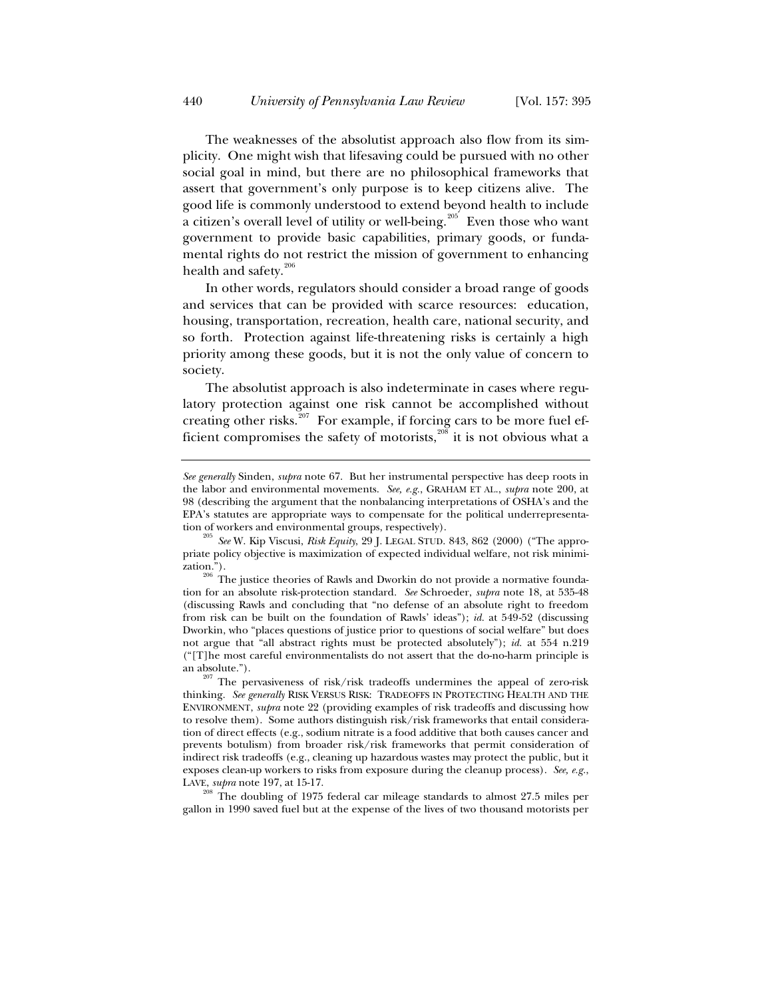The weaknesses of the absolutist approach also flow from its simplicity. One might wish that lifesaving could be pursued with no other social goal in mind, but there are no philosophical frameworks that assert that government's only purpose is to keep citizens alive. The good life is commonly understood to extend beyond health to include a citizen's overall level of utility or well-being.<sup>205</sup> Even those who want government to provide basic capabilities, primary goods, or fundamental rights do not restrict the mission of government to enhancing health and safety.<sup>206</sup>

In other words, regulators should consider a broad range of goods and services that can be provided with scarce resources: education, housing, transportation, recreation, health care, national security, and so forth. Protection against life-threatening risks is certainly a high priority among these goods, but it is not the only value of concern to society.

The absolutist approach is also indeterminate in cases where regulatory protection against one risk cannot be accomplished without creating other risks.<sup>207</sup> For example, if forcing cars to be more fuel efficient compromises the safety of motorists, $^{208}$  it is not obvious what a

LAVE, *supra* note 197, at 15-17.<br><sup>208</sup> The doubling of 1975 federal car mileage standards to almost 27.5 miles per gallon in 1990 saved fuel but at the expense of the lives of two thousand motorists per

*See generally* Sinden, *supra* note 67. But her instrumental perspective has deep roots in the labor and environmental movements. *See, e.g.*, GRAHAM ET AL., *supra* note 200, at 98 (describing the argument that the nonbalancing interpretations of OSHA's and the EPA's statutes are appropriate ways to compensate for the political underrepresenta-

tion of workers and environmental groups, respectively).<br><sup>205</sup> *See* W. Kip Viscusi, *Risk Equity*, 29 J. LEGAL STUD. 843, 862 (2000) ("The appropriate policy objective is maximization of expected individual welfare, not risk minimi-

 $^{206}$  The justice theories of Rawls and Dworkin do not provide a normative foundation for an absolute risk-protection standard. *See* Schroeder, *supra* note 18, at 535-48 (discussing Rawls and concluding that "no defense of an absolute right to freedom from risk can be built on the foundation of Rawls' ideas"); *id.* at 549-52 (discussing Dworkin, who "places questions of justice prior to questions of social welfare" but does not argue that "all abstract rights must be protected absolutely"); *id.* at 554 n.219 ("[T]he most careful environmentalists do not assert that the do-no-harm principle is

an absolute.").  $207$  The pervasiveness of risk/risk tradeoffs undermines the appeal of zero-risk thinking. *See generally* RISK VERSUS RISK: TRADEOFFS IN PROTECTING HEALTH AND THE ENVIRONMENT, *supra* note 22 (providing examples of risk tradeoffs and discussing how to resolve them). Some authors distinguish risk/risk frameworks that entail consideration of direct effects (e.g., sodium nitrate is a food additive that both causes cancer and prevents botulism) from broader risk/risk frameworks that permit consideration of indirect risk tradeoffs (e.g., cleaning up hazardous wastes may protect the public, but it exposes clean-up workers to risks from exposure during the cleanup process). *See, e.g.*,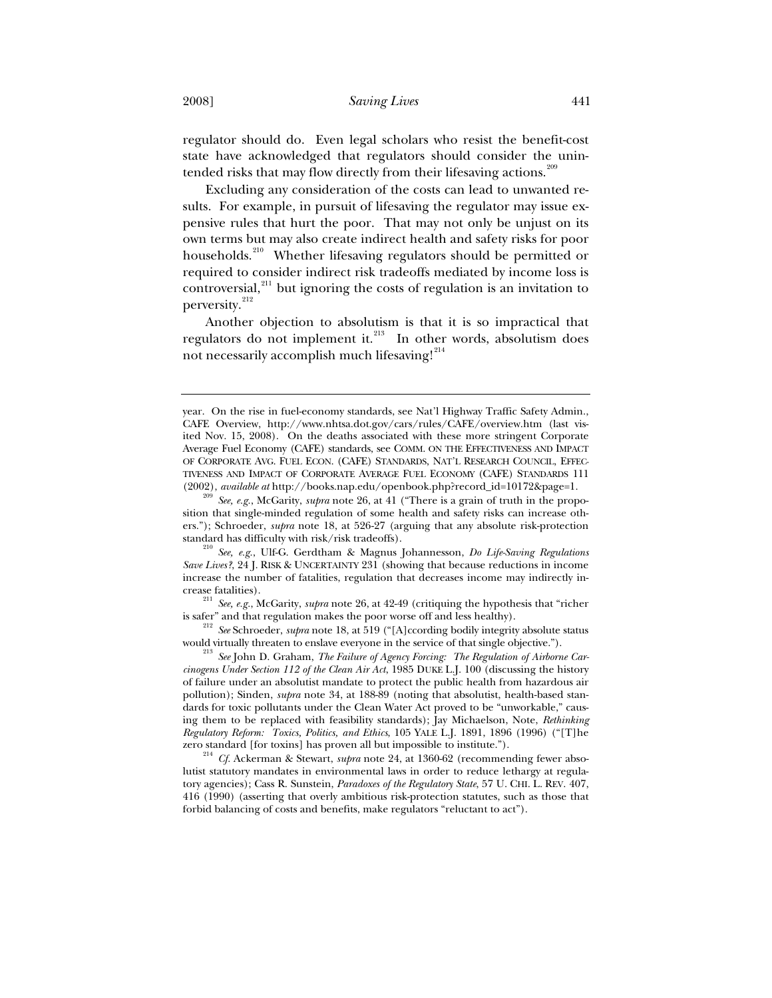regulator should do. Even legal scholars who resist the benefit-cost state have acknowledged that regulators should consider the unintended risks that may flow directly from their lifesaving actions.<sup>2</sup>

Excluding any consideration of the costs can lead to unwanted results. For example, in pursuit of lifesaving the regulator may issue expensive rules that hurt the poor. That may not only be unjust on its own terms but may also create indirect health and safety risks for poor households.<sup>210</sup> Whether lifesaving regulators should be permitted or required to consider indirect risk tradeoffs mediated by income loss is controversial,<sup>211</sup> but ignoring the costs of regulation is an invitation to perversity.<sup>212</sup>

Another objection to absolutism is that it is so impractical that regulators do not implement it.<sup>213</sup> In other words, absolutism does not necessarily accomplish much lifesaving! $^{214}$ 

year. On the rise in fuel-economy standards, see Nat'l Highway Traffic Safety Admin., CAFE Overview, http://www.nhtsa.dot.gov/cars/rules/CAFE/overview.htm (last visited Nov. 15, 2008). On the deaths associated with these more stringent Corporate Average Fuel Economy (CAFE) standards, see COMM. ON THE EFFECTIVENESS AND IMPACT OF CORPORATE AVG. FUEL ECON. (CAFE) STANDARDS, NAT'L RESEARCH COUNCIL, EFFEC-TIVENESS AND IMPACT OF CORPORATE AVERAGE FUEL ECONOMY (CAFE) STANDARDS 111 (2002), *available at* http://books.nap.edu/openbook.php?record\_id=10172&page=1.

<sup>209</sup> *See, e.g.*, McGarity, *supra* note 26, at 41 ("There is a grain of truth in the proposition that single-minded regulation of some health and safety risks can increase others."); Schroeder, *supra* note 18, at 526-27 (arguing that any absolute risk-protection standard has difficulty with risk/risk tradeoffs).

standard has difficulty with risk/risk tradeoffs). 210 *See, e.g.*, Ulf-G. Gerdtham & Magnus Johannesson, *Do Life-Saving Regulations Save Lives?*, 24 J. RISK & UNCERTAINTY 231 (showing that because reductions in income increase the number of fatalities, regulation that decreases income may indirectly in-

crease fatalities). 211 *See, e.g.*, McGarity, *supra* note 26, at 42-49 (critiquing the hypothesis that "richer

is safer" and that regulation makes the poor worse off and less healthy).<br><sup>212</sup> *See* Schroeder, *supra* note 18, at 519 ("[A]ccording bodily integrity absolute status would virtually threaten to enslave everyone in the se

<sup>&</sup>lt;sup>213</sup> See John D. Graham, *The Failure of Agency Forcing: The Regulation of Airborne Carcinogens Under Section 112 of the Clean Air Act*, 1985 DUKE L.J. 100 (discussing the history of failure under an absolutist mandate to protect the public health from hazardous air pollution); Sinden, *supra* note 34, at 188-89 (noting that absolutist, health-based standards for toxic pollutants under the Clean Water Act proved to be "unworkable," causing them to be replaced with feasibility standards); Jay Michaelson, Note, *Rethinking Regulatory Reform: Toxics, Politics, and Ethics*, 105 YALE L.J. 1891, 1896 (1996) ("[T]he

zero standard [for toxins] has proven all but impossible to institute."). 214 *Cf.* Ackerman & Stewart, *supra* note 24, at 1360-62 (recommending fewer absolutist statutory mandates in environmental laws in order to reduce lethargy at regulatory agencies); Cass R. Sunstein, *Paradoxes of the Regulatory State*, 57 U. CHI. L. REV. 407, 416 (1990) (asserting that overly ambitious risk-protection statutes, such as those that forbid balancing of costs and benefits, make regulators "reluctant to act").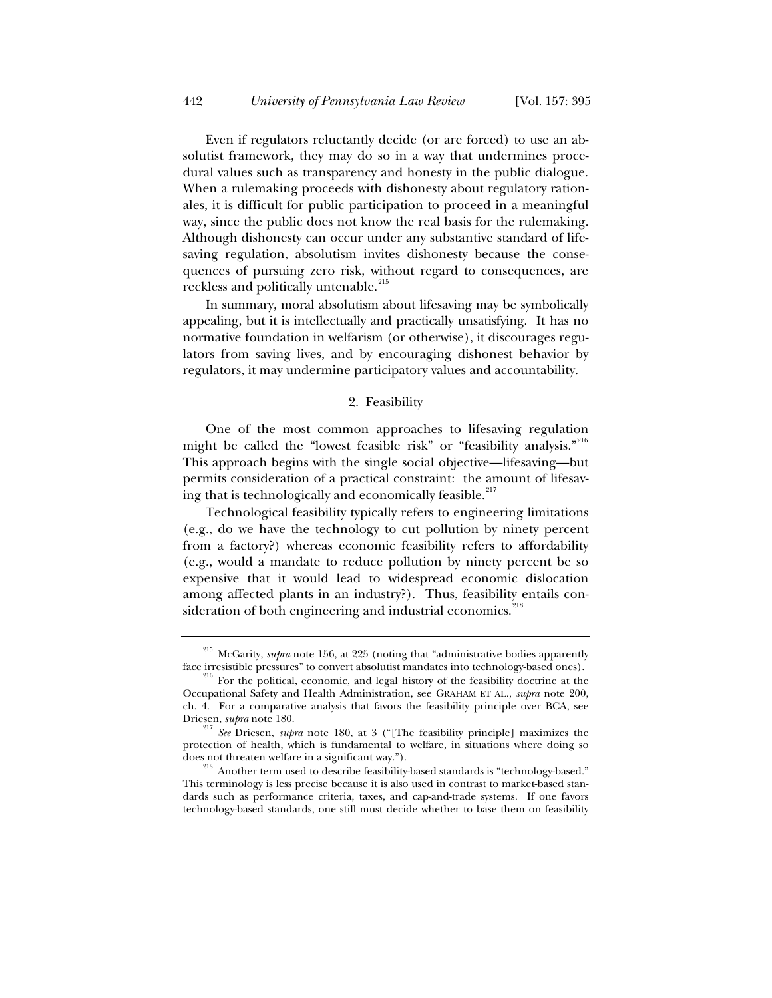Even if regulators reluctantly decide (or are forced) to use an absolutist framework, they may do so in a way that undermines procedural values such as transparency and honesty in the public dialogue. When a rulemaking proceeds with dishonesty about regulatory rationales, it is difficult for public participation to proceed in a meaningful way, since the public does not know the real basis for the rulemaking. Although dishonesty can occur under any substantive standard of lifesaving regulation, absolutism invites dishonesty because the consequences of pursuing zero risk, without regard to consequences, are reckless and politically untenable.<sup>215</sup>

In summary, moral absolutism about lifesaving may be symbolically appealing, but it is intellectually and practically unsatisfying. It has no normative foundation in welfarism (or otherwise), it discourages regulators from saving lives, and by encouraging dishonest behavior by regulators, it may undermine participatory values and accountability.

## 2. Feasibility

One of the most common approaches to lifesaving regulation might be called the "lowest feasible risk" or "feasibility analysis."<sup>216</sup> This approach begins with the single social objective—lifesaving—but permits consideration of a practical constraint: the amount of lifesaving that is technologically and economically feasible.<sup>217</sup>

Technological feasibility typically refers to engineering limitations (e.g., do we have the technology to cut pollution by ninety percent from a factory?) whereas economic feasibility refers to affordability (e.g., would a mandate to reduce pollution by ninety percent be so expensive that it would lead to widespread economic dislocation among affected plants in an industry?). Thus, feasibility entails consideration of both engineering and industrial economics.<sup>2</sup>

<sup>&</sup>lt;sup>215</sup> McGarity, *supra* note 156, at 225 (noting that "administrative bodies apparently face irresistible pressures" to convert absolutist mandates into technology-based ones).

 $\delta$  For the political, economic, and legal history of the feasibility doctrine at the Occupational Safety and Health Administration, see GRAHAM ET AL., *supra* note 200, ch. 4. For a comparative analysis that favors the feasibility principle over BCA, see Driesen, *supra* note 180. 217 *See* Driesen, *supra* note 180, at 3 ("[The feasibility principle] maximizes the

protection of health, which is fundamental to welfare, in situations where doing so

does not threaten welfare in a significant way.").<br><sup>218</sup> Another term used to describe feasibility-based standards is "technology-based." This terminology is less precise because it is also used in contrast to market-based standards such as performance criteria, taxes, and cap-and-trade systems. If one favors technology-based standards, one still must decide whether to base them on feasibility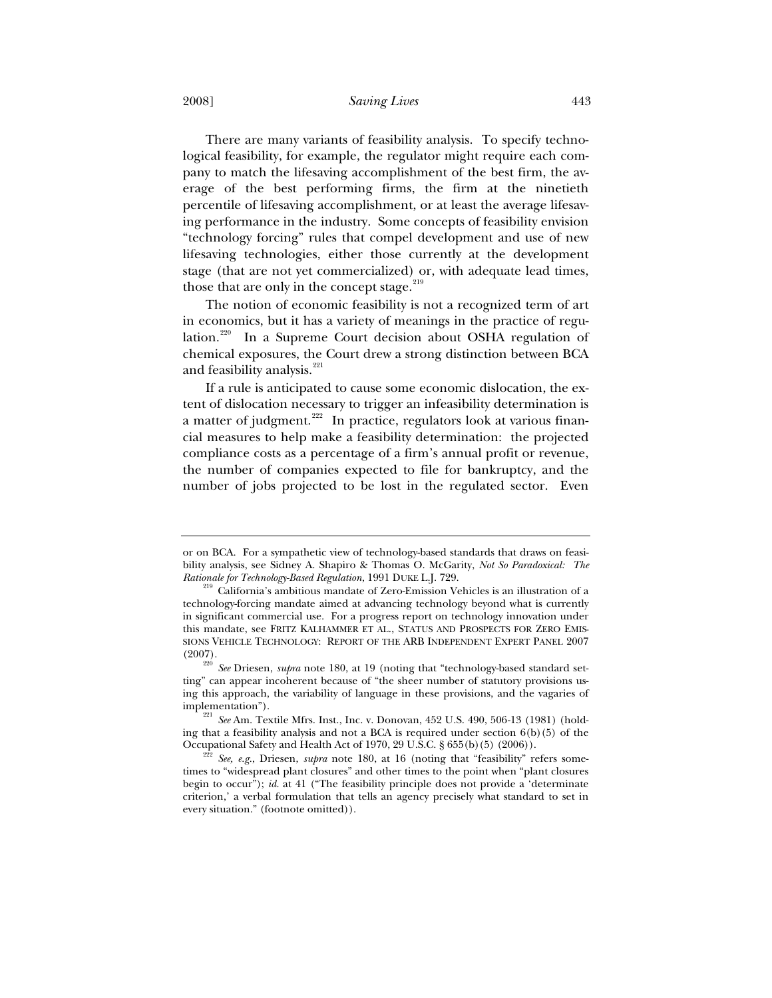2008] *Saving Lives* 443

There are many variants of feasibility analysis. To specify technological feasibility, for example, the regulator might require each company to match the lifesaving accomplishment of the best firm, the average of the best performing firms, the firm at the ninetieth percentile of lifesaving accomplishment, or at least the average lifesaving performance in the industry. Some concepts of feasibility envision "technology forcing" rules that compel development and use of new lifesaving technologies, either those currently at the development stage (that are not yet commercialized) or, with adequate lead times, those that are only in the concept stage.<sup>219</sup>

The notion of economic feasibility is not a recognized term of art in economics, but it has a variety of meanings in the practice of regulation.<sup>220</sup> In a Supreme Court decision about OSHA regulation of chemical exposures, the Court drew a strong distinction between BCA and feasibility analysis.<sup>221</sup>

If a rule is anticipated to cause some economic dislocation, the extent of dislocation necessary to trigger an infeasibility determination is a matter of judgment.<sup>222</sup> In practice, regulators look at various financial measures to help make a feasibility determination: the projected compliance costs as a percentage of a firm's annual profit or revenue, the number of companies expected to file for bankruptcy, and the number of jobs projected to be lost in the regulated sector. Even

or on BCA. For a sympathetic view of technology-based standards that draws on feasibility analysis, see Sidney A. Shapiro & Thomas O. McGarity, *Not So Paradoxical: The* 

*Rationale for Technology-Based Regulation*, 1991 DUKE L.J. 729. 219 California's ambitious mandate of Zero-Emission Vehicles is an illustration of a technology-forcing mandate aimed at advancing technology beyond what is currently in significant commercial use. For a progress report on technology innovation under this mandate, see FRITZ KALHAMMER ET AL., STATUS AND PROSPECTS FOR ZERO EMIS-SIONS VEHICLE TECHNOLOGY: REPORT OF THE ARB INDEPENDENT EXPERT PANEL 2007 (2007).

<sup>220</sup> *See* Driesen, *supra* note 180, at 19 (noting that "technology-based standard setting" can appear incoherent because of "the sheer number of statutory provisions using this approach, the variability of language in these provisions, and the vagaries of

implementation"). 221 *See* Am. Textile Mfrs. Inst., Inc. v. Donovan, 452 U.S. 490, 506-13 (1981) (holding that a feasibility analysis and not a BCA is required under section 6(b)(5) of the Occupational Safety and Health Act of 1970, 29 U.S.C. § 655(b)(5) (2006)). 222 *See, e.g.*, Driesen, *supra* note 180, at 16 (noting that "feasibility" refers some-

times to "widespread plant closures" and other times to the point when "plant closures begin to occur"); *id.* at 41 ("The feasibility principle does not provide a 'determinate criterion,' a verbal formulation that tells an agency precisely what standard to set in every situation." (footnote omitted)).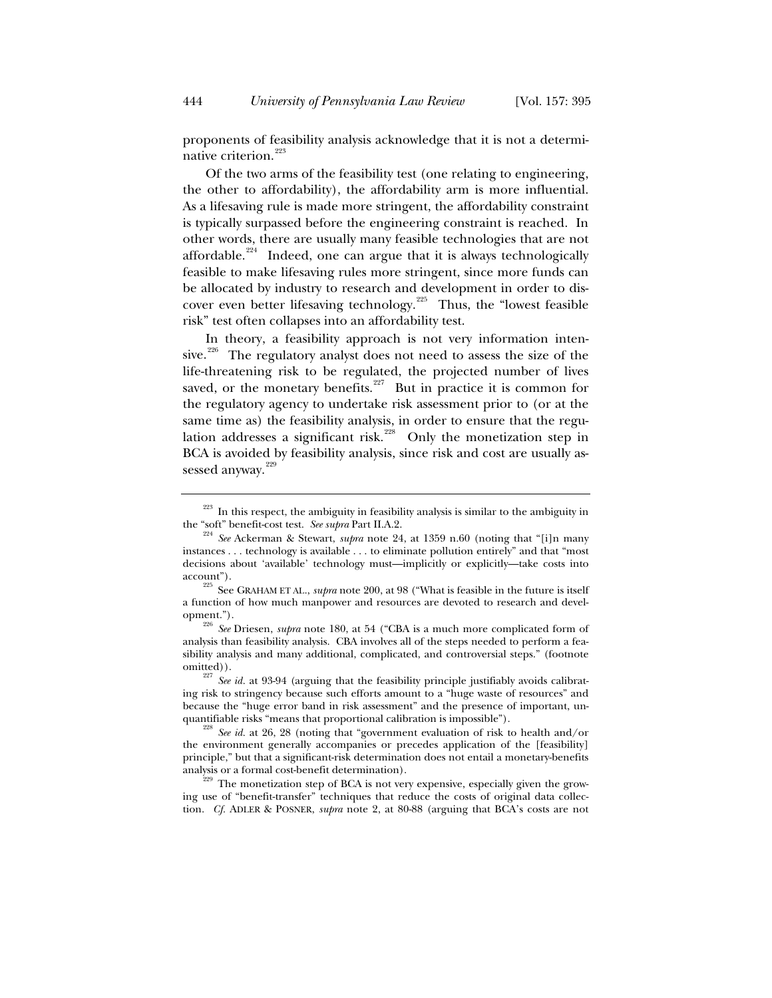proponents of feasibility analysis acknowledge that it is not a determinative criterion.<sup>223</sup>

Of the two arms of the feasibility test (one relating to engineering, the other to affordability), the affordability arm is more influential. As a lifesaving rule is made more stringent, the affordability constraint is typically surpassed before the engineering constraint is reached. In other words, there are usually many feasible technologies that are not affordable.<sup>224</sup> Indeed, one can argue that it is always technologically feasible to make lifesaving rules more stringent, since more funds can be allocated by industry to research and development in order to discover even better lifesaving technology.<sup>225</sup> Thus, the "lowest feasible" risk" test often collapses into an affordability test.

In theory, a feasibility approach is not very information intensive.<sup>226</sup> The regulatory analyst does not need to assess the size of the life-threatening risk to be regulated, the projected number of lives saved, or the monetary benefits.<sup>227</sup> But in practice it is common for the regulatory agency to undertake risk assessment prior to (or at the same time as) the feasibility analysis, in order to ensure that the regulation addresses a significant risk.<sup>228</sup> Only the monetization step in BCA is avoided by feasibility analysis, since risk and cost are usually assessed anyway.<sup>229</sup>

 $223$  In this respect, the ambiguity in feasibility analysis is similar to the ambiguity in

the "soft" benefit-cost test. *See supra* Part II.A.2.<br><sup>224</sup> *See* Ackerman & Stewart, *supra* note 24, at 1359 n.60 (noting that "[i]n many instances . . . technology is available . . . to eliminate pollution entirely" and that "most decisions about 'available' technology must—implicitly or explicitly—take costs into

account"). 225 See GRAHAM ET AL., *supra* note 200, at 98 ("What is feasible in the future is itself a function of how much manpower and resources are devoted to research and devel-

opment."). 226 *See* Driesen, *supra* note 180, at 54 ("CBA is a much more complicated form of analysis than feasibility analysis. CBA involves all of the steps needed to perform a feasibility analysis and many additional, complicated, and controversial steps." (footnote

omitted)).<br><sup>227</sup> *See id.* at 93-94 (arguing that the feasibility principle justifiably avoids calibrating risk to stringency because such efforts amount to a "huge waste of resources" and because the "huge error band in risk assessment" and the presence of important, unquantifiable risks "means that proportional calibration is impossible").<br><sup>228</sup> *See id.* at 26, 28 (noting that "government evaluation of risk to health and/or

the environment generally accompanies or precedes application of the [feasibility] principle," but that a significant-risk determination does not entail a monetary-benefits

 $\frac{2299}{229}$  The monetization step of BCA is not very expensive, especially given the growing use of "benefit-transfer" techniques that reduce the costs of original data collection. *Cf.* ADLER & POSNER, *supra* note 2, at 80-88 (arguing that BCA's costs are not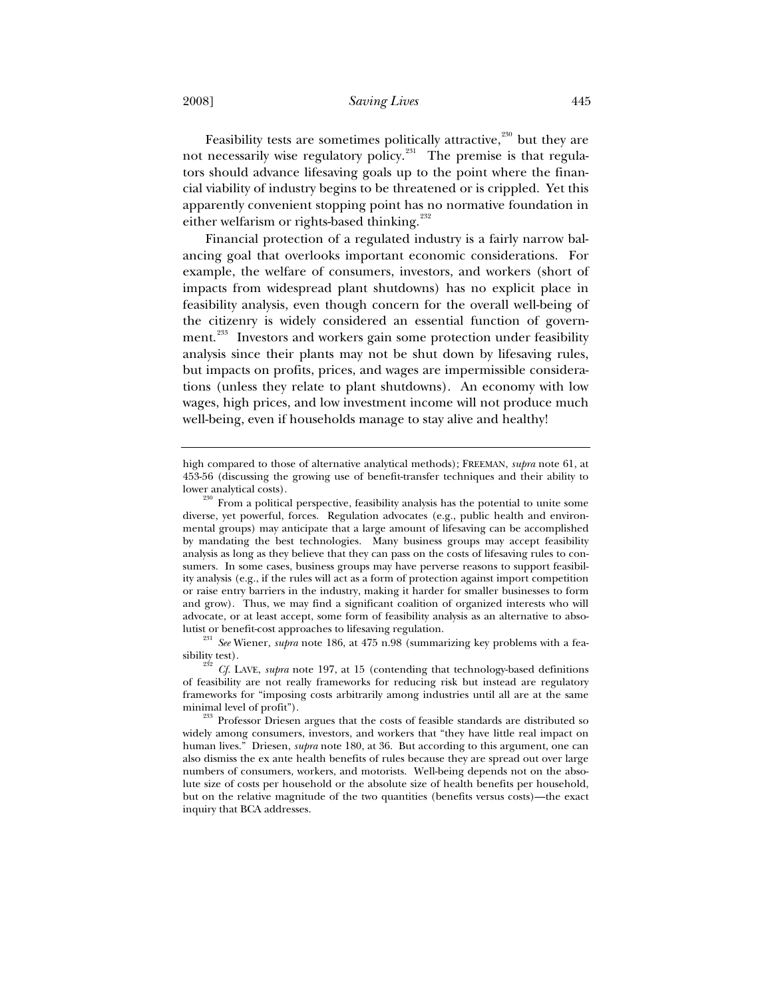2008] *Saving Lives* 445

Feasibility tests are sometimes politically attractive, $230$  but they are not necessarily wise regulatory policy.<sup>231</sup> The premise is that regulators should advance lifesaving goals up to the point where the financial viability of industry begins to be threatened or is crippled. Yet this apparently convenient stopping point has no normative foundation in either welfarism or rights-based thinking.<sup>232</sup>

Financial protection of a regulated industry is a fairly narrow balancing goal that overlooks important economic considerations. For example, the welfare of consumers, investors, and workers (short of impacts from widespread plant shutdowns) has no explicit place in feasibility analysis, even though concern for the overall well-being of the citizenry is widely considered an essential function of government.<sup>233</sup> Investors and workers gain some protection under feasibility analysis since their plants may not be shut down by lifesaving rules, but impacts on profits, prices, and wages are impermissible considerations (unless they relate to plant shutdowns). An economy with low wages, high prices, and low investment income will not produce much well-being, even if households manage to stay alive and healthy!

<sup>231</sup> See Wiener, *supra* note 186, at 475 n.98 (summarizing key problems with a fea-

high compared to those of alternative analytical methods); FREEMAN, *supra* note 61, at 453-56 (discussing the growing use of benefit-transfer techniques and their ability to

lower analytical costs).<br><sup>230</sup> From a political perspective, feasibility analysis has the potential to unite some diverse, yet powerful, forces. Regulation advocates (e.g., public health and environmental groups) may anticipate that a large amount of lifesaving can be accomplished by mandating the best technologies. Many business groups may accept feasibility analysis as long as they believe that they can pass on the costs of lifesaving rules to consumers. In some cases, business groups may have perverse reasons to support feasibility analysis (e.g., if the rules will act as a form of protection against import competition or raise entry barriers in the industry, making it harder for smaller businesses to form and grow). Thus, we may find a significant coalition of organized interests who will advocate, or at least accept, some form of feasibility analysis as an alternative to abso-

sibility test). 232 *Cf.* LAVE, *supra* note 197, at 15 (contending that technology-based definitions of feasibility are not really frameworks for reducing risk but instead are regulatory frameworks for "imposing costs arbitrarily among industries until all are at the same minimal level of profit").<br><sup>233</sup> Professor Driesen argues that the costs of feasible standards are distributed so

widely among consumers, investors, and workers that "they have little real impact on human lives." Driesen, *supra* note 180, at 36. But according to this argument, one can also dismiss the ex ante health benefits of rules because they are spread out over large numbers of consumers, workers, and motorists. Well-being depends not on the absolute size of costs per household or the absolute size of health benefits per household, but on the relative magnitude of the two quantities (benefits versus costs)—the exact inquiry that BCA addresses.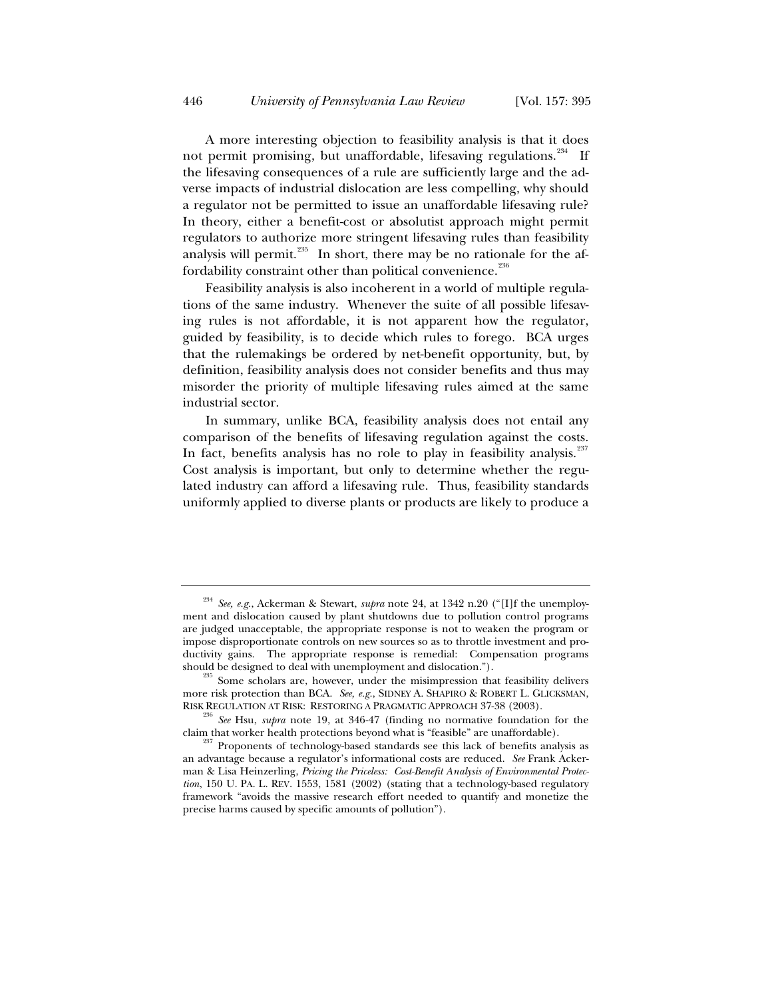A more interesting objection to feasibility analysis is that it does not permit promising, but unaffordable, lifesaving regulations.<sup>234</sup> If the lifesaving consequences of a rule are sufficiently large and the adverse impacts of industrial dislocation are less compelling, why should a regulator not be permitted to issue an unaffordable lifesaving rule? In theory, either a benefit-cost or absolutist approach might permit regulators to authorize more stringent lifesaving rules than feasibility analysis will permit. $^{235}$  In short, there may be no rationale for the affordability constraint other than political convenience. $^{236}$ 

Feasibility analysis is also incoherent in a world of multiple regulations of the same industry. Whenever the suite of all possible lifesaving rules is not affordable, it is not apparent how the regulator, guided by feasibility, is to decide which rules to forego. BCA urges that the rulemakings be ordered by net-benefit opportunity, but, by definition, feasibility analysis does not consider benefits and thus may misorder the priority of multiple lifesaving rules aimed at the same industrial sector.

In summary, unlike BCA, feasibility analysis does not entail any comparison of the benefits of lifesaving regulation against the costs. In fact, benefits analysis has no role to play in feasibility analysis.<sup>237</sup> Cost analysis is important, but only to determine whether the regulated industry can afford a lifesaving rule. Thus, feasibility standards uniformly applied to diverse plants or products are likely to produce a

<sup>234</sup> *See, e.g.*, Ackerman & Stewart, *supra* note 24, at 1342 n.20 ("[I]f the unemployment and dislocation caused by plant shutdowns due to pollution control programs are judged unacceptable, the appropriate response is not to weaken the program or impose disproportionate controls on new sources so as to throttle investment and productivity gains. The appropriate response is remedial: Compensation programs should be designed to deal with unemployment and dislocation.").

 $5$  Some scholars are, however, under the misimpression that feasibility delivers more risk protection than BCA. *See, e.g.*, SIDNEY A. SHAPIRO & ROBERT L. GLICKSMAN,

<sup>&</sup>lt;sup>36</sup> See Hsu, *supra* note 19, at 346-47 (finding no normative foundation for the claim that worker health protections beyond what is "feasible" are unaffordable).<br><sup>237</sup> Proponents of technology-based standards see this lack of benefits analysis as

an advantage because a regulator's informational costs are reduced. *See* Frank Ackerman & Lisa Heinzerling, *Pricing the Priceless: Cost-Benefit Analysis of Environmental Protection*, 150 U. PA. L. REV. 1553, 1581 (2002) (stating that a technology-based regulatory framework "avoids the massive research effort needed to quantify and monetize the precise harms caused by specific amounts of pollution").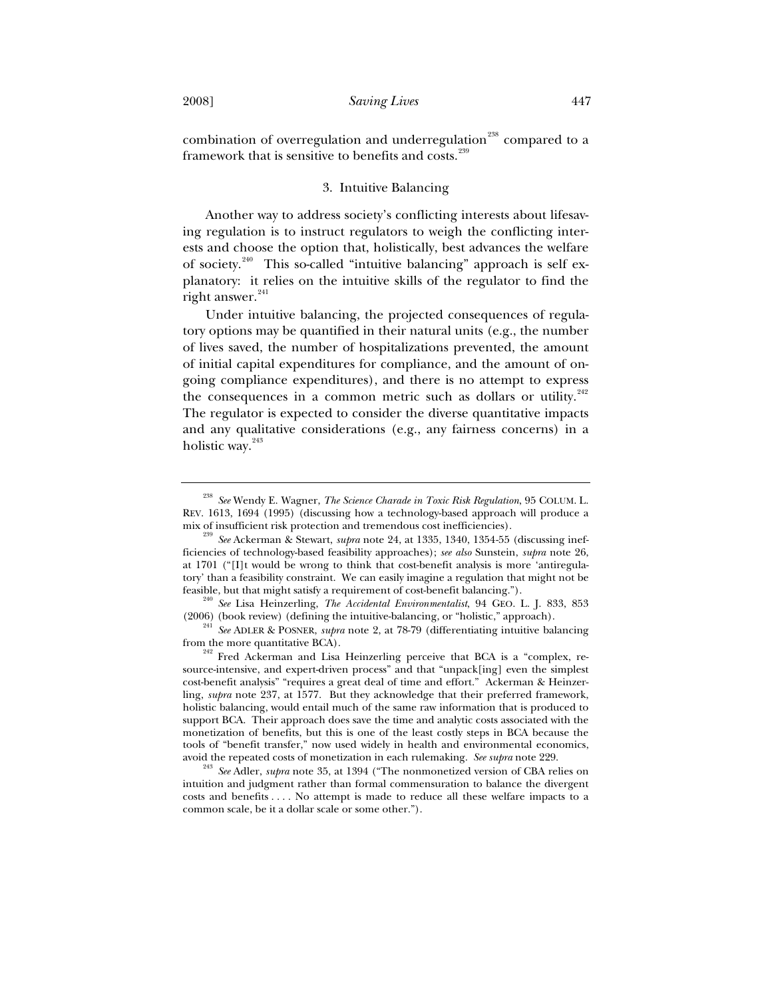combination of overregulation and underregulation<sup>238</sup> compared to a framework that is sensitive to benefits and costs.<sup>239</sup>

## 3. Intuitive Balancing

Another way to address society's conflicting interests about lifesaving regulation is to instruct regulators to weigh the conflicting interests and choose the option that, holistically, best advances the welfare of society.<sup>240</sup> This so-called "intuitive balancing" approach is self explanatory: it relies on the intuitive skills of the regulator to find the right answer. $241$ 

Under intuitive balancing, the projected consequences of regulatory options may be quantified in their natural units (e.g., the number of lives saved, the number of hospitalizations prevented, the amount of initial capital expenditures for compliance, and the amount of ongoing compliance expenditures), and there is no attempt to express the consequences in a common metric such as dollars or utility. $242$ The regulator is expected to consider the diverse quantitative impacts and any qualitative considerations (e.g., any fairness concerns) in a holistic way.<sup>243</sup>

<sup>238</sup> *See* Wendy E. Wagner, *The Science Charade in Toxic Risk Regulation*, 95 COLUM. L. REV. 1613, 1694 (1995) (discussing how a technology-based approach will produce a

mix of insufficient risk protection and tremendous cost inefficiencies). 239 *See* Ackerman & Stewart, *supra* note 24, at 1335, 1340, 1354-55 (discussing inefficiencies of technology-based feasibility approaches); *see also* Sunstein, *supra* note 26, at 1701 ("[I]t would be wrong to think that cost-benefit analysis is more 'antiregulatory' than a feasibility constraint. We can easily imagine a regulation that might not be

feasible, but that might satisfy a requirement of cost-benefit balancing."). 240 *See* Lisa Heinzerling, *The Accidental Environmentalist*, 94 GEO. L. J. 833, 853

<sup>&</sup>lt;sup>241</sup> See ADLER & POSNER, *supra* note 2, at 78-79 (differentiating intuitive balancing from the more quantitative BCA).

<sup>&</sup>lt;sup>242</sup> Fred Ackerman and Lisa Heinzerling perceive that BCA is a "complex, resource-intensive, and expert-driven process" and that "unpack[ing] even the simplest cost-benefit analysis" "requires a great deal of time and effort." Ackerman & Heinzerling, *supra* note 237, at 1577. But they acknowledge that their preferred framework, holistic balancing, would entail much of the same raw information that is produced to support BCA. Their approach does save the time and analytic costs associated with the monetization of benefits, but this is one of the least costly steps in BCA because the tools of "benefit transfer," now used widely in health and environmental economics, avoid the repeated costs of monetization in each rulemaking. *See supra* note 229. 243 *See* Adler, *supra* note 35, at 1394 ("The nonmonetized version of CBA relies on

intuition and judgment rather than formal commensuration to balance the divergent costs and benefits . . . . No attempt is made to reduce all these welfare impacts to a common scale, be it a dollar scale or some other.").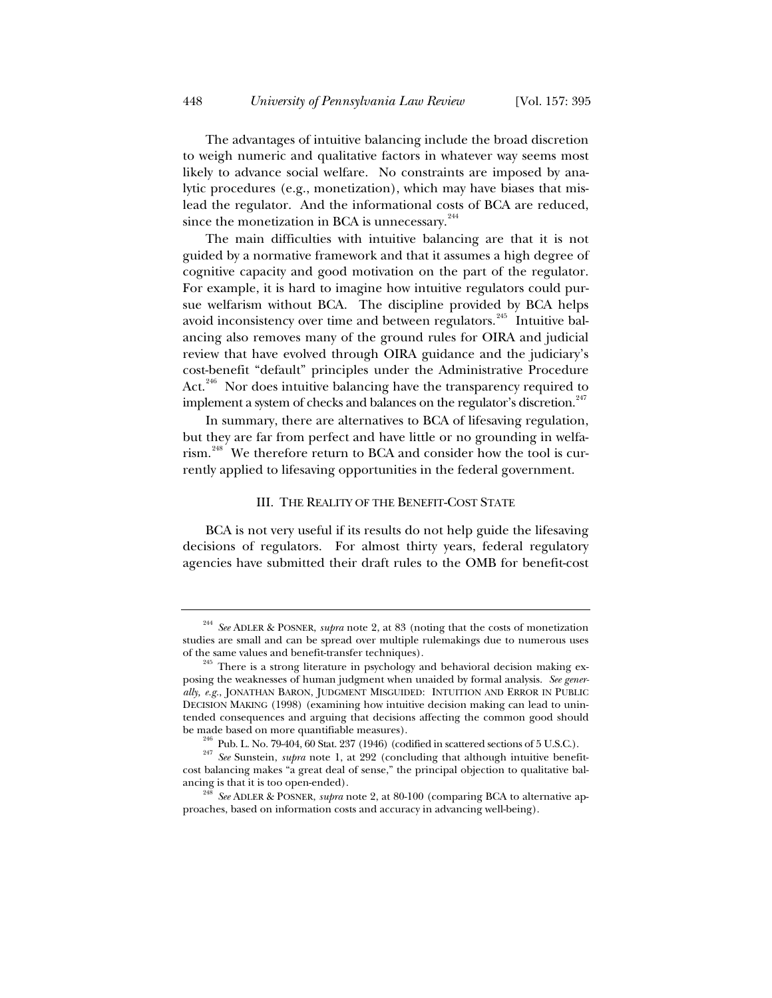The advantages of intuitive balancing include the broad discretion to weigh numeric and qualitative factors in whatever way seems most likely to advance social welfare. No constraints are imposed by analytic procedures (e.g., monetization), which may have biases that mislead the regulator. And the informational costs of BCA are reduced, since the monetization in BCA is unnecessary.<sup>244</sup>

The main difficulties with intuitive balancing are that it is not guided by a normative framework and that it assumes a high degree of cognitive capacity and good motivation on the part of the regulator. For example, it is hard to imagine how intuitive regulators could pursue welfarism without BCA. The discipline provided by BCA helps avoid inconsistency over time and between regulators.<sup>245</sup> Intuitive balancing also removes many of the ground rules for OIRA and judicial review that have evolved through OIRA guidance and the judiciary's cost-benefit "default" principles under the Administrative Procedure Act.<sup>246</sup> Nor does intuitive balancing have the transparency required to implement a system of checks and balances on the regulator's discretion.<sup>247</sup>

In summary, there are alternatives to BCA of lifesaving regulation, but they are far from perfect and have little or no grounding in welfarism.<sup>248</sup> We therefore return to BCA and consider how the tool is currently applied to lifesaving opportunities in the federal government.

## III. THE REALITY OF THE BENEFIT-COST STATE

BCA is not very useful if its results do not help guide the lifesaving decisions of regulators. For almost thirty years, federal regulatory agencies have submitted their draft rules to the OMB for benefit-cost

<sup>244</sup> *See* ADLER & POSNER, *supra* note 2, at 83 (noting that the costs of monetization studies are small and can be spread over multiple rulemakings due to numerous uses of the same values and benefit-transfer techniques).<br><sup>245</sup> There is a strong literature in psychology and behavioral decision making ex-

posing the weaknesses of human judgment when unaided by formal analysis. *See generally, e.g.*, JONATHAN BARON, JUDGMENT MISGUIDED: INTUITION AND ERROR IN PUBLIC DECISION MAKING (1998) (examining how intuitive decision making can lead to unintended consequences and arguing that decisions affecting the common good should

be made based on more quantifiable measures).<br><sup>246</sup> Pub. L. No. 79-404, 60 Stat. 237 (1946) (codified in scattered sections of 5 U.S.C.).<br><sup>247</sup> See Sunstein, *supra* note 1, at 292 (concluding that although intuitive bene cost balancing makes "a great deal of sense," the principal objection to qualitative bal-

ancing is that it is too open-ended). 248 *See* ADLER & POSNER, *supra* note 2, at 80-100 (comparing BCA to alternative approaches, based on information costs and accuracy in advancing well-being).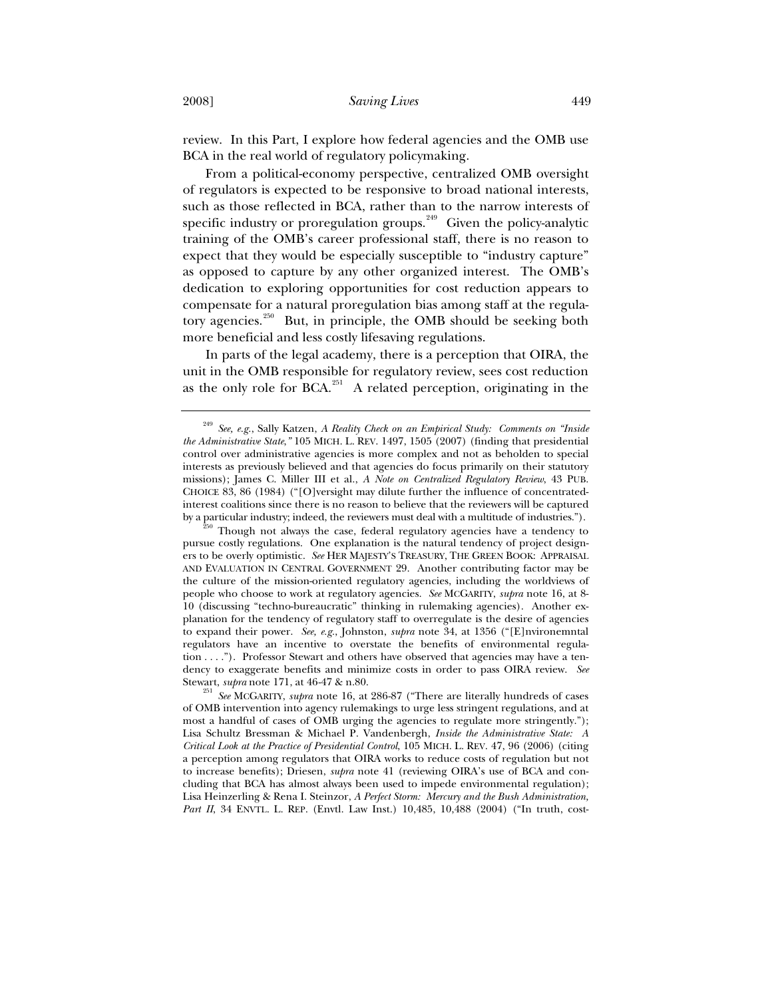review. In this Part, I explore how federal agencies and the OMB use BCA in the real world of regulatory policymaking.

From a political-economy perspective, centralized OMB oversight of regulators is expected to be responsive to broad national interests, such as those reflected in BCA, rather than to the narrow interests of specific industry or proregulation groups.<sup>249</sup> Given the policy-analytic training of the OMB's career professional staff, there is no reason to expect that they would be especially susceptible to "industry capture" as opposed to capture by any other organized interest. The OMB's dedication to exploring opportunities for cost reduction appears to compensate for a natural proregulation bias among staff at the regulatory agencies.<sup>250</sup> But, in principle, the OMB should be seeking both more beneficial and less costly lifesaving regulations.

In parts of the legal academy, there is a perception that OIRA, the unit in the OMB responsible for regulatory review, sees cost reduction as the only role for BCA.<sup>251</sup> A related perception, originating in the

<sup>249</sup> *See, e.g.*, Sally Katzen, *A Reality Check on an Empirical Study: Comments on "Inside the Administrative State*,*"* 105 MICH. L. REV. 1497, 1505 (2007) (finding that presidential control over administrative agencies is more complex and not as beholden to special interests as previously believed and that agencies do focus primarily on their statutory missions); James C. Miller III et al., *A Note on Centralized Regulatory Review*, 43 PUB. CHOICE 83, 86 (1984) ("[O]versight may dilute further the influence of concentratedinterest coalitions since there is no reason to believe that the reviewers will be captured by a particular industry; indeed, the reviewers must deal with a multitude of industries."). <sup>250</sup> Though not always the case, federal regulatory agencies have a tendency to

pursue costly regulations. One explanation is the natural tendency of project designers to be overly optimistic. *See* HER MAJESTY'S TREASURY, THE GREEN BOOK: APPRAISAL AND EVALUATION IN CENTRAL GOVERNMENT 29. Another contributing factor may be the culture of the mission-oriented regulatory agencies, including the worldviews of people who choose to work at regulatory agencies. *See* MCGARITY, *supra* note 16, at 8- 10 (discussing "techno-bureaucratic" thinking in rulemaking agencies). Another explanation for the tendency of regulatory staff to overregulate is the desire of agencies to expand their power. *See, e.g.*, Johnston, *supra* note 34, at 1356 ("[E]nvironemntal regulators have an incentive to overstate the benefits of environmental regulation . . . ."). Professor Stewart and others have observed that agencies may have a tendency to exaggerate benefits and minimize costs in order to pass OIRA review. *See*

Stewart, *supra* note 171, at 46-47 & n.80.<br><sup>251</sup> *See* MCGARITY, *supra* note 16, at 286-87 ("There are literally hundreds of cases of OMB intervention into agency rulemakings to urge less stringent regulations, and at most a handful of cases of OMB urging the agencies to regulate more stringently."); Lisa Schultz Bressman & Michael P. Vandenbergh, *Inside the Administrative State: A Critical Look at the Practice of Presidential Control*, 105 MICH. L. REV. 47, 96 (2006) (citing a perception among regulators that OIRA works to reduce costs of regulation but not to increase benefits); Driesen, *supra* note 41 (reviewing OIRA's use of BCA and concluding that BCA has almost always been used to impede environmental regulation); Lisa Heinzerling & Rena I. Steinzor, *A Perfect Storm: Mercury and the Bush Administration,*  Part II, 34 ENVTL. L. REP. (Envtl. Law Inst.) 10,485, 10,488 (2004) ("In truth, cost-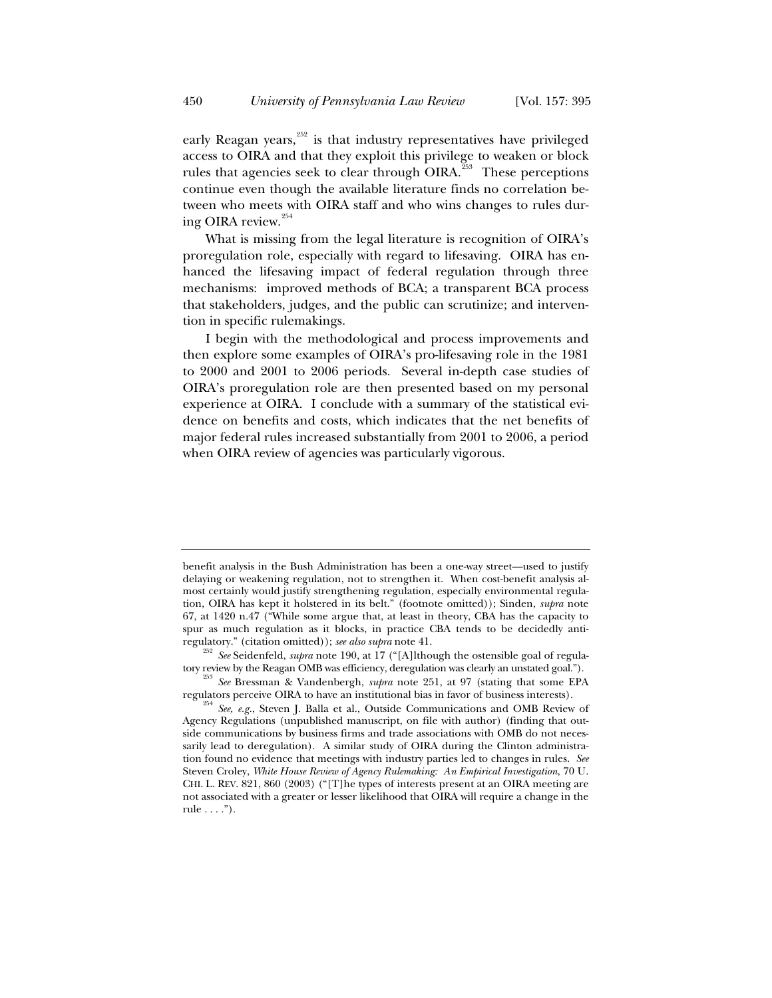early Reagan years, $252$  is that industry representatives have privileged access to OIRA and that they exploit this privilege to weaken or block rules that agencies seek to clear through OIRA.<sup>253</sup> These perceptions continue even though the available literature finds no correlation between who meets with OIRA staff and who wins changes to rules during OIRA review.<sup>254</sup>

What is missing from the legal literature is recognition of OIRA's proregulation role, especially with regard to lifesaving. OIRA has enhanced the lifesaving impact of federal regulation through three mechanisms: improved methods of BCA; a transparent BCA process that stakeholders, judges, and the public can scrutinize; and intervention in specific rulemakings.

I begin with the methodological and process improvements and then explore some examples of OIRA's pro-lifesaving role in the 1981 to 2000 and 2001 to 2006 periods. Several in-depth case studies of OIRA's proregulation role are then presented based on my personal experience at OIRA. I conclude with a summary of the statistical evidence on benefits and costs, which indicates that the net benefits of major federal rules increased substantially from 2001 to 2006, a period when OIRA review of agencies was particularly vigorous.

benefit analysis in the Bush Administration has been a one-way street—used to justify delaying or weakening regulation, not to strengthen it. When cost-benefit analysis almost certainly would justify strengthening regulation, especially environmental regulation, OIRA has kept it holstered in its belt." (footnote omitted)); Sinden, *supra* note 67, at 1420 n.47 ("While some argue that, at least in theory, CBA has the capacity to spur as much regulation as it blocks, in practice CBA tends to be decidedly anti-

regulatory." (citation omitted)); *see also supra* note 41.<br><sup>252</sup> *See* Seidenfeld, *supra* note 190, at 17 ("[A]lthough the ostensible goal of regula-<br>tory review by the Reagan OMB was efficiency, deregulation was clearly

<sup>&</sup>lt;sup>253</sup> See Bressman & Vandenbergh, *supra* note 251, at 97 (stating that some EPA regulators perceive OIRA to have an institutional bias in favor of business interests).

<sup>&</sup>lt;sup>254</sup> *See, e.g.,* Steven J. Balla et al., Outside Communications and OMB Review of Agency Regulations (unpublished manuscript, on file with author) (finding that outside communications by business firms and trade associations with OMB do not necessarily lead to deregulation). A similar study of OIRA during the Clinton administration found no evidence that meetings with industry parties led to changes in rules. *See* Steven Croley, *White House Review of Agency Rulemaking: An Empirical Investigation*, 70 U. CHI. L. REV. 821, 860 (2003) ("[T]he types of interests present at an OIRA meeting are not associated with a greater or lesser likelihood that OIRA will require a change in the rule  $\dots$ .").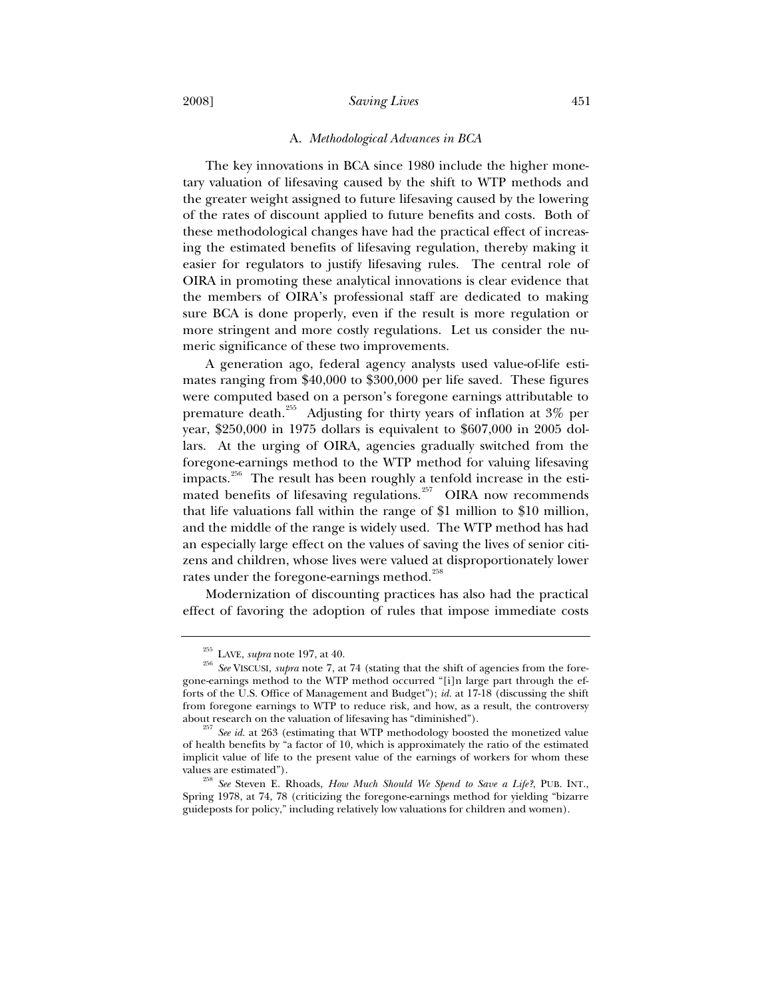#### A. *Methodological Advances in BCA*

The key innovations in BCA since 1980 include the higher monetary valuation of lifesaving caused by the shift to WTP methods and the greater weight assigned to future lifesaving caused by the lowering of the rates of discount applied to future benefits and costs. Both of these methodological changes have had the practical effect of increasing the estimated benefits of lifesaving regulation, thereby making it easier for regulators to justify lifesaving rules. The central role of OIRA in promoting these analytical innovations is clear evidence that the members of OIRA's professional staff are dedicated to making sure BCA is done properly, even if the result is more regulation or more stringent and more costly regulations. Let us consider the numeric significance of these two improvements.

A generation ago, federal agency analysts used value-of-life estimates ranging from \$40,000 to \$300,000 per life saved. These figures were computed based on a person's foregone earnings attributable to premature death.<sup>255</sup> Adjusting for thirty years of inflation at 3% per year, \$250,000 in 1975 dollars is equivalent to \$607,000 in 2005 dollars. At the urging of OIRA, agencies gradually switched from the foregone-earnings method to the WTP method for valuing lifesaving impacts.<sup>256</sup> The result has been roughly a tenfold increase in the estimated benefits of lifesaving regulations.<sup>257</sup> OIRA now recommends that life valuations fall within the range of \$1 million to \$10 million, and the middle of the range is widely used. The WTP method has had an especially large effect on the values of saving the lives of senior citizens and children, whose lives were valued at disproportionately lower rates under the foregone-earnings method.<sup>258</sup>

Modernization of discounting practices has also had the practical effect of favoring the adoption of rules that impose immediate costs

<sup>&</sup>lt;sup>255</sup> LAVE, *supra* note 197, at 40.<br><sup>256</sup> *See* VISCUSI, *supra* note 7, at 74 (stating that the shift of agencies from the foregone-earnings method to the WTP method occurred "[i]n large part through the efforts of the U.S. Office of Management and Budget"); *id.* at 17-18 (discussing the shift from foregone earnings to WTP to reduce risk, and how, as a result, the controversy

about research on the valuation of lifesaving has "diminished"). 257 *See id.* at 263 (estimating that WTP methodology boosted the monetized value of health benefits by "a factor of 10, which is approximately the ratio of the estimated implicit value of life to the present value of the earnings of workers for whom these

values are estimated"). 258 *See* Steven E. Rhoads, *How Much Should We Spend to Save a Life?*, PUB. INT., Spring 1978, at 74, 78 (criticizing the foregone-earnings method for yielding "bizarre guideposts for policy," including relatively low valuations for children and women).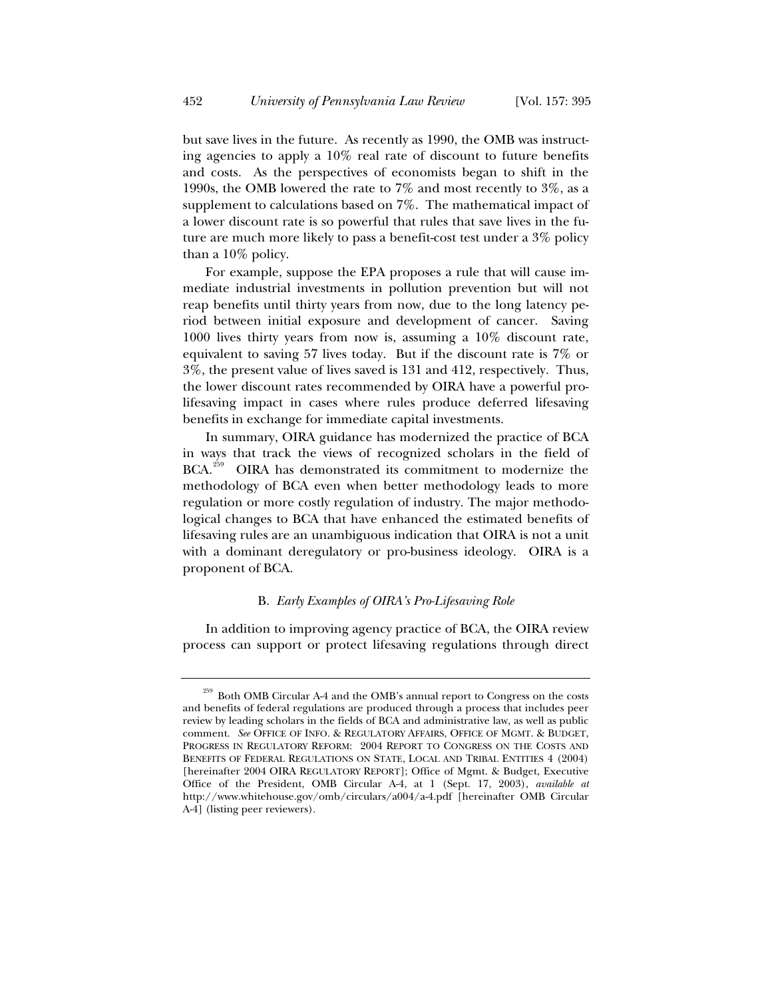but save lives in the future. As recently as 1990, the OMB was instructing agencies to apply a 10% real rate of discount to future benefits and costs. As the perspectives of economists began to shift in the 1990s, the OMB lowered the rate to 7% and most recently to 3%, as a supplement to calculations based on 7%. The mathematical impact of a lower discount rate is so powerful that rules that save lives in the future are much more likely to pass a benefit-cost test under a 3% policy than a 10% policy.

For example, suppose the EPA proposes a rule that will cause immediate industrial investments in pollution prevention but will not reap benefits until thirty years from now, due to the long latency period between initial exposure and development of cancer. Saving 1000 lives thirty years from now is, assuming a 10% discount rate, equivalent to saving 57 lives today. But if the discount rate is 7% or 3%, the present value of lives saved is 131 and 412, respectively. Thus, the lower discount rates recommended by OIRA have a powerful prolifesaving impact in cases where rules produce deferred lifesaving benefits in exchange for immediate capital investments.

In summary, OIRA guidance has modernized the practice of BCA in ways that track the views of recognized scholars in the field of  $BCA.<sup>259</sup>$  OIRA has demonstrated its commitment to modernize the methodology of BCA even when better methodology leads to more regulation or more costly regulation of industry. The major methodological changes to BCA that have enhanced the estimated benefits of lifesaving rules are an unambiguous indication that OIRA is not a unit with a dominant deregulatory or pro-business ideology. OIRA is a proponent of BCA.

## B. *Early Examples of OIRA's Pro-Lifesaving Role*

In addition to improving agency practice of BCA, the OIRA review process can support or protect lifesaving regulations through direct

 $^{259}$  Both OMB Circular A-4 and the OMB's annual report to Congress on the costs and benefits of federal regulations are produced through a process that includes peer review by leading scholars in the fields of BCA and administrative law, as well as public comment. See OFFICE OF INFO. & REGULATORY AFFAIRS, OFFICE OF MGMT. & BUDGET, PROGRESS IN REGULATORY REFORM: 2004 REPORT TO CONGRESS ON THE COSTS AND BENEFITS OF FEDERAL REGULATIONS ON STATE, LOCAL AND TRIBAL ENTITIES 4 (2004) [hereinafter 2004 OIRA REGULATORY REPORT]; Office of Mgmt. & Budget, Executive Office of the President, OMB Circular A-4, at 1 (Sept. 17, 2003), *available at* http://www.whitehouse.gov/omb/circulars/a004/a-4.pdf [hereinafter OMB Circular A-4] (listing peer reviewers).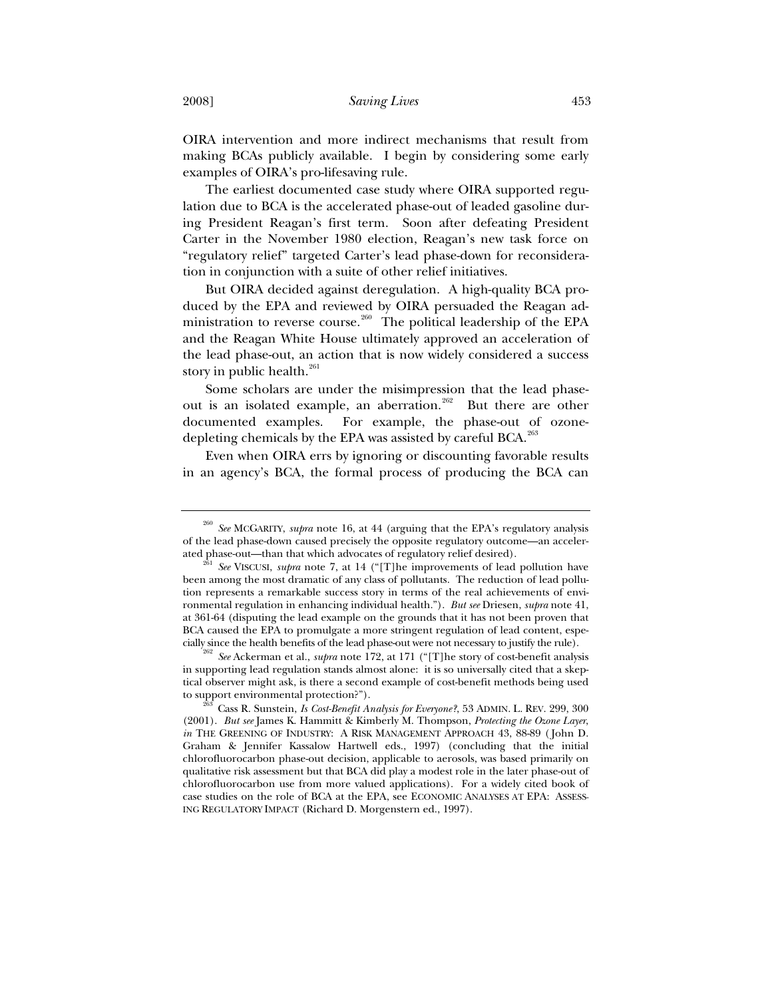OIRA intervention and more indirect mechanisms that result from making BCAs publicly available. I begin by considering some early examples of OIRA's pro-lifesaving rule.

The earliest documented case study where OIRA supported regulation due to BCA is the accelerated phase-out of leaded gasoline during President Reagan's first term. Soon after defeating President Carter in the November 1980 election, Reagan's new task force on "regulatory relief" targeted Carter's lead phase-down for reconsideration in conjunction with a suite of other relief initiatives.

But OIRA decided against deregulation. A high-quality BCA produced by the EPA and reviewed by OIRA persuaded the Reagan administration to reverse course.<sup>260</sup> The political leadership of the EPA and the Reagan White House ultimately approved an acceleration of the lead phase-out, an action that is now widely considered a success story in public health.<sup>261</sup>

Some scholars are under the misimpression that the lead phaseout is an isolated example, an aberration.<sup>262</sup> But there are other documented examples. For example, the phase-out of ozonedepleting chemicals by the EPA was assisted by careful BCA.<sup>263</sup>

Even when OIRA errs by ignoring or discounting favorable results in an agency's BCA, the formal process of producing the BCA can

in supporting lead regulation stands almost alone: it is so universally cited that a skeptical observer might ask, is there a second example of cost-benefit methods being used to support environmental protection?"). 263 Cass R. Sunstein, *Is Cost-Benefit Analysis for Everyone?*, 53 ADMIN. L. REV. 299, 300

<sup>260</sup> *See* MCGARITY, *supra* note 16, at 44 (arguing that the EPA's regulatory analysis of the lead phase-down caused precisely the opposite regulatory outcome—an acceler-

<sup>&</sup>lt;sup>261</sup> See VISCUSI, *supra* note 7, at 14 ("[T]he improvements of lead pollution have been among the most dramatic of any class of pollutants. The reduction of lead pollution represents a remarkable success story in terms of the real achievements of environmental regulation in enhancing individual health."). *But see* Driesen, *supra* note 41, at 361-64 (disputing the lead example on the grounds that it has not been proven that BCA caused the EPA to promulgate a more stringent regulation of lead content, especially since the health benefits of the lead phase-out were not necessary to justify the rule). 262 *See* Ackerman et al., *supra* note 172, at 171 ("[T]he story of cost-benefit analysis

<sup>(2001).</sup> *But see* James K. Hammitt & Kimberly M. Thompson, *Protecting the Ozone Layer*, *in* THE GREENING OF INDUSTRY: A RISK MANAGEMENT APPROACH 43, 88-89 (John D. Graham & Jennifer Kassalow Hartwell eds., 1997) (concluding that the initial chlorofluorocarbon phase-out decision, applicable to aerosols, was based primarily on qualitative risk assessment but that BCA did play a modest role in the later phase-out of chlorofluorocarbon use from more valued applications). For a widely cited book of case studies on the role of BCA at the EPA, see ECONOMIC ANALYSES AT EPA: ASSESS-ING REGULATORY IMPACT (Richard D. Morgenstern ed., 1997).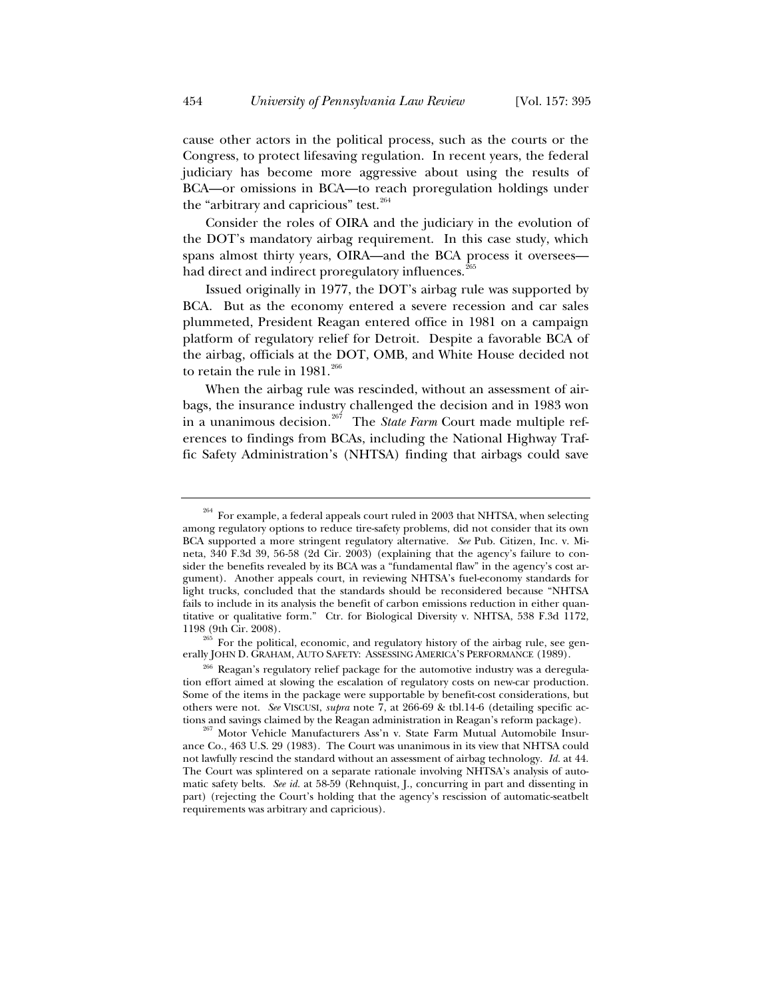cause other actors in the political process, such as the courts or the Congress, to protect lifesaving regulation. In recent years, the federal judiciary has become more aggressive about using the results of BCA—or omissions in BCA—to reach proregulation holdings under the "arbitrary and capricious" test.<sup>264</sup>

Consider the roles of OIRA and the judiciary in the evolution of the DOT's mandatory airbag requirement. In this case study, which spans almost thirty years, OIRA—and the BCA process it oversees had direct and indirect proregulatory influences.<sup>265</sup>

Issued originally in 1977, the DOT's airbag rule was supported by BCA. But as the economy entered a severe recession and car sales plummeted, President Reagan entered office in 1981 on a campaign platform of regulatory relief for Detroit. Despite a favorable BCA of the airbag, officials at the DOT, OMB, and White House decided not to retain the rule in  $1981.^{266}$ 

When the airbag rule was rescinded, without an assessment of airbags, the insurance industry challenged the decision and in 1983 won in a unanimous decision*.* 267 The *State Farm* Court made multiple references to findings from BCAs, including the National Highway Traffic Safety Administration's (NHTSA) finding that airbags could save

 $1265$  For the political, economic, and regulatory history of the airbag rule, see generally JOHN D. GRAHAM, AUTO SAFETY: ASSESSING AMERICA'S PERFORMANCE (1989).

 $264$  For example, a federal appeals court ruled in 2003 that NHTSA, when selecting among regulatory options to reduce tire-safety problems, did not consider that its own BCA supported a more stringent regulatory alternative. *See* Pub. Citizen, Inc. v. Mineta, 340 F.3d 39, 56-58 (2d Cir. 2003) (explaining that the agency's failure to consider the benefits revealed by its BCA was a "fundamental flaw" in the agency's cost argument). Another appeals court, in reviewing NHTSA's fuel-economy standards for light trucks, concluded that the standards should be reconsidered because "NHTSA fails to include in its analysis the benefit of carbon emissions reduction in either quantitative or qualitative form." Ctr. for Biological Diversity v. NHTSA, 538 F.3d 1172, 1198 (9th Cir. 2008).

<sup>&</sup>lt;sup>266</sup> Reagan's regulatory relief package for the automotive industry was a deregulation effort aimed at slowing the escalation of regulatory costs on new-car production. Some of the items in the package were supportable by benefit-cost considerations, but others were not. *See* VISCUSI, *supra* note 7, at 266-69 & tbl.14-6 (detailing specific ac-

 $N$  Motor Vehicle Manufacturers Ass'n v. State Farm Mutual Automobile Insurance Co., 463 U.S. 29 (1983). The Court was unanimous in its view that NHTSA could not lawfully rescind the standard without an assessment of airbag technology. *Id.* at 44. The Court was splintered on a separate rationale involving NHTSA's analysis of automatic safety belts. *See id.* at 58-59 (Rehnquist, J., concurring in part and dissenting in part) (rejecting the Court's holding that the agency's rescission of automatic-seatbelt requirements was arbitrary and capricious).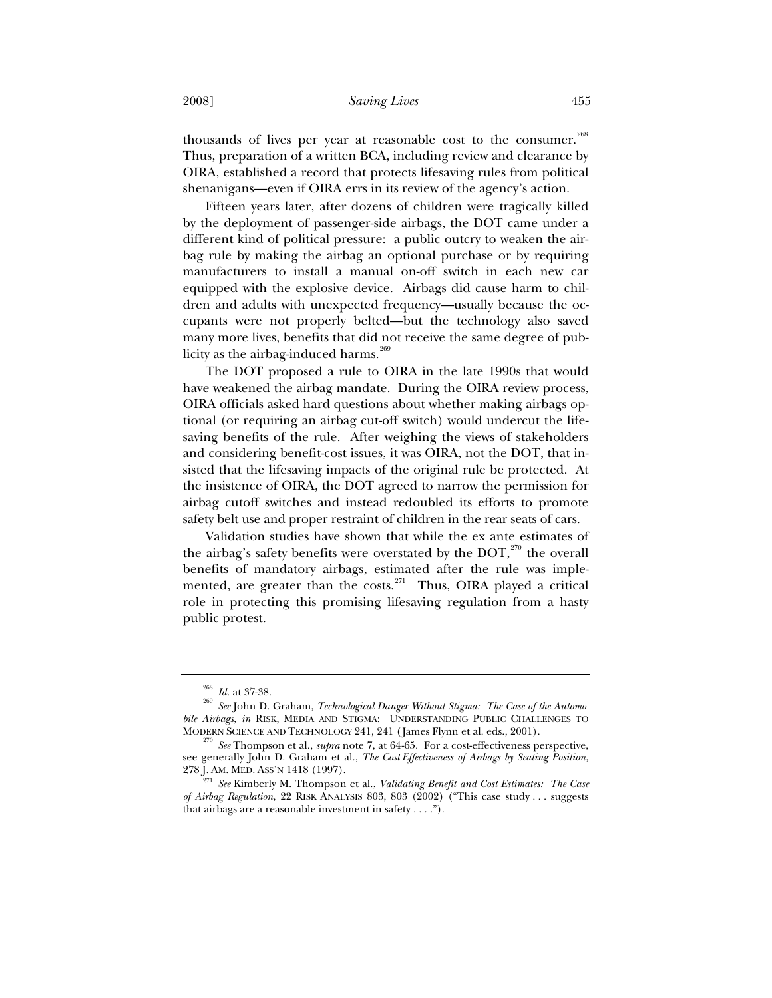thousands of lives per year at reasonable cost to the consumer.<sup>268</sup> Thus, preparation of a written BCA, including review and clearance by OIRA, established a record that protects lifesaving rules from political shenanigans—even if OIRA errs in its review of the agency's action.

Fifteen years later, after dozens of children were tragically killed by the deployment of passenger-side airbags, the DOT came under a different kind of political pressure: a public outcry to weaken the airbag rule by making the airbag an optional purchase or by requiring manufacturers to install a manual on-off switch in each new car equipped with the explosive device. Airbags did cause harm to children and adults with unexpected frequency—usually because the occupants were not properly belted—but the technology also saved many more lives, benefits that did not receive the same degree of publicity as the airbag-induced harms. $269$ 

The DOT proposed a rule to OIRA in the late 1990s that would have weakened the airbag mandate. During the OIRA review process, OIRA officials asked hard questions about whether making airbags optional (or requiring an airbag cut-off switch) would undercut the lifesaving benefits of the rule. After weighing the views of stakeholders and considering benefit-cost issues, it was OIRA, not the DOT, that insisted that the lifesaving impacts of the original rule be protected. At the insistence of OIRA, the DOT agreed to narrow the permission for airbag cutoff switches and instead redoubled its efforts to promote safety belt use and proper restraint of children in the rear seats of cars.

Validation studies have shown that while the ex ante estimates of the airbag's safety benefits were overstated by the DOT, $^{270}$  the overall benefits of mandatory airbags, estimated after the rule was implemented, are greater than the costs.<sup>271</sup> Thus, OIRA played a critical role in protecting this promising lifesaving regulation from a hasty public protest.

<sup>268</sup> *Id.* at 37-38. 269 *See* John D. Graham, *Technological Danger Without Stigma: The Case of the Automobile Airbags*, *in* RISK, MEDIA AND STIGMA: UNDERSTANDING PUBLIC CHALLENGES TO MODERN SCIENCE AND TECHNOLOGY 241, 241 (James Flynn et al. eds., 2001). 270 *See* Thompson et al., *supra* note 7, at 64-65. For a cost-effectiveness perspective,

see generally John D. Graham et al., *The Cost-Effectiveness of Airbags by Seating Position*,

<sup>&</sup>lt;sup>271</sup> See Kimberly M. Thompson et al., *Validating Benefit and Cost Estimates: The Case of Airbag Regulation*, 22 RISK ANALYSIS 803, 803 (2002) ("This case study . . . suggests that airbags are a reasonable investment in safety . . . .").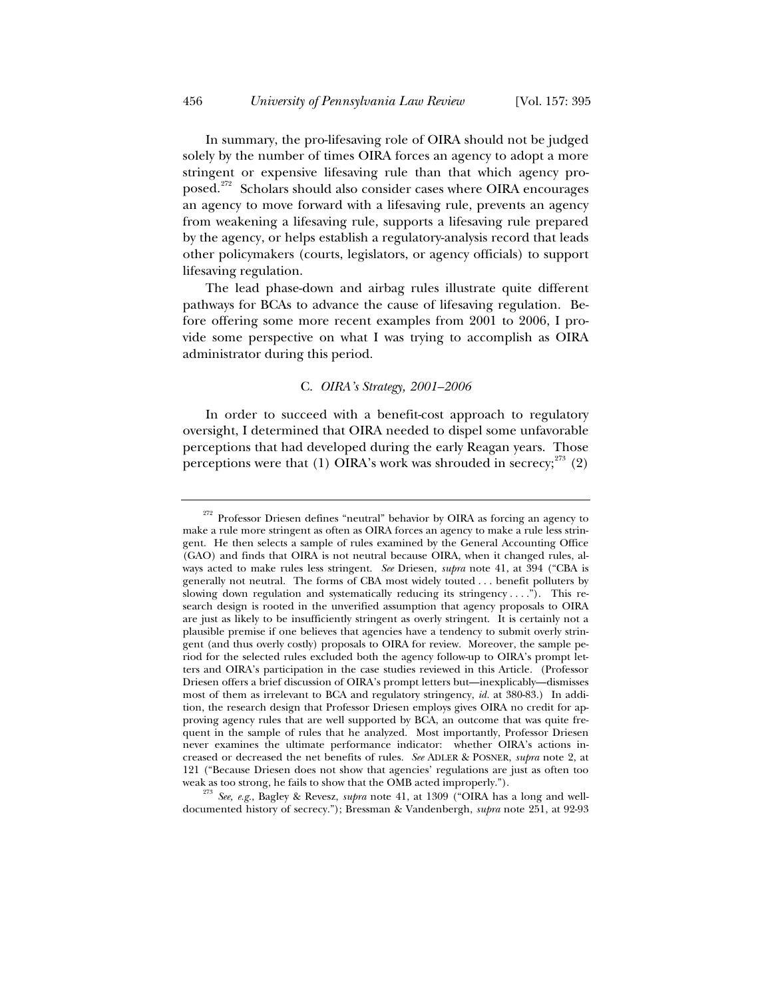In summary, the pro-lifesaving role of OIRA should not be judged solely by the number of times OIRA forces an agency to adopt a more stringent or expensive lifesaving rule than that which agency proposed.<sup>272</sup> Scholars should also consider cases where OIRA encourages an agency to move forward with a lifesaving rule, prevents an agency from weakening a lifesaving rule, supports a lifesaving rule prepared by the agency, or helps establish a regulatory-analysis record that leads other policymakers (courts, legislators, or agency officials) to support lifesaving regulation.

The lead phase-down and airbag rules illustrate quite different pathways for BCAs to advance the cause of lifesaving regulation. Before offering some more recent examples from 2001 to 2006, I provide some perspective on what I was trying to accomplish as OIRA administrator during this period.

# C. *OIRA's Strategy, 2001–2006*

In order to succeed with a benefit-cost approach to regulatory oversight, I determined that OIRA needed to dispel some unfavorable perceptions that had developed during the early Reagan years. Those perceptions were that (1) OIRA's work was shrouded in secrecy; $273$  (2)

weak as too strong, he fails to show that the OMB acted improperly."). 273 *See, e.g.*, Bagley & Revesz, *supra* note 41, at 1309 ("OIRA has a long and welldocumented history of secrecy."); Bressman & Vandenbergh, *supra* note 251, at 92-93

<sup>&</sup>lt;sup>272</sup> Professor Driesen defines "neutral" behavior by OIRA as forcing an agency to make a rule more stringent as often as OIRA forces an agency to make a rule less stringent. He then selects a sample of rules examined by the General Accounting Office (GAO) and finds that OIRA is not neutral because OIRA, when it changed rules, always acted to make rules less stringent. *See* Driesen, *supra* note 41, at 394 ("CBA is generally not neutral. The forms of CBA most widely touted . . . benefit polluters by slowing down regulation and systematically reducing its stringency . . . ."). This research design is rooted in the unverified assumption that agency proposals to OIRA are just as likely to be insufficiently stringent as overly stringent. It is certainly not a plausible premise if one believes that agencies have a tendency to submit overly stringent (and thus overly costly) proposals to OIRA for review. Moreover, the sample period for the selected rules excluded both the agency follow-up to OIRA's prompt letters and OIRA's participation in the case studies reviewed in this Article. (Professor Driesen offers a brief discussion of OIRA's prompt letters but—inexplicably—dismisses most of them as irrelevant to BCA and regulatory stringency, *id.* at 380-83.) In addition, the research design that Professor Driesen employs gives OIRA no credit for approving agency rules that are well supported by BCA, an outcome that was quite frequent in the sample of rules that he analyzed. Most importantly, Professor Driesen never examines the ultimate performance indicator: whether OIRA's actions increased or decreased the net benefits of rules. *See* ADLER & POSNER, *supra* note 2, at 121 ("Because Driesen does not show that agencies' regulations are just as often too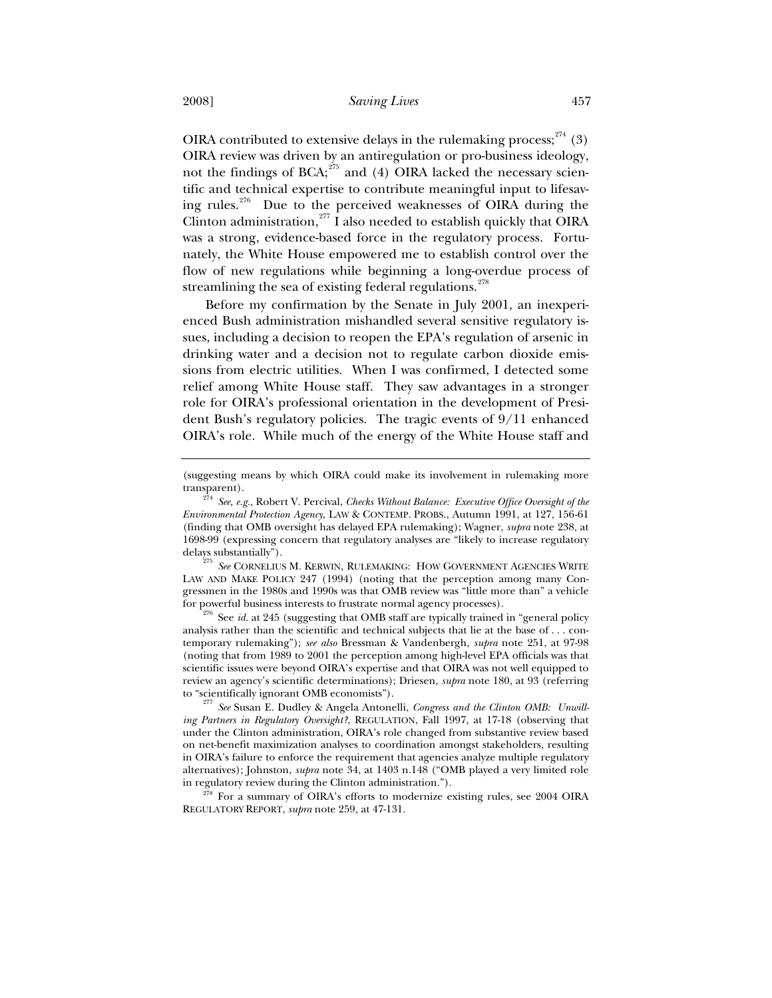OIRA contributed to extensive delays in the rulemaking process;  $274$  (3) OIRA review was driven by an antiregulation or pro-business ideology, not the findings of BCA; $^{275}$  and (4) OIRA lacked the necessary scientific and technical expertise to contribute meaningful input to lifesaving rules.<sup>276</sup> Due to the perceived weaknesses of OIRA during the Clinton administration, $277$  I also needed to establish quickly that OIRA was a strong, evidence-based force in the regulatory process. Fortunately, the White House empowered me to establish control over the flow of new regulations while beginning a long-overdue process of streamlining the sea of existing federal regulations.<sup>278</sup>

Before my confirmation by the Senate in July 2001, an inexperienced Bush administration mishandled several sensitive regulatory issues, including a decision to reopen the EPA's regulation of arsenic in drinking water and a decision not to regulate carbon dioxide emissions from electric utilities. When I was confirmed, I detected some relief among White House staff. They saw advantages in a stronger role for OIRA's professional orientation in the development of President Bush's regulatory policies. The tragic events of 9/11 enhanced OIRA's role. While much of the energy of the White House staff and

delays substantially"). 275 *See* CORNELIUS M. KERWIN, RULEMAKING: HOW GOVERNMENT AGENCIES WRITE LAW AND MAKE POLICY 247 (1994) (noting that the perception among many Congressmen in the 1980s and 1990s was that OMB review was "little more than" a vehicle for powerful business interests to frustrate normal agency processes). 276 See *id.* at 245 (suggesting that OMB staff are typically trained in "general policy

analysis rather than the scientific and technical subjects that lie at the base of . . . contemporary rulemaking"); *see also* Bressman & Vandenbergh, *supra* note 251, at 97-98 (noting that from 1989 to 2001 the perception among high-level EPA officials was that scientific issues were beyond OIRA's expertise and that OIRA was not well equipped to review an agency's scientific determinations); Driesen, *supra* note 180, at 93 (referring

<sup>277</sup> See Susan E. Dudley & Angela Antonelli, *Congress and the Clinton OMB: Unwilling Partners in Regulatory Oversight?*, REGULATION, Fall 1997, at 17-18 (observing that under the Clinton administration, OIRA's role changed from substantive review based on net-benefit maximization analyses to coordination amongst stakeholders, resulting in OIRA's failure to enforce the requirement that agencies analyze multiple regulatory alternatives); Johnston, *supra* note 34, at 1403 n.148 ("OMB played a very limited role

in regulatory review during the Clinton administration."). 278 For a summary of OIRA's efforts to modernize existing rules, see 2004 OIRA REGULATORY REPORT, *supra* note 259*,* at 47-131.

<sup>(</sup>suggesting means by which OIRA could make its involvement in rulemaking more transparent).

<sup>274</sup> *See, e.g.*, Robert V. Percival, *Checks Without Balance: Executive Office Oversight of the Environmental Protection Agency*, LAW & CONTEMP. PROBS., Autumn 1991, at 127, 156-61 (finding that OMB oversight has delayed EPA rulemaking); Wagner, *supra* note 238, at 1698-99 (expressing concern that regulatory analyses are "likely to increase regulatory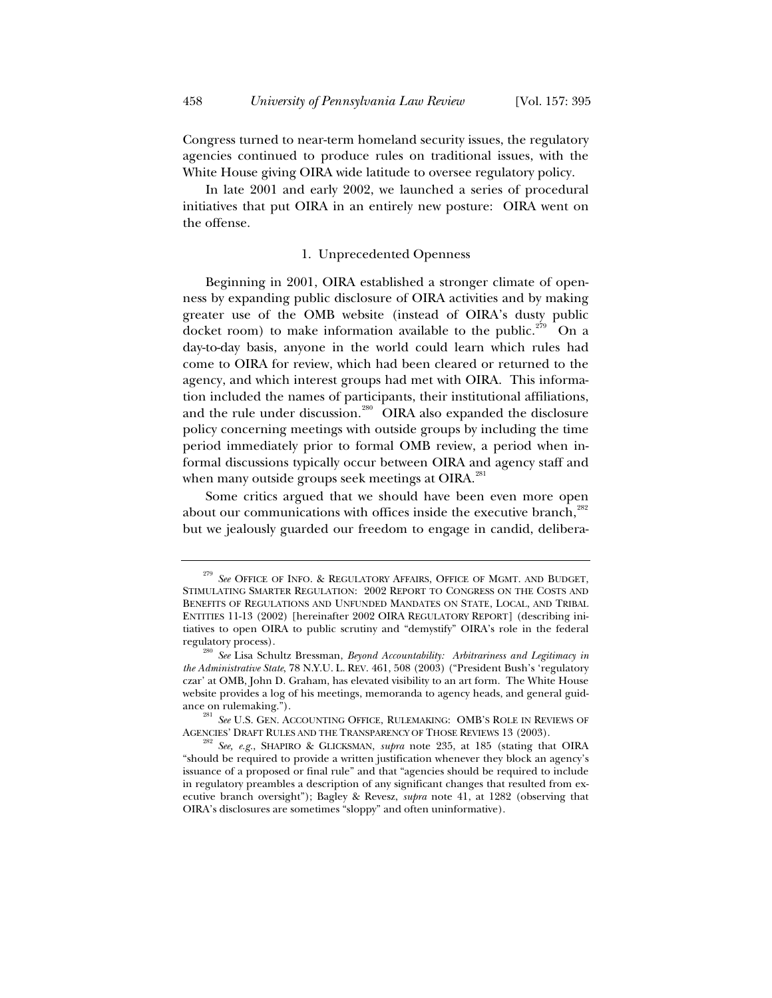Congress turned to near-term homeland security issues, the regulatory agencies continued to produce rules on traditional issues, with the White House giving OIRA wide latitude to oversee regulatory policy.

In late 2001 and early 2002, we launched a series of procedural initiatives that put OIRA in an entirely new posture: OIRA went on the offense.

## 1. Unprecedented Openness

Beginning in 2001, OIRA established a stronger climate of openness by expanding public disclosure of OIRA activities and by making greater use of the OMB website (instead of OIRA's dusty public docket room) to make information available to the public.<sup>279</sup> On a day-to-day basis, anyone in the world could learn which rules had come to OIRA for review, which had been cleared or returned to the agency, and which interest groups had met with OIRA. This information included the names of participants, their institutional affiliations, and the rule under discussion.<sup>280</sup> OIRA also expanded the disclosure policy concerning meetings with outside groups by including the time period immediately prior to formal OMB review, a period when informal discussions typically occur between OIRA and agency staff and when many outside groups seek meetings at OIRA.<sup>281</sup>

Some critics argued that we should have been even more open about our communications with offices inside the executive branch, $^{282}$ but we jealously guarded our freedom to engage in candid, delibera-

<sup>&</sup>lt;sup>279</sup> See OFFICE OF INFO. & REGULATORY AFFAIRS, OFFICE OF MGMT. AND BUDGET, STIMULATING SMARTER REGULATION: 2002 REPORT TO CONGRESS ON THE COSTS AND BENEFITS OF REGULATIONS AND UNFUNDED MANDATES ON STATE, LOCAL, AND TRIBAL ENTITIES 11-13 (2002) [hereinafter 2002 OIRA REGULATORY REPORT] (describing initiatives to open OIRA to public scrutiny and "demystify" OIRA's role in the federal regulatory process). 280 *See* Lisa Schultz Bressman, *Beyond Accountability: Arbitrariness and Legitimacy in* 

*the Administrative State*, 78 N.Y.U. L. REV. 461, 508 (2003) ("President Bush's 'regulatory czar' at OMB, John D. Graham, has elevated visibility to an art form. The White House website provides a log of his meetings, memoranda to agency heads, and general guidance on rulemaking."). 281 *See U.S. GEN. ACCOUNTING OFFICE, RULEMAKING: OMB'S ROLE IN REVIEWS OF* 

AGENCIES' DRAFT RULES AND THE TRANSPARENCY OF THOSE REVIEWS 13 (2003). 282 *See, e.g.*, SHAPIRO & GLICKSMAN, *supra* note 235, at 185 (stating that OIRA

<sup>&</sup>quot;should be required to provide a written justification whenever they block an agency's issuance of a proposed or final rule" and that "agencies should be required to include in regulatory preambles a description of any significant changes that resulted from executive branch oversight"); Bagley & Revesz, *supra* note 41, at 1282 (observing that OIRA's disclosures are sometimes "sloppy" and often uninformative).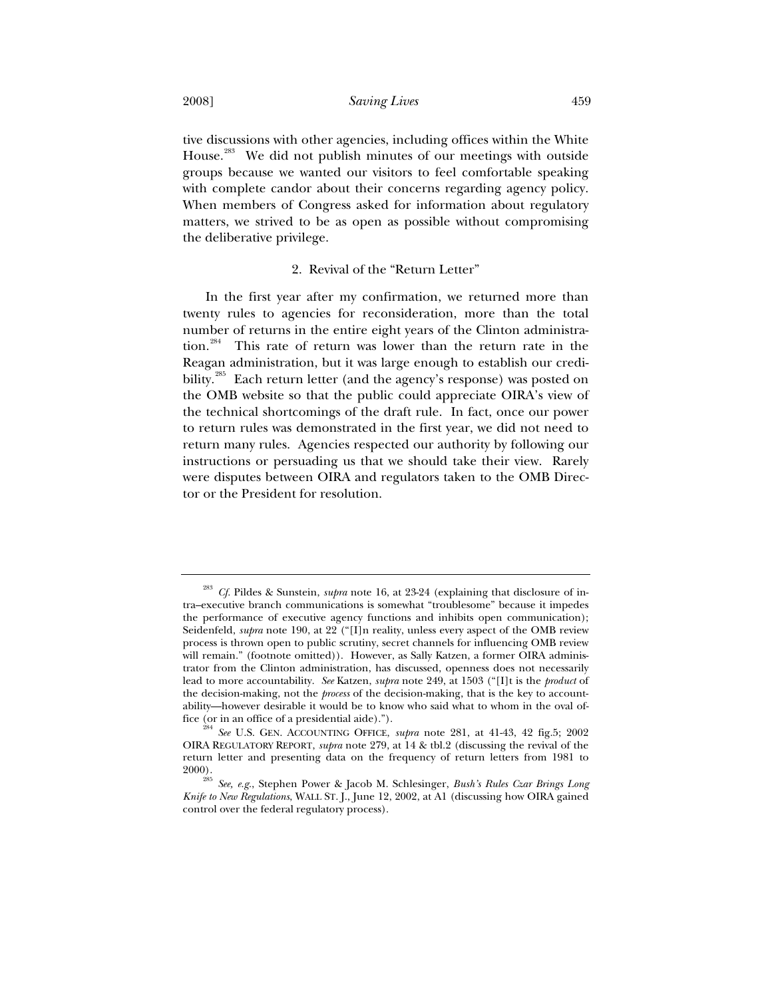2008] *Saving Lives* 459

tive discussions with other agencies, including offices within the White House.<sup>283</sup> We did not publish minutes of our meetings with outside groups because we wanted our visitors to feel comfortable speaking with complete candor about their concerns regarding agency policy. When members of Congress asked for information about regulatory matters, we strived to be as open as possible without compromising the deliberative privilege.

## 2. Revival of the "Return Letter"

In the first year after my confirmation, we returned more than twenty rules to agencies for reconsideration, more than the total number of returns in the entire eight years of the Clinton administration.<sup>284</sup> This rate of return was lower than the return rate in the Reagan administration, but it was large enough to establish our credibility.<sup>285</sup> Each return letter (and the agency's response) was posted on the OMB website so that the public could appreciate OIRA's view of the technical shortcomings of the draft rule. In fact, once our power to return rules was demonstrated in the first year, we did not need to return many rules. Agencies respected our authority by following our instructions or persuading us that we should take their view. Rarely were disputes between OIRA and regulators taken to the OMB Director or the President for resolution.

<sup>283</sup> *Cf.* Pildes & Sunstein, *supra* note 16, at 23-24 (explaining that disclosure of intra–executive branch communications is somewhat "troublesome" because it impedes the performance of executive agency functions and inhibits open communication); Seidenfeld, *supra* note 190, at 22 ("[I]n reality, unless every aspect of the OMB review process is thrown open to public scrutiny, secret channels for influencing OMB review will remain." (footnote omitted)). However, as Sally Katzen, a former OIRA administrator from the Clinton administration, has discussed, openness does not necessarily lead to more accountability. *See* Katzen, *supra* note 249, at 1503 ("[I]t is the *product* of the decision-making, not the *process* of the decision-making, that is the key to accountability—however desirable it would be to know who said what to whom in the oval office (or in an office of a presidential aide)."). 284 *See* U.S. GEN. ACCOUNTING OFFICE, *supra* note 281, at 41-43, 42 fig.5; 2002

OIRA REGULATORY REPORT, *supra* note 279, at 14 & tbl.2 (discussing the revival of the return letter and presenting data on the frequency of return letters from 1981 to 2000).

<sup>285</sup> *See, e.g.*, Stephen Power & Jacob M. Schlesinger, *Bush's Rules Czar Brings Long Knife to New Regulations*, WALL ST. J., June 12, 2002, at A1 (discussing how OIRA gained control over the federal regulatory process).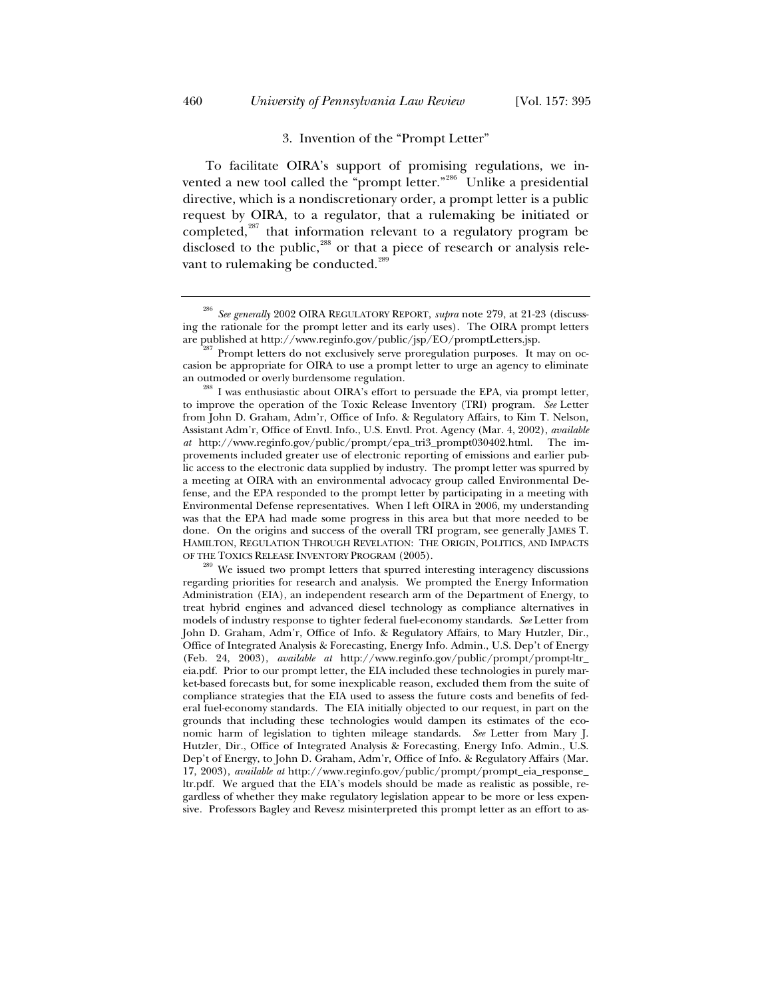### 3. Invention of the "Prompt Letter"

To facilitate OIRA's support of promising regulations, we invented a new tool called the "prompt letter."<sup>286</sup> Unlike a presidential directive, which is a nondiscretionary order, a prompt letter is a public request by OIRA, to a regulator, that a rulemaking be initiated or completed,<sup>287</sup> that information relevant to a regulatory program be disclosed to the public, $^{288}$  or that a piece of research or analysis relevant to rulemaking be conducted.<sup>289</sup>

<sup>286</sup> *See generally* 2002 OIRA REGULATORY REPORT, *supra* note 279, at 21-23 (discussing the rationale for the prompt letter and its early uses). The OIRA prompt letters

 $\frac{87}{87}$  Prompt letters do not exclusively serve proregulation purposes. It may on occasion be appropriate for OIRA to use a prompt letter to urge an agency to eliminate

an outmoded or overly burdensome regulation.<br><sup>288</sup> I was enthusiastic about OIRA's effort to persuade the EPA, via prompt letter, to improve the operation of the Toxic Release Inventory (TRI) program. *See* Letter from John D. Graham, Adm'r, Office of Info. & Regulatory Affairs, to Kim T. Nelson, Assistant Adm'r, Office of Envtl. Info., U.S. Envtl. Prot. Agency (Mar. 4, 2002), *available at* http://www.reginfo.gov/public/prompt/epa\_tri3\_prompt030402.html. The improvements included greater use of electronic reporting of emissions and earlier public access to the electronic data supplied by industry. The prompt letter was spurred by a meeting at OIRA with an environmental advocacy group called Environmental Defense, and the EPA responded to the prompt letter by participating in a meeting with Environmental Defense representatives. When I left OIRA in 2006, my understanding was that the EPA had made some progress in this area but that more needed to be done. On the origins and success of the overall TRI program, see generally JAMES T. HAMILTON, REGULATION THROUGH REVELATION: THE ORIGIN, POLITICS, AND IMPACTS OF THE TOXICS RELEASE INVENTORY PROGRAM (2005). 289 We issued two prompt letters that spurred interesting interagency discussions

regarding priorities for research and analysis. We prompted the Energy Information Administration (EIA), an independent research arm of the Department of Energy, to treat hybrid engines and advanced diesel technology as compliance alternatives in models of industry response to tighter federal fuel-economy standards. *See* Letter from John D. Graham, Adm'r, Office of Info. & Regulatory Affairs, to Mary Hutzler, Dir., Office of Integrated Analysis & Forecasting, Energy Info. Admin., U.S. Dep't of Energy (Feb. 24, 2003), *available at* http://www.reginfo.gov/public/prompt/prompt-ltr\_ eia.pdf. Prior to our prompt letter, the EIA included these technologies in purely market-based forecasts but, for some inexplicable reason, excluded them from the suite of compliance strategies that the EIA used to assess the future costs and benefits of federal fuel-economy standards. The EIA initially objected to our request, in part on the grounds that including these technologies would dampen its estimates of the economic harm of legislation to tighten mileage standards. *See* Letter from Mary J. Hutzler, Dir., Office of Integrated Analysis & Forecasting, Energy Info. Admin., U.S. Dep't of Energy, to John D. Graham, Adm'r, Office of Info. & Regulatory Affairs (Mar. 17, 2003), *available at* http://www.reginfo.gov/public/prompt/prompt\_eia\_response\_ ltr.pdf. We argued that the EIA's models should be made as realistic as possible, regardless of whether they make regulatory legislation appear to be more or less expensive. Professors Bagley and Revesz misinterpreted this prompt letter as an effort to as-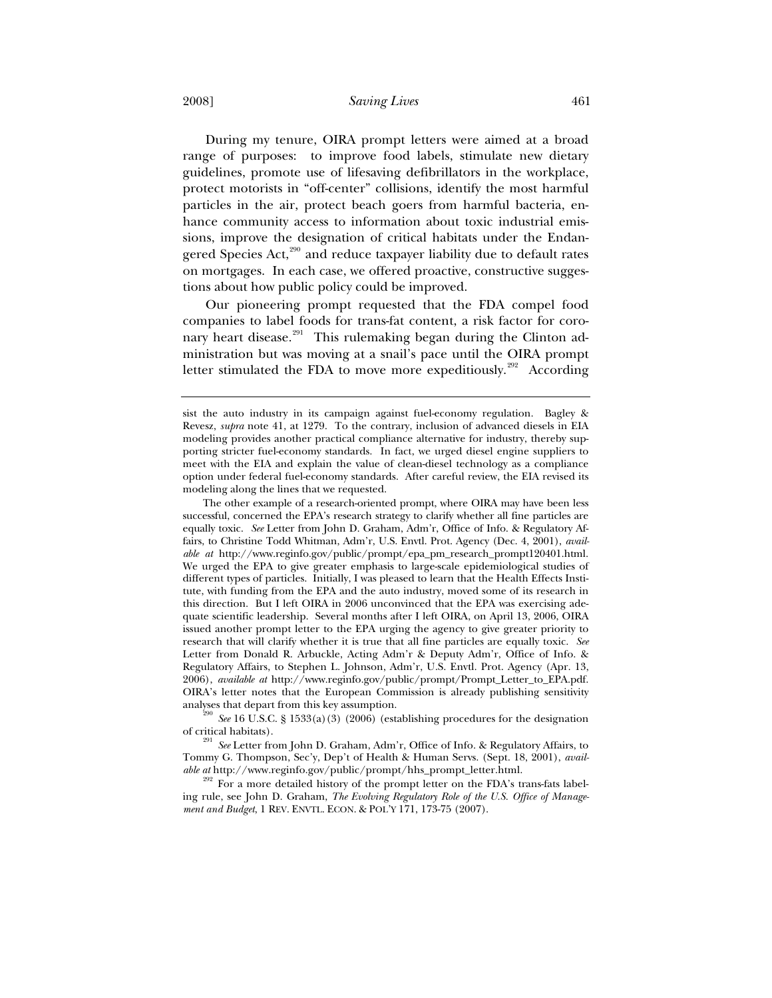2008] *Saving Lives* 461

During my tenure, OIRA prompt letters were aimed at a broad range of purposes: to improve food labels, stimulate new dietary guidelines, promote use of lifesaving defibrillators in the workplace, protect motorists in "off-center" collisions, identify the most harmful particles in the air, protect beach goers from harmful bacteria, enhance community access to information about toxic industrial emissions, improve the designation of critical habitats under the Endangered Species Act, $290$  and reduce taxpayer liability due to default rates on mortgages. In each case, we offered proactive, constructive suggestions about how public policy could be improved.

Our pioneering prompt requested that the FDA compel food companies to label foods for trans-fat content, a risk factor for coronary heart disease.<sup>291</sup> This rulemaking began during the Clinton administration but was moving at a snail's pace until the OIRA prompt letter stimulated the FDA to move more expeditiously.<sup>292</sup> According

<sup>290</sup> See 16 U.S.C. § 1533(a)(3) (2006) (establishing procedures for the designation of critical habitats). 291 *See* Letter from John D. Graham, Adm'r, Office of Info. & Regulatory Affairs, to

Tommy G. Thompson, Sec'y, Dep't of Health & Human Servs. (Sept. 18, 2001), *available at* http://www.reginfo.gov/public/prompt/hhs\_prompt\_letter.html.

 $292$  For a more detailed history of the prompt letter on the FDA's trans-fats labeling rule, see John D. Graham, *The Evolving Regulatory Role of the U.S. Office of Management and Budget*, 1 REV. ENVTL. ECON.&POL'Y 171, 173-75 (2007).

sist the auto industry in its campaign against fuel-economy regulation. Bagley & Revesz, *supra* note 41, at 1279. To the contrary, inclusion of advanced diesels in EIA modeling provides another practical compliance alternative for industry, thereby supporting stricter fuel-economy standards. In fact, we urged diesel engine suppliers to meet with the EIA and explain the value of clean-diesel technology as a compliance option under federal fuel-economy standards. After careful review, the EIA revised its modeling along the lines that we requested.

The other example of a research-oriented prompt, where OIRA may have been less successful, concerned the EPA's research strategy to clarify whether all fine particles are equally toxic. *See* Letter from John D. Graham, Adm'r, Office of Info. & Regulatory Affairs, to Christine Todd Whitman, Adm'r, U.S. Envtl. Prot. Agency (Dec. 4, 2001), *available at* http://www.reginfo.gov/public/prompt/epa\_pm\_research\_prompt120401.html. We urged the EPA to give greater emphasis to large-scale epidemiological studies of different types of particles. Initially, I was pleased to learn that the Health Effects Institute, with funding from the EPA and the auto industry, moved some of its research in this direction. But I left OIRA in 2006 unconvinced that the EPA was exercising adequate scientific leadership. Several months after I left OIRA, on April 13, 2006, OIRA issued another prompt letter to the EPA urging the agency to give greater priority to research that will clarify whether it is true that all fine particles are equally toxic. *See* Letter from Donald R. Arbuckle, Acting Adm'r & Deputy Adm'r, Office of Info. & Regulatory Affairs, to Stephen L. Johnson, Adm'r, U.S. Envtl. Prot. Agency (Apr. 13, 2006), *available at* http://www.reginfo.gov/public/prompt/Prompt\_Letter\_to\_EPA.pdf. OIRA's letter notes that the European Commission is already publishing sensitivity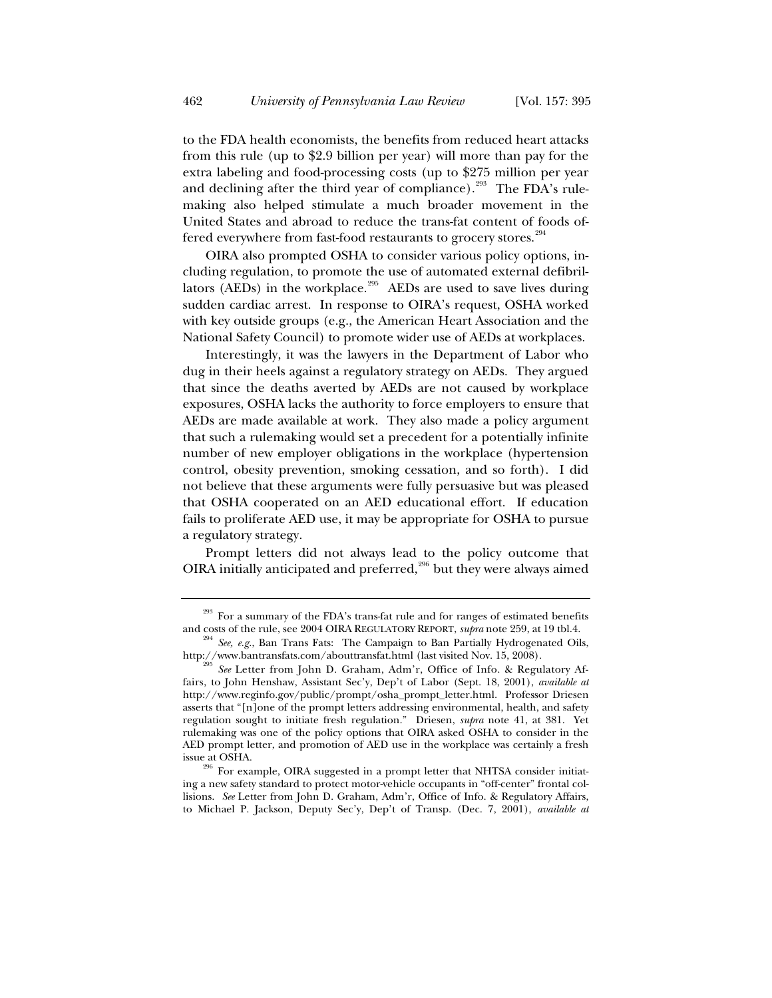to the FDA health economists, the benefits from reduced heart attacks from this rule (up to \$2.9 billion per year) will more than pay for the extra labeling and food-processing costs (up to \$275 million per year and declining after the third year of compliance).<sup>293</sup> The FDA's rulemaking also helped stimulate a much broader movement in the United States and abroad to reduce the trans-fat content of foods offered everywhere from fast-food restaurants to grocery stores.<sup>294</sup>

OIRA also prompted OSHA to consider various policy options, including regulation, to promote the use of automated external defibrillators ( $\widehat{AEDs}$ ) in the workplace.<sup>295</sup> AEDs are used to save lives during sudden cardiac arrest. In response to OIRA's request, OSHA worked with key outside groups (e.g., the American Heart Association and the National Safety Council) to promote wider use of AEDs at workplaces.

Interestingly, it was the lawyers in the Department of Labor who dug in their heels against a regulatory strategy on AEDs. They argued that since the deaths averted by AEDs are not caused by workplace exposures, OSHA lacks the authority to force employers to ensure that AEDs are made available at work. They also made a policy argument that such a rulemaking would set a precedent for a potentially infinite number of new employer obligations in the workplace (hypertension control, obesity prevention, smoking cessation, and so forth). I did not believe that these arguments were fully persuasive but was pleased that OSHA cooperated on an AED educational effort. If education fails to proliferate AED use, it may be appropriate for OSHA to pursue a regulatory strategy.

Prompt letters did not always lead to the policy outcome that OIRA initially anticipated and preferred, $^{296}$  but they were always aimed

<sup>&</sup>lt;sup>293</sup> For a summary of the FDA's trans-fat rule and for ranges of estimated benefits and costs of the rule, see 2004 OIRA REGULATORY REPORT, *supra* note 259, at 19 tbl.4.

<sup>&</sup>lt;sup>294</sup> See, e.g., Ban Trans Fats: The Campaign to Ban Partially Hydrogenated Oils, http://www.bantransfats.com/abouttransfat.html (last visited Nov. 15, 2008).

See Letter from John D. Graham, Adm'r, Office of Info. & Regulatory Affairs, to John Henshaw, Assistant Sec'y, Dep't of Labor (Sept. 18, 2001), *available at* http://www.reginfo.gov/public/prompt/osha\_prompt\_letter.html. Professor Driesen asserts that "[n]one of the prompt letters addressing environmental, health, and safety regulation sought to initiate fresh regulation." Driesen, *supra* note 41, at 381. Yet rulemaking was one of the policy options that OIRA asked OSHA to consider in the AED prompt letter, and promotion of AED use in the workplace was certainly a fresh

issue at OSHA.<br> $^{296}$  For example, OIRA suggested in a prompt letter that NHTSA consider initiating a new safety standard to protect motor-vehicle occupants in "off-center" frontal collisions. *See* Letter from John D. Graham, Adm'r, Office of Info. & Regulatory Affairs, to Michael P. Jackson, Deputy Sec'y, Dep't of Transp. (Dec. 7, 2001), *available at*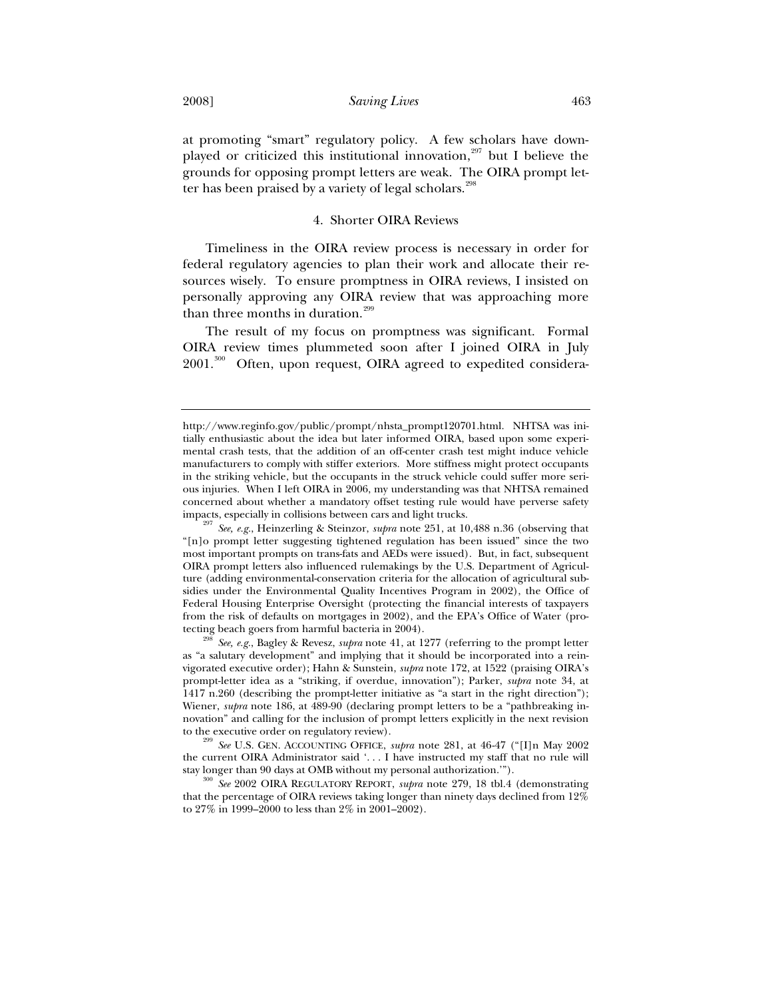at promoting "smart" regulatory policy. A few scholars have downplayed or criticized this institutional innovation, $297$  but I believe the grounds for opposing prompt letters are weak. The OIRA prompt letter has been praised by a variety of legal scholars.<sup>298</sup>

# 4. Shorter OIRA Reviews

Timeliness in the OIRA review process is necessary in order for federal regulatory agencies to plan their work and allocate their resources wisely. To ensure promptness in OIRA reviews, I insisted on personally approving any OIRA review that was approaching more than three months in duration. $299$ 

The result of my focus on promptness was significant. Formal OIRA review times plummeted soon after I joined OIRA in July 2001.<sup>300</sup> Often, upon request, OIRA agreed to expedited considera-

http://www.reginfo.gov/public/prompt/nhsta\_prompt120701.html. NHTSA was initially enthusiastic about the idea but later informed OIRA, based upon some experimental crash tests, that the addition of an off-center crash test might induce vehicle manufacturers to comply with stiffer exteriors. More stiffness might protect occupants in the striking vehicle, but the occupants in the struck vehicle could suffer more serious injuries. When I left OIRA in 2006, my understanding was that NHTSA remained concerned about whether a mandatory offset testing rule would have perverse safety impacts, especially in collisions between cars and light trucks. 297 *See, e.g.*, Heinzerling & Steinzor, *supra* note 251, at 10,488 n.36 (observing that

<sup>&</sup>quot;[n]o prompt letter suggesting tightened regulation has been issued" since the two most important prompts on trans-fats and AEDs were issued). But, in fact, subsequent OIRA prompt letters also influenced rulemakings by the U.S. Department of Agriculture (adding environmental-conservation criteria for the allocation of agricultural subsidies under the Environmental Quality Incentives Program in 2002), the Office of Federal Housing Enterprise Oversight (protecting the financial interests of taxpayers from the risk of defaults on mortgages in 2002), and the EPA's Office of Water (pro-<br>tecting beach goers from harmful bacteria in 2004).

 $t^{\text{298}}$  *See, e.g.*, Bagley & Revesz, *supra* note 41, at 1277 (referring to the prompt letter as "a salutary development" and implying that it should be incorporated into a reinvigorated executive order); Hahn & Sunstein, *supra* note 172, at 1522 (praising OIRA's prompt-letter idea as a "striking, if overdue, innovation"); Parker, *supra* note 34, at 1417 n.260 (describing the prompt-letter initiative as "a start in the right direction"); Wiener, *supra* note 186, at 489-90 (declaring prompt letters to be a "pathbreaking innovation" and calling for the inclusion of prompt letters explicitly in the next revision

to the executive order on regulatory review). 299 *See* U.S. GEN. ACCOUNTING OFFICE, *supra* note 281, at 46-47 ("[I]n May 2002 the current OIRA Administrator said '... I have instructed my staff that no rule will stay longer than 90 days at OMB without my personal authorization.").

<sup>&</sup>lt;sup>300</sup> See 2002 OIRA REGULATORY REPORT, *supra* note 279, 18 tbl.4 (demonstrating that the percentage of OIRA reviews taking longer than ninety days declined from 12% to 27% in 1999–2000 to less than 2% in 2001–2002).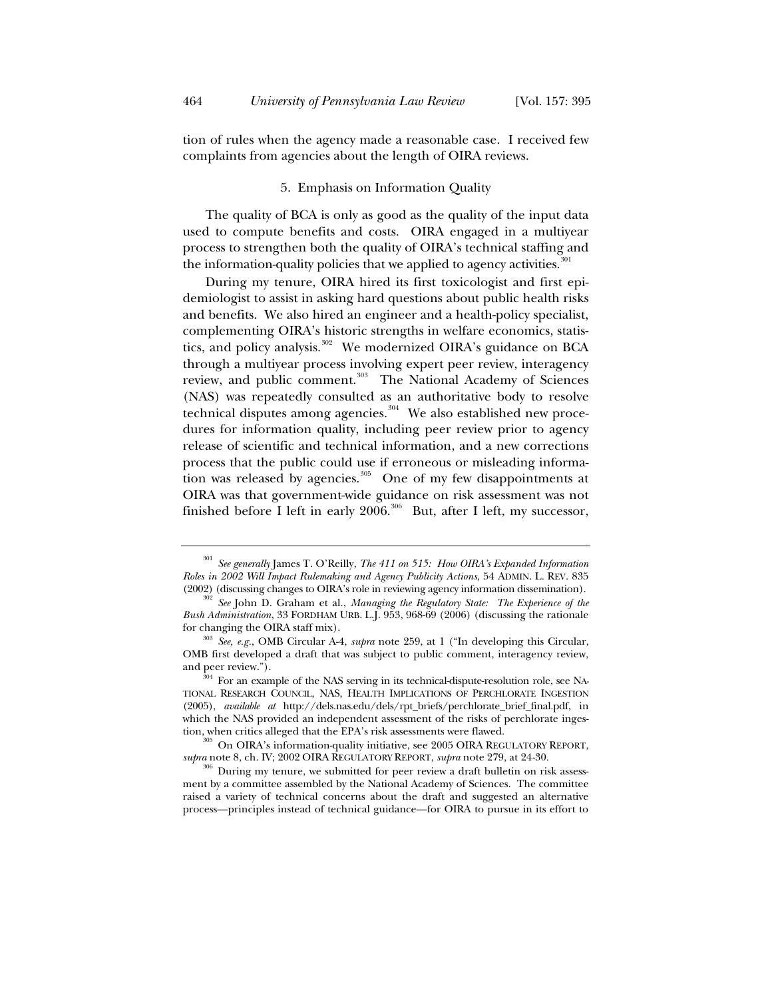tion of rules when the agency made a reasonable case. I received few complaints from agencies about the length of OIRA reviews.

### 5. Emphasis on Information Quality

The quality of BCA is only as good as the quality of the input data used to compute benefits and costs. OIRA engaged in a multiyear process to strengthen both the quality of OIRA's technical staffing and the information-quality policies that we applied to agency activities. $301$ 

During my tenure, OIRA hired its first toxicologist and first epidemiologist to assist in asking hard questions about public health risks and benefits. We also hired an engineer and a health-policy specialist, complementing OIRA's historic strengths in welfare economics, statistics, and policy analysis.<sup>302</sup> We modernized OIRA's guidance on BCA through a multiyear process involving expert peer review, interagency review, and public comment.<sup>303</sup> The National Academy of Sciences (NAS) was repeatedly consulted as an authoritative body to resolve technical disputes among agencies.<sup>304</sup> We also established new procedures for information quality, including peer review prior to agency release of scientific and technical information, and a new corrections process that the public could use if erroneous or misleading information was released by agencies. $305$  One of my few disappointments at OIRA was that government-wide guidance on risk assessment was not finished before I left in early  $2006$ .<sup>306</sup> But, after I left, my successor,

<sup>301</sup> *See generally* James T. O'Reilly, *The 411 on 515: How OIRA's Expanded Information Roles in 2002 Will Impact Rulemaking and Agency Publicity Actions*, 54 ADMIN. L. REV. 835 (2002) (discussing changes to OIRA's role in reviewing agency information dissemination). 302 *See* John D. Graham et al., *Managing the Regulatory State: The Experience of the* 

*Bush Administration*, 33 FORDHAM URB. L.J. 953, 968-69 (2006) (discussing the rationale for changing the OIRA staff mix). 303 *See, e.g.*, OMB Circular A-4, *supra* note 259, at 1 ("In developing this Circular,

OMB first developed a draft that was subject to public comment, interagency review, and peer review.").<br><sup>304</sup> For an example of the NAS serving in its technical-dispute-resolution role, see NA-

TIONAL RESEARCH COUNCIL, NAS, HEALTH IMPLICATIONS OF PERCHLORATE INGESTION (2005), *available at* http://dels.nas.edu/dels/rpt\_briefs/perchlorate\_brief\_final.pdf, in which the NAS provided an independent assessment of the risks of perchlorate inges-

tion, when critics alleged that the EPA's risk assessments were flawed.<br><sup>305</sup> On OIRA's information-quality initiative, see 2005 OIRA REGULATORY REPORT, *supra* note 8, ch. IV; 2002 OIRA REGULATORY REPORT, *supra* note 27

<sup>&</sup>lt;sup>306</sup> During my tenure, we submitted for peer review a draft bulletin on risk assessment by a committee assembled by the National Academy of Sciences. The committee raised a variety of technical concerns about the draft and suggested an alternative process—principles instead of technical guidance—for OIRA to pursue in its effort to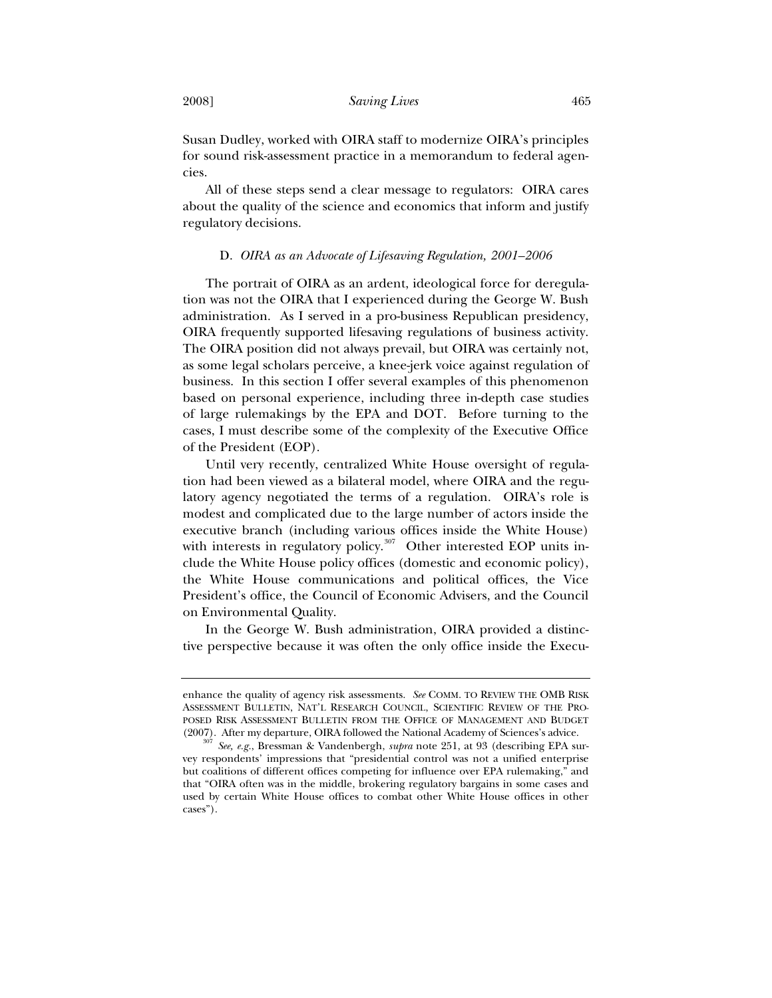Susan Dudley, worked with OIRA staff to modernize OIRA's principles for sound risk-assessment practice in a memorandum to federal agencies.

All of these steps send a clear message to regulators: OIRA cares about the quality of the science and economics that inform and justify regulatory decisions.

## D. *OIRA as an Advocate of Lifesaving Regulation, 2001–2006*

The portrait of OIRA as an ardent, ideological force for deregulation was not the OIRA that I experienced during the George W. Bush administration. As I served in a pro-business Republican presidency, OIRA frequently supported lifesaving regulations of business activity. The OIRA position did not always prevail, but OIRA was certainly not, as some legal scholars perceive, a knee-jerk voice against regulation of business. In this section I offer several examples of this phenomenon based on personal experience, including three in-depth case studies of large rulemakings by the EPA and DOT. Before turning to the cases, I must describe some of the complexity of the Executive Office of the President (EOP).

Until very recently, centralized White House oversight of regulation had been viewed as a bilateral model, where OIRA and the regulatory agency negotiated the terms of a regulation. OIRA's role is modest and complicated due to the large number of actors inside the executive branch (including various offices inside the White House) with interests in regulatory policy. $307$  Other interested EOP units include the White House policy offices (domestic and economic policy), the White House communications and political offices, the Vice President's office, the Council of Economic Advisers, and the Council on Environmental Quality.

In the George W. Bush administration, OIRA provided a distinctive perspective because it was often the only office inside the Execu-

enhance the quality of agency risk assessments. *See* COMM. TO REVIEW THE OMB RISK ASSESSMENT BULLETIN, NAT'L RESEARCH COUNCIL, SCIENTIFIC REVIEW OF THE PRO-POSED RISK ASSESSMENT BULLETIN FROM THE OFFICE OF MANAGEMENT AND BUDGET (2007). After my departure, OIRA followed the National Academy of Sciences's advice. 307 *See, e.g.*, Bressman & Vandenbergh, *supra* note 251, at 93 (describing EPA sur-

vey respondents' impressions that "presidential control was not a unified enterprise but coalitions of different offices competing for influence over EPA rulemaking," and that "OIRA often was in the middle, brokering regulatory bargains in some cases and used by certain White House offices to combat other White House offices in other cases").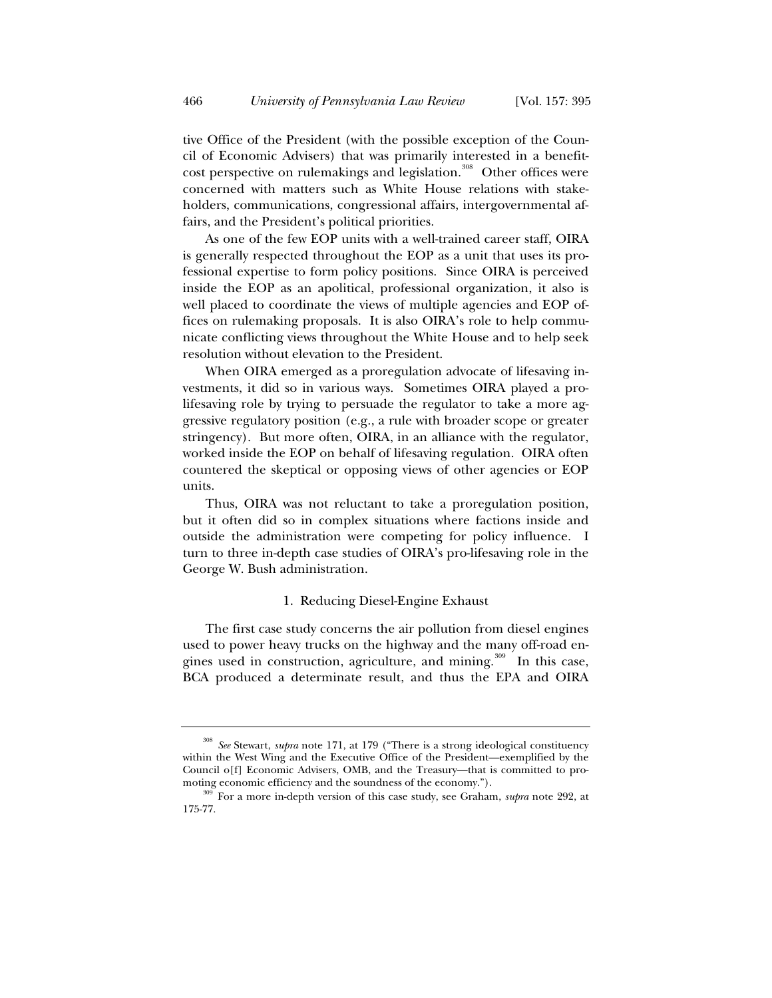tive Office of the President (with the possible exception of the Council of Economic Advisers) that was primarily interested in a benefitcost perspective on rulemakings and legislation.<sup>308</sup> Other offices were concerned with matters such as White House relations with stakeholders, communications, congressional affairs, intergovernmental affairs, and the President's political priorities.

As one of the few EOP units with a well-trained career staff, OIRA is generally respected throughout the EOP as a unit that uses its professional expertise to form policy positions. Since OIRA is perceived inside the EOP as an apolitical, professional organization, it also is well placed to coordinate the views of multiple agencies and EOP offices on rulemaking proposals. It is also OIRA's role to help communicate conflicting views throughout the White House and to help seek resolution without elevation to the President.

When OIRA emerged as a proregulation advocate of lifesaving investments, it did so in various ways. Sometimes OIRA played a prolifesaving role by trying to persuade the regulator to take a more aggressive regulatory position (e.g., a rule with broader scope or greater stringency). But more often, OIRA, in an alliance with the regulator, worked inside the EOP on behalf of lifesaving regulation. OIRA often countered the skeptical or opposing views of other agencies or EOP units.

Thus, OIRA was not reluctant to take a proregulation position, but it often did so in complex situations where factions inside and outside the administration were competing for policy influence. I turn to three in-depth case studies of OIRA's pro-lifesaving role in the George W. Bush administration.

## 1. Reducing Diesel-Engine Exhaust

The first case study concerns the air pollution from diesel engines used to power heavy trucks on the highway and the many off-road engines used in construction, agriculture, and mining.<sup>309</sup> In this case, BCA produced a determinate result, and thus the EPA and OIRA

<sup>308</sup> *See* Stewart, *supra* note 171, at 179 ("There is a strong ideological constituency within the West Wing and the Executive Office of the President—exemplified by the Council o[f] Economic Advisers, OMB, and the Treasury—that is committed to pro-

moting economic efficiency and the soundness of the economy."). 309 For a more in-depth version of this case study, see Graham, *supra* note 292, at 175-77.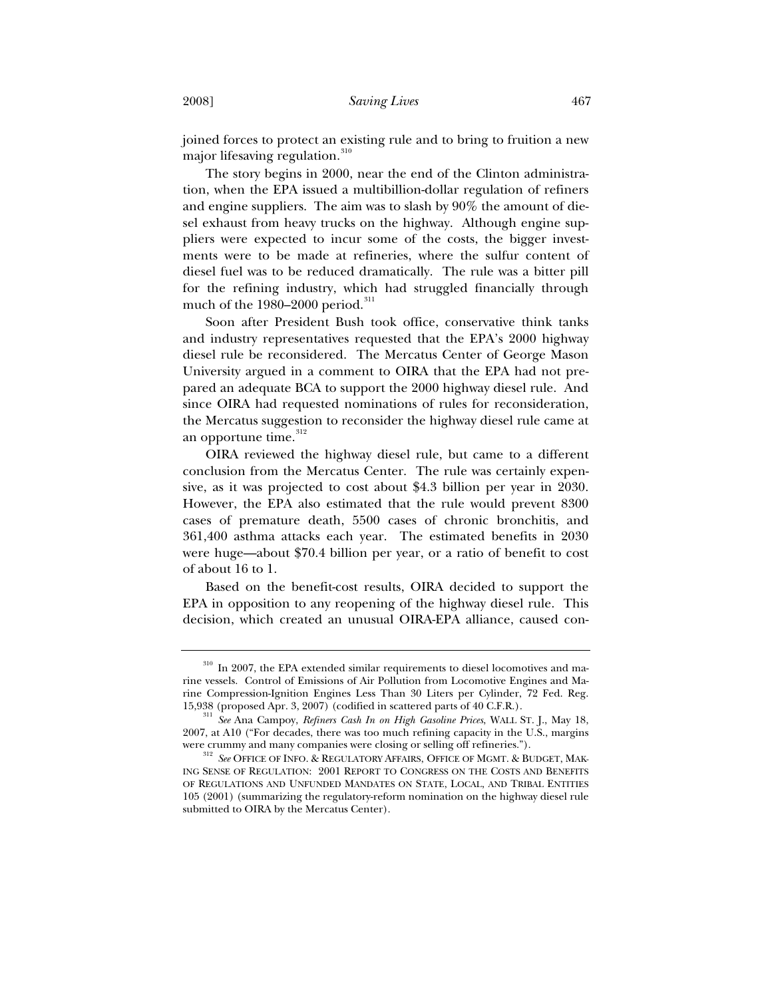joined forces to protect an existing rule and to bring to fruition a new major lifesaving regulation.<sup>310</sup>

The story begins in 2000, near the end of the Clinton administration, when the EPA issued a multibillion-dollar regulation of refiners and engine suppliers. The aim was to slash by 90% the amount of diesel exhaust from heavy trucks on the highway. Although engine suppliers were expected to incur some of the costs, the bigger investments were to be made at refineries, where the sulfur content of diesel fuel was to be reduced dramatically. The rule was a bitter pill for the refining industry, which had struggled financially through much of the  $1980-2000$  period.<sup>311</sup>

Soon after President Bush took office, conservative think tanks and industry representatives requested that the EPA's 2000 highway diesel rule be reconsidered. The Mercatus Center of George Mason University argued in a comment to OIRA that the EPA had not prepared an adequate BCA to support the 2000 highway diesel rule. And since OIRA had requested nominations of rules for reconsideration, the Mercatus suggestion to reconsider the highway diesel rule came at an opportune time.<sup>312</sup>

OIRA reviewed the highway diesel rule, but came to a different conclusion from the Mercatus Center. The rule was certainly expensive, as it was projected to cost about \$4.3 billion per year in 2030. However, the EPA also estimated that the rule would prevent 8300 cases of premature death, 5500 cases of chronic bronchitis, and 361,400 asthma attacks each year. The estimated benefits in 2030 were huge—about \$70.4 billion per year, or a ratio of benefit to cost of about 16 to 1.

Based on the benefit-cost results, OIRA decided to support the EPA in opposition to any reopening of the highway diesel rule. This decision, which created an unusual OIRA-EPA alliance, caused con-

 $^{310}$  In 2007, the EPA extended similar requirements to diesel locomotives and marine vessels. Control of Emissions of Air Pollution from Locomotive Engines and Marine Compression-Ignition Engines Less Than 30 Liters per Cylinder, 72 Fed. Reg. 15,938 (proposed Apr. 3, 2007) (codified in scattered parts of 40 C.F.R.). 311 *See* Ana Campoy, *Refiners Cash In on High Gasoline Prices*, WALL ST. J., May 18,

<sup>2007,</sup> at A10 ("For decades, there was too much refining capacity in the U.S., margins

were crummy and many companies were closing or selling off refineries."). <sup>312</sup> *See* OFFICE OF INFO. & REGULATORY AFFAIRS, OFFICE OF MGMT. & BUDGET, MAK-ING SENSE OF REGULATION: 2001 REPORT TO CONGRESS ON THE COSTS AND BENEFITS OF REGULATIONS AND UNFUNDED MANDATES ON STATE, LOCAL, AND TRIBAL ENTITIES 105 (2001) (summarizing the regulatory-reform nomination on the highway diesel rule submitted to OIRA by the Mercatus Center).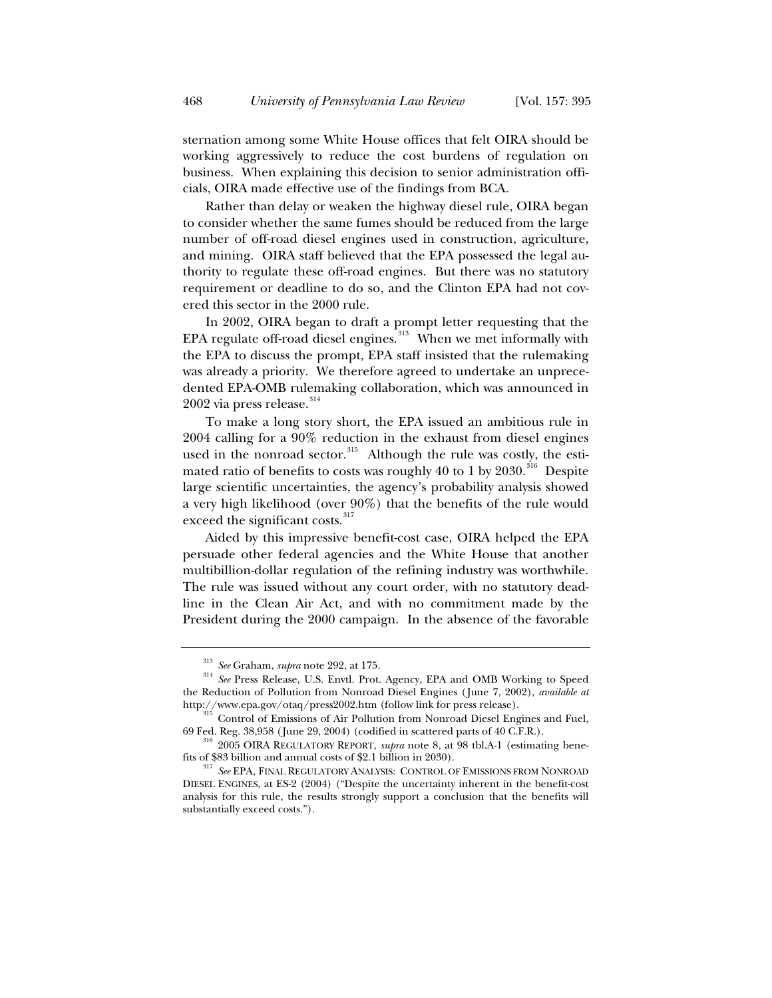sternation among some White House offices that felt OIRA should be working aggressively to reduce the cost burdens of regulation on business. When explaining this decision to senior administration officials, OIRA made effective use of the findings from BCA.

Rather than delay or weaken the highway diesel rule, OIRA began to consider whether the same fumes should be reduced from the large number of off-road diesel engines used in construction, agriculture, and mining. OIRA staff believed that the EPA possessed the legal authority to regulate these off-road engines. But there was no statutory requirement or deadline to do so, and the Clinton EPA had not covered this sector in the 2000 rule.

In 2002, OIRA began to draft a prompt letter requesting that the EPA regulate off-road diesel engines.<sup>313</sup> When we met informally with the EPA to discuss the prompt, EPA staff insisted that the rulemaking was already a priority. We therefore agreed to undertake an unprecedented EPA-OMB rulemaking collaboration, which was announced in  $2002$  via press release.<sup>314</sup>

To make a long story short, the EPA issued an ambitious rule in 2004 calling for a 90% reduction in the exhaust from diesel engines used in the nonroad sector. $315$  Although the rule was costly, the estimated ratio of benefits to costs was roughly 40 to 1 by  $2030$ .<sup>316</sup> Despite large scientific uncertainties, the agency's probability analysis showed a very high likelihood (over 90%) that the benefits of the rule would exceed the significant costs.<sup>317</sup>

Aided by this impressive benefit-cost case, OIRA helped the EPA persuade other federal agencies and the White House that another multibillion-dollar regulation of the refining industry was worthwhile. The rule was issued without any court order, with no statutory deadline in the Clean Air Act, and with no commitment made by the President during the 2000 campaign. In the absence of the favorable

<sup>313</sup> *See* Graham, *supra* note 292, at 175. 314 *See* Press Release, U.S. Envtl. Prot. Agency, EPA and OMB Working to Speed the Reduction of Pollution from Nonroad Diesel Engines (June 7, 2002), *available at* http://www.epa.gov/otaq/press2002.htm (follow link for press release). 315 Control of Emissions of Air Pollution from Nonroad Diesel Engines and Fuel,

<sup>69</sup> Fed. Reg. 38,958 (June 29, 2004) (codified in scattered parts of 40 C.F.R.). 316 2005 OIRA REGULATORY REPORT, *supra* note 8, at 98 tbl.A-1 (estimating bene-

fits of \$83 billion and annual costs of \$2.1 billion in 2030). 317 *See* EPA, FINAL REGULATORY ANALYSIS: CONTROL OF EMISSIONS FROM NONROAD DIESEL ENGINES, at ES-2 (2004) ("Despite the uncertainty inherent in the benefit-cost analysis for this rule, the results strongly support a conclusion that the benefits will substantially exceed costs.").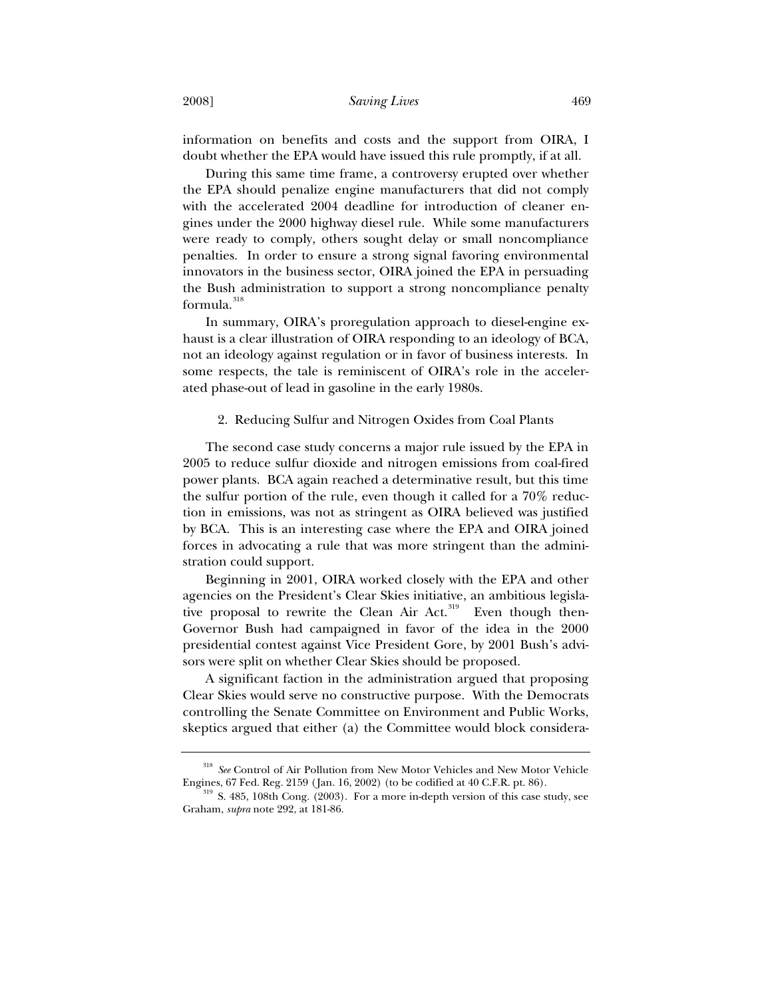information on benefits and costs and the support from OIRA, I doubt whether the EPA would have issued this rule promptly, if at all.

During this same time frame, a controversy erupted over whether the EPA should penalize engine manufacturers that did not comply with the accelerated 2004 deadline for introduction of cleaner engines under the 2000 highway diesel rule. While some manufacturers were ready to comply, others sought delay or small noncompliance penalties. In order to ensure a strong signal favoring environmental innovators in the business sector, OIRA joined the EPA in persuading the Bush administration to support a strong noncompliance penalty formula.<sup>318</sup>

In summary, OIRA's proregulation approach to diesel-engine exhaust is a clear illustration of OIRA responding to an ideology of BCA, not an ideology against regulation or in favor of business interests. In some respects, the tale is reminiscent of OIRA's role in the accelerated phase-out of lead in gasoline in the early 1980s.

## 2. Reducing Sulfur and Nitrogen Oxides from Coal Plants

The second case study concerns a major rule issued by the EPA in 2005 to reduce sulfur dioxide and nitrogen emissions from coal-fired power plants. BCA again reached a determinative result, but this time the sulfur portion of the rule, even though it called for a 70% reduction in emissions, was not as stringent as OIRA believed was justified by BCA. This is an interesting case where the EPA and OIRA joined forces in advocating a rule that was more stringent than the administration could support.

Beginning in 2001, OIRA worked closely with the EPA and other agencies on the President's Clear Skies initiative, an ambitious legislative proposal to rewrite the Clean Air Act.<sup>319</sup> Even though then-Governor Bush had campaigned in favor of the idea in the 2000 presidential contest against Vice President Gore, by 2001 Bush's advisors were split on whether Clear Skies should be proposed.

A significant faction in the administration argued that proposing Clear Skies would serve no constructive purpose. With the Democrats controlling the Senate Committee on Environment and Public Works, skeptics argued that either (a) the Committee would block considera-

<sup>318</sup> *See* Control of Air Pollution from New Motor Vehicles and New Motor Vehicle

Engines, 67 Fed. Reg. 2159 (Jan. 16, 2002) (to be codified at 40 C.F.R. pt. 86). 319 S. 485, 108th Cong. (2003). For a more in-depth version of this case study, see Graham, *supra* note 292, at 181-86.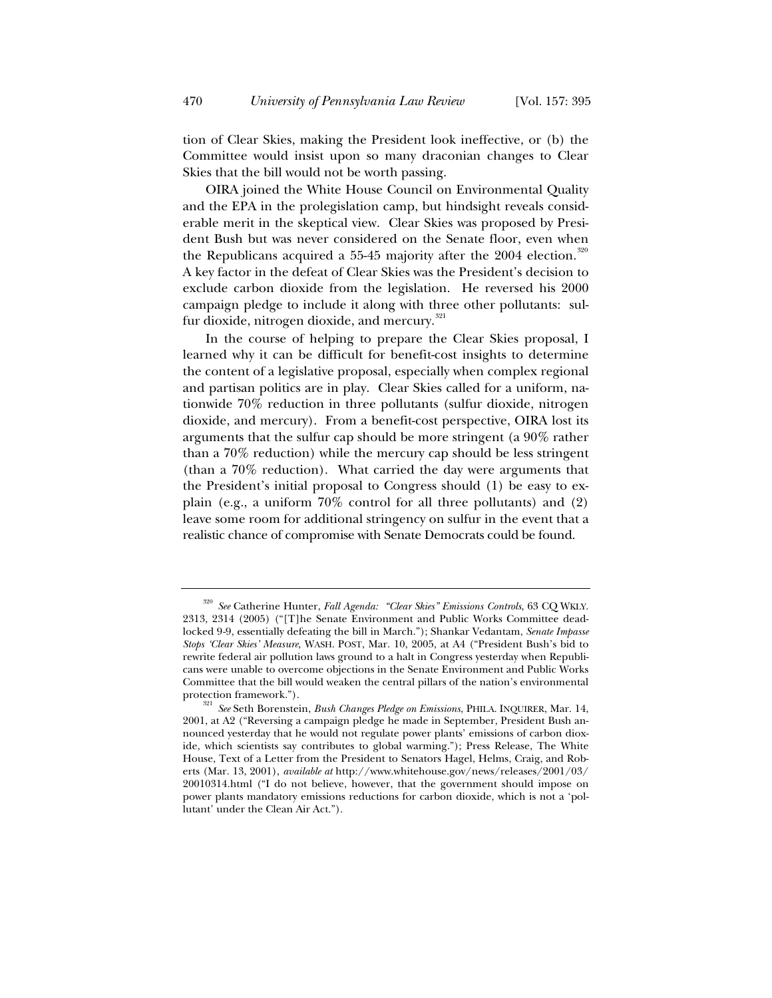tion of Clear Skies, making the President look ineffective, or (b) the Committee would insist upon so many draconian changes to Clear Skies that the bill would not be worth passing.

OIRA joined the White House Council on Environmental Quality and the EPA in the prolegislation camp, but hindsight reveals considerable merit in the skeptical view. Clear Skies was proposed by President Bush but was never considered on the Senate floor, even when the Republicans acquired a 55-45 majority after the 2004 election.<sup>320</sup> A key factor in the defeat of Clear Skies was the President's decision to exclude carbon dioxide from the legislation. He reversed his 2000 campaign pledge to include it along with three other pollutants: sulfur dioxide, nitrogen dioxide, and mercury.<sup>321</sup>

In the course of helping to prepare the Clear Skies proposal, I learned why it can be difficult for benefit-cost insights to determine the content of a legislative proposal, especially when complex regional and partisan politics are in play. Clear Skies called for a uniform, nationwide 70% reduction in three pollutants (sulfur dioxide, nitrogen dioxide, and mercury). From a benefit-cost perspective, OIRA lost its arguments that the sulfur cap should be more stringent (a 90% rather than a 70% reduction) while the mercury cap should be less stringent (than a 70% reduction). What carried the day were arguments that the President's initial proposal to Congress should (1) be easy to explain (e.g., a uniform 70% control for all three pollutants) and (2) leave some room for additional stringency on sulfur in the event that a realistic chance of compromise with Senate Democrats could be found.

<sup>320</sup> *See* Catherine Hunter, *Fall Agenda: "Clear Skies" Emissions Controls*, 63 CQ WKLY. 2313, 2314 (2005) ("[T]he Senate Environment and Public Works Committee deadlocked 9-9, essentially defeating the bill in March."); Shankar Vedantam, *Senate Impasse Stops 'Clear Skies' Measure*, WASH. POST, Mar. 10, 2005, at A4 ("President Bush's bid to rewrite federal air pollution laws ground to a halt in Congress yesterday when Republicans were unable to overcome objections in the Senate Environment and Public Works Committee that the bill would weaken the central pillars of the nation's environmental

<sup>&</sup>lt;sup>321</sup> See Seth Borenstein, *Bush Changes Pledge on Emissions*, PHILA. INQUIRER, Mar. 14, 2001, at A2 ("Reversing a campaign pledge he made in September, President Bush announced yesterday that he would not regulate power plants' emissions of carbon dioxide, which scientists say contributes to global warming."); Press Release, The White House, Text of a Letter from the President to Senators Hagel, Helms, Craig, and Roberts (Mar. 13, 2001), *available at* http://www.whitehouse.gov/news/releases/2001/03/ 20010314.html ("I do not believe, however, that the government should impose on power plants mandatory emissions reductions for carbon dioxide, which is not a 'pollutant' under the Clean Air Act.").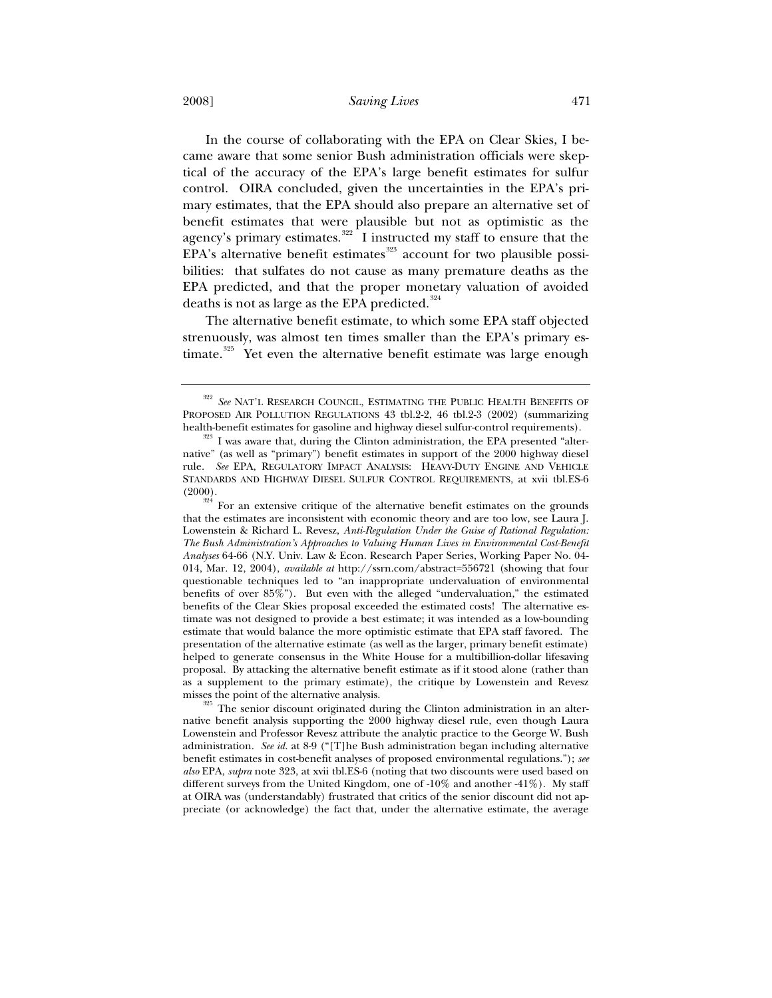In the course of collaborating with the EPA on Clear Skies, I became aware that some senior Bush administration officials were skeptical of the accuracy of the EPA's large benefit estimates for sulfur control. OIRA concluded, given the uncertainties in the EPA's primary estimates, that the EPA should also prepare an alternative set of benefit estimates that were plausible but not as optimistic as the agency's primary estimates. $322$  I instructed my staff to ensure that the  $EPA's$  alternative benefit estimates<sup>323</sup> account for two plausible possibilities: that sulfates do not cause as many premature deaths as the EPA predicted, and that the proper monetary valuation of avoided deaths is not as large as the EPA predicted. $324$ 

The alternative benefit estimate, to which some EPA staff objected strenuously, was almost ten times smaller than the EPA's primary estimate.<sup>325</sup> Yet even the alternative benefit estimate was large enough

misses the point of the alternative analysis.<br><sup>325</sup> The senior discount originated during the Clinton administration in an alternative benefit analysis supporting the 2000 highway diesel rule, even though Laura Lowenstein and Professor Revesz attribute the analytic practice to the George W. Bush administration. *See id.* at 8-9 ("[T]he Bush administration began including alternative benefit estimates in cost-benefit analyses of proposed environmental regulations."); *see also* EPA, *supra* note 323, at xvii tbl.ES-6 (noting that two discounts were used based on different surveys from the United Kingdom, one of -10% and another -41%). My staff at OIRA was (understandably) frustrated that critics of the senior discount did not appreciate (or acknowledge) the fact that, under the alternative estimate, the average

<sup>322</sup> *See* NAT'L RESEARCH COUNCIL, ESTIMATING THE PUBLIC HEALTH BENEFITS OF PROPOSED AIR POLLUTION REGULATIONS 43 tbl.2-2, 46 tbl.2-3 (2002) (summarizing health-benefit estimates for gasoline and highway diesel sulfur-control requirements). <sup>323</sup> I was aware that, during the Clinton administration, the EPA presented "alter-

native" (as well as "primary") benefit estimates in support of the 2000 highway diesel rule. *See* EPA, REGULATORY IMPACT ANALYSIS: HEAVY-DUTY ENGINE AND VEHICLE STANDARDS AND HIGHWAY DIESEL SULFUR CONTROL REQUIREMENTS, at xvii tbl.ES-6  $(2000).$ 

 $324$  For an extensive critique of the alternative benefit estimates on the grounds that the estimates are inconsistent with economic theory and are too low, see Laura J. Lowenstein & Richard L. Revesz, *Anti-Regulation Under the Guise of Rational Regulation: The Bush Administration's Approaches to Valuing Human Lives in Environmental Cost-Benefit Analyses* 64-66 (N.Y. Univ. Law & Econ. Research Paper Series, Working Paper No. 04- 014, Mar. 12, 2004), *available at* http://ssrn.com/abstract=556721 (showing that four questionable techniques led to "an inappropriate undervaluation of environmental benefits of over 85%"). But even with the alleged "undervaluation," the estimated benefits of the Clear Skies proposal exceeded the estimated costs! The alternative estimate was not designed to provide a best estimate; it was intended as a low-bounding estimate that would balance the more optimistic estimate that EPA staff favored. The presentation of the alternative estimate (as well as the larger, primary benefit estimate) helped to generate consensus in the White House for a multibillion-dollar lifesaving proposal. By attacking the alternative benefit estimate as if it stood alone (rather than as a supplement to the primary estimate), the critique by Lowenstein and Revesz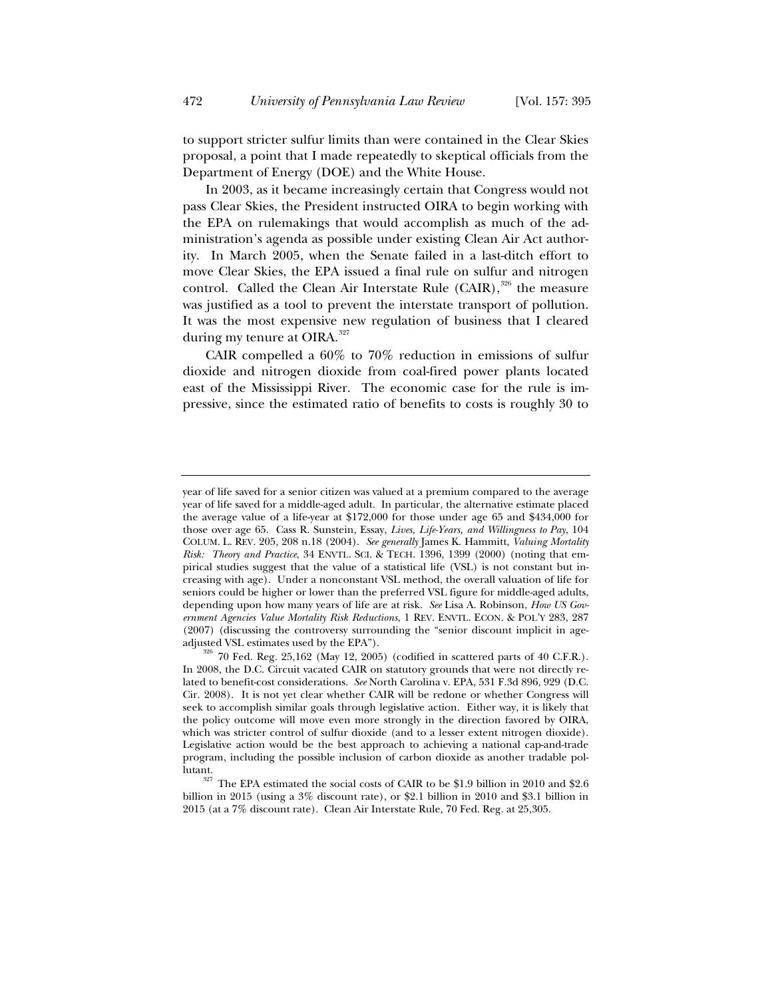to support stricter sulfur limits than were contained in the Clear Skies proposal, a point that I made repeatedly to skeptical officials from the Department of Energy (DOE) and the White House.

In 2003, as it became increasingly certain that Congress would not pass Clear Skies, the President instructed OIRA to begin working with the EPA on rulemakings that would accomplish as much of the administration's agenda as possible under existing Clean Air Act authority. In March 2005, when the Senate failed in a last-ditch effort to move Clear Skies, the EPA issued a final rule on sulfur and nitrogen control. Called the Clean Air Interstate Rule  $(CAIR)$ ,  $326$  the measure was justified as a tool to prevent the interstate transport of pollution. It was the most expensive new regulation of business that I cleared during my tenure at OIRA.<sup>327</sup>

CAIR compelled a 60% to 70% reduction in emissions of sulfur dioxide and nitrogen dioxide from coal-fired power plants located east of the Mississippi River. The economic case for the rule is impressive, since the estimated ratio of benefits to costs is roughly 30 to

year of life saved for a senior citizen was valued at a premium compared to the average year of life saved for a middle-aged adult. In particular, the alternative estimate placed the average value of a life-year at \$172,000 for those under age 65 and \$434,000 for those over age 65. Cass R. Sunstein, Essay, *Lives, Life-Years, and Willingness to Pay*, 104 COLUM. L. REV. 205, 208 n.18 (2004). *See generally* James K. Hammitt, *Valuing Mortality Risk: Theory and Practice*, 34 ENVTL. SCI.&TECH. 1396, 1399 (2000) (noting that empirical studies suggest that the value of a statistical life (VSL) is not constant but increasing with age). Under a nonconstant VSL method, the overall valuation of life for seniors could be higher or lower than the preferred VSL figure for middle-aged adults, depending upon how many years of life are at risk. *See* Lisa A. Robinson, *How US Government Agencies Value Mortality Risk Reductions*, 1 REV. ENVTL. ECON. & POL'Y 283, 287  $(2007)$  (discussing the controversy surrounding the "senior discount implicit in age-<br>adjusted VSL estimates used by the EPA").

 $^{326}$  70 Fed. Reg. 25,162 (May 12, 2005) (codified in scattered parts of 40 C.F.R.). In 2008, the D.C. Circuit vacated CAIR on statutory grounds that were not directly related to benefit-cost considerations. *See* North Carolina v. EPA, 531 F.3d 896, 929 (D.C. Cir. 2008). It is not yet clear whether CAIR will be redone or whether Congress will seek to accomplish similar goals through legislative action. Either way, it is likely that the policy outcome will move even more strongly in the direction favored by OIRA, which was stricter control of sulfur dioxide (and to a lesser extent nitrogen dioxide). Legislative action would be the best approach to achieving a national cap-and-trade program, including the possible inclusion of carbon dioxide as another tradable pollutant.

The EPA estimated the social costs of CAIR to be \$1.9 billion in 2010 and \$2.6 billion in 2015 (using a 3% discount rate), or \$2.1 billion in 2010 and \$3.1 billion in 2015 (at a 7% discount rate). Clean Air Interstate Rule*,* 70 Fed. Reg. at 25,305.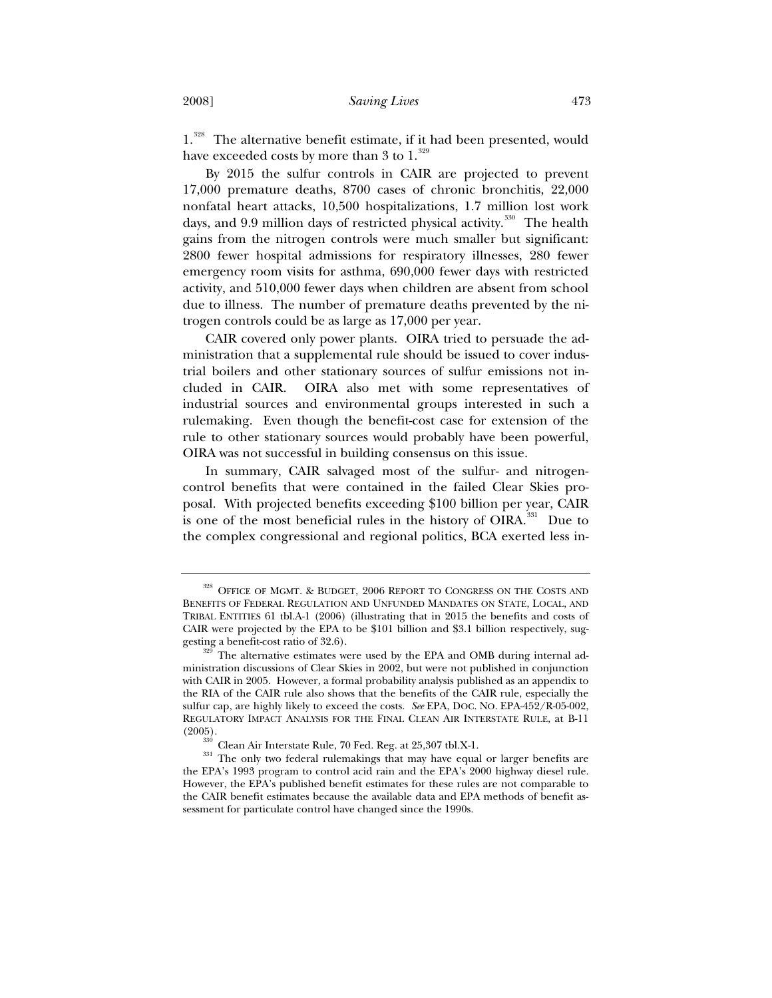1.<sup>328</sup> The alternative benefit estimate, if it had been presented, would have exceeded costs by more than 3 to  $1.^{329}$ 

By 2015 the sulfur controls in CAIR are projected to prevent 17,000 premature deaths, 8700 cases of chronic bronchitis, 22,000 nonfatal heart attacks, 10,500 hospitalizations, 1.7 million lost work days, and 9.9 million days of restricted physical activity.<sup>330</sup> The health gains from the nitrogen controls were much smaller but significant: 2800 fewer hospital admissions for respiratory illnesses, 280 fewer emergency room visits for asthma, 690,000 fewer days with restricted activity, and 510,000 fewer days when children are absent from school due to illness. The number of premature deaths prevented by the nitrogen controls could be as large as 17,000 per year.

CAIR covered only power plants. OIRA tried to persuade the administration that a supplemental rule should be issued to cover industrial boilers and other stationary sources of sulfur emissions not included in CAIR. OIRA also met with some representatives of industrial sources and environmental groups interested in such a rulemaking. Even though the benefit-cost case for extension of the rule to other stationary sources would probably have been powerful, OIRA was not successful in building consensus on this issue.

In summary, CAIR salvaged most of the sulfur- and nitrogencontrol benefits that were contained in the failed Clear Skies proposal. With projected benefits exceeding \$100 billion per year, CAIR is one of the most beneficial rules in the history of OIRA.<sup>331</sup> Due to the complex congressional and regional politics, BCA exerted less in-

 $^\mathrm{328}$  OFFICE OF MGMT. & BUDGET, 2006 REPORT TO CONGRESS ON THE COSTS AND BENEFITS OF FEDERAL REGULATION AND UNFUNDED MANDATES ON STATE, LOCAL, AND TRIBAL ENTITIES 61 tbl.A-1 (2006) (illustrating that in 2015 the benefits and costs of CAIR were projected by the EPA to be \$101 billion and \$3.1 billion respectively, suggesting a benefit-cost ratio of 32.6).<br><sup>329</sup> The alternative estimates were used by the EPA and OMB during internal ad-

ministration discussions of Clear Skies in 2002, but were not published in conjunction with CAIR in 2005. However, a formal probability analysis published as an appendix to the RIA of the CAIR rule also shows that the benefits of the CAIR rule, especially the sulfur cap, are highly likely to exceed the costs. *See* EPA, DOC. NO. EPA-452/R-05-002, REGULATORY IMPACT ANALYSIS FOR THE FINAL CLEAN AIR INTERSTATE RULE, at B-11 (2005).

 $\frac{330}{331}$  Clean Air Interstate Rule, 70 Fed. Reg. at 25,307 tbl.X-1.<br> $\frac{331}{100}$  The only two federal rulemakings that may have equal or larger benefits are the EPA's 1993 program to control acid rain and the EPA's 2000 highway diesel rule. However, the EPA's published benefit estimates for these rules are not comparable to the CAIR benefit estimates because the available data and EPA methods of benefit assessment for particulate control have changed since the 1990s.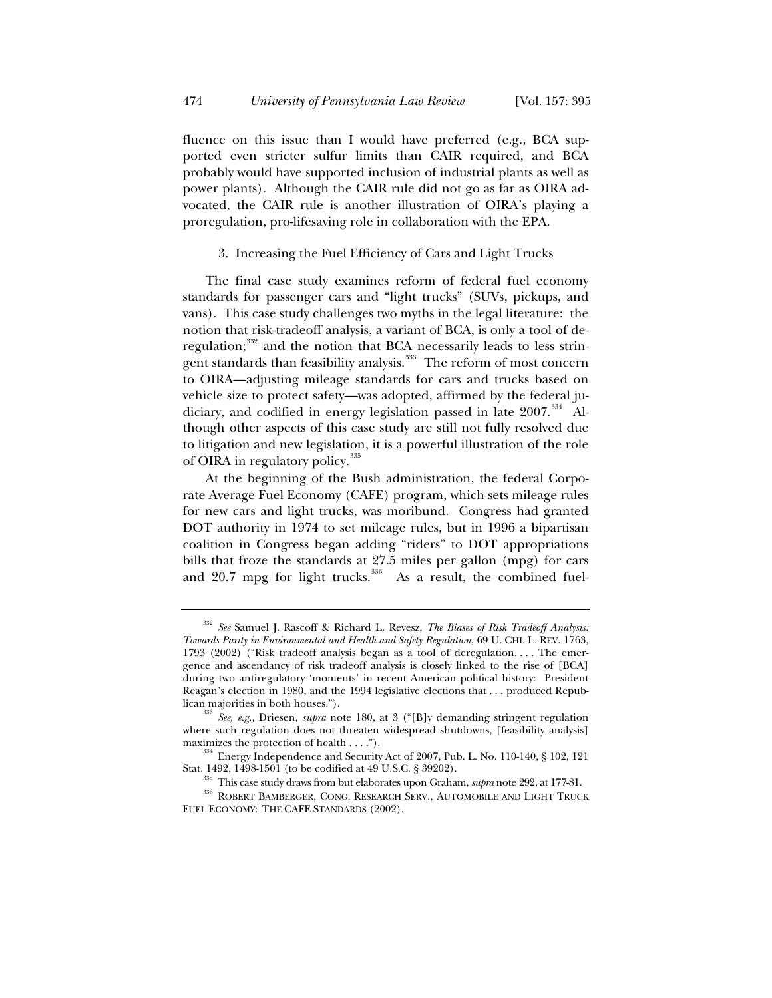fluence on this issue than I would have preferred (e.g., BCA supported even stricter sulfur limits than CAIR required, and BCA probably would have supported inclusion of industrial plants as well as power plants). Although the CAIR rule did not go as far as OIRA advocated, the CAIR rule is another illustration of OIRA's playing a proregulation, pro-lifesaving role in collaboration with the EPA.

# 3. Increasing the Fuel Efficiency of Cars and Light Trucks

The final case study examines reform of federal fuel economy standards for passenger cars and "light trucks" (SUVs, pickups, and vans). This case study challenges two myths in the legal literature: the notion that risk-tradeoff analysis, a variant of BCA, is only a tool of deregulation;<sup>332</sup> and the notion that BCA necessarily leads to less stringent standards than feasibility analysis.<sup>333</sup> The reform of most concern to OIRA—adjusting mileage standards for cars and trucks based on vehicle size to protect safety—was adopted, affirmed by the federal judiciary, and codified in energy legislation passed in late 2007.<sup>334</sup> Although other aspects of this case study are still not fully resolved due to litigation and new legislation, it is a powerful illustration of the role of OIRA in regulatory policy.<sup>335</sup>

At the beginning of the Bush administration, the federal Corporate Average Fuel Economy (CAFE) program, which sets mileage rules for new cars and light trucks, was moribund. Congress had granted DOT authority in 1974 to set mileage rules, but in 1996 a bipartisan coalition in Congress began adding "riders" to DOT appropriations bills that froze the standards at 27.5 miles per gallon (mpg) for cars and  $20.7$  mpg for light trucks.<sup>336</sup> As a result, the combined fuel-

<sup>332</sup> *See* Samuel J. Rascoff & Richard L. Revesz, *The Biases of Risk Tradeoff Analysis: Towards Parity in Environmental and Health-and-Safety Regulation*, 69 U. CHI. L. REV. 1763, 1793 (2002) ("Risk tradeoff analysis began as a tool of deregulation. . . . The emergence and ascendancy of risk tradeoff analysis is closely linked to the rise of [BCA] during two antiregulatory 'moments' in recent American political history: President Reagan's election in 1980, and the 1994 legislative elections that . . . produced Repub-

lican majorities in both houses."). 333 *See, e.g.*, Driesen, *supra* note 180, at 3 ("[B]y demanding stringent regulation where such regulation does not threaten widespread shutdowns, [feasibility analysis] maximizes the protection of health  $\dots$ .").

 $\frac{334}{10}$  Energy Independence and Security Act of 2007, Pub. L. No. 110-140, § 102, 121 Stat. 1492, 1498-1501 (to be codified at 49 U.S.C. § 39202).

<sup>&</sup>lt;sup>335</sup> This case study draws from but elaborates upon Graham, *supra* note 292, at 177-81.<br><sup>336</sup> ROBERT BAMBERGER, CONG. RESEARCH SERV., AUTOMOBILE AND LIGHT TRUCK FUEL ECONOMY: THE CAFE STANDARDS (2002).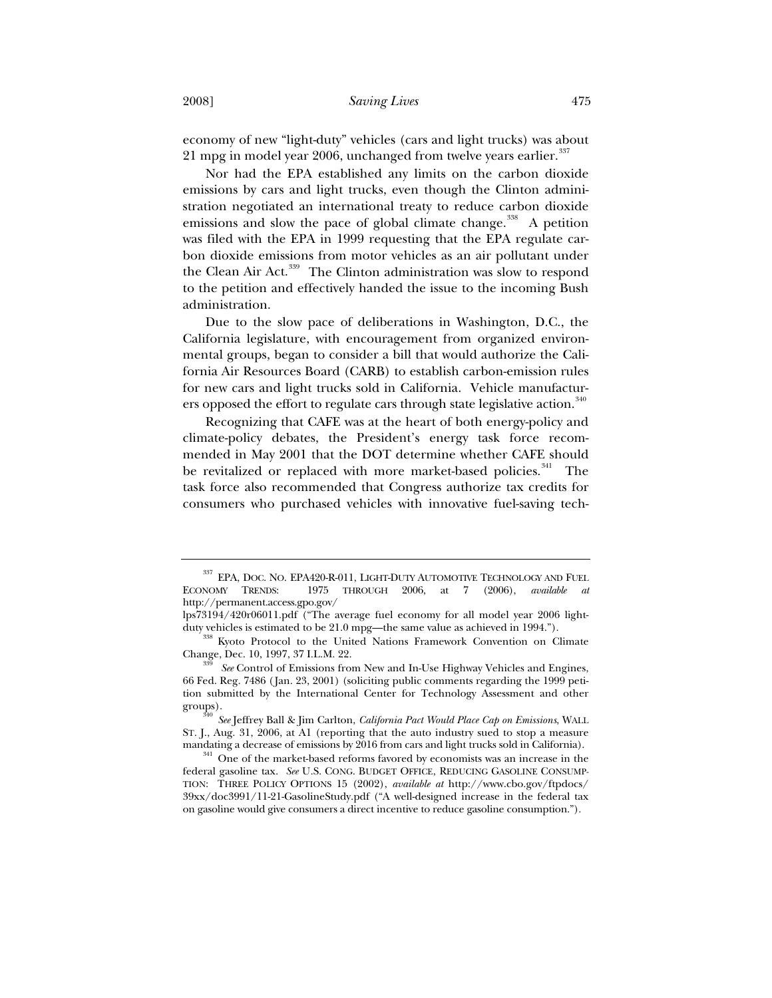economy of new "light-duty" vehicles (cars and light trucks) was about 21 mpg in model year 2006, unchanged from twelve years earlier.<sup>337</sup>

Nor had the EPA established any limits on the carbon dioxide emissions by cars and light trucks, even though the Clinton administration negotiated an international treaty to reduce carbon dioxide emissions and slow the pace of global climate change.<sup>338</sup> A petition was filed with the EPA in 1999 requesting that the EPA regulate carbon dioxide emissions from motor vehicles as an air pollutant under the Clean Air Act.<sup>339</sup> The Clinton administration was slow to respond to the petition and effectively handed the issue to the incoming Bush administration.

Due to the slow pace of deliberations in Washington, D.C., the California legislature, with encouragement from organized environmental groups, began to consider a bill that would authorize the California Air Resources Board (CARB) to establish carbon-emission rules for new cars and light trucks sold in California. Vehicle manufacturers opposed the effort to regulate cars through state legislative action.<sup>340</sup>

Recognizing that CAFE was at the heart of both energy-policy and climate-policy debates, the President's energy task force recommended in May 2001 that the DOT determine whether CAFE should be revitalized or replaced with more market-based policies.<sup>341</sup> The task force also recommended that Congress authorize tax credits for consumers who purchased vehicles with innovative fuel-saving tech-

<sup>&</sup>lt;sup>337</sup> EPA, DOC. NO. EPA420-R-011, LIGHT-DUTY AUTOMOTIVE TECHNOLOGY AND FUEL ECONOMY TRENDS: 1975 THROUGH 2006, at 7 (2006), *available at* ECONOMY TRENDS: 1975 THROUGH 2006, at 7 (2006), *available at* http://permanent.access.gpo.gov/

lps73194/420r06011.pdf ("The average fuel economy for all model year 2006 lightduty vehicles is estimated to be 21.0 mpg—the same value as achieved in 1994.").<br><sup>338</sup> Kyoto Protocol to the United Nations Framework Convention on Climate

Change, Dec. 10, 1997, 37 I.L.M. 22. 339 *See* Control of Emissions from New and In-Use Highway Vehicles and Engines,

<sup>66</sup> Fed. Reg. 7486 (Jan. 23, 2001) (soliciting public comments regarding the 1999 petition submitted by the International Center for Technology Assessment and other groups). 340 *See* Jeffrey Ball & Jim Carlton, *California Pact Would Place Cap on Emissions*, WALL

ST. J., Aug. 31, 2006, at A1 (reporting that the auto industry sued to stop a measure mandating a decrease of emissions by 2016 from cars and light trucks sold in California).  $341$  One of the market-based reforms favored by economists was an increase in the

federal gasoline tax. *See* U.S. CONG. BUDGET OFFICE, REDUCING GASOLINE CONSUMP-TION: THREE POLICY OPTIONS 15 (2002), *available at* http://www.cbo.gov/ftpdocs/ 39xx/doc3991/11-21-GasolineStudy.pdf ("A well-designed increase in the federal tax on gasoline would give consumers a direct incentive to reduce gasoline consumption.").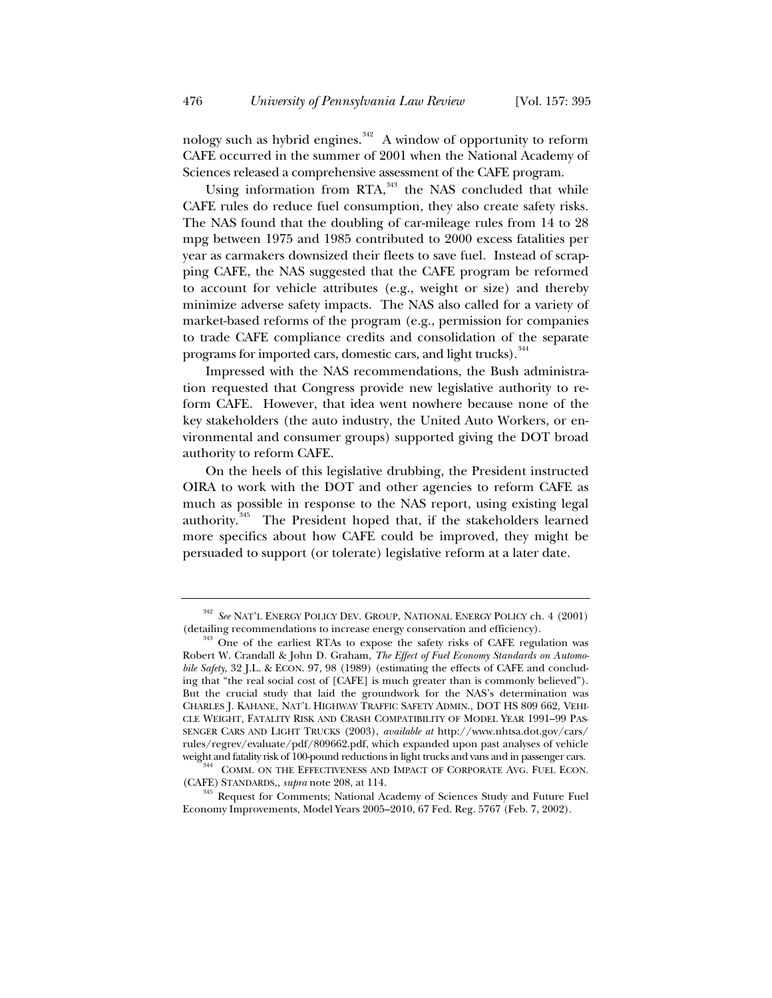nology such as hybrid engines. $342$  A window of opportunity to reform CAFE occurred in the summer of 2001 when the National Academy of Sciences released a comprehensive assessment of the CAFE program.

Using information from RTA,<sup>343</sup> the NAS concluded that while CAFE rules do reduce fuel consumption, they also create safety risks. The NAS found that the doubling of car-mileage rules from 14 to 28 mpg between 1975 and 1985 contributed to 2000 excess fatalities per year as carmakers downsized their fleets to save fuel. Instead of scrapping CAFE, the NAS suggested that the CAFE program be reformed to account for vehicle attributes (e.g., weight or size) and thereby minimize adverse safety impacts. The NAS also called for a variety of market-based reforms of the program (e.g., permission for companies to trade CAFE compliance credits and consolidation of the separate programs for imported cars, domestic cars, and light trucks).<sup>344</sup>

Impressed with the NAS recommendations, the Bush administration requested that Congress provide new legislative authority to reform CAFE. However, that idea went nowhere because none of the key stakeholders (the auto industry, the United Auto Workers, or environmental and consumer groups) supported giving the DOT broad authority to reform CAFE.

On the heels of this legislative drubbing, the President instructed OIRA to work with the DOT and other agencies to reform CAFE as much as possible in response to the NAS report, using existing legal authority.<sup>345</sup> The President hoped that, if the stakeholders learned more specifics about how CAFE could be improved, they might be persuaded to support (or tolerate) legislative reform at a later date.

<sup>&</sup>lt;sup>342</sup> *See* NAT'L ENERGY POLICY DEV. GROUP, NATIONAL ENERGY POLICY ch. 4 (2001) (detailing recommendations to increase energy conservation and efficiency).

 $343$  One of the earliest RTAs to expose the safety risks of CAFE regulation was Robert W. Crandall & John D. Graham, *The Effect of Fuel Economy Standards on Automobile Safety*, 32 J.L. & ECON. 97, 98 (1989) (estimating the effects of CAFE and concluding that "the real social cost of [CAFE] is much greater than is commonly believed"). But the crucial study that laid the groundwork for the NAS's determination was CHARLES J. KAHANE, NAT'L HIGHWAY TRAFFIC SAFETY ADMIN., DOT HS 809 662, VEHI-CLE WEIGHT, FATALITY RISK AND CRASH COMPATIBILITY OF MODEL YEAR 1991–99 PAS-SENGER CARS AND LIGHT TRUCKS (2003), *available at* http://www.nhtsa.dot.gov/cars/ rules/regrev/evaluate/pdf/809662.pdf, which expanded upon past analyses of vehicle

weight and fatality risk of 100-pound reductions in light trucks and vans and in passenger cars.<br><sup>344</sup> COMM. ON THE EFFECTIVENESS AND IMPACT OF CORPORATE AVG. FUEL ECON. (CAFE) STANDARDS,, *supra* note 208, at 114.

 $345$  Request for Comments; National Academy of Sciences Study and Future Fuel Economy Improvements, Model Years 2005–2010, 67 Fed. Reg. 5767 (Feb. 7, 2002).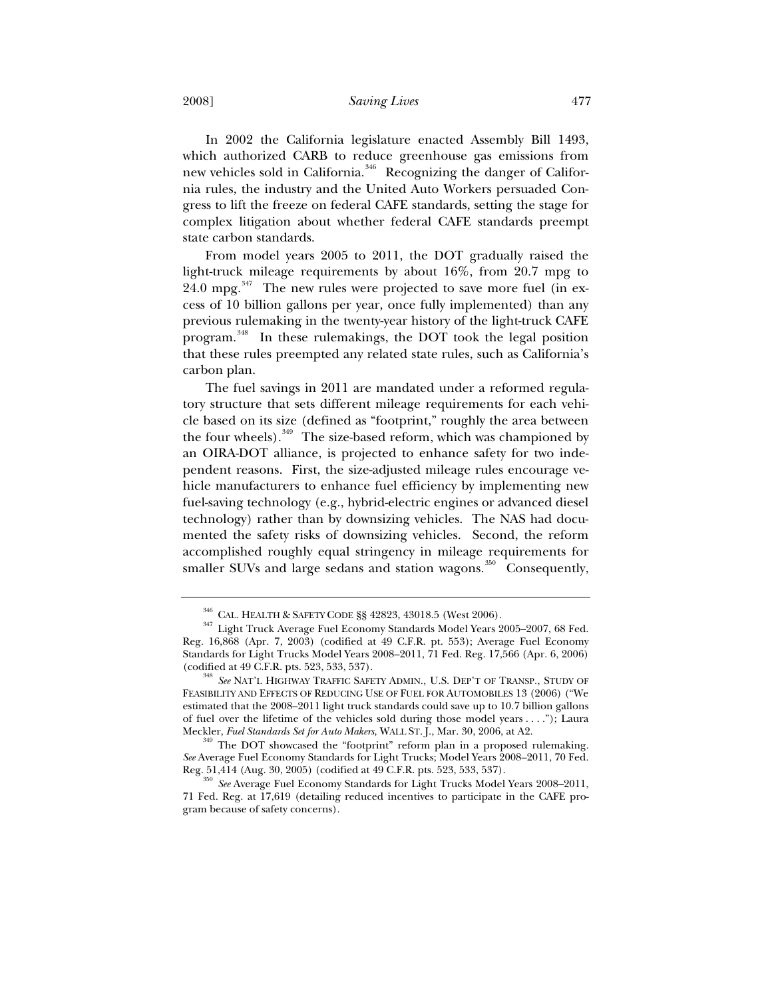2008] *Saving Lives* 477

In 2002 the California legislature enacted Assembly Bill 1493, which authorized CARB to reduce greenhouse gas emissions from new vehicles sold in California.<sup>346</sup> Recognizing the danger of California rules, the industry and the United Auto Workers persuaded Congress to lift the freeze on federal CAFE standards, setting the stage for complex litigation about whether federal CAFE standards preempt state carbon standards.

From model years 2005 to 2011, the DOT gradually raised the light-truck mileage requirements by about 16%, from 20.7 mpg to  $24.0$  mpg.<sup>347</sup> The new rules were projected to save more fuel (in excess of 10 billion gallons per year, once fully implemented) than any previous rulemaking in the twenty-year history of the light-truck CAFE program.<sup>348</sup> In these rulemakings, the DOT took the legal position that these rules preempted any related state rules, such as California's carbon plan.

The fuel savings in 2011 are mandated under a reformed regulatory structure that sets different mileage requirements for each vehicle based on its size (defined as "footprint," roughly the area between the four wheels).<sup>349</sup> The size-based reform, which was championed by an OIRA-DOT alliance, is projected to enhance safety for two independent reasons. First, the size-adjusted mileage rules encourage vehicle manufacturers to enhance fuel efficiency by implementing new fuel-saving technology (e.g., hybrid-electric engines or advanced diesel technology) rather than by downsizing vehicles. The NAS had documented the safety risks of downsizing vehicles. Second, the reform accomplished roughly equal stringency in mileage requirements for smaller SUVs and large sedans and station wagons.<sup>350</sup> Consequently,

 $\frac{346}{347}$  CAL. HEALTH & SAFETY CODE §§ 42823, 43018.5 (West 2006).<br> $\frac{347}{347}$  Light Truck Average Fuel Economy Standards Model Years 2005–2007, 68 Fed. Reg. 16,868 (Apr. 7, 2003) (codified at 49 C.F.R. pt. 553); Average Fuel Economy Standards for Light Trucks Model Years 2008–2011, 71 Fed. Reg. 17,566 (Apr. 6, 2006)

<sup>&</sup>lt;sup>348</sup> See NAT'L HIGHWAY TRAFFIC SAFETY ADMIN., U.S. DEP'T OF TRANSP., STUDY OF FEASIBILITY AND EFFECTS OF REDUCING USE OF FUEL FOR AUTOMOBILES 13 (2006) ("We estimated that the 2008–2011 light truck standards could save up to 10.7 billion gallons of fuel over the lifetime of the vehicles sold during those model years . . . ."); Laura

Meckler, *Fuel Standards Set for Auto Makers*, WALL ST. J., Mar. 30, 2006, at A2. 349 The DOT showcased the "footprint" reform plan in a proposed rulemaking. *See* Average Fuel Economy Standards for Light Trucks; Model Years 2008–2011, 70 Fed. Reg. 51,414 (Aug. 30, 2005) (codified at 49 C.F.R. pts. 523, 533, 537).<br><sup>350</sup> *See* Average Fuel Economy Standards for Light Trucks Model Years 2008–2011,

<sup>71</sup> Fed. Reg. at 17,619 (detailing reduced incentives to participate in the CAFE program because of safety concerns).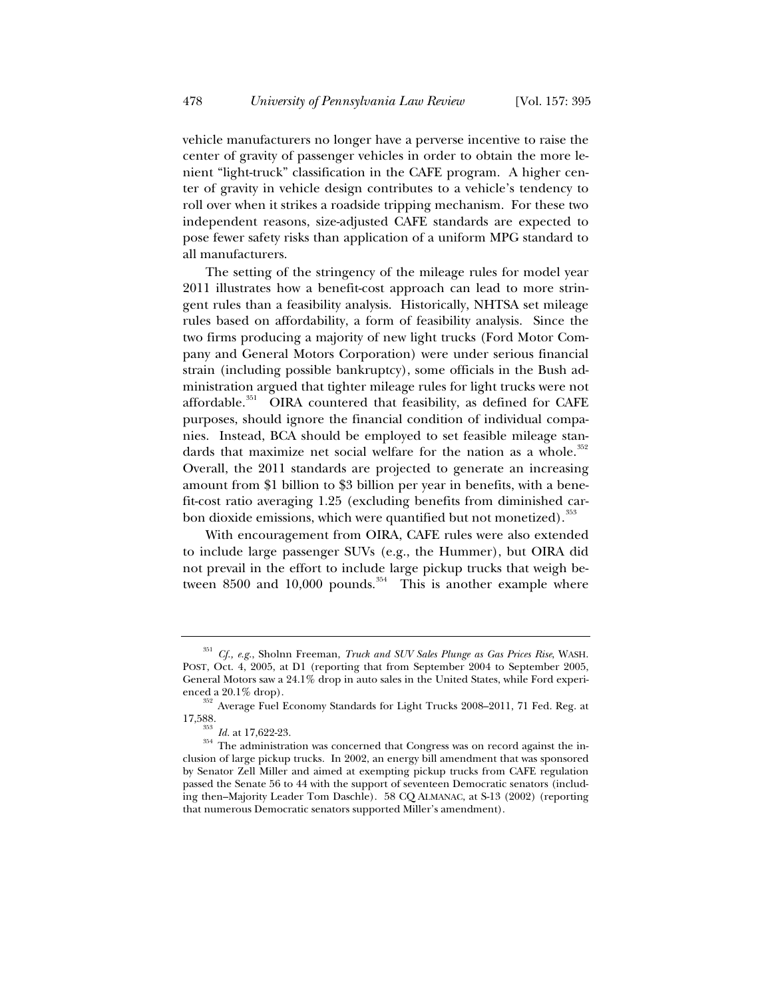vehicle manufacturers no longer have a perverse incentive to raise the center of gravity of passenger vehicles in order to obtain the more lenient "light-truck" classification in the CAFE program. A higher center of gravity in vehicle design contributes to a vehicle's tendency to roll over when it strikes a roadside tripping mechanism. For these two independent reasons, size-adjusted CAFE standards are expected to pose fewer safety risks than application of a uniform MPG standard to all manufacturers.

The setting of the stringency of the mileage rules for model year 2011 illustrates how a benefit-cost approach can lead to more stringent rules than a feasibility analysis. Historically, NHTSA set mileage rules based on affordability, a form of feasibility analysis. Since the two firms producing a majority of new light trucks (Ford Motor Company and General Motors Corporation) were under serious financial strain (including possible bankruptcy), some officials in the Bush administration argued that tighter mileage rules for light trucks were not affordable. $351$  OIRA countered that feasibility, as defined for CAFE purposes, should ignore the financial condition of individual companies. Instead, BCA should be employed to set feasible mileage standards that maximize net social welfare for the nation as a whole. $35$ Overall, the 2011 standards are projected to generate an increasing amount from \$1 billion to \$3 billion per year in benefits, with a benefit-cost ratio averaging 1.25 (excluding benefits from diminished carbon dioxide emissions, which were quantified but not monetized).<sup>353</sup>

With encouragement from OIRA, CAFE rules were also extended to include large passenger SUVs (e.g., the Hummer), but OIRA did not prevail in the effort to include large pickup trucks that weigh between 8500 and 10,000 pounds.<sup>354</sup> This is another example where

<sup>351</sup> *Cf., e.g.*, Sholnn Freeman, *Truck and SUV Sales Plunge as Gas Prices Rise*, WASH. POST, Oct. 4, 2005, at D1 (reporting that from September 2004 to September 2005, General Motors saw a 24.1% drop in auto sales in the United States, while Ford experi-

enced a 20.1% drop).  $\frac{352}{352}$  Average Fuel Economy Standards for Light Trucks 2008–2011, 71 Fed. Reg. at

<sup>17,588.</sup>  $^{353}$  *Id.* at 17,622-23.  $^{354}$  The administration was concerned that Congress was on record against the inclusion of large pickup trucks. In 2002, an energy bill amendment that was sponsored by Senator Zell Miller and aimed at exempting pickup trucks from CAFE regulation passed the Senate 56 to 44 with the support of seventeen Democratic senators (including then–Majority Leader Tom Daschle). 58 CQ ALMANAC, at S-13 (2002) (reporting that numerous Democratic senators supported Miller's amendment).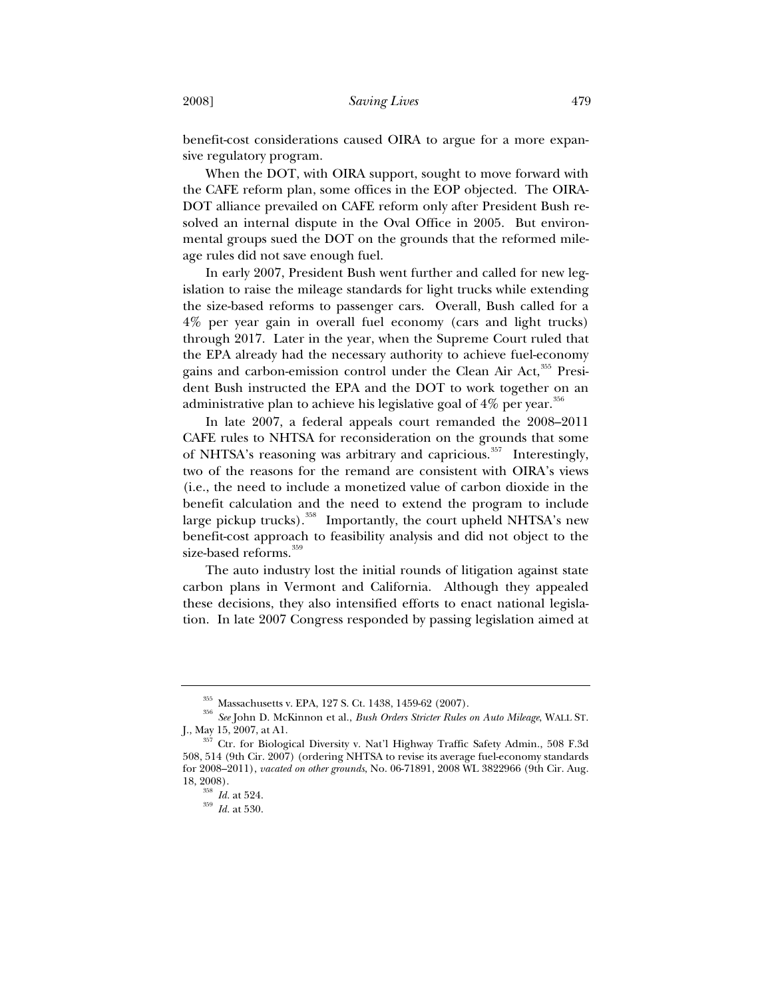benefit-cost considerations caused OIRA to argue for a more expansive regulatory program.

When the DOT, with OIRA support, sought to move forward with the CAFE reform plan, some offices in the EOP objected. The OIRA-DOT alliance prevailed on CAFE reform only after President Bush resolved an internal dispute in the Oval Office in 2005. But environmental groups sued the DOT on the grounds that the reformed mileage rules did not save enough fuel.

In early 2007, President Bush went further and called for new legislation to raise the mileage standards for light trucks while extending the size-based reforms to passenger cars. Overall, Bush called for a 4% per year gain in overall fuel economy (cars and light trucks) through 2017. Later in the year, when the Supreme Court ruled that the EPA already had the necessary authority to achieve fuel-economy gains and carbon-emission control under the Clean Air Act,<sup>355</sup> President Bush instructed the EPA and the DOT to work together on an administrative plan to achieve his legislative goal of  $4\%$  per year.<sup>356</sup>

In late 2007, a federal appeals court remanded the 2008–2011 CAFE rules to NHTSA for reconsideration on the grounds that some of NHTSA's reasoning was arbitrary and capricious.<sup>357</sup> Interestingly, two of the reasons for the remand are consistent with OIRA's views (i.e., the need to include a monetized value of carbon dioxide in the benefit calculation and the need to extend the program to include large pickup trucks).<sup>358</sup> Importantly, the court upheld NHTSA's new benefit-cost approach to feasibility analysis and did not object to the size-based reforms.<sup>359</sup>

The auto industry lost the initial rounds of litigation against state carbon plans in Vermont and California. Although they appealed these decisions, they also intensified efforts to enact national legislation. In late 2007 Congress responded by passing legislation aimed at

<sup>355</sup> Massachusetts v. EPA, 127 S. Ct. 1438, 1459-62 (2007). 356 *See* John D. McKinnon et al., *Bush Orders Stricter Rules on Auto Mileage*, WALL ST. J., May 15, 2007, at A1. 357 Ctr. for Biological Diversity v. Nat'l Highway Traffic Safety Admin., 508 F.3d

<sup>508, 514 (9</sup>th Cir. 2007) (ordering NHTSA to revise its average fuel-economy standards for 2008–2011), *vacated on other grounds*, No. 06-71891, 2008 WL 3822966 (9th Cir. Aug. 18, 2008). 358 *Id.* at 524. 359 *Id.* at 530.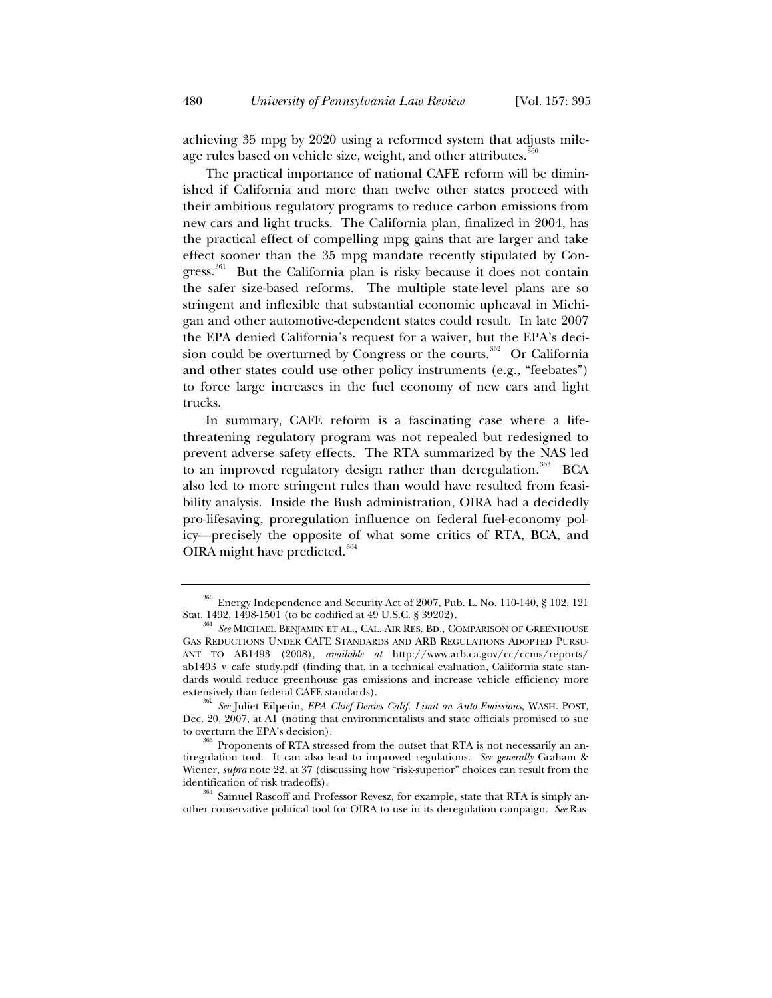achieving 35 mpg by 2020 using a reformed system that adjusts mileage rules based on vehicle size, weight, and other attributes.<sup>360</sup>

The practical importance of national CAFE reform will be diminished if California and more than twelve other states proceed with their ambitious regulatory programs to reduce carbon emissions from new cars and light trucks. The California plan, finalized in 2004, has the practical effect of compelling mpg gains that are larger and take effect sooner than the 35 mpg mandate recently stipulated by Congress.<sup>361</sup> But the California plan is risky because it does not contain the safer size-based reforms. The multiple state-level plans are so stringent and inflexible that substantial economic upheaval in Michigan and other automotive-dependent states could result. In late 2007 the EPA denied California's request for a waiver, but the EPA's decision could be overturned by Congress or the courts.<sup>362</sup> Or California and other states could use other policy instruments (e.g., "feebates") to force large increases in the fuel economy of new cars and light trucks.

In summary, CAFE reform is a fascinating case where a lifethreatening regulatory program was not repealed but redesigned to prevent adverse safety effects. The RTA summarized by the NAS led to an improved regulatory design rather than deregulation.<sup>363</sup> BCA also led to more stringent rules than would have resulted from feasibility analysis. Inside the Bush administration, OIRA had a decidedly pro-lifesaving, proregulation influence on federal fuel-economy policy—precisely the opposite of what some critics of RTA, BCA, and OIRA might have predicted.<sup>364</sup>

 $^{360}$  Energy Independence and Security Act of 2007, Pub. L. No. 110-140, § 102, 121 Stat. 1492, 1498-1501 (to be codified at 49 U.S.C. § 39202).

 $^{361}$  *See* MICHAEL BENJAMIN ET AL., CAL. AIR RES. BD., COMPARISON OF GREENHOUSE GAS REDUCTIONS UNDER CAFE STANDARDS AND ARB REGULATIONS ADOPTED PURSU-ANT TO AB1493 (2008), *available at* http://www.arb.ca.gov/cc/ccms/reports/ ab1493\_v\_cafe\_study.pdf (finding that, in a technical evaluation, California state standards would reduce greenhouse gas emissions and increase vehicle efficiency more extensively than federal CAFE standards).

<sup>&</sup>lt;sup>362</sup> See Juliet Eilperin, *EPA Chief Denies Calif. Limit on Auto Emissions*, WASH. POST, Dec. 20, 2007, at A1 (noting that environmentalists and state officials promised to sue to overturn the EPA's decision).  $363$  Proponents of RTA stressed from the outset that RTA is not necessarily an an-

tiregulation tool. It can also lead to improved regulations. *See generally* Graham & Wiener, *supra* note 22, at 37 (discussing how "risk-superior" choices can result from the identification of risk tradeoffs).<br><sup>364</sup> Samuel Rascoff and Professor Revesz, for example, state that RTA is simply an-

other conservative political tool for OIRA to use in its deregulation campaign. *See* Ras-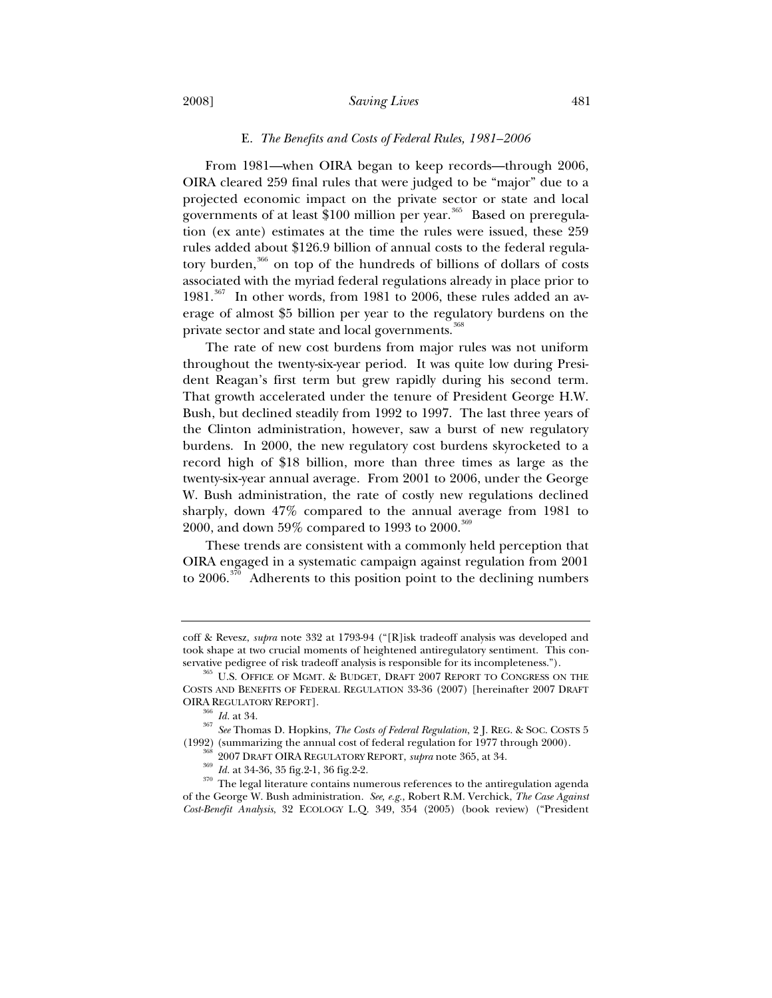## 2008] *Saving Lives* 481

## E. *The Benefits and Costs of Federal Rules, 1981–2006*

From 1981—when OIRA began to keep records—through 2006, OIRA cleared 259 final rules that were judged to be "major" due to a projected economic impact on the private sector or state and local governments of at least \$100 million per year.<sup>365</sup> Based on preregulation (ex ante) estimates at the time the rules were issued, these 259 rules added about \$126.9 billion of annual costs to the federal regulatory burden,366 on top of the hundreds of billions of dollars of costs associated with the myriad federal regulations already in place prior to  $1981$ .<sup>367</sup> In other words, from 1981 to 2006, these rules added an average of almost \$5 billion per year to the regulatory burdens on the private sector and state and local governments.<sup>368</sup>

The rate of new cost burdens from major rules was not uniform throughout the twenty-six-year period. It was quite low during President Reagan's first term but grew rapidly during his second term. That growth accelerated under the tenure of President George H.W. Bush, but declined steadily from 1992 to 1997. The last three years of the Clinton administration, however, saw a burst of new regulatory burdens. In 2000, the new regulatory cost burdens skyrocketed to a record high of \$18 billion, more than three times as large as the twenty-six-year annual average. From 2001 to 2006, under the George W. Bush administration, the rate of costly new regulations declined sharply, down 47% compared to the annual average from 1981 to 2000, and down 59% compared to 1993 to 2000.<sup>369</sup>

These trends are consistent with a commonly held perception that OIRA engaged in a systematic campaign against regulation from 2001 to  $2006.^{370}$  Adherents to this position point to the declining numbers

coff & Revesz, *supra* note 332 at 1793-94 ("[R]isk tradeoff analysis was developed and took shape at two crucial moments of heightened antiregulatory sentiment. This conservative pedigree of risk tradeoff analysis is responsible for its incompleteness.").

 $^{365}$  U.S. OFFICE OF MGMT. & BUDGET, DRAFT 2007 REPORT TO CONGRESS ON THE COSTS AND BENEFITS OF FEDERAL REGULATION 33-36 (2007) [hereinafter 2007 DRAFT OIRA REGULATORY REPORT].

<sup>&</sup>lt;sup>366</sup> *Id.* at 34. 367 *See* Thomas D. Hopkins, *The Costs of Federal Regulation*, 2 J. REG. & SOC. COSTS 5 (1992) (summarizing the annual cost of federal regulation for 1977 through 2000).

<sup>&</sup>lt;sup>368</sup> 2007 DRAFT OIRA REGULATORY REPORT, *supra* note 365, at 34.<br><sup>369</sup> Id. at 34-36, 35 fig.2-1, 36 fig.2-2.<br><sup>370</sup> The legal literature contains numerous references to the antiregulation agenda of the George W. Bush administration. *See, e.g.*, Robert R.M. Verchick, *The Case Against Cost-Benefit Analysis*, 32 ECOLOGY L.Q. 349, 354 (2005) (book review) ("President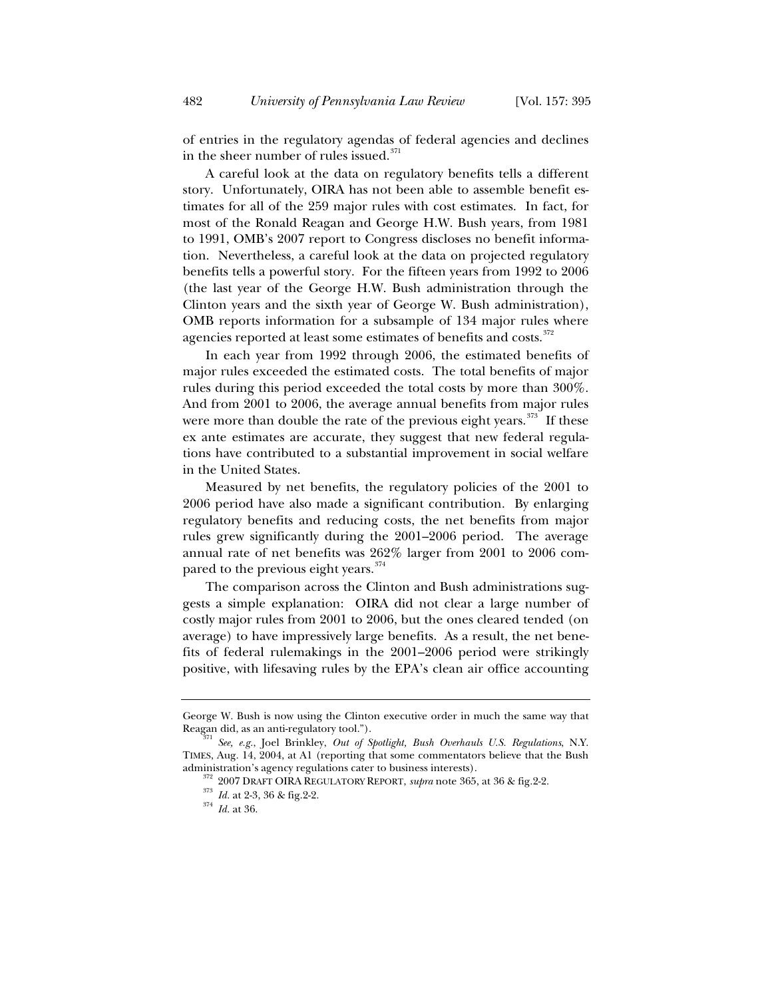of entries in the regulatory agendas of federal agencies and declines in the sheer number of rules issued.<sup>371</sup>

A careful look at the data on regulatory benefits tells a different story. Unfortunately, OIRA has not been able to assemble benefit estimates for all of the 259 major rules with cost estimates. In fact, for most of the Ronald Reagan and George H.W. Bush years, from 1981 to 1991, OMB's 2007 report to Congress discloses no benefit information. Nevertheless, a careful look at the data on projected regulatory benefits tells a powerful story. For the fifteen years from 1992 to 2006 (the last year of the George H.W. Bush administration through the Clinton years and the sixth year of George W. Bush administration), OMB reports information for a subsample of 134 major rules where agencies reported at least some estimates of benefits and costs.<sup>372</sup>

In each year from 1992 through 2006, the estimated benefits of major rules exceeded the estimated costs. The total benefits of major rules during this period exceeded the total costs by more than 300%. And from 2001 to 2006, the average annual benefits from major rules were more than double the rate of the previous eight years.<sup>373</sup> If these ex ante estimates are accurate, they suggest that new federal regulations have contributed to a substantial improvement in social welfare in the United States.

Measured by net benefits, the regulatory policies of the 2001 to 2006 period have also made a significant contribution. By enlarging regulatory benefits and reducing costs, the net benefits from major rules grew significantly during the 2001–2006 period. The average annual rate of net benefits was 262% larger from 2001 to 2006 compared to the previous eight years. $374$ 

The comparison across the Clinton and Bush administrations suggests a simple explanation: OIRA did not clear a large number of costly major rules from 2001 to 2006, but the ones cleared tended (on average) to have impressively large benefits. As a result, the net benefits of federal rulemakings in the 2001–2006 period were strikingly positive, with lifesaving rules by the EPA's clean air office accounting

George W. Bush is now using the Clinton executive order in much the same way that Reagan did, as an anti-regulatory tool.").

<sup>&</sup>lt;sup>71</sup> See, e.g., Joel Brinkley, *Out of Spotlight, Bush Overhauls U.S. Regulations*, N.Y. TIMES, Aug. 14, 2004, at A1 (reporting that some commentators believe that the Bush administration's agency regulations cater to business interests). <sup>372</sup> 2007 DRAFT OIRA REGULATORY REPORT, *supra* note 365, at 36 & fig.2-2. <sup>373</sup> *Id.* at 36. 36 & fig.2-2.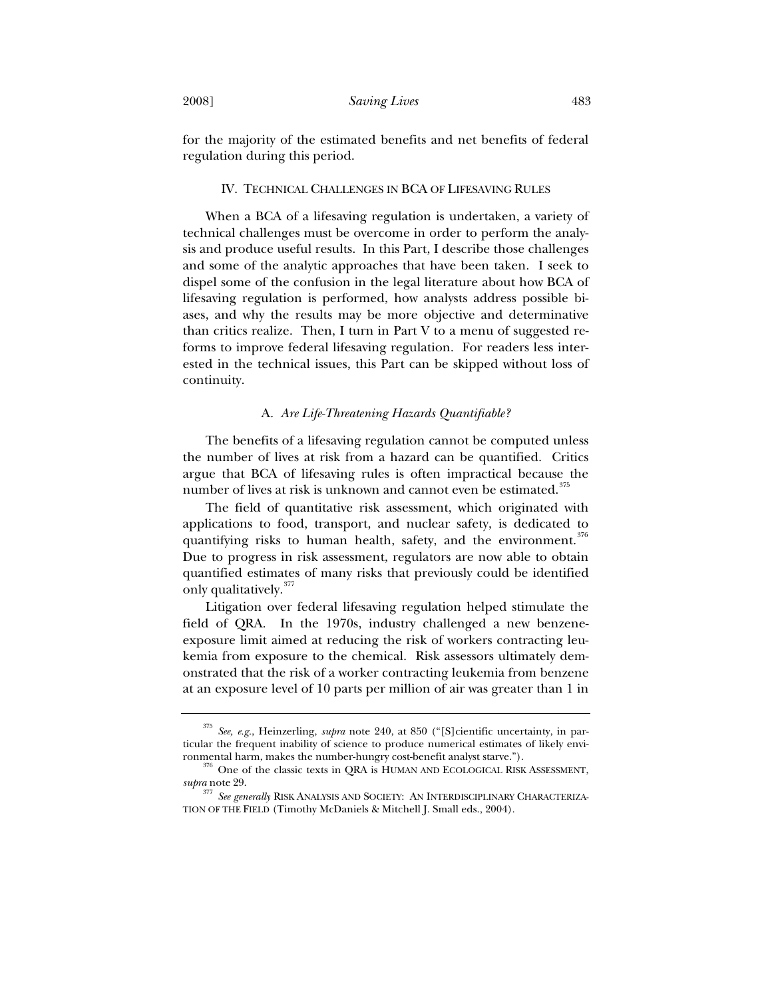for the majority of the estimated benefits and net benefits of federal regulation during this period.

#### IV. TECHNICAL CHALLENGES IN BCA OF LIFESAVING RULES

When a BCA of a lifesaving regulation is undertaken, a variety of technical challenges must be overcome in order to perform the analysis and produce useful results. In this Part, I describe those challenges and some of the analytic approaches that have been taken. I seek to dispel some of the confusion in the legal literature about how BCA of lifesaving regulation is performed, how analysts address possible biases, and why the results may be more objective and determinative than critics realize. Then, I turn in Part V to a menu of suggested reforms to improve federal lifesaving regulation. For readers less interested in the technical issues, this Part can be skipped without loss of continuity.

# A. *Are Life-Threatening Hazards Quantifiable?*

The benefits of a lifesaving regulation cannot be computed unless the number of lives at risk from a hazard can be quantified. Critics argue that BCA of lifesaving rules is often impractical because the number of lives at risk is unknown and cannot even be estimated.<sup>375</sup>

The field of quantitative risk assessment, which originated with applications to food, transport, and nuclear safety, is dedicated to quantifying risks to human health, safety, and the environment.<sup>376</sup> Due to progress in risk assessment, regulators are now able to obtain quantified estimates of many risks that previously could be identified only qualitatively.<sup>377</sup>

Litigation over federal lifesaving regulation helped stimulate the field of QRA. In the 1970s, industry challenged a new benzeneexposure limit aimed at reducing the risk of workers contracting leukemia from exposure to the chemical. Risk assessors ultimately demonstrated that the risk of a worker contracting leukemia from benzene at an exposure level of 10 parts per million of air was greater than 1 in

<sup>375</sup> *See, e.g.*, Heinzerling, *supra* note 240, at 850 ("[S]cientific uncertainty, in particular the frequent inability of science to produce numerical estimates of likely envi-

ronmental harm, makes the number-hungry cost-benefit analyst starve.").  $376$  One of the classic texts in QRA is HUMAN AND ECOLOGICAL RISK ASSESSMENT, *supra* note 29.

<sup>377</sup> *See generally* RISK ANALYSIS AND SOCIETY: AN INTERDISCIPLINARY CHARACTERIZA-TION OF THE FIELD (Timothy McDaniels & Mitchell J. Small eds., 2004).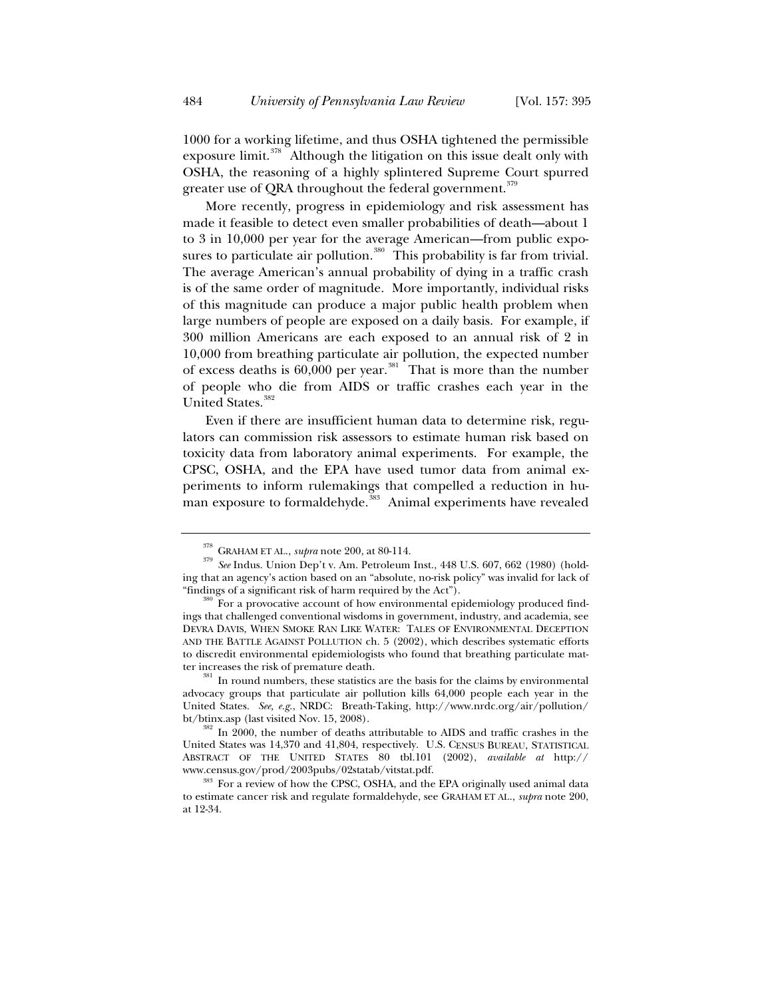1000 for a working lifetime, and thus OSHA tightened the permissible exposure limit. $378$  Although the litigation on this issue dealt only with OSHA, the reasoning of a highly splintered Supreme Court spurred greater use of QRA throughout the federal government.<sup>379</sup>

More recently, progress in epidemiology and risk assessment has made it feasible to detect even smaller probabilities of death—about 1 to 3 in 10,000 per year for the average American—from public exposures to particulate air pollution.<sup>380</sup> This probability is far from trivial. The average American's annual probability of dying in a traffic crash is of the same order of magnitude. More importantly, individual risks of this magnitude can produce a major public health problem when large numbers of people are exposed on a daily basis. For example, if 300 million Americans are each exposed to an annual risk of 2 in 10,000 from breathing particulate air pollution, the expected number of excess deaths is 60,000 per year.381 That is more than the number of people who die from AIDS or traffic crashes each year in the United States.<sup>382</sup>

Even if there are insufficient human data to determine risk, regulators can commission risk assessors to estimate human risk based on toxicity data from laboratory animal experiments. For example, the CPSC, OSHA, and the EPA have used tumor data from animal experiments to inform rulemakings that compelled a reduction in human exposure to formaldehyde. $\frac{383}{100}$  Animal experiments have revealed

<sup>&</sup>lt;sup>378</sup> GRAHAM ET AL., *supra* note 200, at 80-114.<br><sup>379</sup> *See* Indus. Union Dep't v. Am. Petroleum Inst., 448 U.S. 607, 662 (1980) (holding that an agency's action based on an "absolute, no-risk policy" was invalid for lack of "findings of a significant risk of harm required by the Act"). 380 For a provocative account of how environmental epidemiology produced find-

ings that challenged conventional wisdoms in government, industry, and academia, see DEVRA DAVIS, WHEN SMOKE RAN LIKE WATER: TALES OF ENVIRONMENTAL DECEPTION AND THE BATTLE AGAINST POLLUTION ch. 5 (2002), which describes systematic efforts to discredit environmental epidemiologists who found that breathing particulate mat-<br>ter increases the risk of premature death.

 $\frac{31}{10}$  In round numbers, these statistics are the basis for the claims by environmental advocacy groups that particulate air pollution kills 64,000 people each year in the United States. *See, e.g.*, NRDC: Breath-Taking, http://www.nrdc.org/air/pollution/ bt/btinx.asp (last visited Nov. 15, 2008).<br><sup>382</sup> In 2000, the number of deaths attributable to AIDS and traffic crashes in the

United States was 14,370 and 41,804, respectively. U.S. CENSUS BUREAU, STATISTICAL ABSTRACT OF THE UNITED STATES 80 tbl.101 (2002), *available at* http://

www.census.gov/prod/2003pubs/02statab/vitstat.pdf.<br><sup>383</sup> For a review of how the CPSC, OSHA, and the EPA originally used animal data to estimate cancer risk and regulate formaldehyde, see GRAHAM ET AL., *supra* note 200, at 12-34.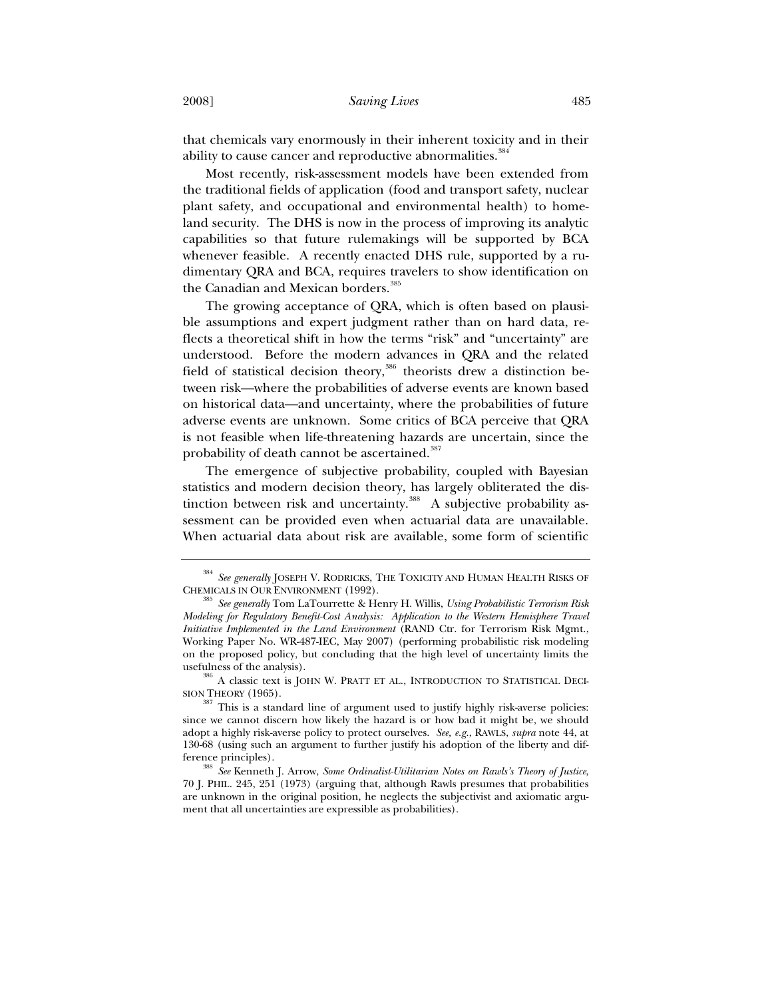that chemicals vary enormously in their inherent toxicity and in their ability to cause cancer and reproductive abnormalities.<sup>384</sup>

Most recently, risk-assessment models have been extended from the traditional fields of application (food and transport safety, nuclear plant safety, and occupational and environmental health) to homeland security. The DHS is now in the process of improving its analytic capabilities so that future rulemakings will be supported by BCA whenever feasible. A recently enacted DHS rule, supported by a rudimentary QRA and BCA, requires travelers to show identification on the Canadian and Mexican borders.<sup>385</sup>

The growing acceptance of QRA, which is often based on plausible assumptions and expert judgment rather than on hard data, reflects a theoretical shift in how the terms "risk" and "uncertainty" are understood. Before the modern advances in QRA and the related field of statistical decision theory,  $386$  theorists drew a distinction between risk—where the probabilities of adverse events are known based on historical data—and uncertainty, where the probabilities of future adverse events are unknown. Some critics of BCA perceive that QRA is not feasible when life-threatening hazards are uncertain, since the probability of death cannot be ascertained.<sup>387</sup>

The emergence of subjective probability, coupled with Bayesian statistics and modern decision theory, has largely obliterated the distinction between risk and uncertainty.<sup>388</sup> A subjective probability assessment can be provided even when actuarial data are unavailable. When actuarial data about risk are available, some form of scientific

 $^{384}$  *See generally* JOSEPH V. RODRICKS, THE TOXICITY AND HUMAN HEALTH RISKS OF CHEMICALS IN OUR ENVIRONMENT (1992).

 $^{385}$  *See generally* Tom LaTourrette & Henry H. Willis, *Using Probabilistic Terrorism Risk Modeling for Regulatory Benefit-Cost Analysis: Application to the Western Hemisphere Travel Initiative Implemented in the Land Environment* (RAND Ctr. for Terrorism Risk Mgmt., Working Paper No. WR-487-IEC, May 2007) (performing probabilistic risk modeling on the proposed policy, but concluding that the high level of uncertainty limits the

 $^{386}$  A classic text is JOHN W. PRATT ET AL., INTRODUCTION TO STATISTICAL DECISION THEORY (1965).

 $S<sup>387</sup>$  This is a standard line of argument used to justify highly risk-averse policies: since we cannot discern how likely the hazard is or how bad it might be, we should adopt a highly risk-averse policy to protect ourselves. *See, e.g.*, RAWLS, *supra* note 44, at 130-68 (using such an argument to further justify his adoption of the liberty and difference principles). 388 *See* Kenneth J. Arrow, *Some Ordinalist-Utilitarian Notes on Rawls's Theory of Justice*,

<sup>70</sup> J. PHIL. 245, 251 (1973) (arguing that, although Rawls presumes that probabilities are unknown in the original position, he neglects the subjectivist and axiomatic argument that all uncertainties are expressible as probabilities).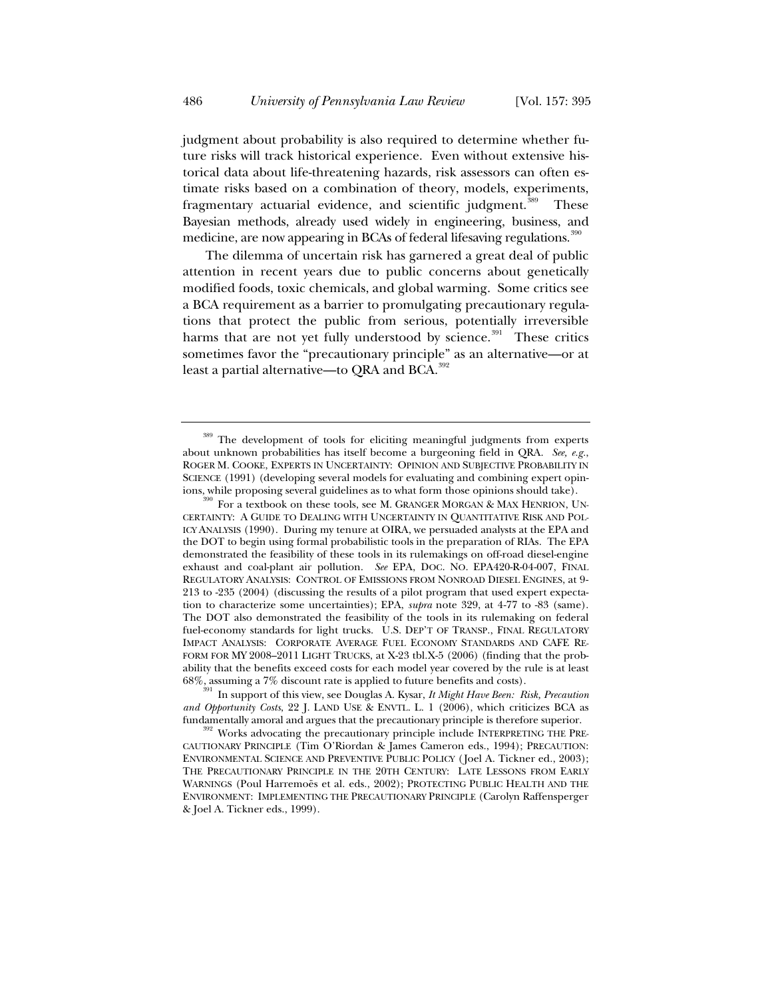judgment about probability is also required to determine whether future risks will track historical experience. Even without extensive historical data about life-threatening hazards, risk assessors can often estimate risks based on a combination of theory, models, experiments, fragmentary actuarial evidence, and scientific judgment.<sup>389</sup> These Bayesian methods, already used widely in engineering, business, and medicine, are now appearing in BCAs of federal lifesaving regulations.<sup>390</sup>

The dilemma of uncertain risk has garnered a great deal of public attention in recent years due to public concerns about genetically modified foods, toxic chemicals, and global warming. Some critics see a BCA requirement as a barrier to promulgating precautionary regulations that protect the public from serious, potentially irreversible harms that are not yet fully understood by science. $391$  These critics sometimes favor the "precautionary principle" as an alternative—or at least a partial alternative—to QRA and BCA. $392$ 

<sup>&</sup>lt;sup>389</sup> The development of tools for eliciting meaningful judgments from experts about unknown probabilities has itself become a burgeoning field in QRA. *See, e.g.*, ROGER M. COOKE, EXPERTS IN UNCERTAINTY: OPINION AND SUBJECTIVE PROBABILITY IN SCIENCE (1991) (developing several models for evaluating and combining expert opinions, while proposing several guidelines as to what form those opinions should take).<br><sup>390</sup> For a textbook on these tools, see M. GRANGER MORGAN & MAX HENRION, UN-

CERTAINTY: AGUIDE TO DEALING WITH UNCERTAINTY IN QUANTITATIVE RISK AND POL-ICY ANALYSIS (1990). During my tenure at OIRA, we persuaded analysts at the EPA and the DOT to begin using formal probabilistic tools in the preparation of RIAs. The EPA demonstrated the feasibility of these tools in its rulemakings on off-road diesel-engine exhaust and coal-plant air pollution. *See* EPA, DOC. NO. EPA420-R-04-007, FINAL REGULATORY ANALYSIS: CONTROL OF EMISSIONS FROM NONROAD DIESEL ENGINES, at 9- 213 to -235 (2004) (discussing the results of a pilot program that used expert expectation to characterize some uncertainties); EPA, *supra* note 329, at 4-77 to -83 (same). The DOT also demonstrated the feasibility of the tools in its rulemaking on federal fuel-economy standards for light trucks. U.S. DEP'T OF TRANSP., FINAL REGULATORY IMPACT ANALYSIS: CORPORATE AVERAGE FUEL ECONOMY STANDARDS AND CAFE RE-FORM FOR MY 2008–2011 LIGHT TRUCKS, at X-23 tbl.X-5 (2006) (finding that the probability that the benefits exceed costs for each model year covered by the rule is at least

<sup>68%,</sup> assuming a 7% discount rate is applied to future benefits and costs). 391 In support of this view, see Douglas A. Kysar, *It Might Have Been: Risk, Precaution and Opportunity Costs*, 22 J. LAND USE & ENVTL. L. 1 (2006), which criticizes BCA as

<sup>&</sup>lt;sup>392</sup> Works advocating the precautionary principle include INTERPRETING THE PRE-CAUTIONARY PRINCIPLE (Tim O'Riordan & James Cameron eds., 1994); PRECAUTION: ENVIRONMENTAL SCIENCE AND PREVENTIVE PUBLIC POLICY (Joel A. Tickner ed., 2003); THE PRECAUTIONARY PRINCIPLE IN THE 20TH CENTURY: LATE LESSONS FROM EARLY WARNINGS (Poul Harremoës et al. eds., 2002); PROTECTING PUBLIC HEALTH AND THE ENVIRONMENT: IMPLEMENTING THE PRECAUTIONARY PRINCIPLE (Carolyn Raffensperger & Joel A. Tickner eds., 1999).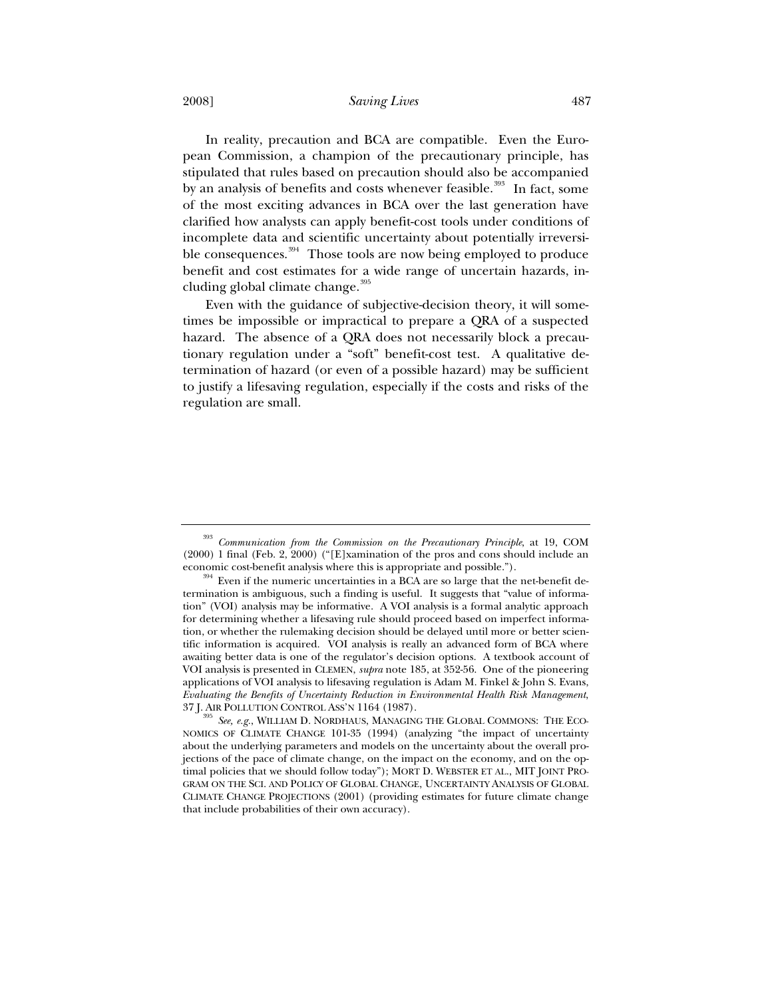2008] *Saving Lives* 487

In reality, precaution and BCA are compatible. Even the European Commission, a champion of the precautionary principle, has stipulated that rules based on precaution should also be accompanied by an analysis of benefits and costs whenever feasible.<sup>393</sup> In fact, some of the most exciting advances in BCA over the last generation have clarified how analysts can apply benefit-cost tools under conditions of incomplete data and scientific uncertainty about potentially irreversible consequences.<sup>394</sup> Those tools are now being employed to produce benefit and cost estimates for a wide range of uncertain hazards, including global climate change.<sup>395</sup>

Even with the guidance of subjective-decision theory, it will sometimes be impossible or impractical to prepare a QRA of a suspected hazard. The absence of a QRA does not necessarily block a precautionary regulation under a "soft" benefit-cost test. A qualitative determination of hazard (or even of a possible hazard) may be sufficient to justify a lifesaving regulation, especially if the costs and risks of the regulation are small.

<sup>393</sup> *Communication from the Commission on the Precautionary Principle*, at 19, COM (2000) 1 final (Feb. 2, 2000) ("[E]xamination of the pros and cons should include an

economic cost-benefit analysis where this is appropriate and possible.").  $394$  Even if the numeric uncertainties in a BCA are so large that the net-benefit determination is ambiguous, such a finding is useful. It suggests that "value of information" (VOI) analysis may be informative. A VOI analysis is a formal analytic approach for determining whether a lifesaving rule should proceed based on imperfect information, or whether the rulemaking decision should be delayed until more or better scientific information is acquired. VOI analysis is really an advanced form of BCA where awaiting better data is one of the regulator's decision options. A textbook account of VOI analysis is presented in CLEMEN, *supra* note 185, at 352-56. One of the pioneering applications of VOI analysis to lifesaving regulation is Adam M. Finkel & John S. Evans, *Evaluating the Benefits of Uncertainty Reduction in Environmental Health Risk Management*, 37 J. AIR POLLUTION CONTROL ASS'N 1164 (1987). 395 *See, e.g.*, WILLIAM D. NORDHAUS, MANAGING THE GLOBAL COMMONS: THE ECO-

NOMICS OF CLIMATE CHANGE 101-35 (1994) (analyzing "the impact of uncertainty about the underlying parameters and models on the uncertainty about the overall projections of the pace of climate change, on the impact on the economy, and on the optimal policies that we should follow today"); MORT D. WEBSTER ET AL., MIT JOINT PRO-GRAM ON THE SCI. AND POLICY OF GLOBAL CHANGE, UNCERTAINTY ANALYSIS OF GLOBAL CLIMATE CHANGE PROJECTIONS (2001) (providing estimates for future climate change that include probabilities of their own accuracy).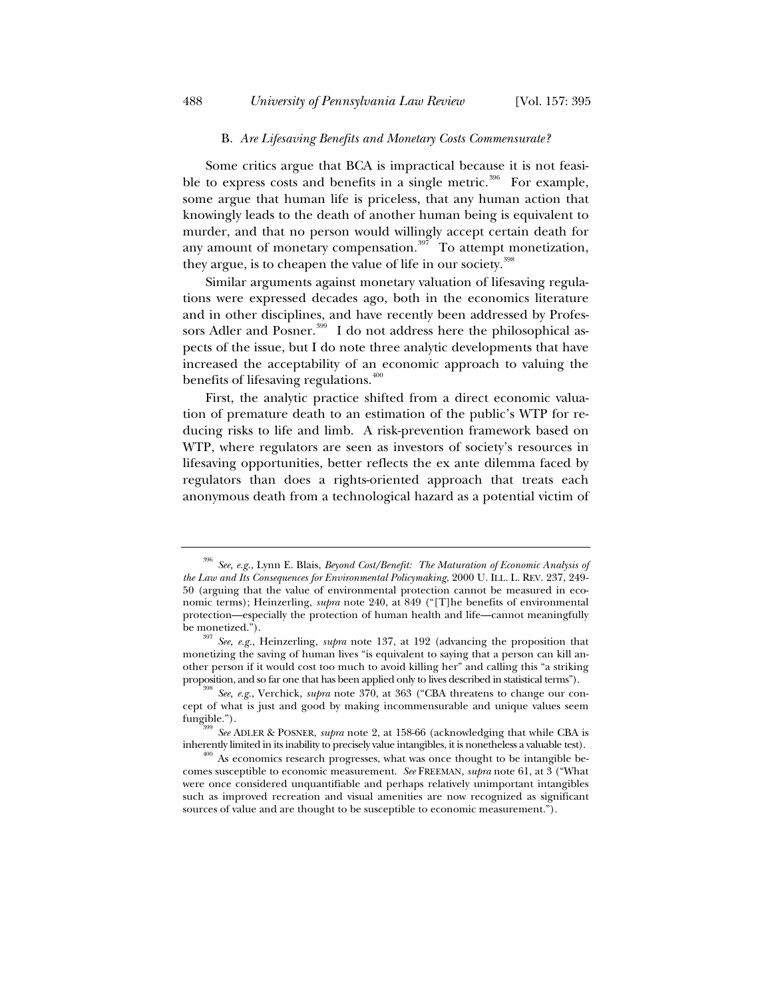## B. *Are Lifesaving Benefits and Monetary Costs Commensurate?*

Some critics argue that BCA is impractical because it is not feasible to express costs and benefits in a single metric.<sup>396</sup> For example, some argue that human life is priceless, that any human action that knowingly leads to the death of another human being is equivalent to murder, and that no person would willingly accept certain death for any amount of monetary compensation.<sup>397</sup> To attempt monetization, they argue, is to cheapen the value of life in our society.<sup>398</sup>

Similar arguments against monetary valuation of lifesaving regulations were expressed decades ago, both in the economics literature and in other disciplines, and have recently been addressed by Professors Adler and Posner.<sup>399</sup> I do not address here the philosophical aspects of the issue, but I do note three analytic developments that have increased the acceptability of an economic approach to valuing the benefits of lifesaving regulations. $400$ 

First, the analytic practice shifted from a direct economic valuation of premature death to an estimation of the public's WTP for reducing risks to life and limb. A risk-prevention framework based on WTP, where regulators are seen as investors of society's resources in lifesaving opportunities, better reflects the ex ante dilemma faced by regulators than does a rights-oriented approach that treats each anonymous death from a technological hazard as a potential victim of

<sup>396</sup> *See, e.g.*, Lynn E. Blais, *Beyond Cost/Benefit: The Maturation of Economic Analysis of the Law and Its Consequences for Environmental Policymaking*, 2000 U. ILL. L. REV. 237, 249- 50 (arguing that the value of environmental protection cannot be measured in economic terms); Heinzerling, *supra* note 240, at 849 ("[T]he benefits of environmental protection—especially the protection of human health and life—cannot meaningfully

be monetized."). 397 *See, e.g.*, Heinzerling, *supra* note 137, at 192 (advancing the proposition that monetizing the saving of human lives "is equivalent to saying that a person can kill another person if it would cost too much to avoid killing her" and calling this "a striking proposition, and so far one that has been applied only to lives described in statistical terms"). 398 *See, e.g.*, Verchick, *supra* note 370, at 363 ("CBA threatens to change our con-

cept of what is just and good by making incommensurable and unique values seem fungible."). 399 *See* ADLER & POSNER, *supra* note 2, at 158-66 (acknowledging that while CBA is

inherently limited in its inability to precisely value intangibles, it is nonetheless a valuable test).  $^{400}$  As economics research progresses, what was once thought to be intangible be-

comes susceptible to economic measurement. *See* FREEMAN, *supra* note 61, at 3 ("What were once considered unquantifiable and perhaps relatively unimportant intangibles such as improved recreation and visual amenities are now recognized as significant sources of value and are thought to be susceptible to economic measurement.").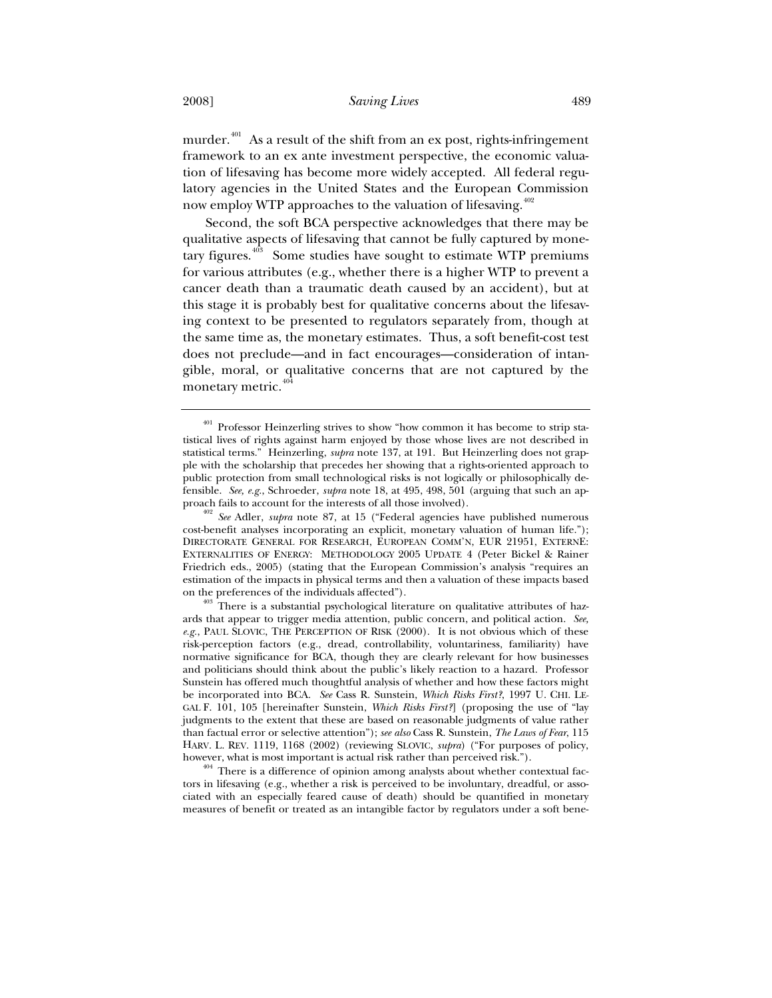murder. $401$  As a result of the shift from an ex post, rights-infringement framework to an ex ante investment perspective, the economic valuation of lifesaving has become more widely accepted. All federal regulatory agencies in the United States and the European Commission now employ WTP approaches to the valuation of lifesaving.<sup>402</sup>

Second, the soft BCA perspective acknowledges that there may be qualitative aspects of lifesaving that cannot be fully captured by monetary figures. $403$  Some studies have sought to estimate WTP premiums for various attributes (e.g., whether there is a higher WTP to prevent a cancer death than a traumatic death caused by an accident), but at this stage it is probably best for qualitative concerns about the lifesaving context to be presented to regulators separately from, though at the same time as, the monetary estimates. Thus, a soft benefit-cost test does not preclude—and in fact encourages—consideration of intangible, moral, or qualitative concerns that are not captured by the monetary metric.<sup>4</sup>

<sup>401</sup> Professor Heinzerling strives to show "how common it has become to strip statistical lives of rights against harm enjoyed by those whose lives are not described in statistical terms." Heinzerling, *supra* note 137, at 191. But Heinzerling does not grapple with the scholarship that precedes her showing that a rights-oriented approach to public protection from small technological risks is not logically or philosophically defensible. *See, e.g.*, Schroeder, *supra* note 18, at 495, 498, 501 (arguing that such an approach fails to account for the interests of all those involved). 402 *See* Adler, *supra* note 87, at 15 ("Federal agencies have published numerous

cost-benefit analyses incorporating an explicit, monetary valuation of human life."); DIRECTORATE GENERAL FOR RESEARCH, EUROPEAN COMM'N, EUR 21951, EXTERNE: EXTERNALITIES OF ENERGY: METHODOLOGY 2005 UPDATE 4 (Peter Bickel & Rainer Friedrich eds., 2005) (stating that the European Commission's analysis "requires an estimation of the impacts in physical terms and then a valuation of these impacts based on the preferences of the individuals affected").<br><sup>403</sup> There is a substantial psychological literature on qualitative attributes of haz-

ards that appear to trigger media attention, public concern, and political action. *See, e.g.*, PAUL SLOVIC, THE PERCEPTION OF RISK (2000). It is not obvious which of these risk-perception factors (e.g., dread, controllability, voluntariness, familiarity) have normative significance for BCA, though they are clearly relevant for how businesses and politicians should think about the public's likely reaction to a hazard. Professor Sunstein has offered much thoughtful analysis of whether and how these factors might be incorporated into BCA. *See* Cass R. Sunstein, *Which Risks First?*, 1997 U. CHI. LE-GAL F. 101, 105 [hereinafter Sunstein, *Which Risks First?*] (proposing the use of "lay judgments to the extent that these are based on reasonable judgments of value rather than factual error or selective attention"); *see also* Cass R. Sunstein, *The Laws of Fear*, 115 HARV. L. REV. 1119, 1168 (2002) (reviewing SLOVIC, *supra*) ("For purposes of policy,

however, what is most important is actual risk rather than perceived risk.").  $404$  There is a difference of opinion among analysts about whether contextual factors in lifesaving (e.g., whether a risk is perceived to be involuntary, dreadful, or associated with an especially feared cause of death) should be quantified in monetary measures of benefit or treated as an intangible factor by regulators under a soft bene-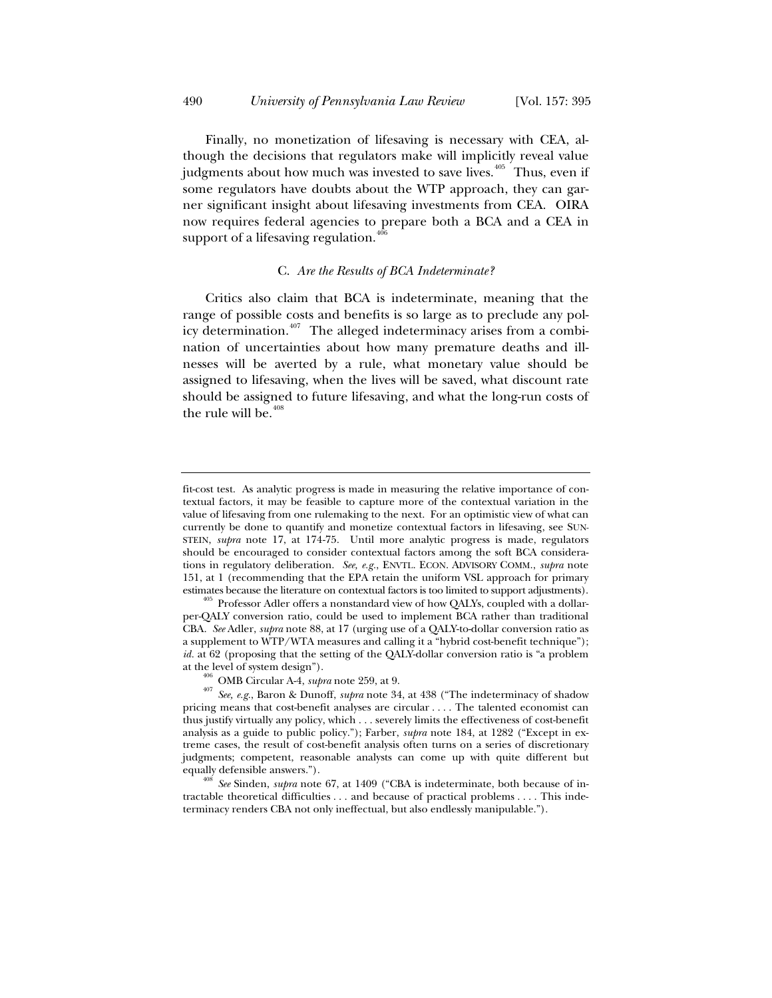Finally, no monetization of lifesaving is necessary with CEA, although the decisions that regulators make will implicitly reveal value judgments about how much was invested to save lives.<sup> $405$ </sup> Thus, even if some regulators have doubts about the WTP approach, they can garner significant insight about lifesaving investments from CEA. OIRA now requires federal agencies to prepare both a BCA and a CEA in support of a lifesaving regulation. $40$ 

# C. *Are the Results of BCA Indeterminate?*

Critics also claim that BCA is indeterminate, meaning that the range of possible costs and benefits is so large as to preclude any policy determination.<sup> $407$ </sup> The alleged indeterminacy arises from a combination of uncertainties about how many premature deaths and illnesses will be averted by a rule, what monetary value should be assigned to lifesaving, when the lives will be saved, what discount rate should be assigned to future lifesaving, and what the long-run costs of the rule will be. $408$ 

fit-cost test. As analytic progress is made in measuring the relative importance of contextual factors, it may be feasible to capture more of the contextual variation in the value of lifesaving from one rulemaking to the next. For an optimistic view of what can currently be done to quantify and monetize contextual factors in lifesaving, see SUN-STEIN, *supra* note 17, at 174-75. Until more analytic progress is made, regulators should be encouraged to consider contextual factors among the soft BCA considerations in regulatory deliberation. *See, e.g.*, ENVTL. ECON. ADVISORY COMM., *supra* note 151, at 1 (recommending that the EPA retain the uniform VSL approach for primary

estimates because the literature on contextual factors is too limited to support adjustments).  $^{405}$  Professor Adler offers a nonstandard view of how QALYs, coupled with a dollarper-QALY conversion ratio, could be used to implement BCA rather than traditional CBA. *See* Adler, *supra* note 88, at 17 (urging use of a QALY-to-dollar conversion ratio as a supplement to WTP/WTA measures and calling it a "hybrid cost-benefit technique"); *id.* at 62 (proposing that the setting of the QALY-dollar conversion ratio is "a problem at the level of system design").<br><sup>406</sup> OMB Circular A-4, *supra* note 259, at 9.<br><sup>407</sup> *See, e.g.*, Baron & Dunoff, *supra* note 34, at 438 ("The indeterminacy of shadow

pricing means that cost-benefit analyses are circular . . . . The talented economist can thus justify virtually any policy, which . . . severely limits the effectiveness of cost-benefit analysis as a guide to public policy."); Farber, *supra* note 184, at 1282 ("Except in extreme cases, the result of cost-benefit analysis often turns on a series of discretionary judgments; competent, reasonable analysts can come up with quite different but equally defensible answers.").<br><sup>408</sup> *See* Sinden, *supra* note 67, at 1409 ("CBA is indeterminate, both because of in-

tractable theoretical difficulties . . . and because of practical problems . . . . This indeterminacy renders CBA not only ineffectual, but also endlessly manipulable.").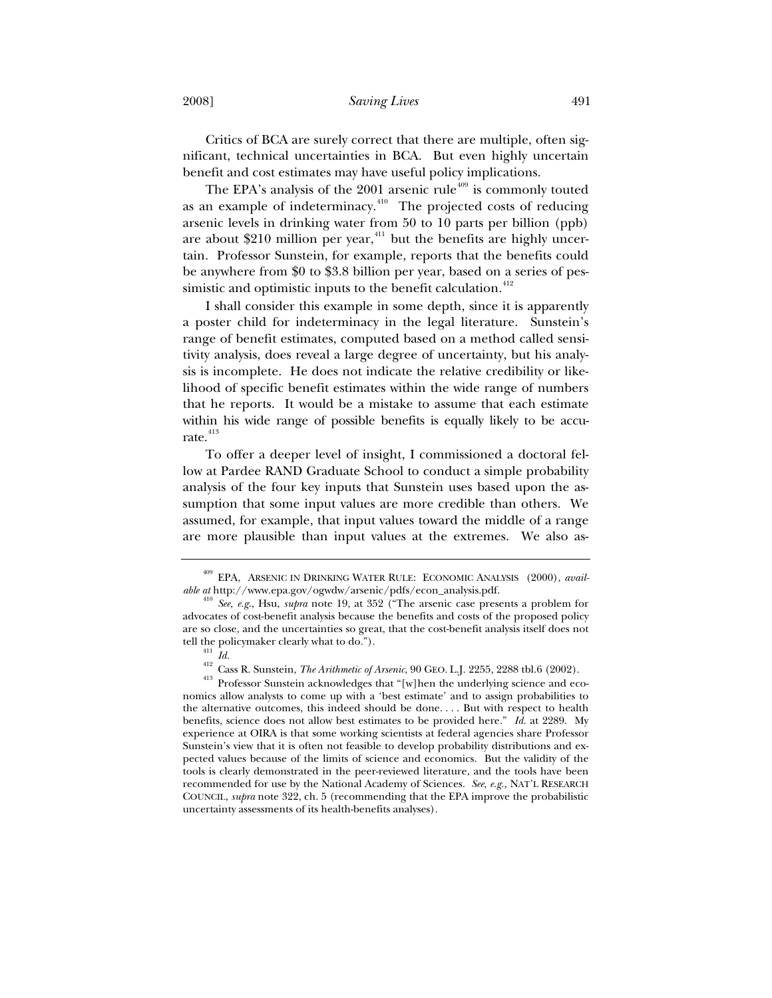### 2008] *Saving Lives* 491

Critics of BCA are surely correct that there are multiple, often significant, technical uncertainties in BCA. But even highly uncertain benefit and cost estimates may have useful policy implications.

The EPA's analysis of the  $2001$  arsenic rule<sup> $409$ </sup> is commonly touted as an example of indeterminacy. $410$  The projected costs of reducing arsenic levels in drinking water from 50 to 10 parts per billion (ppb) are about \$210 million per year, $411$  but the benefits are highly uncertain. Professor Sunstein, for example, reports that the benefits could be anywhere from \$0 to \$3.8 billion per year, based on a series of pessimistic and optimistic inputs to the benefit calculation.<sup>412</sup>

I shall consider this example in some depth, since it is apparently a poster child for indeterminacy in the legal literature. Sunstein's range of benefit estimates, computed based on a method called sensitivity analysis, does reveal a large degree of uncertainty, but his analysis is incomplete. He does not indicate the relative credibility or likelihood of specific benefit estimates within the wide range of numbers that he reports. It would be a mistake to assume that each estimate within his wide range of possible benefits is equally likely to be accurate.<sup>413</sup>

To offer a deeper level of insight, I commissioned a doctoral fellow at Pardee RAND Graduate School to conduct a simple probability analysis of the four key inputs that Sunstein uses based upon the assumption that some input values are more credible than others. We assumed, for example, that input values toward the middle of a range are more plausible than input values at the extremes. We also as-

<sup>409</sup> EPA, ARSENIC IN DRINKING WATER RULE: ECONOMIC ANALYSIS (2000), *available at* http://www.epa.gov/ogwdw/arsenic/pdfs/econ\_analysis.pdf.

<sup>410</sup> *See, e.g.*, Hsu, *supra* note 19, at 352 ("The arsenic case presents a problem for advocates of cost-benefit analysis because the benefits and costs of the proposed policy are so close, and the uncertainties so great, that the cost-benefit analysis itself does not tell the policymaker clearly what to do.").

<sup>&</sup>lt;sup>412</sup> Cass R. Sunstein, *The Arithmetic of Arsenic*, 90 GEO. L.J. 2255, 2288 tbl.6 (2002).<br><sup>413</sup> Professor Sunstein acknowledges that "[w]hen the underlying science and eco-

nomics allow analysts to come up with a 'best estimate' and to assign probabilities to the alternative outcomes, this indeed should be done. . . . But with respect to health benefits, science does not allow best estimates to be provided here." *Id.* at 2289. My experience at OIRA is that some working scientists at federal agencies share Professor Sunstein's view that it is often not feasible to develop probability distributions and expected values because of the limits of science and economics. But the validity of the tools is clearly demonstrated in the peer-reviewed literature, and the tools have been recommended for use by the National Academy of Sciences. *See, e.g.*, NAT'L RESEARCH COUNCIL, *supra* note 322, ch. 5 (recommending that the EPA improve the probabilistic uncertainty assessments of its health-benefits analyses).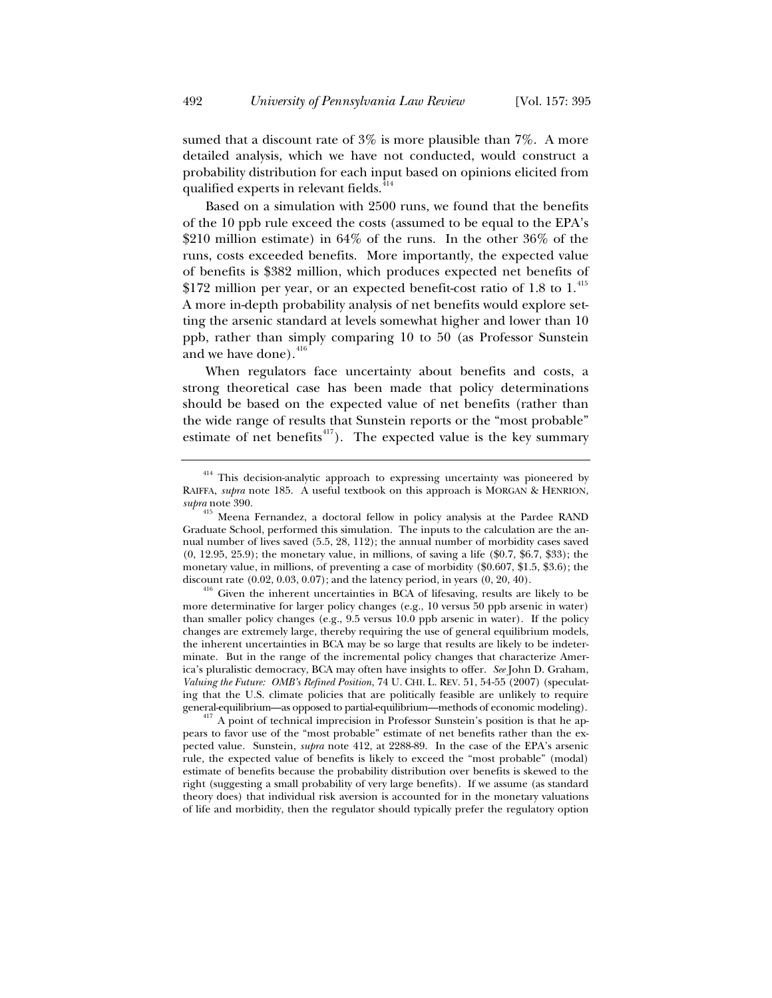sumed that a discount rate of 3% is more plausible than 7%. A more detailed analysis, which we have not conducted, would construct a probability distribution for each input based on opinions elicited from qualified experts in relevant fields.<sup>414</sup>

Based on a simulation with 2500 runs, we found that the benefits of the 10 ppb rule exceed the costs (assumed to be equal to the EPA's \$210 million estimate) in 64% of the runs. In the other 36% of the runs, costs exceeded benefits. More importantly, the expected value of benefits is \$382 million, which produces expected net benefits of  $$172$  million per year, or an expected benefit-cost ratio of 1.8 to 1.<sup>415</sup> A more in-depth probability analysis of net benefits would explore setting the arsenic standard at levels somewhat higher and lower than 10 ppb, rather than simply comparing 10 to 50 (as Professor Sunstein and we have done).  $416$ 

When regulators face uncertainty about benefits and costs, a strong theoretical case has been made that policy determinations should be based on the expected value of net benefits (rather than the wide range of results that Sunstein reports or the "most probable" estimate of net benefits $417$ ). The expected value is the key summary

 $414$  This decision-analytic approach to expressing uncertainty was pioneered by RAIFFA, *supra* note 185. A useful textbook on this approach is MORGAN & HENRION, *supra* note 390.

<sup>&</sup>lt;sup>415</sup> Meena Fernandez, a doctoral fellow in policy analysis at the Pardee RAND Graduate School, performed this simulation. The inputs to the calculation are the annual number of lives saved (5.5, 28, 112); the annual number of morbidity cases saved (0, 12.95, 25.9); the monetary value, in millions, of saving a life (\$0.7, \$6.7, \$33); the monetary value, in millions, of preventing a case of morbidity  $(\$0.607, \$1.5, \$3.6)$ ; the discount rate  $(0.02, 0.03, 0.07)$ ; and the latency period, in years  $(0, 20, 40)$ .

 $4^{16}$  Given the inherent uncertainties in BCA of lifesaving, results are likely to be more determinative for larger policy changes (e.g., 10 versus 50 ppb arsenic in water) than smaller policy changes (e.g., 9.5 versus 10.0 ppb arsenic in water). If the policy changes are extremely large, thereby requiring the use of general equilibrium models, the inherent uncertainties in BCA may be so large that results are likely to be indeterminate. But in the range of the incremental policy changes that characterize America's pluralistic democracy, BCA may often have insights to offer. *See* John D. Graham, *Valuing the Future: OMB's Refined Position*, 74 U. CHI. L. REV. 51, 54-55 (2007) (speculating that the U.S. climate policies that are politically feasible are unlikely to require general-equilibrium—as opposed to partial-equilibrium—methods of economic modeling). 417 A point of technical imprecision in Professor Sunstein's position is that he ap-

pears to favor use of the "most probable" estimate of net benefits rather than the expected value. Sunstein, *supra* note 412, at 2288-89. In the case of the EPA's arsenic rule, the expected value of benefits is likely to exceed the "most probable" (modal) estimate of benefits because the probability distribution over benefits is skewed to the right (suggesting a small probability of very large benefits). If we assume (as standard theory does) that individual risk aversion is accounted for in the monetary valuations of life and morbidity, then the regulator should typically prefer the regulatory option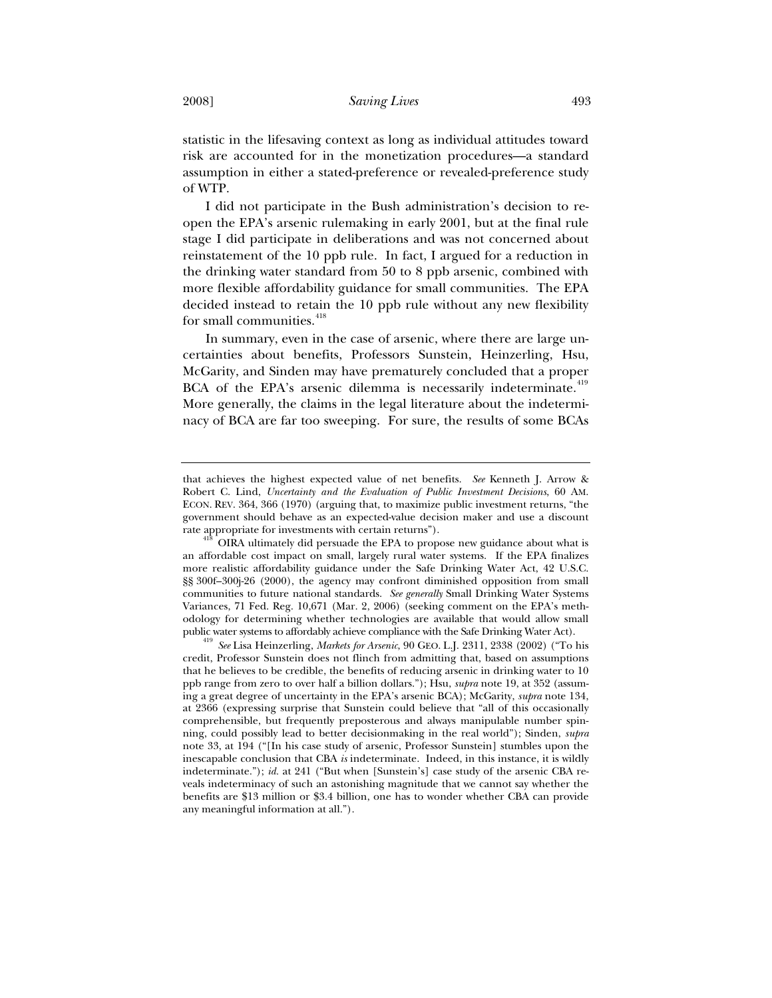statistic in the lifesaving context as long as individual attitudes toward risk are accounted for in the monetization procedures—a standard assumption in either a stated-preference or revealed-preference study of WTP.

I did not participate in the Bush administration's decision to reopen the EPA's arsenic rulemaking in early 2001, but at the final rule stage I did participate in deliberations and was not concerned about reinstatement of the 10 ppb rule. In fact, I argued for a reduction in the drinking water standard from 50 to 8 ppb arsenic, combined with more flexible affordability guidance for small communities. The EPA decided instead to retain the 10 ppb rule without any new flexibility for small communities.<sup>418</sup>

In summary, even in the case of arsenic, where there are large uncertainties about benefits, Professors Sunstein, Heinzerling, Hsu, McGarity, and Sinden may have prematurely concluded that a proper BCA of the EPA's arsenic dilemma is necessarily indeterminate.<sup>419</sup> More generally, the claims in the legal literature about the indeterminacy of BCA are far too sweeping. For sure, the results of some BCAs

that achieves the highest expected value of net benefits. *See* Kenneth J. Arrow & Robert C. Lind, *Uncertainty and the Evaluation of Public Investment Decisions*, 60 AM. ECON. REV. 364, 366 (1970) (arguing that, to maximize public investment returns, "the government should behave as an expected-value decision maker and use a discount

rate appropriate for investments with certain returns").<br><sup>418</sup> OIRA ultimately did persuade the EPA to propose new guidance about what is an affordable cost impact on small, largely rural water systems. If the EPA finalizes more realistic affordability guidance under the Safe Drinking Water Act, 42 U.S.C. §§ 300f–300j-26 (2000), the agency may confront diminished opposition from small communities to future national standards. *See generally* Small Drinking Water Systems Variances, 71 Fed. Reg. 10,671 (Mar. 2, 2006) (seeking comment on the EPA's methodology for determining whether technologies are available that would allow small

public water systems to affordably achieve compliance with the Safe Drinking Water Act). 419 *See* Lisa Heinzerling, *Markets for Arsenic*, 90 GEO. L.J. 2311, 2338 (2002) ("To his credit, Professor Sunstein does not flinch from admitting that, based on assumptions that he believes to be credible, the benefits of reducing arsenic in drinking water to 10 ppb range from zero to over half a billion dollars."); Hsu, *supra* note 19, at 352 (assuming a great degree of uncertainty in the EPA's arsenic BCA); McGarity, *supra* note 134, at 2366 (expressing surprise that Sunstein could believe that "all of this occasionally comprehensible, but frequently preposterous and always manipulable number spinning, could possibly lead to better decisionmaking in the real world"); Sinden, *supra* note 33, at 194 ("[In his case study of arsenic, Professor Sunstein] stumbles upon the inescapable conclusion that CBA *is* indeterminate. Indeed, in this instance, it is wildly indeterminate."); *id.* at 241 ("But when [Sunstein's] case study of the arsenic CBA reveals indeterminacy of such an astonishing magnitude that we cannot say whether the benefits are \$13 million or \$3.4 billion, one has to wonder whether CBA can provide any meaningful information at all.").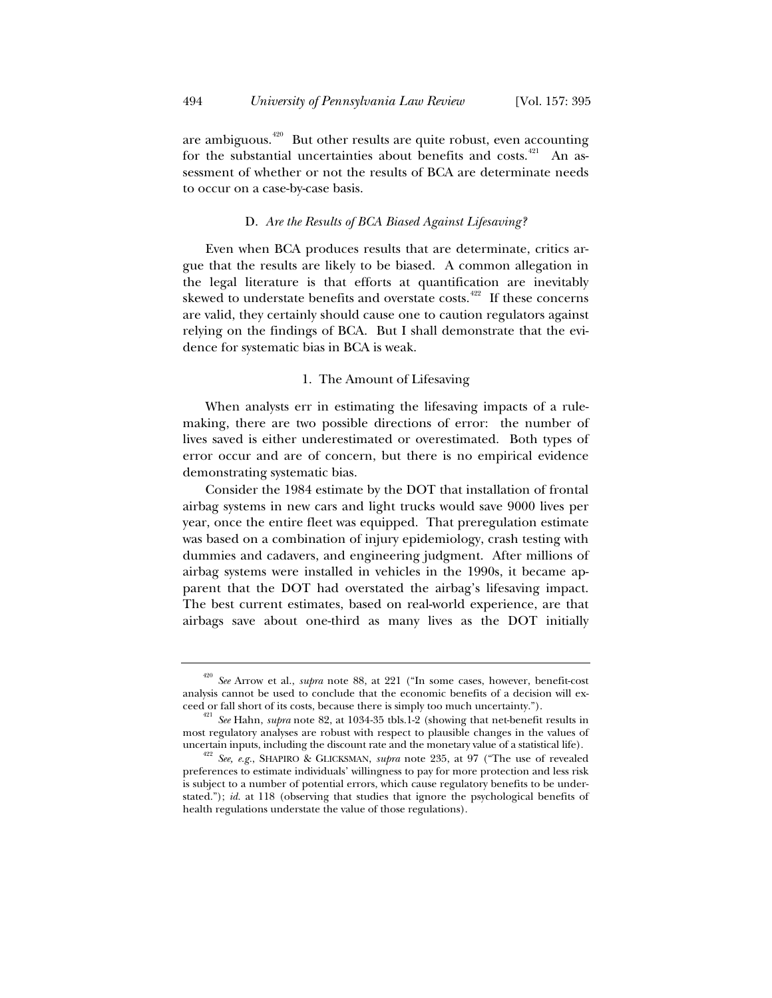are ambiguous.<sup> $420$ </sup> But other results are quite robust, even accounting for the substantial uncertainties about benefits and costs.<sup>421</sup> An assessment of whether or not the results of BCA are determinate needs to occur on a case-by-case basis.

# D. *Are the Results of BCA Biased Against Lifesaving?*

Even when BCA produces results that are determinate, critics argue that the results are likely to be biased. A common allegation in the legal literature is that efforts at quantification are inevitably skewed to understate benefits and overstate costs.<sup>422</sup> If these concerns are valid, they certainly should cause one to caution regulators against relying on the findings of BCA. But I shall demonstrate that the evidence for systematic bias in BCA is weak.

# 1. The Amount of Lifesaving

When analysts err in estimating the lifesaving impacts of a rulemaking, there are two possible directions of error: the number of lives saved is either underestimated or overestimated. Both types of error occur and are of concern, but there is no empirical evidence demonstrating systematic bias.

Consider the 1984 estimate by the DOT that installation of frontal airbag systems in new cars and light trucks would save 9000 lives per year, once the entire fleet was equipped. That preregulation estimate was based on a combination of injury epidemiology, crash testing with dummies and cadavers, and engineering judgment. After millions of airbag systems were installed in vehicles in the 1990s, it became apparent that the DOT had overstated the airbag's lifesaving impact. The best current estimates, based on real-world experience, are that airbags save about one-third as many lives as the DOT initially

<sup>420</sup> *See* Arrow et al., *supra* note 88, at 221 ("In some cases, however, benefit-cost analysis cannot be used to conclude that the economic benefits of a decision will exceed or fall short of its costs, because there is simply too much uncertainty."). 421 *See* Hahn, *supra* note 82, at 1034-35 tbls.1-2 (showing that net-benefit results in

most regulatory analyses are robust with respect to plausible changes in the values of uncertain inputs, including the discount rate and the monetary value of a statistical life).

<sup>&</sup>lt;sup>422</sup> See, e.g., SHAPIRO & GLICKSMAN, *supra* note 235, at 97 ("The use of revealed preferences to estimate individuals' willingness to pay for more protection and less risk is subject to a number of potential errors, which cause regulatory benefits to be understated."); *id.* at 118 (observing that studies that ignore the psychological benefits of health regulations understate the value of those regulations).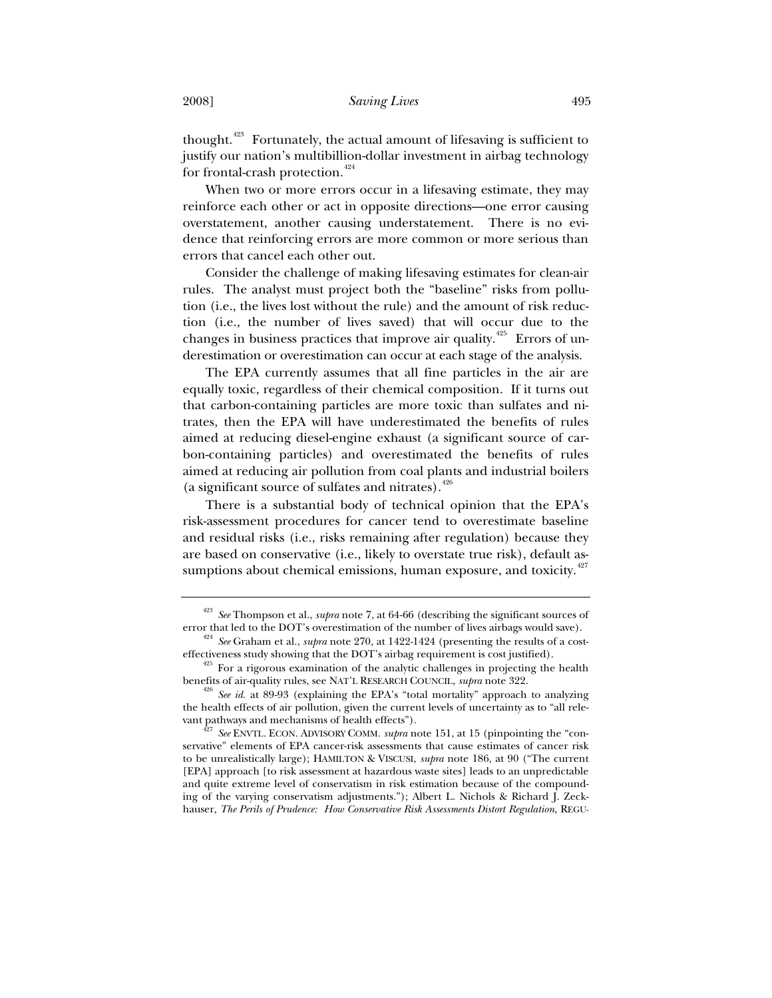thought.<sup>423</sup> Fortunately, the actual amount of lifesaving is sufficient to justify our nation's multibillion-dollar investment in airbag technology for frontal-crash protection.<sup>424</sup>

When two or more errors occur in a lifesaving estimate, they may reinforce each other or act in opposite directions—one error causing overstatement, another causing understatement. There is no evidence that reinforcing errors are more common or more serious than errors that cancel each other out.

Consider the challenge of making lifesaving estimates for clean-air rules. The analyst must project both the "baseline" risks from pollution (i.e., the lives lost without the rule) and the amount of risk reduction (i.e., the number of lives saved) that will occur due to the changes in business practices that improve air quality.<sup>425</sup> Errors of underestimation or overestimation can occur at each stage of the analysis.

The EPA currently assumes that all fine particles in the air are equally toxic, regardless of their chemical composition. If it turns out that carbon-containing particles are more toxic than sulfates and nitrates, then the EPA will have underestimated the benefits of rules aimed at reducing diesel-engine exhaust (a significant source of carbon-containing particles) and overestimated the benefits of rules aimed at reducing air pollution from coal plants and industrial boilers (a significant source of sulfates and nitrates). $426$ 

There is a substantial body of technical opinion that the EPA's risk-assessment procedures for cancer tend to overestimate baseline and residual risks (i.e., risks remaining after regulation) because they are based on conservative (i.e., likely to overstate true risk), default assumptions about chemical emissions, human exposure, and toxicity.<sup>427</sup>

<sup>423</sup> *See* Thompson et al., *supra* note 7, at 64-66 (describing the significant sources of error that led to the DOT's overestimation of the number of lives airbags would save). 424 *See* Graham et al., *supra* note 270, at 1422-1424 (presenting the results of a cost-

effectiveness study showing that the DOT's airbag requirement is cost justified).<br><sup>425</sup> For a rigorous examination of the analytic challenges in projecting the health

benefits of air-quality rules, see NAT'L RESEARCH COUNCIL, *supra* note 322.<br><sup>426</sup> *See id.* at 89-93 (explaining the EPA's "total mortality" approach to analyzing

the health effects of air pollution, given the current levels of uncertainty as to "all rele-<br>vant pathways and mechanisms of health effects").

<sup>&</sup>lt;sup>7</sup> See ENVTL. ECON. ADVISORY COMM. *supra* note 151, at 15 (pinpointing the "conservative" elements of EPA cancer-risk assessments that cause estimates of cancer risk to be unrealistically large); HAMILTON & VISCUSI, *supra* note 186, at 90 ("The current [EPA] approach [to risk assessment at hazardous waste sites] leads to an unpredictable and quite extreme level of conservatism in risk estimation because of the compounding of the varying conservatism adjustments."); Albert L. Nichols & Richard J. Zeckhauser, *The Perils of Prudence: How Conservative Risk Assessments Distort Regulation*, REGU-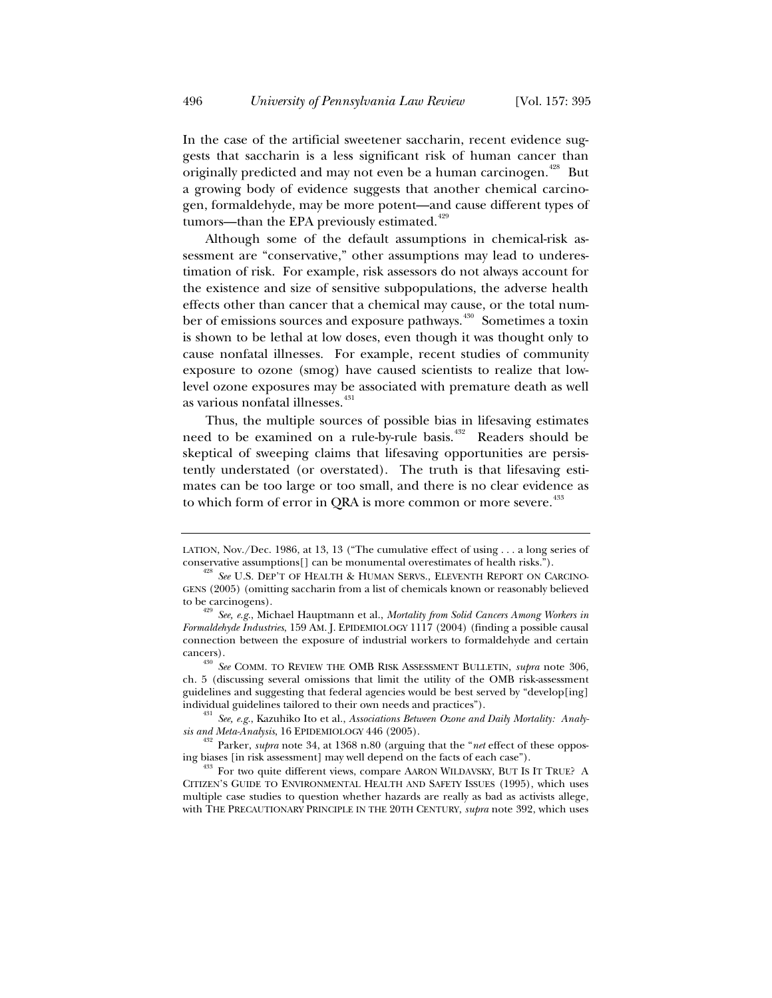In the case of the artificial sweetener saccharin, recent evidence suggests that saccharin is a less significant risk of human cancer than originally predicted and may not even be a human carcinogen.<sup>428</sup> But a growing body of evidence suggests that another chemical carcinogen, formaldehyde, may be more potent—and cause different types of tumors—than the EPA previously estimated. $429$ 

Although some of the default assumptions in chemical-risk assessment are "conservative," other assumptions may lead to underestimation of risk. For example, risk assessors do not always account for the existence and size of sensitive subpopulations, the adverse health effects other than cancer that a chemical may cause, or the total number of emissions sources and exposure pathways.<sup>430</sup> Sometimes a toxin is shown to be lethal at low doses, even though it was thought only to cause nonfatal illnesses. For example, recent studies of community exposure to ozone (smog) have caused scientists to realize that lowlevel ozone exposures may be associated with premature death as well as various nonfatal illnesses.<sup>431</sup>

Thus, the multiple sources of possible bias in lifesaving estimates need to be examined on a rule-by-rule basis.<sup>432</sup> Readers should be skeptical of sweeping claims that lifesaving opportunities are persistently understated (or overstated). The truth is that lifesaving estimates can be too large or too small, and there is no clear evidence as to which form of error in QRA is more common or more severe.<sup>433</sup>

LATION, Nov./Dec. 1986, at 13, 13 ("The cumulative effect of using . . . a long series of conservative assumptions[] can be monumental overestimates of health risks."). 428 *See* U.S. DEP'T OF HEALTH & HUMAN SERVS., ELEVENTH REPORT ON CARCINO-

GENS (2005) (omitting saccharin from a list of chemicals known or reasonably believed to be carcinogens). 429 *See, e.g.*, Michael Hauptmann et al., *Mortality from Solid Cancers Among Workers in* 

*Formaldehyde Industries*, 159 AM. J. EPIDEMIOLOGY 1117 (2004) (finding a possible causal connection between the exposure of industrial workers to formaldehyde and certain cancers).

<sup>430</sup> *See* COMM. TO REVIEW THE OMB RISK ASSESSMENT BULLETIN, *supra* note 306, ch. 5 (discussing several omissions that limit the utility of the OMB risk-assessment guidelines and suggesting that federal agencies would be best served by "develop[ing]

<sup>&</sup>lt;sup>431</sup> See, e.g., Kazuhiko Ito et al., *Associations Between Ozone and Daily Mortality: Analy-*<br>sis and Meta-Analysis, 16 EPIDEMIOLOGY 446 (2005).

<sup>&</sup>lt;sup>432</sup> Parker, *supra* note 34, at 1368 n.80 (arguing that the "*net* effect of these oppos-

ing biases [in risk assessment] may well depend on the facts of each case"). 433 For two quite different views, compare AARON WILDAVSKY, BUT IS IT TRUE? A CITIZEN'S GUIDE TO ENVIRONMENTAL HEALTH AND SAFETY ISSUES (1995), which uses multiple case studies to question whether hazards are really as bad as activists allege, with THE PRECAUTIONARY PRINCIPLE IN THE 20TH CENTURY, *supra* note 392, which uses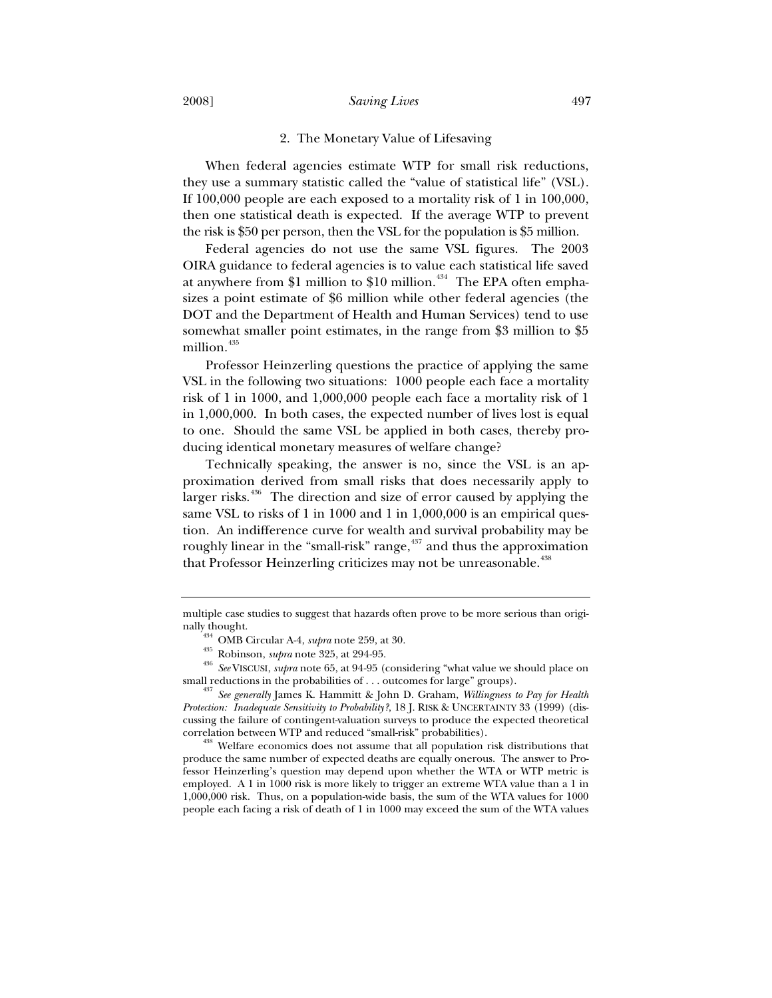### 2008] *Saving Lives* 497

## 2. The Monetary Value of Lifesaving

When federal agencies estimate WTP for small risk reductions, they use a summary statistic called the "value of statistical life" (VSL). If 100,000 people are each exposed to a mortality risk of 1 in 100,000, then one statistical death is expected. If the average WTP to prevent the risk is \$50 per person, then the VSL for the population is \$5 million.

Federal agencies do not use the same VSL figures. The 2003 OIRA guidance to federal agencies is to value each statistical life saved at anywhere from \$1 million to \$10 million. $434$  The EPA often emphasizes a point estimate of \$6 million while other federal agencies (the DOT and the Department of Health and Human Services) tend to use somewhat smaller point estimates, in the range from \$3 million to \$5 million.<sup>435</sup>

Professor Heinzerling questions the practice of applying the same VSL in the following two situations: 1000 people each face a mortality risk of 1 in 1000, and 1,000,000 people each face a mortality risk of 1 in 1,000,000. In both cases, the expected number of lives lost is equal to one. Should the same VSL be applied in both cases, thereby producing identical monetary measures of welfare change?

Technically speaking, the answer is no, since the VSL is an approximation derived from small risks that does necessarily apply to larger risks.<sup>436</sup> The direction and size of error caused by applying the same VSL to risks of 1 in 1000 and 1 in 1,000,000 is an empirical question. An indifference curve for wealth and survival probability may be roughly linear in the "small-risk" range, $437$  and thus the approximation that Professor Heinzerling criticizes may not be unreasonable.<sup>438</sup>

produce the same number of expected deaths are equally onerous. The answer to Professor Heinzerling's question may depend upon whether the WTA or WTP metric is employed. A 1 in 1000 risk is more likely to trigger an extreme WTA value than a 1 in 1,000,000 risk. Thus, on a population-wide basis, the sum of the WTA values for 1000 people each facing a risk of death of 1 in 1000 may exceed the sum of the WTA values

multiple case studies to suggest that hazards often prove to be more serious than origi-

<sup>&</sup>lt;sup>434</sup> OMB Circular A-4, *supra* note 259, at 30.<br><sup>435</sup> Robinson, *supra* note 325, at 294-95. (considering "what value we should place on<br><sup>436</sup> *See* VISCUSI, *supra* note 65, at 94-95 (considering "what value we should pl

small reductions in the probabilities of . . . outcomes for large" groups). 437 *See generally* James K. Hammitt & John D. Graham, *Willingness to Pay for Health Protection: Inadequate Sensitivity to Probability?*, 18 J. RISK & UNCERTAINTY 33 (1999) (discussing the failure of contingent-valuation surveys to produce the expected theoretical correlation between WTP and reduced "small-risk" probabilities). 438 Welfare economics does not assume that all population risk distributions that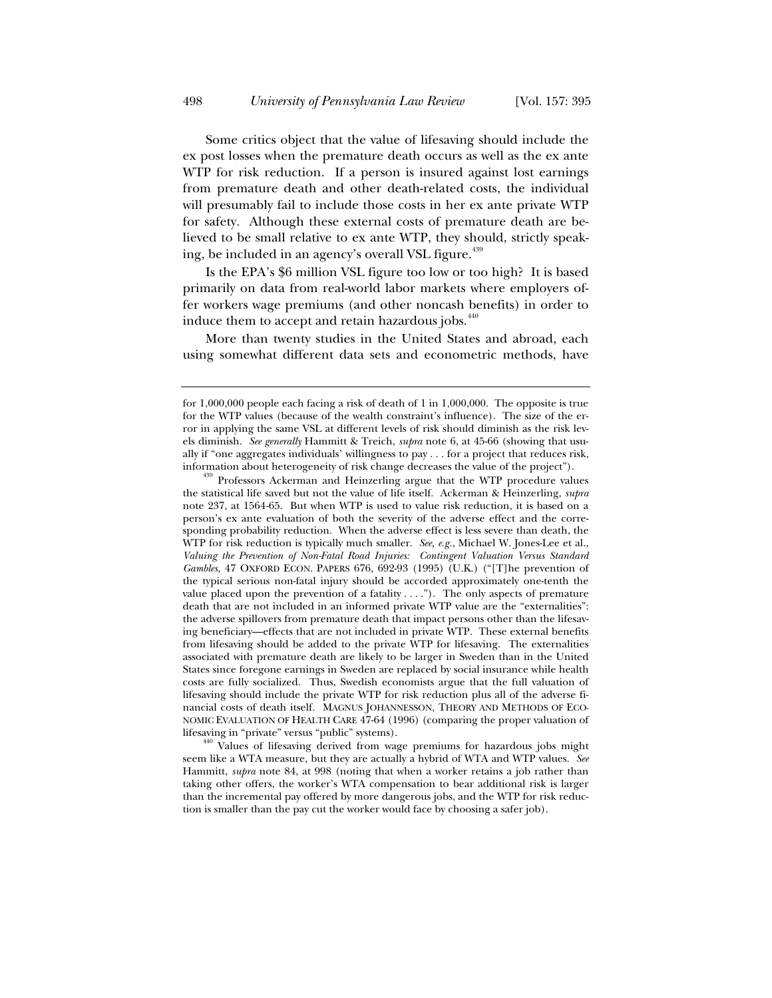Some critics object that the value of lifesaving should include the ex post losses when the premature death occurs as well as the ex ante WTP for risk reduction. If a person is insured against lost earnings from premature death and other death-related costs, the individual will presumably fail to include those costs in her ex ante private WTP for safety. Although these external costs of premature death are believed to be small relative to ex ante WTP, they should, strictly speaking, be included in an agency's overall VSL figure.<sup>439</sup>

Is the EPA's \$6 million VSL figure too low or too high? It is based primarily on data from real-world labor markets where employers offer workers wage premiums (and other noncash benefits) in order to induce them to accept and retain hazardous jobs.<sup>440</sup>

More than twenty studies in the United States and abroad, each using somewhat different data sets and econometric methods, have

for 1,000,000 people each facing a risk of death of 1 in 1,000,000. The opposite is true for the WTP values (because of the wealth constraint's influence). The size of the error in applying the same VSL at different levels of risk should diminish as the risk levels diminish. *See generally* Hammitt & Treich, *supra* note 6, at 45-66 (showing that usually if "one aggregates individuals' willingness to pay  $\dots$  for a project that reduces risk, information about heterogeneity of risk change decreases the value of the project").

<sup>&</sup>lt;sup>439</sup> Professors Ackerman and Heinzerling argue that the WTP procedure values the statistical life saved but not the value of life itself. Ackerman & Heinzerling, *supra* note 237, at 1564-65. But when WTP is used to value risk reduction, it is based on a person's ex ante evaluation of both the severity of the adverse effect and the corresponding probability reduction. When the adverse effect is less severe than death, the WTP for risk reduction is typically much smaller. *See, e.g.*, Michael W. Jones-Lee et al., *Valuing the Prevention of Non-Fatal Road Injuries: Contingent Valuation Versus Standard Gambles*, 47 OXFORD ECON. PAPERS 676, 692-93 (1995) (U.K.) ("[T]he prevention of the typical serious non-fatal injury should be accorded approximately one-tenth the value placed upon the prevention of a fatality  $\dots$ "). The only aspects of premature death that are not included in an informed private WTP value are the "externalities": the adverse spillovers from premature death that impact persons other than the lifesaving beneficiary—effects that are not included in private WTP. These external benefits from lifesaving should be added to the private WTP for lifesaving. The externalities associated with premature death are likely to be larger in Sweden than in the United States since foregone earnings in Sweden are replaced by social insurance while health costs are fully socialized. Thus, Swedish economists argue that the full valuation of lifesaving should include the private WTP for risk reduction plus all of the adverse financial costs of death itself. MAGNUS JOHANNESSON, THEORY AND METHODS OF ECO-NOMIC EVALUATION OF HEALTH CARE 47-64 (1996) (comparing the proper valuation of

lifesaving in "private" versus "public" systems).<br><sup>440</sup> Values of lifesaving derived from wage premiums for hazardous jobs might seem like a WTA measure, but they are actually a hybrid of WTA and WTP values. *See* Hammitt, *supra* note 84, at 998 (noting that when a worker retains a job rather than taking other offers, the worker's WTA compensation to bear additional risk is larger than the incremental pay offered by more dangerous jobs, and the WTP for risk reduction is smaller than the pay cut the worker would face by choosing a safer job).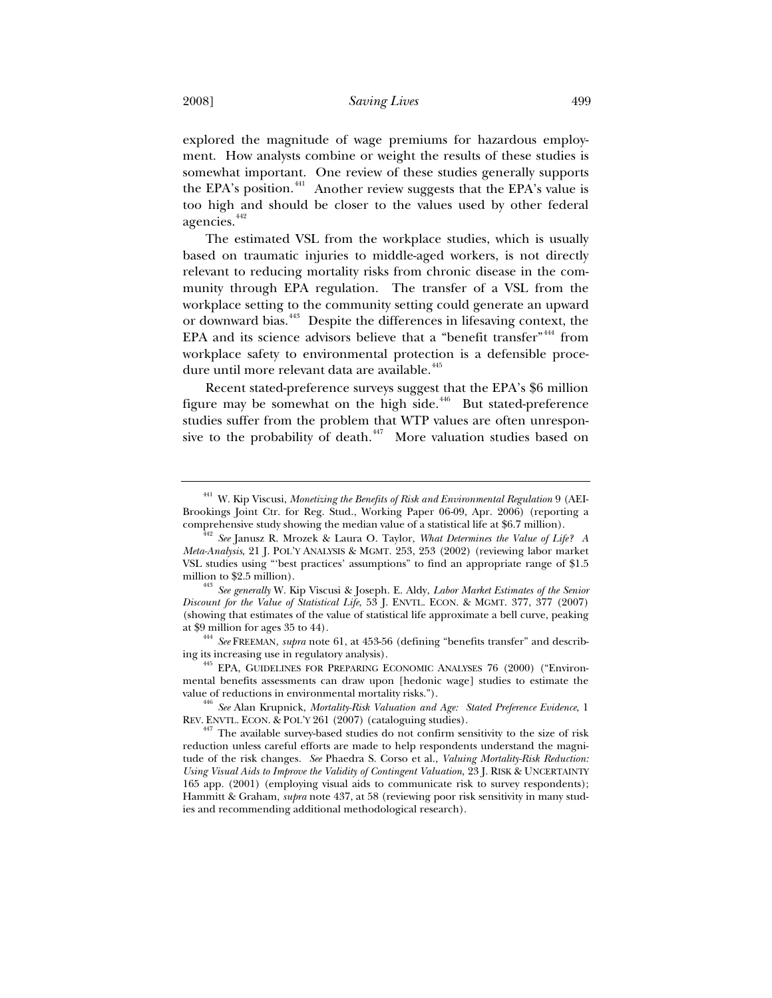explored the magnitude of wage premiums for hazardous employment. How analysts combine or weight the results of these studies is somewhat important. One review of these studies generally supports the EPA's position.<sup>441</sup> Another review suggests that the EPA's value is too high and should be closer to the values used by other federal agencies.<sup>442</sup>

The estimated VSL from the workplace studies, which is usually based on traumatic injuries to middle-aged workers, is not directly relevant to reducing mortality risks from chronic disease in the community through EPA regulation. The transfer of a VSL from the workplace setting to the community setting could generate an upward or downward bias.<sup>443</sup> Despite the differences in lifesaving context, the EPA and its science advisors believe that a "benefit transfer"  $444$  from workplace safety to environmental protection is a defensible procedure until more relevant data are available.<sup>445</sup>

Recent stated-preference surveys suggest that the EPA's \$6 million figure may be somewhat on the high side. $446$  But stated-preference studies suffer from the problem that WTP values are often unresponsive to the probability of death.<sup>447</sup> More valuation studies based on

<sup>441</sup> W. Kip Viscusi, *Monetizing the Benefits of Risk and Environmental Regulation* 9 (AEI-Brookings Joint Ctr. for Reg. Stud., Working Paper 06-09, Apr. 2006) (reporting a

comprehensive study showing the median value of a statistical life at \$6.7 million). 442 *See* Janusz R. Mrozek & Laura O. Taylor, *What Determines the Value of Life? A Meta-Analysis*, 21 J. POL'Y ANALYSIS & MGMT. 253, 253 (2002) (reviewing labor market VSL studies using "'best practices' assumptions" to find an appropriate range of \$1.5

<sup>&</sup>lt;sup>443</sup> See generally W. Kip Viscusi & Joseph. E. Aldy, *Labor Market Estimates of the Senior Discount for the Value of Statistical Life*, 53 J. ENVTL. ECON. & MGMT. 377, 377 (2007) (showing that estimates of the value of statistical life approximate a bell curve, peaking

at \$9 million for ages 35 to 44).<br><sup>444</sup> *See* FREEMAN, *supra* note 61, at 453-56 (defining "benefits transfer" and describing its increasing use in regulatory analysis). 445 EPA, GUIDELINES FOR PREPARING ECONOMIC ANALYSES 76 (2000) ("Environ-

mental benefits assessments can draw upon [hedonic wage] studies to estimate the value of reductions in environmental mortality risks.").

<sup>&</sup>lt;sup>446</sup> See Alan Krupnick, *Mortality-Risk Valuation and Age: Stated Preference Evidence*, 1<br>REV. ENVIL. ECON. & POL'Y 261 (2007) (cataloguing studies).

 $A47$  The available survey-based studies do not confirm sensitivity to the size of risk reduction unless careful efforts are made to help respondents understand the magnitude of the risk changes. *See* Phaedra S. Corso et al., *Valuing Mortality-Risk Reduction: Using Visual Aids to Improve the Validity of Contingent Valuation*, 23 J. RISK & UNCERTAINTY 165 app. (2001) (employing visual aids to communicate risk to survey respondents); Hammitt & Graham, *supra* note 437, at 58 (reviewing poor risk sensitivity in many studies and recommending additional methodological research).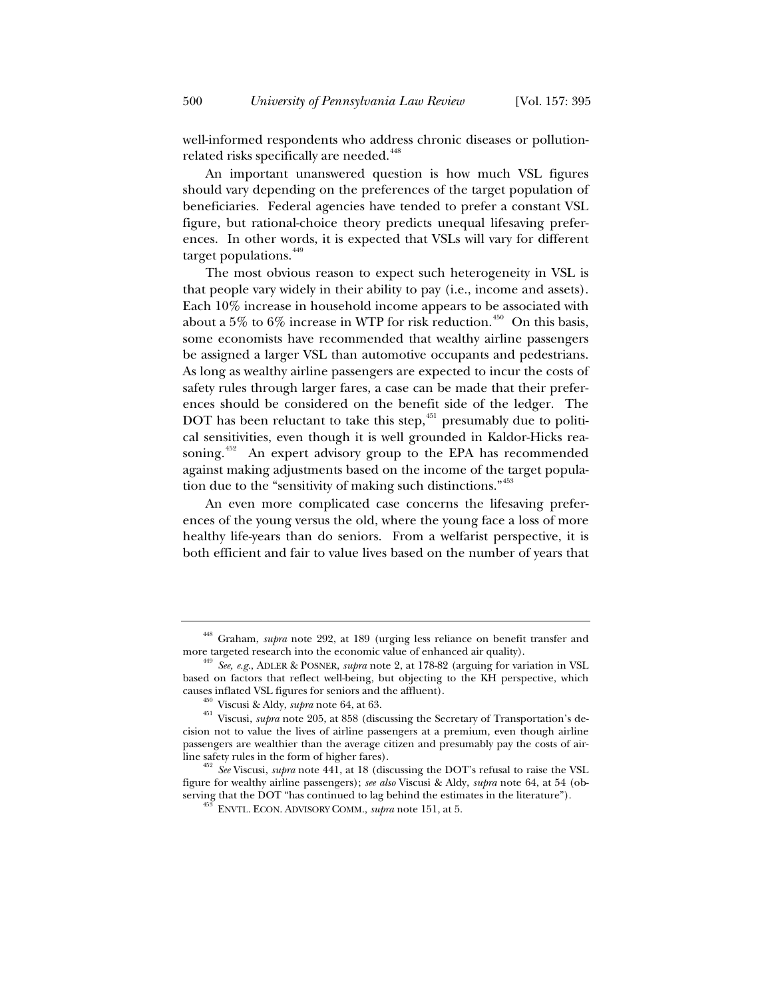well-informed respondents who address chronic diseases or pollutionrelated risks specifically are needed.<sup>448</sup>

An important unanswered question is how much VSL figures should vary depending on the preferences of the target population of beneficiaries. Federal agencies have tended to prefer a constant VSL figure, but rational-choice theory predicts unequal lifesaving preferences. In other words, it is expected that VSLs will vary for different target populations. $449$ 

The most obvious reason to expect such heterogeneity in VSL is that people vary widely in their ability to pay (i.e., income and assets). Each 10% increase in household income appears to be associated with about a 5% to 6% increase in WTP for risk reduction.<sup>450</sup> On this basis, some economists have recommended that wealthy airline passengers be assigned a larger VSL than automotive occupants and pedestrians. As long as wealthy airline passengers are expected to incur the costs of safety rules through larger fares, a case can be made that their preferences should be considered on the benefit side of the ledger. The DOT has been reluctant to take this step,  $451$  presumably due to political sensitivities, even though it is well grounded in Kaldor-Hicks reasoning.<sup>452</sup> An expert advisory group to the EPA has recommended against making adjustments based on the income of the target population due to the "sensitivity of making such distinctions."<sup>453</sup>

An even more complicated case concerns the lifesaving preferences of the young versus the old, where the young face a loss of more healthy life-years than do seniors. From a welfarist perspective, it is both efficient and fair to value lives based on the number of years that

 $448$  Graham, *supra* note 292, at 189 (urging less reliance on benefit transfer and more targeted research into the economic value of enhanced air quality).

<sup>&</sup>lt;sup>449</sup> See, e.g., ADLER & POSNER, *supra* note 2, at 178-82 (arguing for variation in VSL based on factors that reflect well-being, but objecting to the KH perspective, which

causes inflated VSL figures for seniors and the affluent). 450 Viscusi & Aldy, *supra* note 64, at 63. 451 Viscusi, *supra* note 205, at 858 (discussing the Secretary of Transportation's decision not to value the lives of airline passengers at a premium, even though airline passengers are wealthier than the average citizen and presumably pay the costs of air-

line safety rules in the form of higher fares). 452 *See* Viscusi, *supra* note 441, at 18 (discussing the DOT's refusal to raise the VSL figure for wealthy airline passengers); *see also* Viscusi & Aldy, *supra* note 64, at 54 (observing that the DOT "has continued to lag behind the estimates in the literature"). 453 ENVTL. ECON. ADVISORY COMM., *supra* note 151, at 5.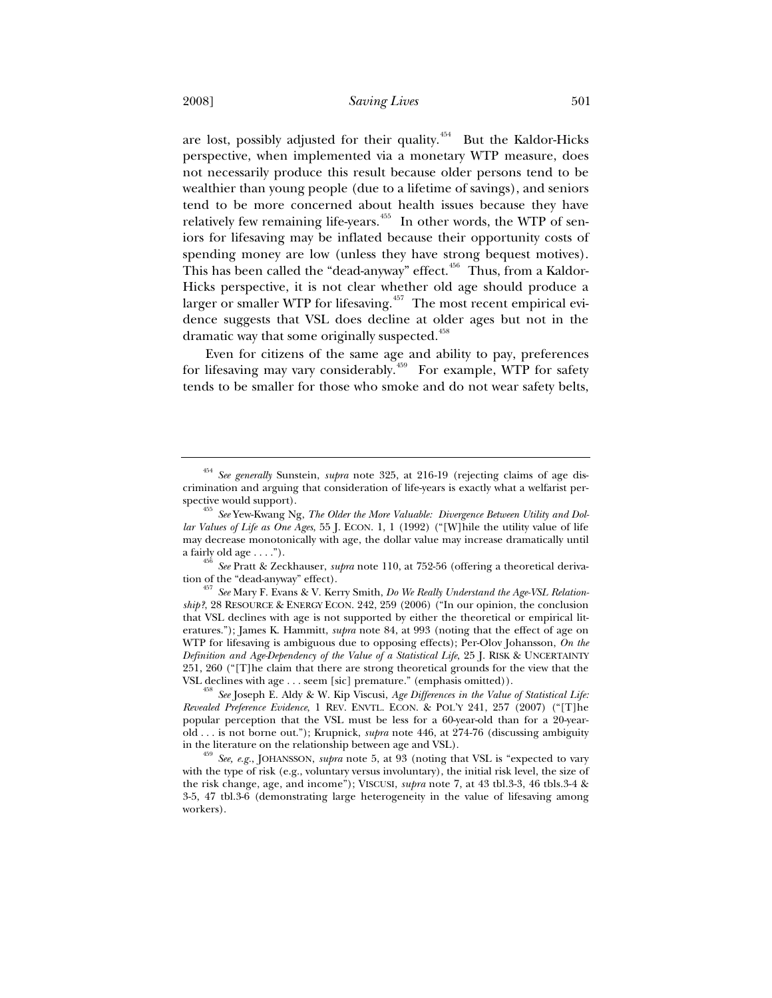are lost, possibly adjusted for their quality.<sup>454</sup> But the Kaldor-Hicks perspective, when implemented via a monetary WTP measure, does not necessarily produce this result because older persons tend to be wealthier than young people (due to a lifetime of savings), and seniors tend to be more concerned about health issues because they have relatively few remaining life-years.<sup> $455$ </sup> In other words, the WTP of seniors for lifesaving may be inflated because their opportunity costs of spending money are low (unless they have strong bequest motives). This has been called the "dead-anyway" effect.<sup>456</sup> Thus, from a Kaldor-Hicks perspective, it is not clear whether old age should produce a larger or smaller WTP for lifesaving.<sup> $457$ </sup> The most recent empirical evidence suggests that VSL does decline at older ages but not in the dramatic way that some originally suspected.<sup>458</sup>

Even for citizens of the same age and ability to pay, preferences for lifesaving may vary considerably.<sup>459</sup> For example, WTP for safety tends to be smaller for those who smoke and do not wear safety belts,

<sup>454</sup> *See generally* Sunstein, *supra* note 325, at 216-19 (rejecting claims of age discrimination and arguing that consideration of life-years is exactly what a welfarist per-

<sup>&</sup>lt;sup>455</sup> See Yew-Kwang Ng, *The Older the More Valuable: Divergence Between Utility and Dollar Values of Life as One Ages*, 55 J. ECON. 1, 1 (1992) ("[W]hile the utility value of life may decrease monotonically with age, the dollar value may increase dramatically until

a fairly old age . . . ."). 456 *See* Pratt & Zeckhauser, *supra* note 110, at 752-56 (offering a theoretical deriva-

tion of the "dead-anyway" effect). 457 *See* Mary F. Evans & V. Kerry Smith, *Do We Really Understand the Age-VSL Relationship?*, 28 RESOURCE & ENERGY ECON. 242, 259 (2006) ("In our opinion, the conclusion that VSL declines with age is not supported by either the theoretical or empirical literatures."); James K. Hammitt, *supra* note 84, at 993 (noting that the effect of age on WTP for lifesaving is ambiguous due to opposing effects); Per-Olov Johansson, *On the Definition and Age-Dependency of the Value of a Statistical Life*, 25 J. RISK & UNCERTAINTY 251, 260 ("[T]he claim that there are strong theoretical grounds for the view that the

VSL declines with age . . . seem [sic] premature." (emphasis omitted)). 458 *See* Joseph E. Aldy & W. Kip Viscusi, *Age Differences in the Value of Statistical Life: Revealed Preference Evidence*, 1 REV. ENVTL. ECON.&POL'Y 241, 257 (2007) ("[T]he popular perception that the VSL must be less for a 60-year-old than for a 20-yearold . . . is not borne out."); Krupnick, *supra* note 446, at 274-76 (discussing ambiguity in the literature on the relationship between age and VSL).

<sup>&</sup>lt;sup>459</sup> See, e.g., JOHANSSON, *supra* note 5, at 93 (noting that VSL is "expected to vary with the type of risk (e.g., voluntary versus involuntary), the initial risk level, the size of the risk change, age, and income"); VISCUSI, *supra* note 7, at 43 tbl.3-3, 46 tbls.3-4 & 3-5, 47 tbl.3-6 (demonstrating large heterogeneity in the value of lifesaving among workers).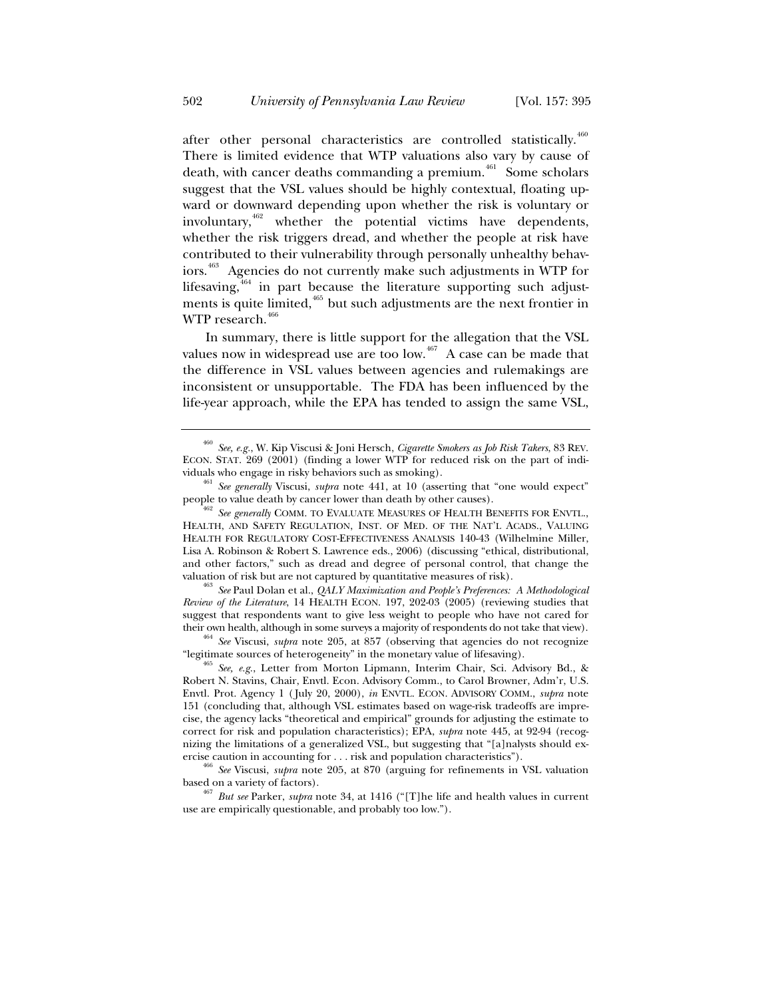after other personal characteristics are controlled statistically.<sup>460</sup> There is limited evidence that WTP valuations also vary by cause of death, with cancer deaths commanding a premium.<sup>461</sup> Some scholars suggest that the VSL values should be highly contextual, floating upward or downward depending upon whether the risk is voluntary or involuntary,  $462$  whether the potential victims have dependents, whether the risk triggers dread, and whether the people at risk have contributed to their vulnerability through personally unhealthy behaviors.<sup>463</sup> Agencies do not currently make such adjustments in WTP for lifesaving, $464$  in part because the literature supporting such adjustments is quite limited, $465$  but such adjustments are the next frontier in WTP research.<sup>46</sup>

In summary, there is little support for the allegation that the VSL values now in widespread use are too low.<sup>467</sup> A case can be made that the difference in VSL values between agencies and rulemakings are inconsistent or unsupportable. The FDA has been influenced by the life-year approach, while the EPA has tended to assign the same VSL,

valuation of risk but are not captured by quantitative measures of risk). 463 *See* Paul Dolan et al., *QALY Maximization and People's Preferences: A Methodological Review of the Literature*, 14 HEALTH ECON. 197, 202-03 (2005) (reviewing studies that suggest that respondents want to give less weight to people who have not cared for

their own health, although in some surveys a majority of respondents do not take that view). 464 *See* Viscusi, *supra* note 205, at 857 (observing that agencies do not recognize "legitimate sources of heterogeneity" in the monetary value of lifesaving). 465 *See, e.g.*, Letter from Morton Lipmann, Interim Chair, Sci. Advisory Bd., &

<sup>460</sup> *See, e.g.*, W. Kip Viscusi & Joni Hersch, *Cigarette Smokers as Job Risk Takers*, 83 REV. ECON. STAT. 269 (2001) (finding a lower WTP for reduced risk on the part of indi-

viduals who engage in risky behaviors such as smoking). 461 *See generally* Viscusi, *supra* note 441, at 10 (asserting that "one would expect" people to value death by cancer lower than death by other causes).<br><sup>462</sup> *See generally* COMM. TO EVALUATE MEASURES OF HEALTH BENEFITS FOR ENVTL.,

HEALTH, AND SAFETY REGULATION, INST. OF MED. OF THE NAT'L ACADS., VALUING HEALTH FOR REGULATORY COST-EFFECTIVENESS ANALYSIS 140-43 (Wilhelmine Miller, Lisa A. Robinson & Robert S. Lawrence eds., 2006) (discussing "ethical, distributional, and other factors," such as dread and degree of personal control, that change the

Robert N. Stavins, Chair, Envtl. Econ. Advisory Comm., to Carol Browner, Adm'r, U.S. Envtl. Prot. Agency 1 ( July 20, 2000), *in* ENVTL. ECON. ADVISORY COMM., *supra* note 151 (concluding that, although VSL estimates based on wage-risk tradeoffs are imprecise, the agency lacks "theoretical and empirical" grounds for adjusting the estimate to correct for risk and population characteristics); EPA, *supra* note 445, at 92-94 (recognizing the limitations of a generalized VSL, but suggesting that "[a]nalysts should ex-

ercise caution in accounting for . . . risk and population characteristics"). 466 *See* Viscusi, *supra* note 205, at 870 (arguing for refinements in VSL valuation based on a variety of factors). 467 *But see* Parker, *supra* note 34, at 1416 ("[T]he life and health values in current

use are empirically questionable, and probably too low.").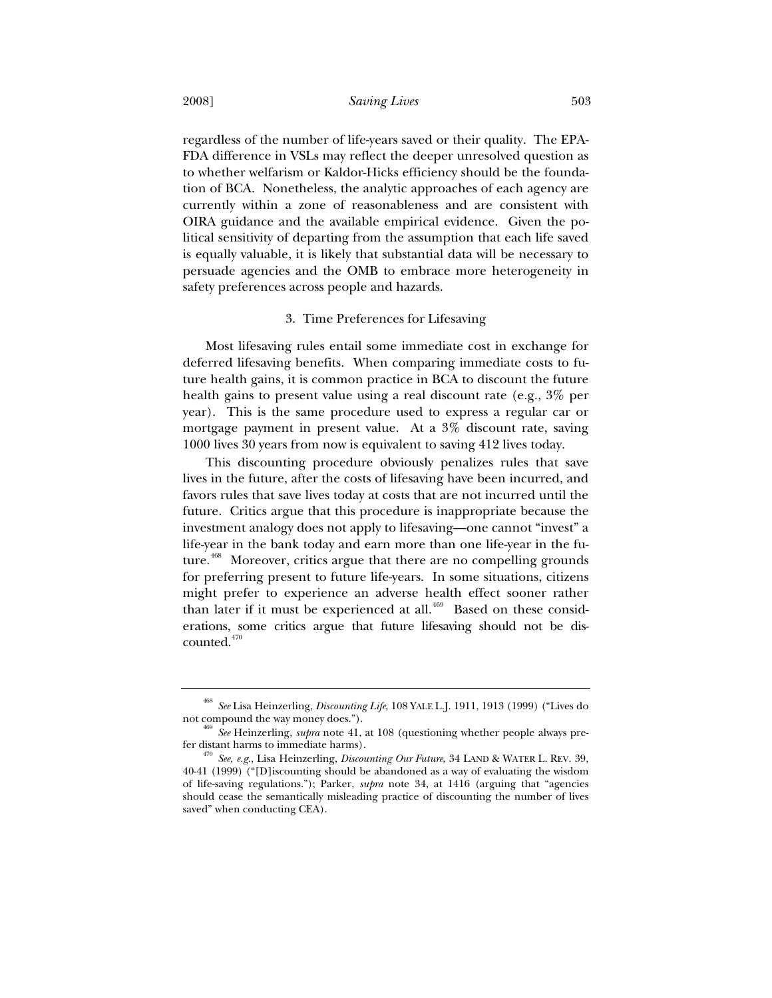regardless of the number of life-years saved or their quality. The EPA-FDA difference in VSLs may reflect the deeper unresolved question as to whether welfarism or Kaldor-Hicks efficiency should be the foundation of BCA. Nonetheless, the analytic approaches of each agency are currently within a zone of reasonableness and are consistent with OIRA guidance and the available empirical evidence. Given the political sensitivity of departing from the assumption that each life saved is equally valuable, it is likely that substantial data will be necessary to persuade agencies and the OMB to embrace more heterogeneity in safety preferences across people and hazards.

#### 3. Time Preferences for Lifesaving

Most lifesaving rules entail some immediate cost in exchange for deferred lifesaving benefits. When comparing immediate costs to future health gains, it is common practice in BCA to discount the future health gains to present value using a real discount rate (e.g., 3% per year). This is the same procedure used to express a regular car or mortgage payment in present value. At a 3% discount rate, saving 1000 lives 30 years from now is equivalent to saving 412 lives today.

This discounting procedure obviously penalizes rules that save lives in the future, after the costs of lifesaving have been incurred, and favors rules that save lives today at costs that are not incurred until the future. Critics argue that this procedure is inappropriate because the investment analogy does not apply to lifesaving—one cannot "invest" a life-year in the bank today and earn more than one life-year in the future.<sup>468</sup> Moreover, critics argue that there are no compelling grounds for preferring present to future life-years. In some situations, citizens might prefer to experience an adverse health effect sooner rather than later if it must be experienced at all. $469$  Based on these considerations, some critics argue that future lifesaving should not be discounted.<sup>470</sup>

<sup>&</sup>lt;sup>468</sup> *See* Lisa Heinzerling, *Discounting Life*, 108 YALE L.J. 1911, 1913 (1999) ("Lives do not compound the way money does.").

See Heinzerling, *supra* note 41, at 108 (questioning whether people always prefer distant harms to immediate harms). 470 *See, e.g.*, Lisa Heinzerling, *Discounting Our Future*, 34 LAND & WATER L. REV. 39,

<sup>40-41 (1999) (&</sup>quot;[D]iscounting should be abandoned as a way of evaluating the wisdom of life-saving regulations."); Parker, *supra* note 34, at 1416 (arguing that "agencies should cease the semantically misleading practice of discounting the number of lives saved" when conducting CEA).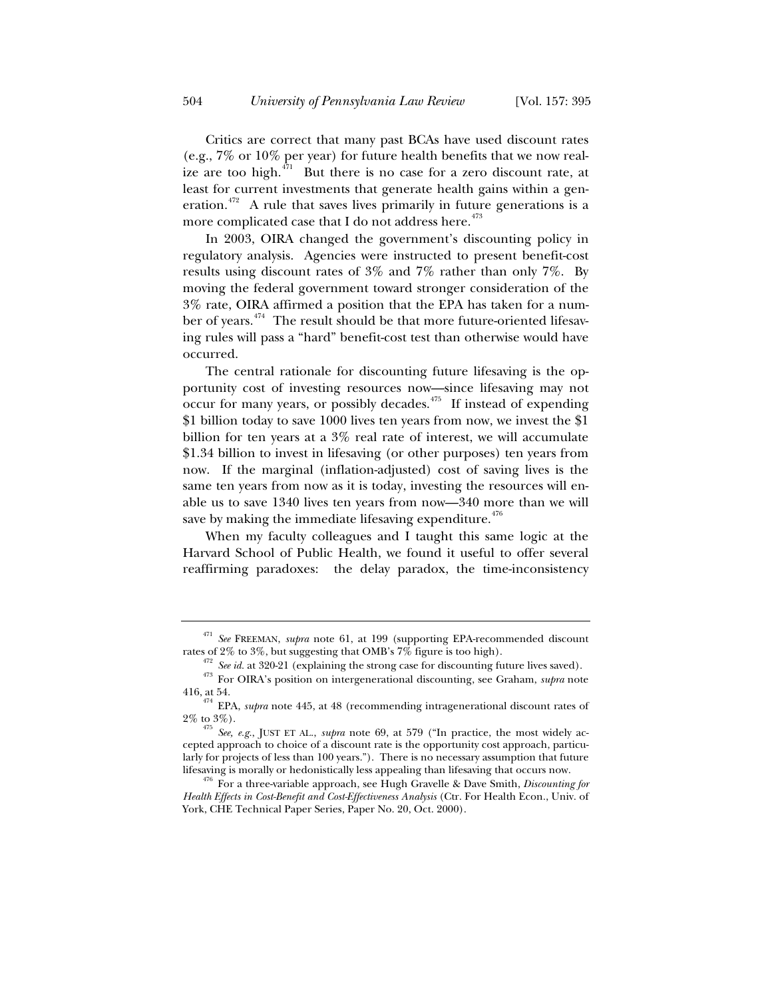Critics are correct that many past BCAs have used discount rates (e.g., 7% or 10% per year) for future health benefits that we now realize are too high. $4\pi$ <sup>71</sup> But there is no case for a zero discount rate, at least for current investments that generate health gains within a generation.<sup>472</sup> A rule that saves lives primarily in future generations is a more complicated case that I do not address here. $473$ 

In 2003, OIRA changed the government's discounting policy in regulatory analysis. Agencies were instructed to present benefit-cost results using discount rates of 3% and 7% rather than only 7%. By moving the federal government toward stronger consideration of the 3% rate, OIRA affirmed a position that the EPA has taken for a number of years.<sup>474</sup> The result should be that more future-oriented lifesaving rules will pass a "hard" benefit-cost test than otherwise would have occurred.

The central rationale for discounting future lifesaving is the opportunity cost of investing resources now—since lifesaving may not  $\alpha$  occur for many years, or possibly decades.<sup>475</sup> If instead of expending \$1 billion today to save 1000 lives ten years from now, we invest the \$1 billion for ten years at a 3% real rate of interest, we will accumulate \$1.34 billion to invest in lifesaving (or other purposes) ten years from now. If the marginal (inflation-adjusted) cost of saving lives is the same ten years from now as it is today, investing the resources will enable us to save 1340 lives ten years from now—340 more than we will save by making the immediate lifesaving expenditure. $476$ 

When my faculty colleagues and I taught this same logic at the Harvard School of Public Health, we found it useful to offer several reaffirming paradoxes: the delay paradox, the time-inconsistency

<sup>&</sup>lt;sup>471</sup> *See* FREEMAN, *supra* note 61, at 199 (supporting EPA-recommended discount rates of 2% to 3%, but suggesting that OMB's 7% figure is too high).

<sup>&</sup>lt;sup>472</sup> See id. at 320-21 (explaining the strong case for discounting future lives saved).<br><sup>473</sup> For OIRA's position on intergenerational discounting, see Graham, *supra* note

<sup>416,</sup> at 54. 474 EPA, *supra* note 445, at 48 (recommending intragenerational discount rates of

<sup>2%</sup> to 3%). 475 *See, e.g.*, JUST ET AL., *supra* note 69, at 579 ("In practice, the most widely accepted approach to choice of a discount rate is the opportunity cost approach, particularly for projects of less than 100 years."). There is no necessary assumption that future

lifesaving is morally or hedonistically less appealing than lifesaving that occurs now. 476 For a three-variable approach, see Hugh Gravelle & Dave Smith, *Discounting for Health Effects in Cost-Benefit and Cost-Effectiveness Analysis* (Ctr. For Health Econ., Univ. of York, CHE Technical Paper Series, Paper No. 20, Oct. 2000).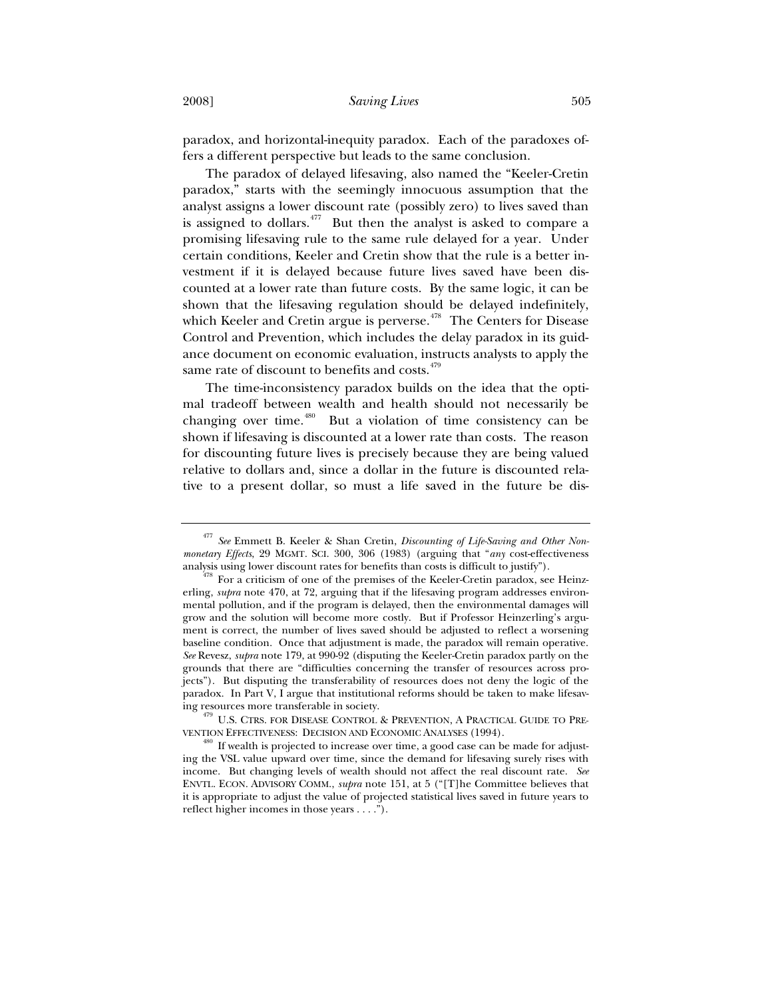paradox, and horizontal-inequity paradox. Each of the paradoxes offers a different perspective but leads to the same conclusion.

The paradox of delayed lifesaving, also named the "Keeler-Cretin paradox," starts with the seemingly innocuous assumption that the analyst assigns a lower discount rate (possibly zero) to lives saved than is assigned to dollars.<sup>477</sup> But then the analyst is asked to compare a promising lifesaving rule to the same rule delayed for a year. Under certain conditions, Keeler and Cretin show that the rule is a better investment if it is delayed because future lives saved have been discounted at a lower rate than future costs. By the same logic, it can be shown that the lifesaving regulation should be delayed indefinitely, which Keeler and Cretin argue is perverse. $478$  The Centers for Disease Control and Prevention, which includes the delay paradox in its guidance document on economic evaluation, instructs analysts to apply the same rate of discount to benefits and costs.<sup>479</sup>

The time-inconsistency paradox builds on the idea that the optimal tradeoff between wealth and health should not necessarily be changing over time.<sup>480</sup> But a violation of time consistency can be shown if lifesaving is discounted at a lower rate than costs. The reason for discounting future lives is precisely because they are being valued relative to dollars and, since a dollar in the future is discounted relative to a present dollar, so must a life saved in the future be dis-

ing resources more transferable in society.<br><sup>479</sup> U.S. CTRS. FOR DISEASE CONTROL & PREVENTION, A PRACTICAL GUIDE TO PRE-VENTION EFFECTIVENESS: DECISION AND ECONOMIC ANALYSES (1994).<br><sup>480</sup> If wealth is projected to increase over time, a good case can be made for adjust-

<sup>477</sup> *See* Emmett B. Keeler & Shan Cretin, *Discounting of Life-Saving and Other Nonmonetary Effects*, 29 MGMT. SCI. 300, 306 (1983) (arguing that "*any* cost-effectiveness analysis using lower discount rates for benefits than costs is difficult to justify").<br><sup>478</sup> For a criticism of one of the premises of the Keeler-Cretin paradox, see Heinz-

erling, *supra* note 470, at 72, arguing that if the lifesaving program addresses environmental pollution, and if the program is delayed, then the environmental damages will grow and the solution will become more costly. But if Professor Heinzerling's argument is correct, the number of lives saved should be adjusted to reflect a worsening baseline condition. Once that adjustment is made, the paradox will remain operative. *See* Revesz, *supra* note 179, at 990-92 (disputing the Keeler-Cretin paradox partly on the grounds that there are "difficulties concerning the transfer of resources across projects"). But disputing the transferability of resources does not deny the logic of the paradox. In Part V, I argue that institutional reforms should be taken to make lifesav-

ing the VSL value upward over time, since the demand for lifesaving surely rises with income. But changing levels of wealth should not affect the real discount rate. *See* ENVTL. ECON. ADVISORY COMM., *supra* note 151, at 5 ("[T]he Committee believes that it is appropriate to adjust the value of projected statistical lives saved in future years to reflect higher incomes in those years . . . .").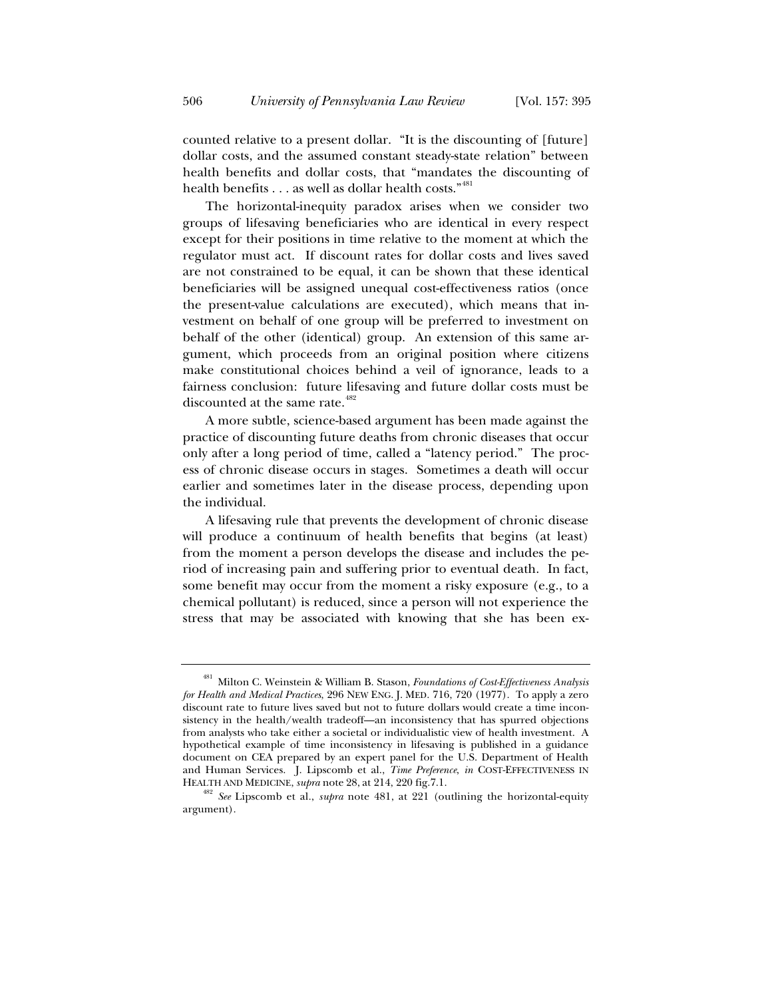counted relative to a present dollar. "It is the discounting of [future] dollar costs, and the assumed constant steady-state relation" between health benefits and dollar costs, that "mandates the discounting of health benefits . . . as well as dollar health costs." <sup>481</sup>

The horizontal-inequity paradox arises when we consider two groups of lifesaving beneficiaries who are identical in every respect except for their positions in time relative to the moment at which the regulator must act. If discount rates for dollar costs and lives saved are not constrained to be equal, it can be shown that these identical beneficiaries will be assigned unequal cost-effectiveness ratios (once the present-value calculations are executed), which means that investment on behalf of one group will be preferred to investment on behalf of the other (identical) group. An extension of this same argument, which proceeds from an original position where citizens make constitutional choices behind a veil of ignorance, leads to a fairness conclusion: future lifesaving and future dollar costs must be discounted at the same rate.<sup>482</sup>

A more subtle, science-based argument has been made against the practice of discounting future deaths from chronic diseases that occur only after a long period of time, called a "latency period." The process of chronic disease occurs in stages. Sometimes a death will occur earlier and sometimes later in the disease process, depending upon the individual.

A lifesaving rule that prevents the development of chronic disease will produce a continuum of health benefits that begins (at least) from the moment a person develops the disease and includes the period of increasing pain and suffering prior to eventual death. In fact, some benefit may occur from the moment a risky exposure (e.g., to a chemical pollutant) is reduced, since a person will not experience the stress that may be associated with knowing that she has been ex-

<sup>481</sup> Milton C. Weinstein & William B. Stason, *Foundations of Cost-Effectiveness Analysis for Health and Medical Practices*, 296 NEW ENG. J. MED. 716, 720 (1977). To apply a zero discount rate to future lives saved but not to future dollars would create a time inconsistency in the health/wealth tradeoff—an inconsistency that has spurred objections from analysts who take either a societal or individualistic view of health investment. A hypothetical example of time inconsistency in lifesaving is published in a guidance document on CEA prepared by an expert panel for the U.S. Department of Health and Human Services. J. Lipscomb et al., *Time Preference*, *in* COST-EFFECTIVENESS IN

HEALTH AND MEDICINE, *supra* note 28, at 214, 220 fig.7.1. 482 *See* Lipscomb et al., *supra* note 481, at 221 (outlining the horizontal-equity argument).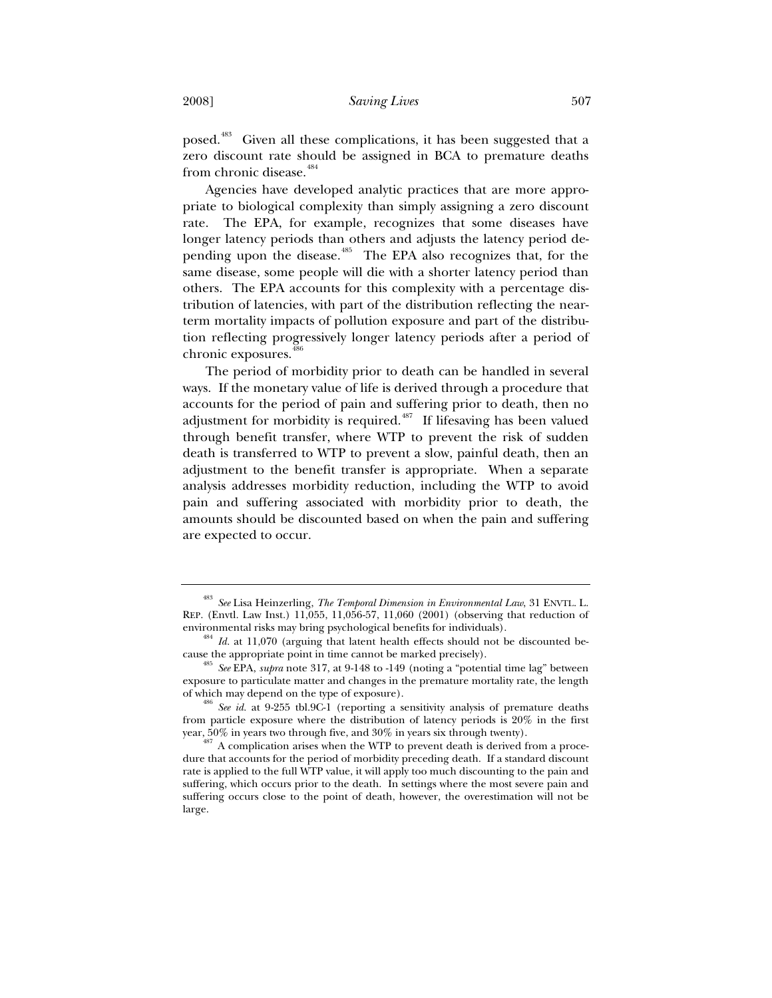posed.483 Given all these complications, it has been suggested that a zero discount rate should be assigned in BCA to premature deaths from chronic disease.<sup>484</sup>

Agencies have developed analytic practices that are more appropriate to biological complexity than simply assigning a zero discount rate. The EPA, for example, recognizes that some diseases have longer latency periods than others and adjusts the latency period depending upon the disease.<sup>485</sup> The EPA also recognizes that, for the same disease, some people will die with a shorter latency period than others. The EPA accounts for this complexity with a percentage distribution of latencies, with part of the distribution reflecting the nearterm mortality impacts of pollution exposure and part of the distribution reflecting progressively longer latency periods after a period of chronic exposures.<sup>4</sup>

The period of morbidity prior to death can be handled in several ways. If the monetary value of life is derived through a procedure that accounts for the period of pain and suffering prior to death, then no adjustment for morbidity is required.<sup> $487$ </sup> If lifesaving has been valued through benefit transfer, where WTP to prevent the risk of sudden death is transferred to WTP to prevent a slow, painful death, then an adjustment to the benefit transfer is appropriate. When a separate analysis addresses morbidity reduction, including the WTP to avoid pain and suffering associated with morbidity prior to death, the amounts should be discounted based on when the pain and suffering are expected to occur.

<sup>483</sup> *See* Lisa Heinzerling, *The Temporal Dimension in Environmental Law*, 31 ENVTL. L. REP. (Envtl. Law Inst.) 11,055, 11,056-57, 11,060 (2001) (observing that reduction of environmental risks may bring psychological benefits for individuals). 484 *Id.* at 11,070 (arguing that latent health effects should not be discounted be-

cause the appropriate point in time cannot be marked precisely). 485 *See* EPA, *supra* note 317, at 9-148 to -149 (noting a "potential time lag" between

exposure to particulate matter and changes in the premature mortality rate, the length

See id. at 9-255 tbl.9C-1 (reporting a sensitivity analysis of premature deaths from particle exposure where the distribution of latency periods is 20% in the first year, 50% in years two through five, and 30% in years six through twenty).<br><sup>487</sup> A complication arises when the WTP to prevent death is derived from a proce-

dure that accounts for the period of morbidity preceding death. If a standard discount rate is applied to the full WTP value, it will apply too much discounting to the pain and suffering, which occurs prior to the death. In settings where the most severe pain and suffering occurs close to the point of death, however, the overestimation will not be large.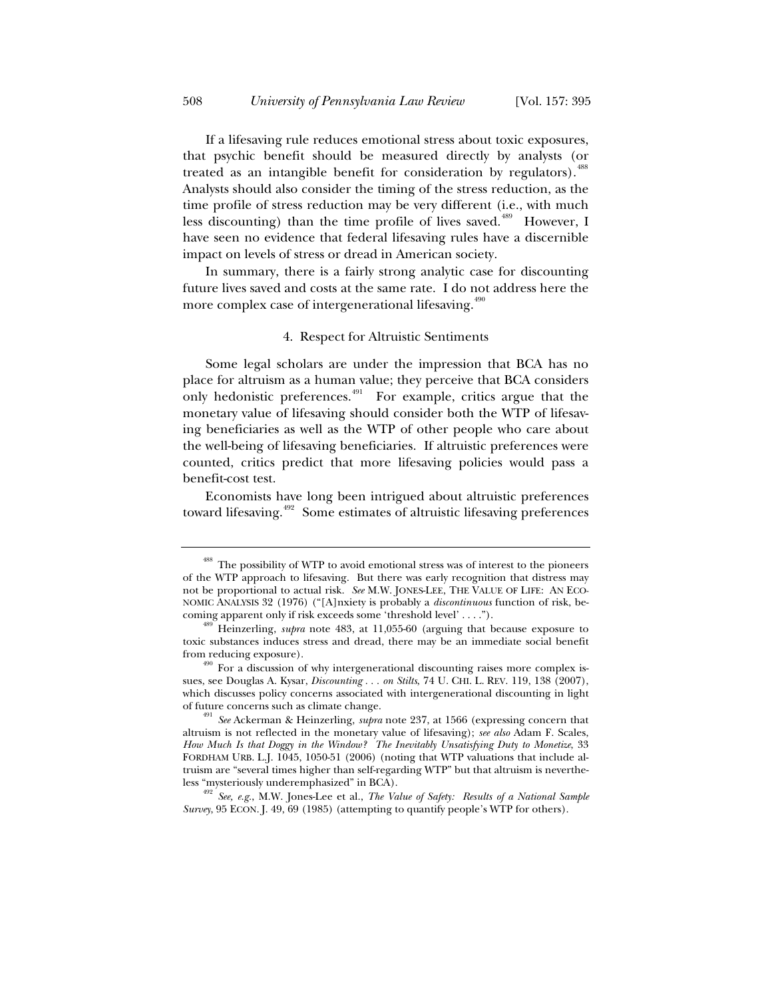If a lifesaving rule reduces emotional stress about toxic exposures, that psychic benefit should be measured directly by analysts (or treated as an intangible benefit for consideration by regulators). $^4$ Analysts should also consider the timing of the stress reduction, as the time profile of stress reduction may be very different (i.e., with much less discounting) than the time profile of lives saved.<sup>489</sup> However, I have seen no evidence that federal lifesaving rules have a discernible impact on levels of stress or dread in American society.

In summary, there is a fairly strong analytic case for discounting future lives saved and costs at the same rate. I do not address here the more complex case of intergenerational lifesaving.<sup>490</sup>

## 4. Respect for Altruistic Sentiments

Some legal scholars are under the impression that BCA has no place for altruism as a human value; they perceive that BCA considers only hedonistic preferences. $491$  For example, critics argue that the monetary value of lifesaving should consider both the WTP of lifesaving beneficiaries as well as the WTP of other people who care about the well-being of lifesaving beneficiaries. If altruistic preferences were counted, critics predict that more lifesaving policies would pass a benefit-cost test.

Economists have long been intrigued about altruistic preferences toward lifesaving.<sup>492</sup> Some estimates of altruistic lifesaving preferences

*Survey*, 95 ECON. J. 49, 69 (1985) (attempting to quantify people's WTP for others).

<sup>&</sup>lt;sup>488</sup> The possibility of WTP to avoid emotional stress was of interest to the pioneers of the WTP approach to lifesaving. But there was early recognition that distress may not be proportional to actual risk. *See* M.W. JONES-LEE, THE VALUE OF LIFE: AN ECO-NOMIC ANALYSIS 32 (1976) ("[A]nxiety is probably a *discontinuous* function of risk, becoming apparent only if risk exceeds some 'threshold level' . . . ."). 489 Heinzerling, *supra* note 483, at 11,055-60 (arguing that because exposure to

toxic substances induces stress and dread, there may be an immediate social benefit from reducing exposure).<br><sup>490</sup> For a discussion of why intergenerational discounting raises more complex is-

sues, see Douglas A. Kysar, *Discounting . . . on Stilts*, 74 U. CHI. L. REV. 119, 138 (2007), which discusses policy concerns associated with intergenerational discounting in light of future concerns such as climate change. 491 *See* Ackerman & Heinzerling, *supra* note 237, at 1566 (expressing concern that

altruism is not reflected in the monetary value of lifesaving); *see also* Adam F. Scales, *How Much Is that Doggy in the Window? The Inevitably Unsatisfying Duty to Monetize*, 33 FORDHAM URB. L.J. 1045, 1050-51 (2006) (noting that WTP valuations that include altruism are "several times higher than self-regarding WTP" but that altruism is nevertheless "mysteriously underemphasized" in BCA). 492 *See, e.g.*, M.W. Jones-Lee et al., *The Value of Safety: Results of a National Sample*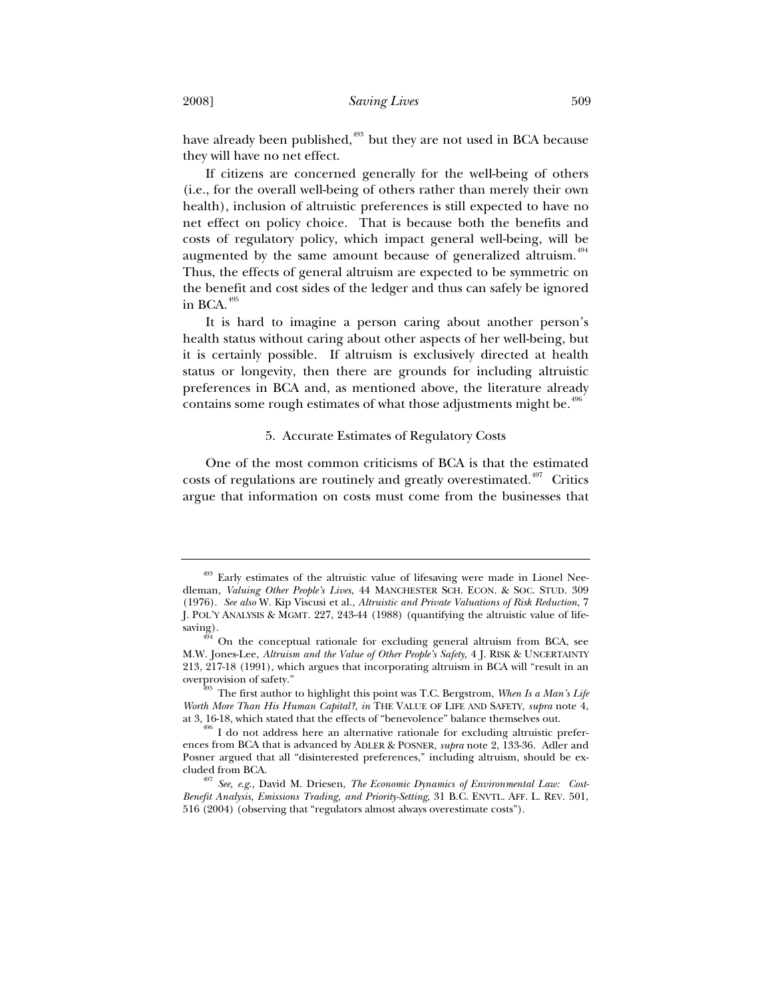have already been published,<sup>493</sup> but they are not used in BCA because they will have no net effect.

If citizens are concerned generally for the well-being of others (i.e., for the overall well-being of others rather than merely their own health), inclusion of altruistic preferences is still expected to have no net effect on policy choice. That is because both the benefits and costs of regulatory policy, which impact general well-being, will be augmented by the same amount because of generalized altruism.<sup>494</sup> Thus, the effects of general altruism are expected to be symmetric on the benefit and cost sides of the ledger and thus can safely be ignored in BCA. $495$ 

It is hard to imagine a person caring about another person's health status without caring about other aspects of her well-being, but it is certainly possible. If altruism is exclusively directed at health status or longevity, then there are grounds for including altruistic preferences in BCA and, as mentioned above, the literature already contains some rough estimates of what those adjustments might be. $496$ 

## 5. Accurate Estimates of Regulatory Costs

One of the most common criticisms of BCA is that the estimated costs of regulations are routinely and greatly overestimated.<sup> $497$ </sup> Critics argue that information on costs must come from the businesses that

<sup>&</sup>lt;sup>493</sup> Early estimates of the altruistic value of lifesaving were made in Lionel Needleman, *Valuing Other People's Lives*, 44 MANCHESTER SCH. ECON. & SOC. STUD. 309 (1976). *See also* W. Kip Viscusi et al., *Altruistic and Private Valuations of Risk Reduction*, 7 J. POL'Y ANALYSIS & MGMT. 227, 243-44 (1988) (quantifying the altruistic value of lifesaving).

<sup>494</sup> On the conceptual rationale for excluding general altruism from BCA, see M.W. Jones-Lee, *Altruism and the Value of Other People's Safety*, 4 J. RISK & UNCERTAINTY 213, 217-18 (1991), which argues that incorporating altruism in BCA will "result in an overprovision of safety."<br><sup>495</sup> The first author to highlight this point was T.C. Bergstrom, *When Is a Man's Life* 

*Worth More Than His Human Capital?*, *in* THE VALUE OF LIFE AND SAFETY, *supra* note 4, at 3, 16-18, which stated that the effects of "benevolence" balance themselves out. 496 I do not address here an alternative rationale for excluding altruistic prefer-

ences from BCA that is advanced by ADLER & POSNER, *supra* note 2, 133-36. Adler and Posner argued that all "disinterested preferences," including altruism, should be ex-

cluded from BCA. 497 *See, e.g.*, David M. Driesen, *The Economic Dynamics of Environmental Law: Cost-Benefit Analysis, Emissions Trading, and Priority-Setting*, 31 B.C. ENVTL. AFF. L. REV. 501, 516 (2004) (observing that "regulators almost always overestimate costs").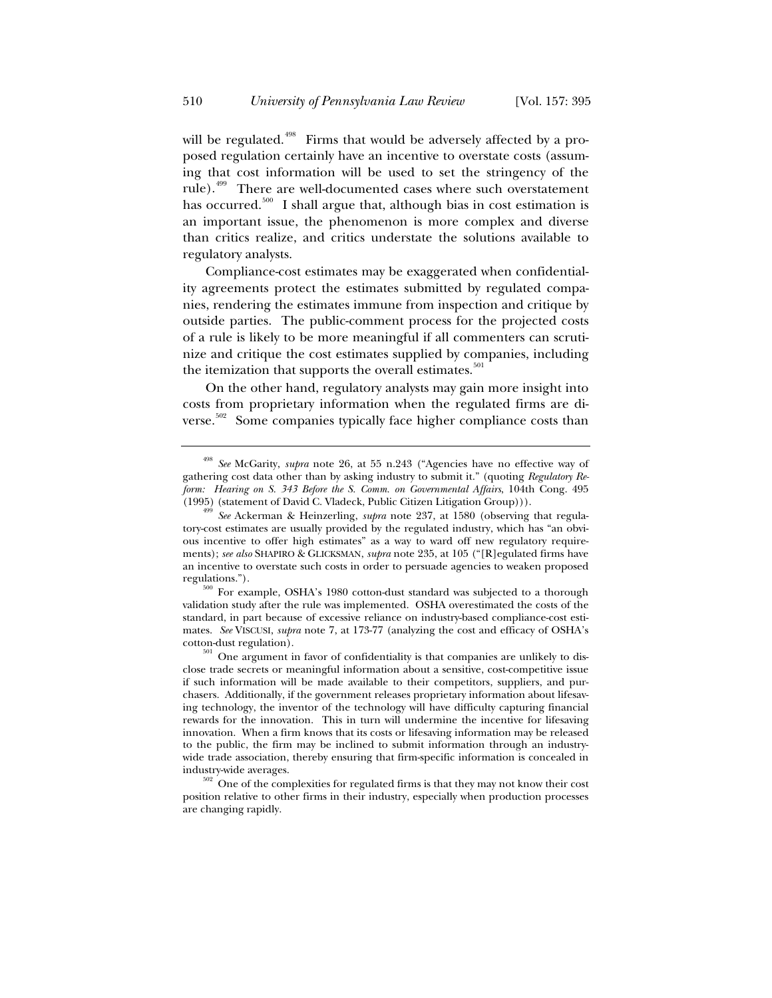will be regulated.<sup> $498$ </sup> Firms that would be adversely affected by a proposed regulation certainly have an incentive to overstate costs (assuming that cost information will be used to set the stringency of the rule).<sup>499</sup> There are well-documented cases where such overstatement has occurred.<sup>500</sup> I shall argue that, although bias in cost estimation is an important issue, the phenomenon is more complex and diverse than critics realize, and critics understate the solutions available to regulatory analysts.

Compliance-cost estimates may be exaggerated when confidentiality agreements protect the estimates submitted by regulated companies, rendering the estimates immune from inspection and critique by outside parties. The public-comment process for the projected costs of a rule is likely to be more meaningful if all commenters can scrutinize and critique the cost estimates supplied by companies, including the itemization that supports the overall estimates.<sup>501</sup>

On the other hand, regulatory analysts may gain more insight into costs from proprietary information when the regulated firms are diverse.<sup>502</sup> Some companies typically face higher compliance costs than

<sup>498</sup> *See* McGarity, *supra* note 26, at 55 n.243 ("Agencies have no effective way of gathering cost data other than by asking industry to submit it." (quoting *Regulatory Reform: Hearing on S. 343 Before the S. Comm. on Governmental Affairs*, 104th Cong. 495 (1995) (statement of David C. Vladeck, Public Citizen Litigation Group))). 499 *See* Ackerman & Heinzerling, *supra* note 237, at 1580 (observing that regula-

tory-cost estimates are usually provided by the regulated industry, which has "an obvious incentive to offer high estimates" as a way to ward off new regulatory requirements); *see also* SHAPIRO & GLICKSMAN, *supra* note 235, at 105 ("[R]egulated firms have an incentive to overstate such costs in order to persuade agencies to weaken proposed

regulations.").  $500$  For example, OSHA's 1980 cotton-dust standard was subjected to a thorough validation study after the rule was implemented. OSHA overestimated the costs of the standard, in part because of excessive reliance on industry-based compliance-cost estimates. *See* VISCUSI, *supra* note 7, at 173-77 (analyzing the cost and efficacy of OSHA's cotton-dust regulation).  $501$  One argument in favor of confidentiality is that companies are unlikely to dis-

close trade secrets or meaningful information about a sensitive, cost-competitive issue if such information will be made available to their competitors, suppliers, and purchasers. Additionally, if the government releases proprietary information about lifesaving technology, the inventor of the technology will have difficulty capturing financial rewards for the innovation. This in turn will undermine the incentive for lifesaving innovation. When a firm knows that its costs or lifesaving information may be released to the public, the firm may be inclined to submit information through an industrywide trade association, thereby ensuring that firm-specific information is concealed in

industry-wide averages.<br> $502$  One of the complexities for regulated firms is that they may not know their cost position relative to other firms in their industry, especially when production processes are changing rapidly.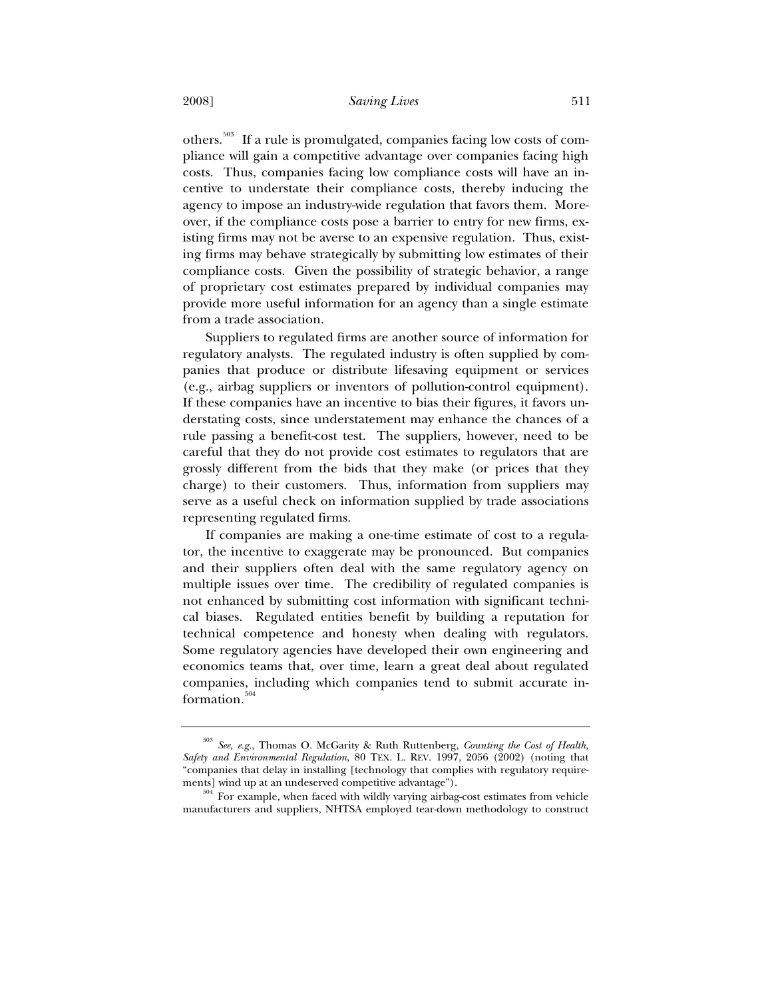others.503 If a rule is promulgated, companies facing low costs of compliance will gain a competitive advantage over companies facing high costs. Thus, companies facing low compliance costs will have an incentive to understate their compliance costs, thereby inducing the agency to impose an industry-wide regulation that favors them. Moreover, if the compliance costs pose a barrier to entry for new firms, existing firms may not be averse to an expensive regulation. Thus, existing firms may behave strategically by submitting low estimates of their compliance costs. Given the possibility of strategic behavior, a range of proprietary cost estimates prepared by individual companies may provide more useful information for an agency than a single estimate from a trade association.

Suppliers to regulated firms are another source of information for regulatory analysts. The regulated industry is often supplied by companies that produce or distribute lifesaving equipment or services (e.g., airbag suppliers or inventors of pollution-control equipment). If these companies have an incentive to bias their figures, it favors understating costs, since understatement may enhance the chances of a rule passing a benefit-cost test. The suppliers, however, need to be careful that they do not provide cost estimates to regulators that are grossly different from the bids that they make (or prices that they charge) to their customers. Thus, information from suppliers may serve as a useful check on information supplied by trade associations representing regulated firms.

If companies are making a one-time estimate of cost to a regulator, the incentive to exaggerate may be pronounced. But companies and their suppliers often deal with the same regulatory agency on multiple issues over time. The credibility of regulated companies is not enhanced by submitting cost information with significant technical biases. Regulated entities benefit by building a reputation for technical competence and honesty when dealing with regulators. Some regulatory agencies have developed their own engineering and economics teams that, over time, learn a great deal about regulated companies, including which companies tend to submit accurate information. $504$ 

<sup>503</sup> *See, e.g.*, Thomas O. McGarity & Ruth Ruttenberg, *Counting the Cost of Health, Safety and Environmental Regulation*, 80 TEX. L. REV. 1997, 2056 (2002) (noting that "companies that delay in installing [technology that complies with regulatory requirements] wind up at an undeserved competitive advantage").<br>  $504$  For example, when faced with wildly varying airbag-cost estimates from vehicle

manufacturers and suppliers, NHTSA employed tear-down methodology to construct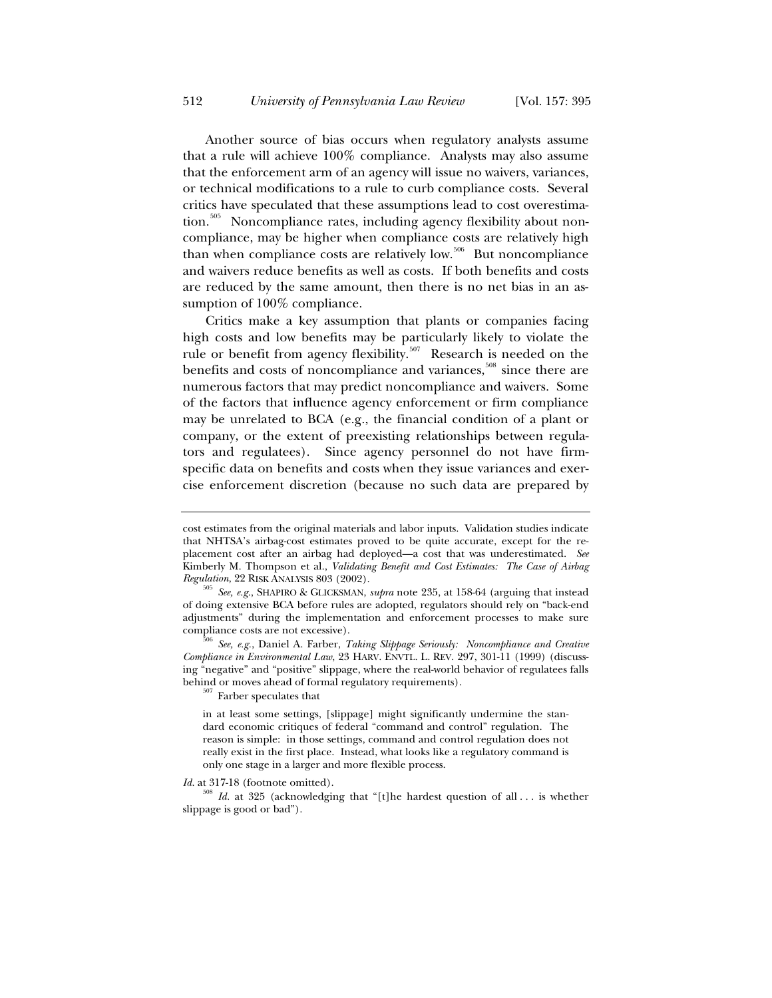Another source of bias occurs when regulatory analysts assume that a rule will achieve 100% compliance. Analysts may also assume that the enforcement arm of an agency will issue no waivers, variances, or technical modifications to a rule to curb compliance costs. Several critics have speculated that these assumptions lead to cost overestimation.<sup>505</sup> Noncompliance rates, including agency flexibility about noncompliance, may be higher when compliance costs are relatively high than when compliance costs are relatively low.<sup>506</sup> But noncompliance and waivers reduce benefits as well as costs. If both benefits and costs are reduced by the same amount, then there is no net bias in an assumption of 100% compliance.

Critics make a key assumption that plants or companies facing high costs and low benefits may be particularly likely to violate the rule or benefit from agency flexibility.<sup>507</sup> Research is needed on the benefits and costs of noncompliance and variances,<sup>508</sup> since there are numerous factors that may predict noncompliance and waivers. Some of the factors that influence agency enforcement or firm compliance may be unrelated to BCA (e.g., the financial condition of a plant or company, or the extent of preexisting relationships between regulators and regulatees). Since agency personnel do not have firmspecific data on benefits and costs when they issue variances and exercise enforcement discretion (because no such data are prepared by

in at least some settings, [slippage] might significantly undermine the standard economic critiques of federal "command and control" regulation. The reason is simple: in those settings, command and control regulation does not really exist in the first place. Instead, what looks like a regulatory command is only one stage in a larger and more flexible process.

*Id.* at 317-18 (footnote omitted). 508 *Id.* at 325 (acknowledging that "[t]he hardest question of all . . . is whether slippage is good or bad").

cost estimates from the original materials and labor inputs. Validation studies indicate that NHTSA's airbag-cost estimates proved to be quite accurate, except for the replacement cost after an airbag had deployed—a cost that was underestimated. *See* Kimberly M. Thompson et al., *Validating Benefit and Cost Estimates: The Case of Airbag* 

*Regulation*, 22 RISK ANALYSIS 803 (2002). 505 *See, e.g.*, SHAPIRO & GLICKSMAN, *supra* note 235, at 158-64 (arguing that instead of doing extensive BCA before rules are adopted, regulators should rely on "back-end adjustments" during the implementation and enforcement processes to make sure

compliance costs are not excessive). 506 *See, e.g.*, Daniel A. Farber, *Taking Slippage Seriously: Noncompliance and Creative Compliance in Environmental Law*, 23 HARV. ENVTL. L. REV. 297, 301-11 (1999) (discussing "negative" and "positive" slippage, where the real-world behavior of regulatees falls behind or moves ahead of formal regulatory requirements).  $507$  Farber speculates that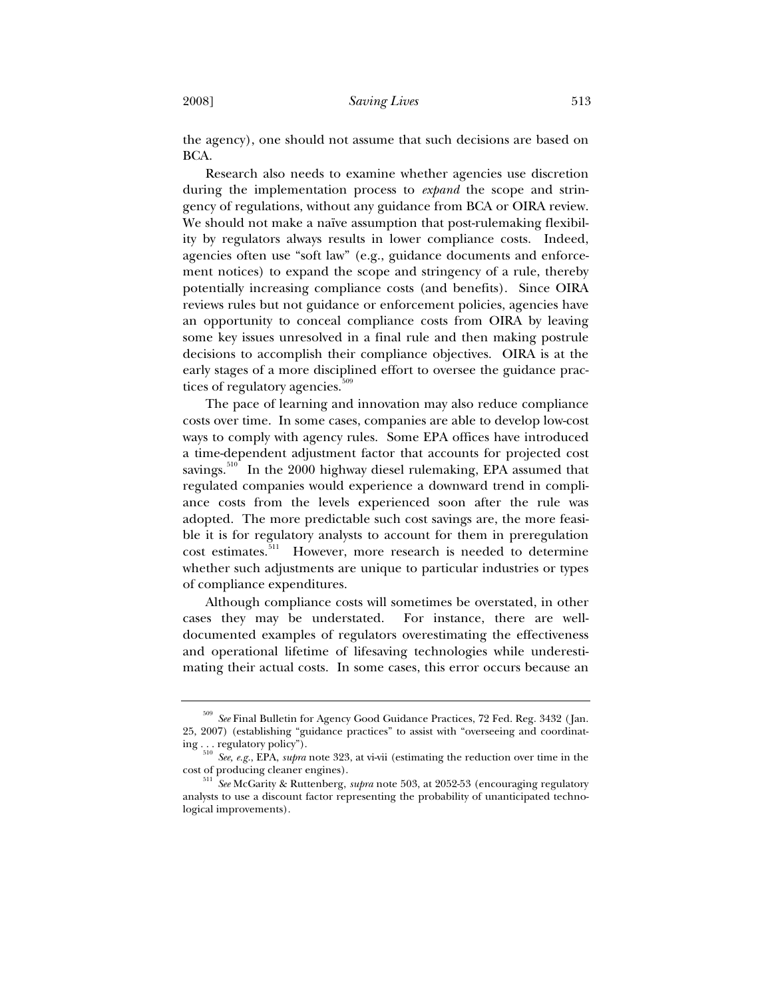the agency), one should not assume that such decisions are based on BCA.

Research also needs to examine whether agencies use discretion during the implementation process to *expand* the scope and stringency of regulations, without any guidance from BCA or OIRA review. We should not make a naïve assumption that post-rulemaking flexibility by regulators always results in lower compliance costs. Indeed, agencies often use "soft law" (e.g., guidance documents and enforcement notices) to expand the scope and stringency of a rule, thereby potentially increasing compliance costs (and benefits). Since OIRA reviews rules but not guidance or enforcement policies, agencies have an opportunity to conceal compliance costs from OIRA by leaving some key issues unresolved in a final rule and then making postrule decisions to accomplish their compliance objectives. OIRA is at the early stages of a more disciplined effort to oversee the guidance practices of regulatory agencies.<sup>50</sup>

The pace of learning and innovation may also reduce compliance costs over time. In some cases, companies are able to develop low-cost ways to comply with agency rules. Some EPA offices have introduced a time-dependent adjustment factor that accounts for projected cost savings.<sup>510</sup> In the 2000 highway diesel rulemaking, EPA assumed that regulated companies would experience a downward trend in compliance costs from the levels experienced soon after the rule was adopted. The more predictable such cost savings are, the more feasible it is for regulatory analysts to account for them in preregulation cost estimates.<sup>511</sup> However, more research is needed to determine whether such adjustments are unique to particular industries or types of compliance expenditures.

Although compliance costs will sometimes be overstated, in other cases they may be understated. For instance, there are welldocumented examples of regulators overestimating the effectiveness and operational lifetime of lifesaving technologies while underestimating their actual costs. In some cases, this error occurs because an

<sup>509</sup> *See* Final Bulletin for Agency Good Guidance Practices, 72 Fed. Reg. 3432 (Jan. 25, 2007) (establishing "guidance practices" to assist with "overseeing and coordinating . . . regulatory policy"). 510 *See, e.g.*, EPA, *supra* note 323, at vi-vii (estimating the reduction over time in the

cost of producing cleaner engines). 511 *See* McGarity & Ruttenberg, *supra* note 503, at 2052-53 (encouraging regulatory analysts to use a discount factor representing the probability of unanticipated technological improvements).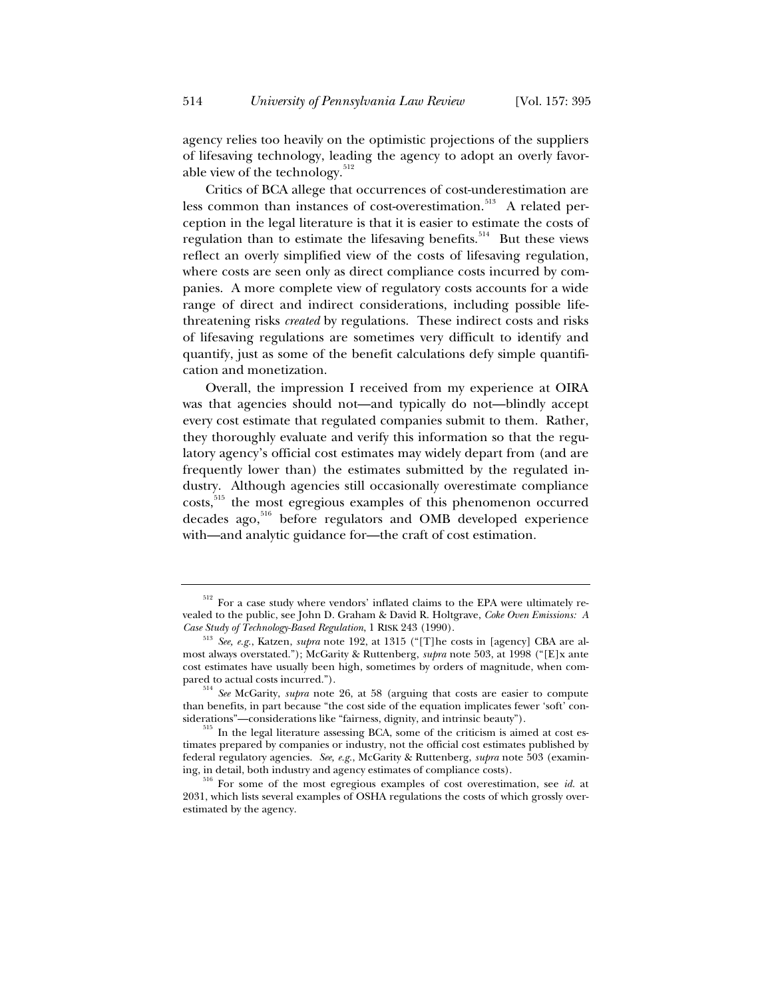agency relies too heavily on the optimistic projections of the suppliers of lifesaving technology, leading the agency to adopt an overly favorable view of the technology. $512$ 

Critics of BCA allege that occurrences of cost-underestimation are less common than instances of cost-overestimation.<sup>513</sup> A related perception in the legal literature is that it is easier to estimate the costs of regulation than to estimate the lifesaving benefits.<sup>514</sup> But these views reflect an overly simplified view of the costs of lifesaving regulation, where costs are seen only as direct compliance costs incurred by companies. A more complete view of regulatory costs accounts for a wide range of direct and indirect considerations, including possible lifethreatening risks *created* by regulations. These indirect costs and risks of lifesaving regulations are sometimes very difficult to identify and quantify, just as some of the benefit calculations defy simple quantification and monetization.

Overall, the impression I received from my experience at OIRA was that agencies should not—and typically do not—blindly accept every cost estimate that regulated companies submit to them. Rather, they thoroughly evaluate and verify this information so that the regulatory agency's official cost estimates may widely depart from (and are frequently lower than) the estimates submitted by the regulated industry. Although agencies still occasionally overestimate compliance costs,<sup>515</sup> the most egregious examples of this phenomenon occurred decades ago,516 before regulators and OMB developed experience with—and analytic guidance for—the craft of cost estimation.

<sup>&</sup>lt;sup>512</sup> For a case study where vendors' inflated claims to the EPA were ultimately revealed to the public, see John D. Graham & David R. Holtgrave, *Coke Oven Emissions: A Case Study of Technology-Based Regulation*, 1 RISK 243 (1990). 513 *See, e.g.*, Katzen, *supra* note 192, at 1315 ("[T]he costs in [agency] CBA are al-

most always overstated."); McGarity & Ruttenberg, *supra* note 503, at 1998 ("[E]x ante cost estimates have usually been high, sometimes by orders of magnitude, when compared to actual costs incurred.").<br><sup>514</sup> *See* McGarity, *supra* note 26, at 58 (arguing that costs are easier to compute

than benefits, in part because "the cost side of the equation implicates fewer 'soft' con-

siderations"—considerations like "fairness, dignity, and intrinsic beauty").  $515$  In the legal literature assessing BCA, some of the criticism is aimed at cost estimates prepared by companies or industry, not the official cost estimates published by federal regulatory agencies. *See, e.g.*, McGarity & Ruttenberg, *supra* note 503 (examin-

ing, in detail, both industry and agency estimates of compliance costs). 516 For some of the most egregious examples of cost overestimation, see *id.* at 2031, which lists several examples of OSHA regulations the costs of which grossly overestimated by the agency.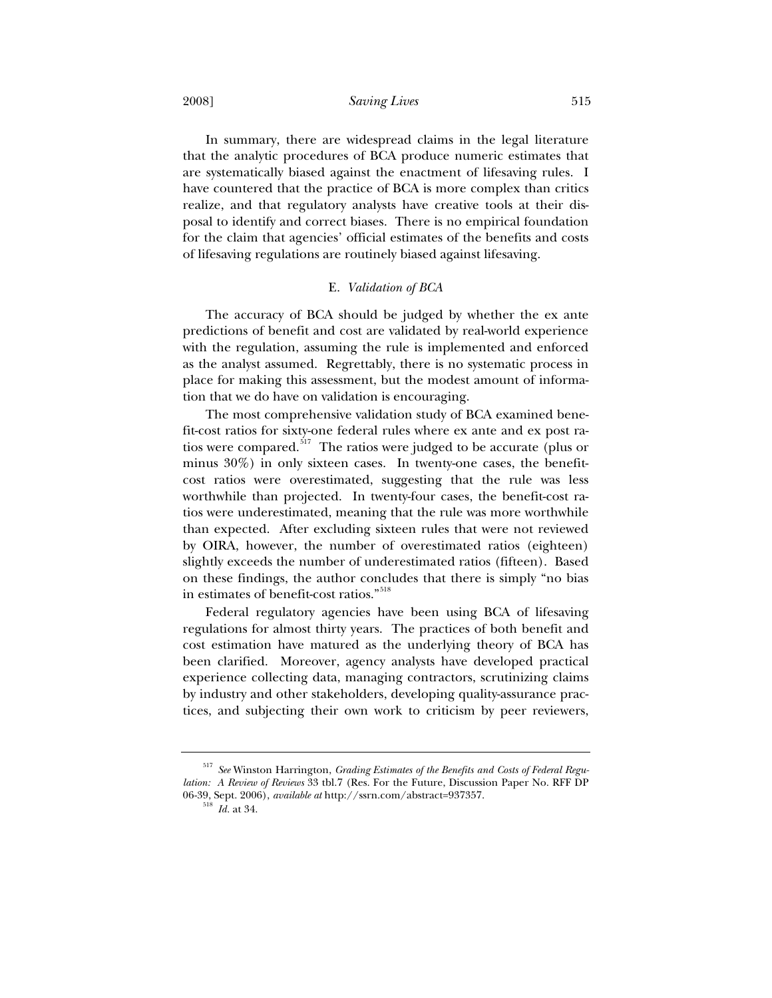2008] *Saving Lives* 515

In summary, there are widespread claims in the legal literature that the analytic procedures of BCA produce numeric estimates that are systematically biased against the enactment of lifesaving rules. I have countered that the practice of BCA is more complex than critics realize, and that regulatory analysts have creative tools at their disposal to identify and correct biases. There is no empirical foundation for the claim that agencies' official estimates of the benefits and costs of lifesaving regulations are routinely biased against lifesaving.

#### E. *Validation of BCA*

The accuracy of BCA should be judged by whether the ex ante predictions of benefit and cost are validated by real-world experience with the regulation, assuming the rule is implemented and enforced as the analyst assumed. Regrettably, there is no systematic process in place for making this assessment, but the modest amount of information that we do have on validation is encouraging.

The most comprehensive validation study of BCA examined benefit-cost ratios for sixty-one federal rules where ex ante and ex post ratios were compared.<sup>517</sup> The ratios were judged to be accurate (plus or minus 30%) in only sixteen cases. In twenty-one cases, the benefitcost ratios were overestimated, suggesting that the rule was less worthwhile than projected. In twenty-four cases, the benefit-cost ratios were underestimated, meaning that the rule was more worthwhile than expected. After excluding sixteen rules that were not reviewed by OIRA, however, the number of overestimated ratios (eighteen) slightly exceeds the number of underestimated ratios (fifteen). Based on these findings, the author concludes that there is simply "no bias in estimates of benefit-cost ratios."<sup>518</sup>

Federal regulatory agencies have been using BCA of lifesaving regulations for almost thirty years. The practices of both benefit and cost estimation have matured as the underlying theory of BCA has been clarified. Moreover, agency analysts have developed practical experience collecting data, managing contractors, scrutinizing claims by industry and other stakeholders, developing quality-assurance practices, and subjecting their own work to criticism by peer reviewers,

<sup>517</sup> *See* Winston Harrington, *Grading Estimates of the Benefits and Costs of Federal Regulation: A Review of Reviews* 33 tbl.7 (Res. For the Future, Discussion Paper No. RFF DP 06-39, Sept. 2006), *available at* http://ssrn.com/abstract=937357. 518 *Id.* at 34.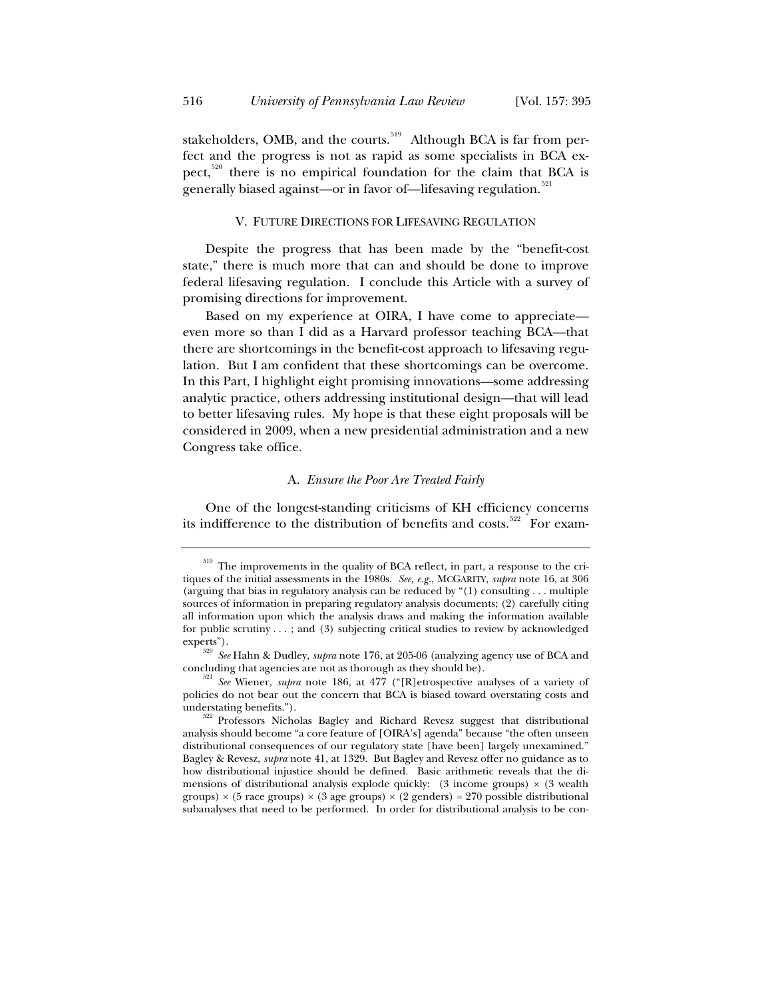stakeholders, OMB, and the courts.<sup>519</sup> Although BCA is far from perfect and the progress is not as rapid as some specialists in BCA expect,<sup>520</sup> there is no empirical foundation for the claim that BCA is generally biased against—or in favor of—lifesaving regulation.<sup>521</sup>

## V. FUTURE DIRECTIONS FOR LIFESAVING REGULATION

Despite the progress that has been made by the "benefit-cost state," there is much more that can and should be done to improve federal lifesaving regulation. I conclude this Article with a survey of promising directions for improvement.

Based on my experience at OIRA, I have come to appreciate even more so than I did as a Harvard professor teaching BCA—that there are shortcomings in the benefit-cost approach to lifesaving regulation. But I am confident that these shortcomings can be overcome. In this Part, I highlight eight promising innovations—some addressing analytic practice, others addressing institutional design—that will lead to better lifesaving rules. My hope is that these eight proposals will be considered in 2009, when a new presidential administration and a new Congress take office.

# A. *Ensure the Poor Are Treated Fairly*

One of the longest-standing criticisms of KH efficiency concerns its indifference to the distribution of benefits and costs.<sup>522</sup> For exam-

The improvements in the quality of BCA reflect, in part, a response to the critiques of the initial assessments in the 1980s. *See, e.g.*, MCGARITY, *supra* note 16, at 306 (arguing that bias in regulatory analysis can be reduced by "(1) consulting . . . multiple sources of information in preparing regulatory analysis documents; (2) carefully citing all information upon which the analysis draws and making the information available for public scrutiny . . . ; and (3) subjecting critical studies to review by acknowledged experts").

<sup>520</sup> *See* Hahn & Dudley, *supra* note 176, at 205-06 (analyzing agency use of BCA and concluding that agencies are not as thorough as they should be). 521 *See* Wiener, *supra* note 186, at 477 ("[R]etrospective analyses of a variety of

policies do not bear out the concern that BCA is biased toward overstating costs and

understating benefits."). 522 Professors Nicholas Bagley and Richard Revesz suggest that distributional analysis should become "a core feature of [OIRA's] agenda" because "the often unseen distributional consequences of our regulatory state [have been] largely unexamined." Bagley & Revesz, *supra* note 41, at 1329. But Bagley and Revesz offer no guidance as to how distributional injustice should be defined. Basic arithmetic reveals that the dimensions of distributional analysis explode quickly:  $(3 \text{ income groups}) \times (3 \text{ wealth})$ groups)  $\times$  (5 race groups)  $\times$  (3 age groups)  $\times$  (2 genders) = 270 possible distributional subanalyses that need to be performed. In order for distributional analysis to be con-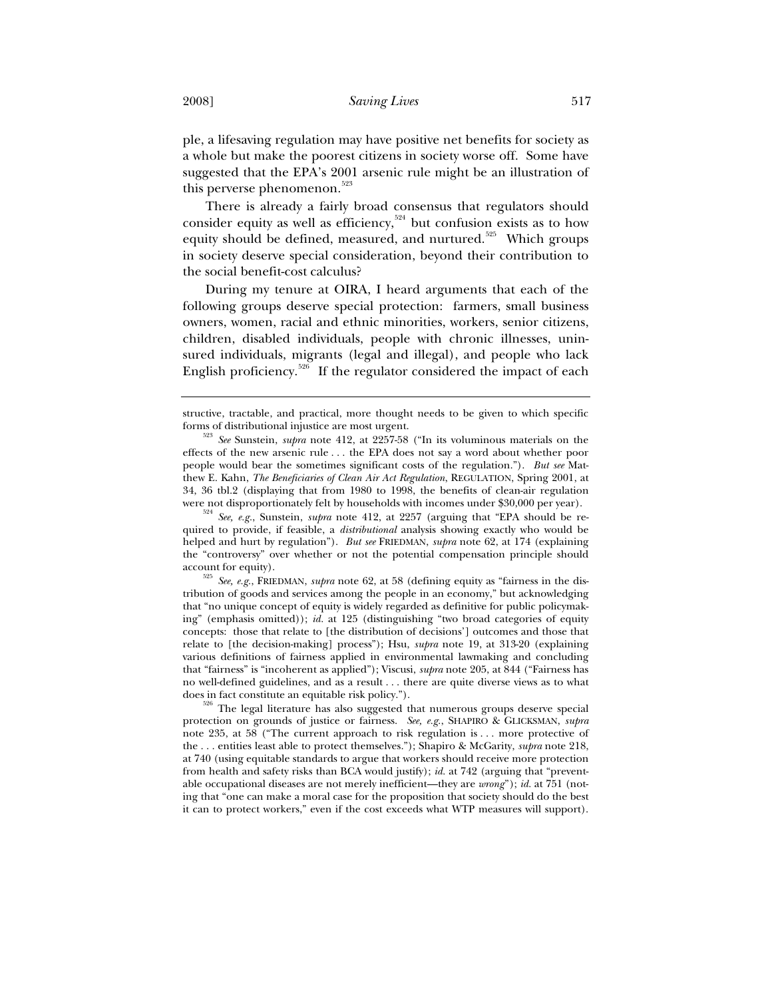ple, a lifesaving regulation may have positive net benefits for society as a whole but make the poorest citizens in society worse off. Some have suggested that the EPA's 2001 arsenic rule might be an illustration of this perverse phenomenon.<sup>523</sup>

There is already a fairly broad consensus that regulators should consider equity as well as efficiency,<sup>524</sup> but confusion exists as to how equity should be defined, measured, and nurtured.<sup>525</sup> Which groups in society deserve special consideration, beyond their contribution to the social benefit-cost calculus?

During my tenure at OIRA, I heard arguments that each of the following groups deserve special protection: farmers, small business owners, women, racial and ethnic minorities, workers, senior citizens, children, disabled individuals, people with chronic illnesses, uninsured individuals, migrants (legal and illegal), and people who lack English proficiency.<sup>526</sup> If the regulator considered the impact of each

<sup>524</sup> See, e.g., Sunstein, *supra* note 412, at 2257 (arguing that "EPA should be required to provide, if feasible, a *distributional* analysis showing exactly who would be helped and hurt by regulation"). *But see* FRIEDMAN, *supra* note 62, at 174 (explaining the "controversy" over whether or not the potential compensation principle should account for equity). 525 *See, e.g.*, FRIEDMAN, *supra* note 62, at 58 (defining equity as "fairness in the dis-

tribution of goods and services among the people in an economy," but acknowledging that "no unique concept of equity is widely regarded as definitive for public policymaking" (emphasis omitted)); *id.* at 125 (distinguishing "two broad categories of equity concepts: those that relate to [the distribution of decisions'] outcomes and those that relate to [the decision-making] process"); Hsu, *supra* note 19, at 313-20 (explaining various definitions of fairness applied in environmental lawmaking and concluding that "fairness" is "incoherent as applied"); Viscusi, *supra* note 205, at 844 ("Fairness has no well-defined guidelines, and as a result . . . there are quite diverse views as to what

does in fact constitute an equitable risk policy.").<br><sup>526</sup> The legal literature has also suggested that numerous groups deserve special protection on grounds of justice or fairness. *See, e.g.*, SHAPIRO & GLICKSMAN, *supra* note 235, at 58 ("The current approach to risk regulation is . . . more protective of the . . . entities least able to protect themselves."); Shapiro & McGarity, *supra* note 218, at 740 (using equitable standards to argue that workers should receive more protection from health and safety risks than BCA would justify); *id.* at 742 (arguing that "preventable occupational diseases are not merely inefficient—they are *wrong*"); *id.* at 751 (noting that "one can make a moral case for the proposition that society should do the best it can to protect workers," even if the cost exceeds what WTP measures will support).

structive, tractable, and practical, more thought needs to be given to which specific forms of distributional injustice are most urgent. 523 *See* Sunstein, *supra* note 412, at 2257-58 ("In its voluminous materials on the

effects of the new arsenic rule . . . the EPA does not say a word about whether poor people would bear the sometimes significant costs of the regulation."). *But see* Matthew E. Kahn, *The Beneficiaries of Clean Air Act Regulation*, REGULATION, Spring 2001, at 34, 36 tbl.2 (displaying that from 1980 to 1998, the benefits of clean-air regulation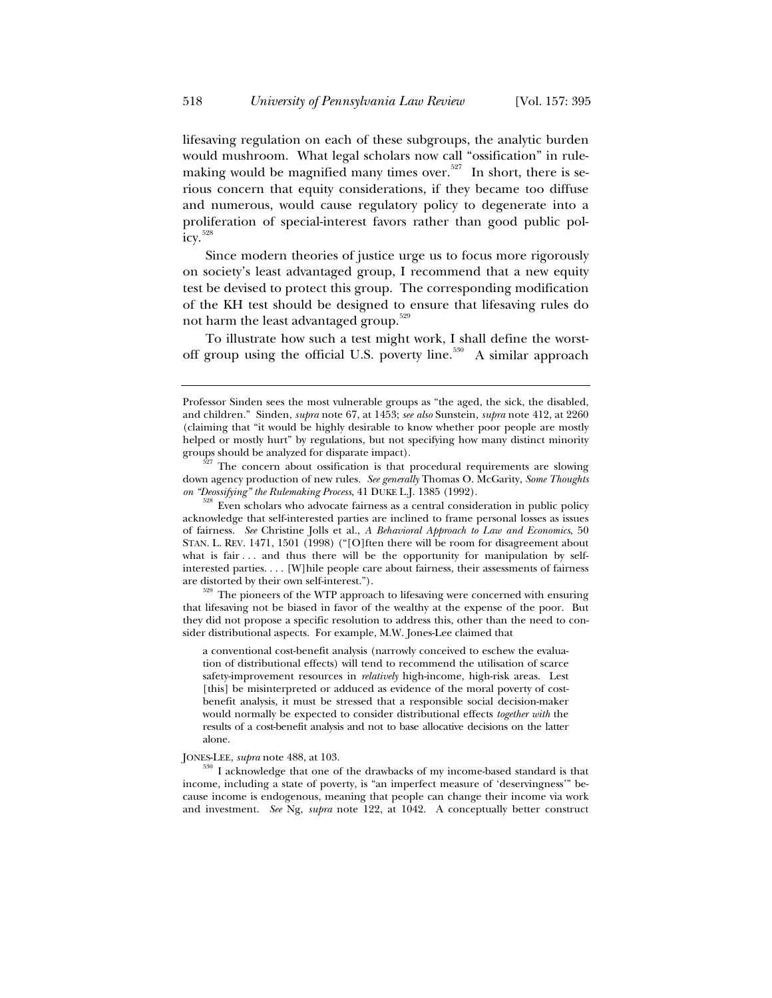lifesaving regulation on each of these subgroups, the analytic burden would mushroom. What legal scholars now call "ossification" in rulemaking would be magnified many times over.<sup>527</sup> In short, there is serious concern that equity considerations, if they became too diffuse and numerous, would cause regulatory policy to degenerate into a proliferation of special-interest favors rather than good public pol- $\text{icy.} \frac{528}{3}$ 

Since modern theories of justice urge us to focus more rigorously on society's least advantaged group, I recommend that a new equity test be devised to protect this group. The corresponding modification of the KH test should be designed to ensure that lifesaving rules do not harm the least advantaged group.<sup>529</sup>

To illustrate how such a test might work, I shall define the worstoff group using the official U.S. poverty line.<sup>530</sup> A similar approach

that lifesaving not be biased in favor of the wealthy at the expense of the poor. But they did not propose a specific resolution to address this, other than the need to consider distributional aspects. For example, M.W. Jones-Lee claimed that

a conventional cost-benefit analysis (narrowly conceived to eschew the evaluation of distributional effects) will tend to recommend the utilisation of scarce safety-improvement resources in *relatively* high-income, high-risk areas. Lest [this] be misinterpreted or adduced as evidence of the moral poverty of costbenefit analysis, it must be stressed that a responsible social decision-maker would normally be expected to consider distributional effects *together with* the results of a cost-benefit analysis and not to base allocative decisions on the latter alone.

JONES-LEE, *supra* note 488, at 103.<br><sup>530</sup> I acknowledge that one of the drawbacks of my income-based standard is that income, including a state of poverty, is "an imperfect measure of 'deservingness'" because income is endogenous, meaning that people can change their income via work and investment. *See* Ng, *supra* note 122, at 1042. A conceptually better construct

Professor Sinden sees the most vulnerable groups as "the aged, the sick, the disabled, and children." Sinden, *supra* note 67, at 1453; *see also* Sunstein, *supra* note 412, at 2260 (claiming that "it would be highly desirable to know whether poor people are mostly helped or mostly hurt" by regulations, but not specifying how many distinct minority groups should be analyzed for disparate impact).<br> $527$  The concern about ossification is that procedural requirements are slowing

down agency production of new rules. *See generally* Thomas O. McGarity, *Some Thoughts* 

*on "Deossifying" the Rulemaking Process*, 41 DUKE L.J. 1385 (1992). 528 Even scholars who advocate fairness as a central consideration in public policy acknowledge that self-interested parties are inclined to frame personal losses as issues of fairness. *See* Christine Jolls et al., *A Behavioral Approach to Law and Economics*, 50 STAN. L. REV. 1471, 1501 (1998) ("[O]ften there will be room for disagreement about what is fair  $\dots$  and thus there will be the opportunity for manipulation by selfinterested parties. . . . [W]hile people care about fairness, their assessments of fairness are distorted by their own self-interest.").<br> $529$  The pioneers of the WTP approach to lifesaving were concerned with ensuring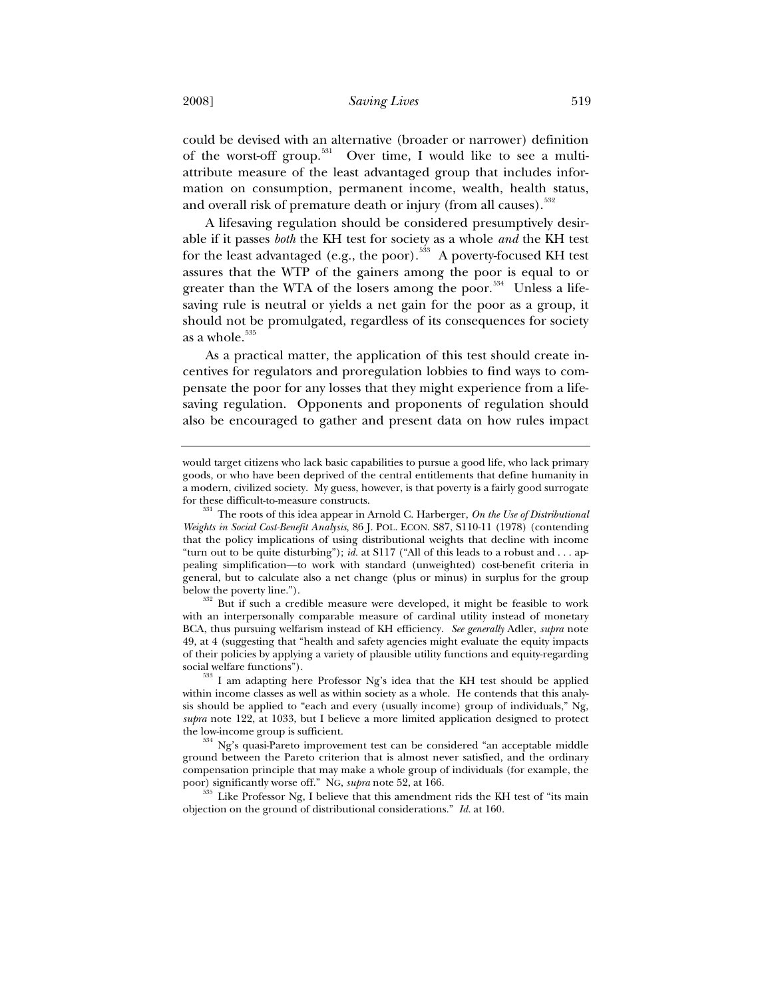could be devised with an alternative (broader or narrower) definition of the worst-off group.<sup>531</sup> Over time, I would like to see a multiattribute measure of the least advantaged group that includes information on consumption, permanent income, wealth, health status, and overall risk of premature death or injury (from all causes).<sup>532</sup>

A lifesaving regulation should be considered presumptively desirable if it passes *both* the KH test for society as a whole *and* the KH test for the least advantaged (e.g., the poor).<sup>533</sup> A poverty-focused KH test assures that the WTP of the gainers among the poor is equal to or greater than the WTA of the losers among the poor.<sup>534</sup> Unless a lifesaving rule is neutral or yields a net gain for the poor as a group, it should not be promulgated, regardless of its consequences for society as a whole.<sup>535</sup>

As a practical matter, the application of this test should create incentives for regulators and proregulation lobbies to find ways to compensate the poor for any losses that they might experience from a lifesaving regulation. Opponents and proponents of regulation should also be encouraged to gather and present data on how rules impact

would target citizens who lack basic capabilities to pursue a good life, who lack primary goods, or who have been deprived of the central entitlements that define humanity in a modern, civilized society. My guess, however, is that poverty is a fairly good surrogate for these difficult-to-measure constructs. 531 The roots of this idea appear in Arnold C. Harberger, *On the Use of Distributional* 

*Weights in Social Cost-Benefit Analysis*, 86 J. POL. ECON. S87, S110-11 (1978) (contending that the policy implications of using distributional weights that decline with income "turn out to be quite disturbing"); *id.* at S117 ("All of this leads to a robust and . . . appealing simplification—to work with standard (unweighted) cost-benefit criteria in general, but to calculate also a net change (plus or minus) in surplus for the group below the poverty line.").<br> $532$  But if such a credible measure were developed, it might be feasible to work

with an interpersonally comparable measure of cardinal utility instead of monetary BCA, thus pursuing welfarism instead of KH efficiency. *See generally* Adler, *supra* note 49, at 4 (suggesting that "health and safety agencies might evaluate the equity impacts of their policies by applying a variety of plausible utility functions and equity-regarding

 $533$  I am adapting here Professor Ng's idea that the KH test should be applied within income classes as well as within society as a whole. He contends that this analysis should be applied to "each and every (usually income) group of individuals," Ng, *supra* note 122, at 1033, but I believe a more limited application designed to protect

the low-income group is sufficient.<br>  $534$  Ng's quasi-Pareto improvement test can be considered "an acceptable middle ground between the Pareto criterion that is almost never satisfied, and the ordinary compensation principle that may make a whole group of individuals (for example, the poor) significantly worse off." NG, *supra* note 52, at 166.

 $^{535}$  Like Professor Ng, I believe that this amendment rids the KH test of "its main objection on the ground of distributional considerations." *Id.* at 160.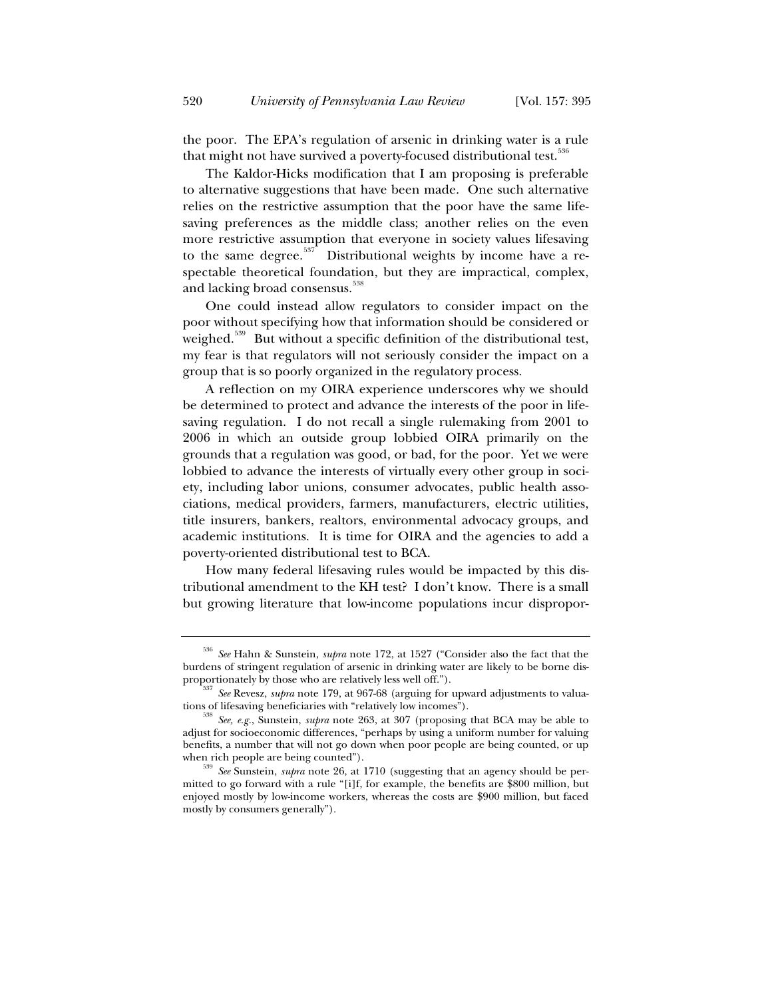the poor. The EPA's regulation of arsenic in drinking water is a rule that might not have survived a poverty-focused distributional test.<sup>336</sup>

The Kaldor-Hicks modification that I am proposing is preferable to alternative suggestions that have been made. One such alternative relies on the restrictive assumption that the poor have the same lifesaving preferences as the middle class; another relies on the even more restrictive assumption that everyone in society values lifesaving to the same degree.<sup>537</sup> Distributional weights by income have a respectable theoretical foundation, but they are impractical, complex, and lacking broad consensus.<sup>538</sup>

One could instead allow regulators to consider impact on the poor without specifying how that information should be considered or weighed.<sup>539</sup> But without a specific definition of the distributional test, my fear is that regulators will not seriously consider the impact on a group that is so poorly organized in the regulatory process.

A reflection on my OIRA experience underscores why we should be determined to protect and advance the interests of the poor in lifesaving regulation. I do not recall a single rulemaking from 2001 to 2006 in which an outside group lobbied OIRA primarily on the grounds that a regulation was good, or bad, for the poor. Yet we were lobbied to advance the interests of virtually every other group in society, including labor unions, consumer advocates, public health associations, medical providers, farmers, manufacturers, electric utilities, title insurers, bankers, realtors, environmental advocacy groups, and academic institutions. It is time for OIRA and the agencies to add a poverty-oriented distributional test to BCA.

How many federal lifesaving rules would be impacted by this distributional amendment to the KH test? I don't know. There is a small but growing literature that low-income populations incur dispropor-

<sup>536</sup> *See* Hahn & Sunstein, *supra* note 172, at 1527 ("Consider also the fact that the burdens of stringent regulation of arsenic in drinking water are likely to be borne dis-

proportionately by those who are relatively less well off.").<br><sup>537</sup> *See* Revesz, *supra* note 179, at 967-68 (arguing for upward adjustments to valuations of lifesaving beneficiaries with "relatively low incomes").

<sup>&</sup>lt;sup>8</sup> See, e.g., Sunstein, *supra* note 263, at 307 (proposing that BCA may be able to adjust for socioeconomic differences, "perhaps by using a uniform number for valuing benefits, a number that will not go down when poor people are being counted, or up when rich people are being counted").<br><sup>539</sup> *See* Sunstein, *supra* note 26, at 1710 (suggesting that an agency should be per-

mitted to go forward with a rule "[i]f, for example, the benefits are \$800 million, but enjoyed mostly by low-income workers, whereas the costs are \$900 million, but faced mostly by consumers generally").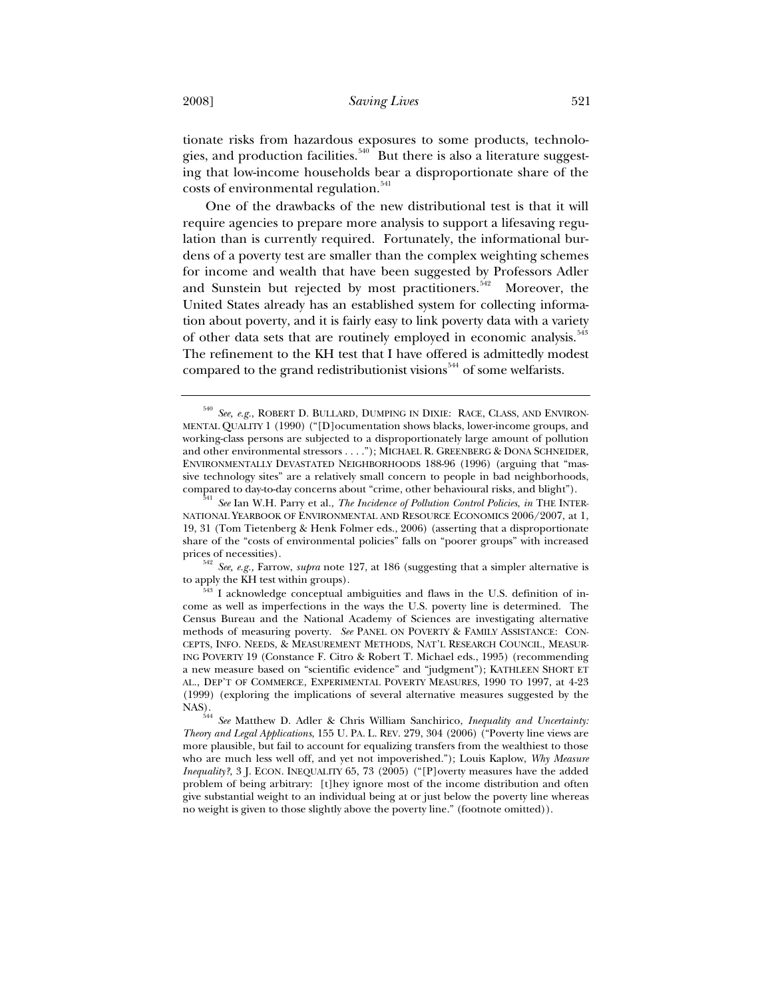tionate risks from hazardous exposures to some products, technologies, and production facilities.<sup>540</sup> But there is also a literature suggesting that low-income households bear a disproportionate share of the costs of environmental regulation.<sup>541</sup>

One of the drawbacks of the new distributional test is that it will require agencies to prepare more analysis to support a lifesaving regulation than is currently required. Fortunately, the informational burdens of a poverty test are smaller than the complex weighting schemes for income and wealth that have been suggested by Professors Adler and Sunstein but rejected by most practitioners.<sup>542</sup> Moreover, the United States already has an established system for collecting information about poverty, and it is fairly easy to link poverty data with a variety of other data sets that are routinely employed in economic analysis.<sup>543</sup> The refinement to the KH test that I have offered is admittedly modest compared to the grand redistributionist visions<sup> $544$ </sup> of some welfarists.

<sup>542</sup> *See, e.g.,* Farrow, *supra* note 127, at 186 (suggesting that a simpler alternative is to apply the KH test within groups).

<sup>540</sup> *See, e.g.*, ROBERT D. BULLARD, DUMPING IN DIXIE: RACE, CLASS, AND ENVIRON-MENTAL QUALITY 1 (1990) ("[D]ocumentation shows blacks, lower-income groups, and working-class persons are subjected to a disproportionately large amount of pollution and other environmental stressors . . . ."); MICHAEL R. GREENBERG & DONA SCHNEIDER, ENVIRONMENTALLY DEVASTATED NEIGHBORHOODS 188-96 (1996) (arguing that "massive technology sites" are a relatively small concern to people in bad neighborhoods, compared to day-to-day concerns about "crime, other behavioural risks, and blight"). 541 *See* Ian W.H. Parry et al., *The Incidence of Pollution Control Policies*, *in* THE INTER-

NATIONAL YEARBOOK OF ENVIRONMENTAL AND RESOURCE ECONOMICS 2006/2007, at 1, 19, 31 (Tom Tietenberg & Henk Folmer eds., 2006) (asserting that a disproportionate share of the "costs of environmental policies" falls on "poorer groups" with increased

 $543$  I acknowledge conceptual ambiguities and flaws in the U.S. definition of income as well as imperfections in the ways the U.S. poverty line is determined. The Census Bureau and the National Academy of Sciences are investigating alternative methods of measuring poverty. *See* PANEL ON POVERTY & FAMILY ASSISTANCE: CON-CEPTS, INFO. NEEDS, & MEASUREMENT METHODS, NAT'L RESEARCH COUNCIL, MEASUR-ING POVERTY 19 (Constance F. Citro & Robert T. Michael eds., 1995) (recommending a new measure based on "scientific evidence" and "judgment"); KATHLEEN SHORT ET AL., DEP'T OF COMMERCE, EXPERIMENTAL POVERTY MEASURES, 1990 TO 1997, at 4-23 (1999) (exploring the implications of several alternative measures suggested by the NAS)

<sup>544</sup> *See* Matthew D. Adler & Chris William Sanchirico, *Inequality and Uncertainty: Theory and Legal Applications*, 155 U. PA. L. REV. 279, 304 (2006) ("Poverty line views are more plausible, but fail to account for equalizing transfers from the wealthiest to those who are much less well off, and yet not impoverished."); Louis Kaplow, *Why Measure Inequality*?, 3 J. ECON. INEQUALITY 65, 73 (2005) ("[P]overty measures have the added problem of being arbitrary: [t]hey ignore most of the income distribution and often give substantial weight to an individual being at or just below the poverty line whereas no weight is given to those slightly above the poverty line." (footnote omitted)).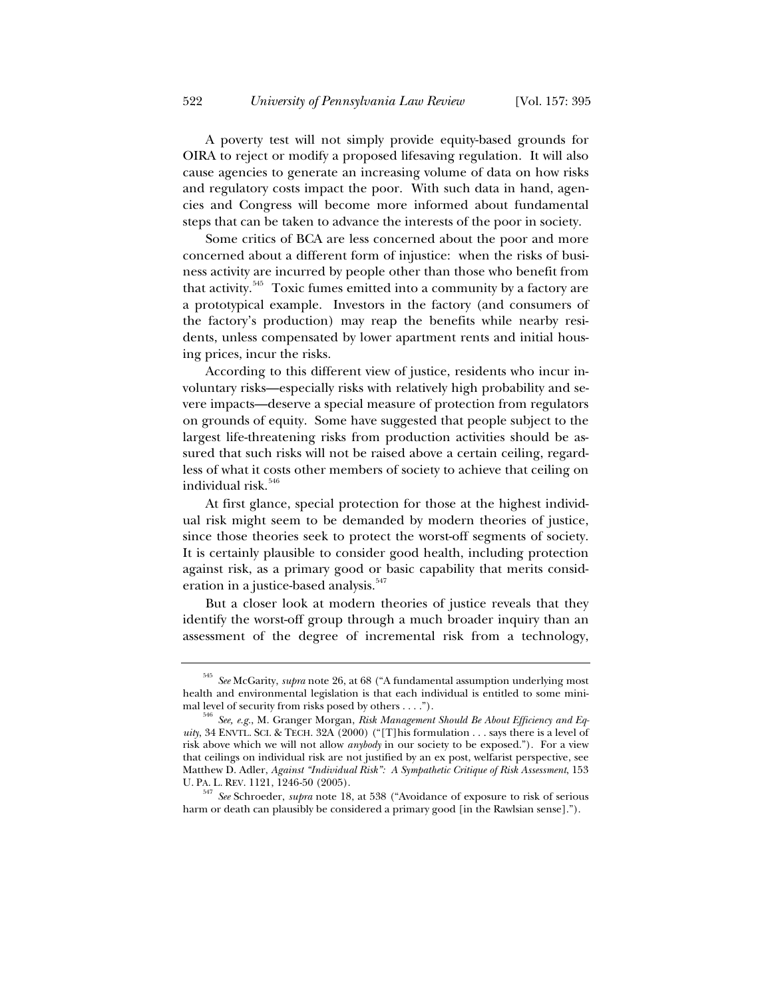A poverty test will not simply provide equity-based grounds for OIRA to reject or modify a proposed lifesaving regulation. It will also cause agencies to generate an increasing volume of data on how risks and regulatory costs impact the poor. With such data in hand, agencies and Congress will become more informed about fundamental steps that can be taken to advance the interests of the poor in society.

Some critics of BCA are less concerned about the poor and more concerned about a different form of injustice: when the risks of business activity are incurred by people other than those who benefit from that activity.<sup>545</sup> Toxic fumes emitted into a community by a factory are a prototypical example. Investors in the factory (and consumers of the factory's production) may reap the benefits while nearby residents, unless compensated by lower apartment rents and initial housing prices, incur the risks.

According to this different view of justice, residents who incur involuntary risks—especially risks with relatively high probability and severe impacts—deserve a special measure of protection from regulators on grounds of equity. Some have suggested that people subject to the largest life-threatening risks from production activities should be assured that such risks will not be raised above a certain ceiling, regardless of what it costs other members of society to achieve that ceiling on individual risk.<sup>546</sup>

At first glance, special protection for those at the highest individual risk might seem to be demanded by modern theories of justice, since those theories seek to protect the worst-off segments of society. It is certainly plausible to consider good health, including protection against risk, as a primary good or basic capability that merits consideration in a justice-based analysis.<sup>547</sup>

But a closer look at modern theories of justice reveals that they identify the worst-off group through a much broader inquiry than an assessment of the degree of incremental risk from a technology,

<sup>545</sup> *See* McGarity, *supra* note 26, at 68 ("A fundamental assumption underlying most health and environmental legislation is that each individual is entitled to some mini-<br>mal level of security from risks posed by others ....").

<sup>&</sup>lt;sup>546</sup> See, e.g., M. Granger Morgan, Risk Management Should Be About Efficiency and Eq*uity*, 34 ENVTL. SCI. & TECH. 32A (2000) ("[T]his formulation . . . says there is a level of risk above which we will not allow *anybody* in our society to be exposed."). For a view that ceilings on individual risk are not justified by an ex post, welfarist perspective, see Matthew D. Adler, *Against "Individual Risk": A Sympathetic Critique of Risk Assessment*, 153 U. PA. L. REV. 1121, 1246-50 (2005). 547 *See* Schroeder, *supra* note 18, at 538 ("Avoidance of exposure to risk of serious

harm or death can plausibly be considered a primary good [in the Rawlsian sense].").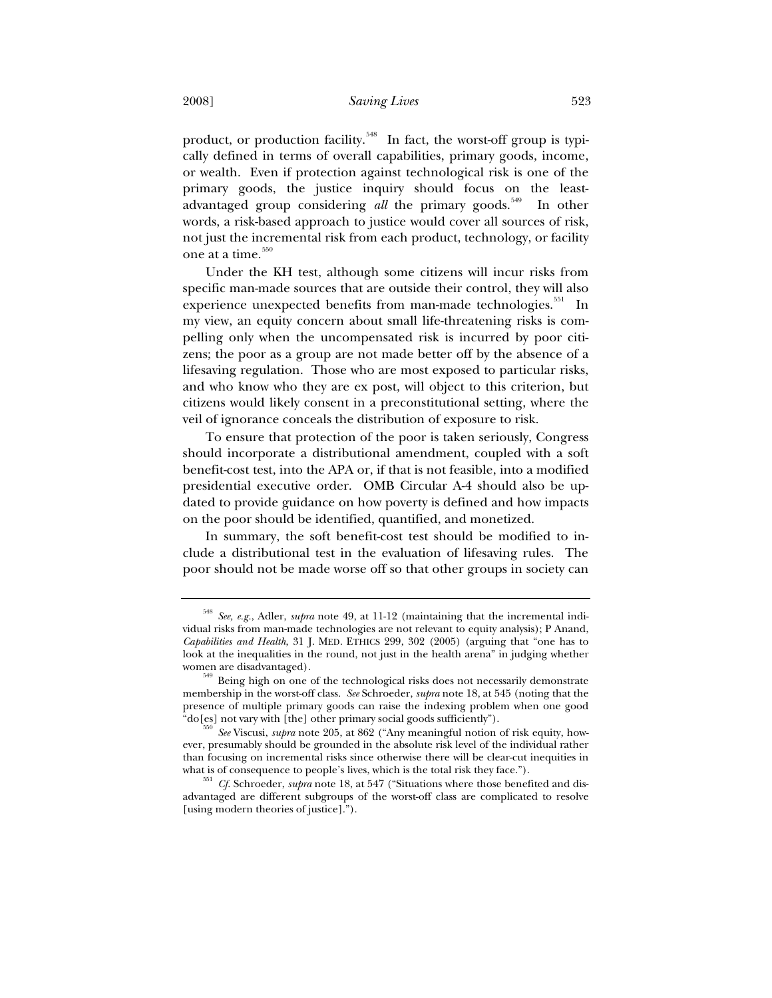product, or production facility.<sup>548</sup> In fact, the worst-off group is typically defined in terms of overall capabilities, primary goods, income, or wealth. Even if protection against technological risk is one of the primary goods, the justice inquiry should focus on the leastadvantaged group considering *all* the primary goods.<sup>549</sup> In other words, a risk-based approach to justice would cover all sources of risk, not just the incremental risk from each product, technology, or facility one at a time.<sup>550</sup>

Under the KH test, although some citizens will incur risks from specific man-made sources that are outside their control, they will also experience unexpected benefits from man-made technologies.<sup>551</sup> In my view, an equity concern about small life-threatening risks is compelling only when the uncompensated risk is incurred by poor citizens; the poor as a group are not made better off by the absence of a lifesaving regulation. Those who are most exposed to particular risks, and who know who they are ex post, will object to this criterion, but citizens would likely consent in a preconstitutional setting, where the veil of ignorance conceals the distribution of exposure to risk.

To ensure that protection of the poor is taken seriously, Congress should incorporate a distributional amendment, coupled with a soft benefit-cost test, into the APA or, if that is not feasible, into a modified presidential executive order. OMB Circular A-4 should also be updated to provide guidance on how poverty is defined and how impacts on the poor should be identified, quantified, and monetized.

In summary, the soft benefit-cost test should be modified to include a distributional test in the evaluation of lifesaving rules. The poor should not be made worse off so that other groups in society can

<sup>548</sup> *See, e.g.*, Adler, *supra* note 49, at 11-12 (maintaining that the incremental individual risks from man-made technologies are not relevant to equity analysis); P Anand, *Capabilities and Health*, 31 J. MED. ETHICS 299, 302 (2005) (arguing that "one has to look at the inequalities in the round, not just in the health arena" in judging whether women are disadvantaged).

<sup>549</sup> Being high on one of the technological risks does not necessarily demonstrate membership in the worst-off class. *See* Schroeder, *supra* note 18, at 545 (noting that the presence of multiple primary goods can raise the indexing problem when one good "do[es] not vary with [the] other primary social goods sufficiently"). 550 *See* Viscusi, *supra* note 205, at 862 ("Any meaningful notion of risk equity, how-

ever, presumably should be grounded in the absolute risk level of the individual rather than focusing on incremental risks since otherwise there will be clear-cut inequities in

what is of consequence to people's lives, which is the total risk they face.").<br><sup>551</sup> *Cf.* Schroeder, *supra* note 18, at 547 ("Situations where those benefited and disadvantaged are different subgroups of the worst-off class are complicated to resolve [using modern theories of justice].").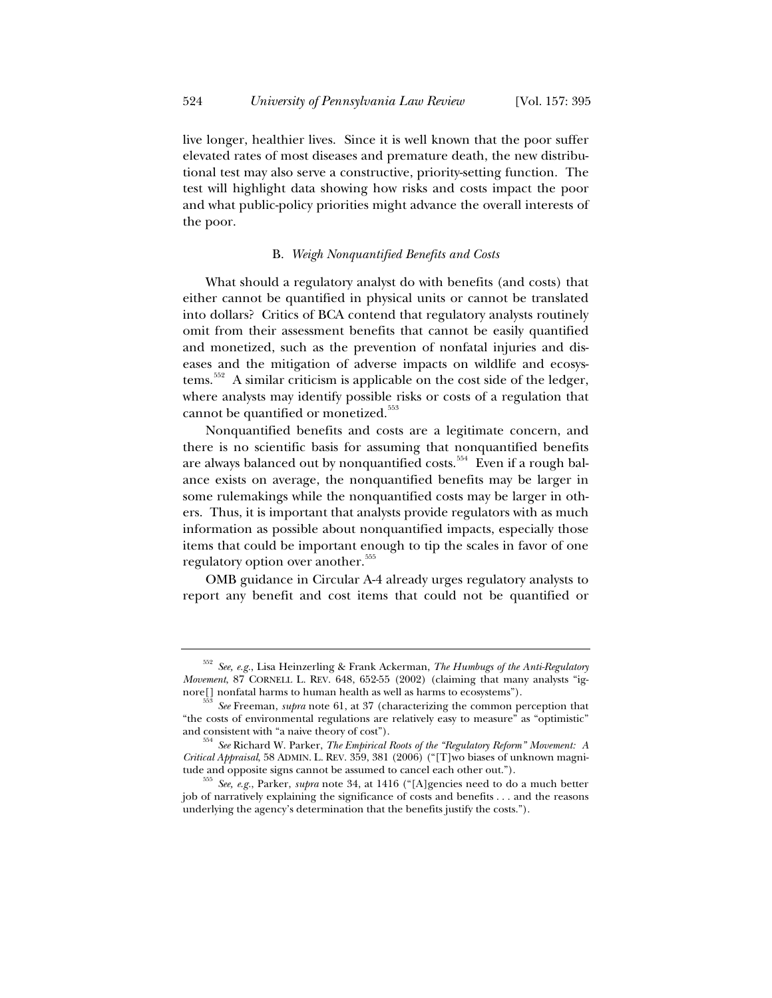live longer, healthier lives. Since it is well known that the poor suffer elevated rates of most diseases and premature death, the new distributional test may also serve a constructive, priority-setting function. The test will highlight data showing how risks and costs impact the poor and what public-policy priorities might advance the overall interests of the poor.

## B. *Weigh Nonquantified Benefits and Costs*

What should a regulatory analyst do with benefits (and costs) that either cannot be quantified in physical units or cannot be translated into dollars? Critics of BCA contend that regulatory analysts routinely omit from their assessment benefits that cannot be easily quantified and monetized, such as the prevention of nonfatal injuries and diseases and the mitigation of adverse impacts on wildlife and ecosystems.<sup>552</sup> A similar criticism is applicable on the cost side of the ledger, where analysts may identify possible risks or costs of a regulation that cannot be quantified or monetized. $553$ 

Nonquantified benefits and costs are a legitimate concern, and there is no scientific basis for assuming that nonquantified benefits are always balanced out by nonquantified costs.<sup>554</sup> Even if a rough balance exists on average, the nonquantified benefits may be larger in some rulemakings while the nonquantified costs may be larger in others. Thus, it is important that analysts provide regulators with as much information as possible about nonquantified impacts, especially those items that could be important enough to tip the scales in favor of one regulatory option over another.<sup>355</sup>

OMB guidance in Circular A-4 already urges regulatory analysts to report any benefit and cost items that could not be quantified or

<sup>552</sup> *See, e.g.*, Lisa Heinzerling & Frank Ackerman, *The Humbugs of the Anti-Regulatory Movement*, 87 CORNELL L. REV. 648, 652-55 (2002) (claiming that many analysts "ignore<sup>[]</sup> nonfatal harms to human health as well as harms to ecosystems").

See Freeman, *supra* note 61, at 37 (characterizing the common perception that "the costs of environmental regulations are relatively easy to measure" as "optimistic"

and consistent with "a naive theory of cost"). 554 *See* Richard W. Parker, *The Empirical Roots of the "Regulatory Reform" Movement: A Critical Appraisal*, 58 ADMIN. L. REV. 359, 381 (2006) ("[T]wo biases of unknown magni-

tude and opposite signs cannot be assumed to cancel each other out."). 555 *See, e.g.*, Parker, *supra* note 34, at 1416 ("[A]gencies need to do a much better job of narratively explaining the significance of costs and benefits . . . and the reasons underlying the agency's determination that the benefits justify the costs.").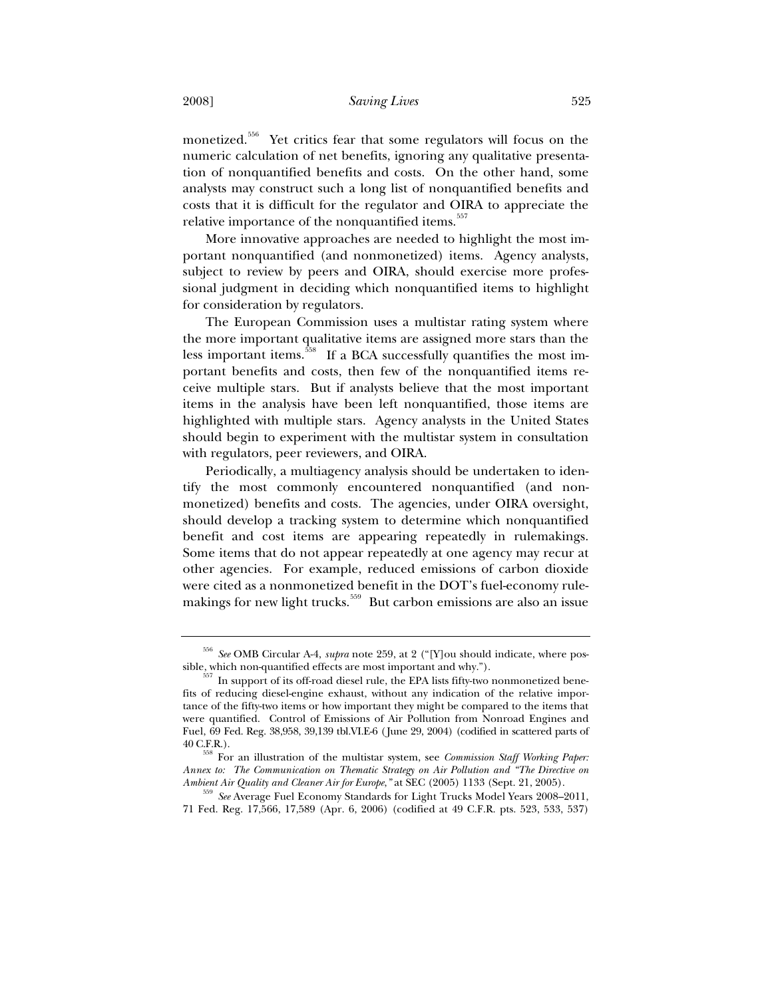monetized.556 Yet critics fear that some regulators will focus on the numeric calculation of net benefits, ignoring any qualitative presentation of nonquantified benefits and costs. On the other hand, some analysts may construct such a long list of nonquantified benefits and costs that it is difficult for the regulator and OIRA to appreciate the relative importance of the nonquantified items.<sup>557</sup>

More innovative approaches are needed to highlight the most important nonquantified (and nonmonetized) items. Agency analysts, subject to review by peers and OIRA, should exercise more professional judgment in deciding which nonquantified items to highlight for consideration by regulators.

The European Commission uses a multistar rating system where the more important qualitative items are assigned more stars than the less important items.<sup>558</sup> If a BCA successfully quantifies the most important benefits and costs, then few of the nonquantified items receive multiple stars. But if analysts believe that the most important items in the analysis have been left nonquantified, those items are highlighted with multiple stars. Agency analysts in the United States should begin to experiment with the multistar system in consultation with regulators, peer reviewers, and OIRA.

Periodically, a multiagency analysis should be undertaken to identify the most commonly encountered nonquantified (and nonmonetized) benefits and costs. The agencies, under OIRA oversight, should develop a tracking system to determine which nonquantified benefit and cost items are appearing repeatedly in rulemakings. Some items that do not appear repeatedly at one agency may recur at other agencies. For example, reduced emissions of carbon dioxide were cited as a nonmonetized benefit in the DOT's fuel-economy rulemakings for new light trucks.<sup>559</sup> But carbon emissions are also an issue

<sup>556</sup> *See* OMB Circular A-4, *supra* note 259, at 2 ("[Y]ou should indicate, where possible, which non-quantified effects are most important and why.").<br> $557$  In support of its off-road diesel rule, the EPA lists fifty-two nonmonetized bene-

fits of reducing diesel-engine exhaust, without any indication of the relative importance of the fifty-two items or how important they might be compared to the items that were quantified. Control of Emissions of Air Pollution from Nonroad Engines and Fuel, 69 Fed. Reg. 38,958, 39,139 tbl.VI.E-6 (June 29, 2004) (codified in scattered parts of

<sup>40</sup> C.F.R.). 558 For an illustration of the multistar system, see *Commission Staff Working Paper: Annex to: The Communication on Thematic Strategy on Air Pollution and "The Directive on* 

*Ambient Air Quality and Cleaner Air for Europe*,*"* at SEC (2005) 1133 (Sept. 21, 2005). 559 *See* Average Fuel Economy Standards for Light Trucks Model Years 2008–2011, 71 Fed. Reg. 17,566, 17,589 (Apr. 6, 2006) (codified at 49 C.F.R. pts. 523, 533, 537)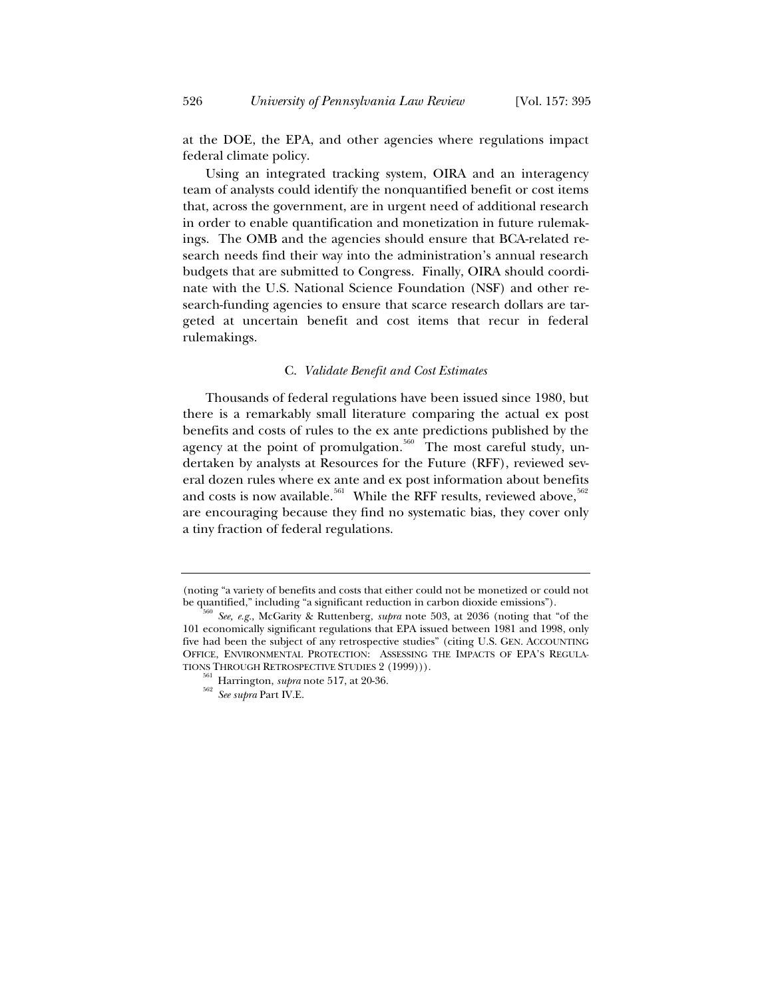at the DOE, the EPA, and other agencies where regulations impact federal climate policy.

Using an integrated tracking system, OIRA and an interagency team of analysts could identify the nonquantified benefit or cost items that, across the government, are in urgent need of additional research in order to enable quantification and monetization in future rulemakings. The OMB and the agencies should ensure that BCA-related research needs find their way into the administration's annual research budgets that are submitted to Congress. Finally, OIRA should coordinate with the U.S. National Science Foundation (NSF) and other research-funding agencies to ensure that scarce research dollars are targeted at uncertain benefit and cost items that recur in federal rulemakings.

#### C. *Validate Benefit and Cost Estimates*

Thousands of federal regulations have been issued since 1980, but there is a remarkably small literature comparing the actual ex post benefits and costs of rules to the ex ante predictions published by the agency at the point of promulgation.<sup>560</sup> The most careful study, undertaken by analysts at Resources for the Future (RFF), reviewed several dozen rules where ex ante and ex post information about benefits and costs is now available.<sup>561</sup> While the RFF results, reviewed above,  $562$ are encouraging because they find no systematic bias, they cover only a tiny fraction of federal regulations.

<sup>(</sup>noting "a variety of benefits and costs that either could not be monetized or could not<br>be quantified," including "a significant reduction in carbon dioxide emissions").

See, e.g., McGarity & Ruttenberg, *supra* note 503, at 2036 (noting that "of the 101 economically significant regulations that EPA issued between 1981 and 1998, only five had been the subject of any retrospective studies" (citing U.S. GEN. ACCOUNTING OFFICE, ENVIRONMENTAL PROTECTION: ASSESSING THE IMPACTS OF EPA'S REGULATIONS THROUGH RETROSPECTIVE STUDIES 2 (1999))).

<sup>&</sup>lt;sup>561</sup> Harrington, *supra* note 517, at 20-36. *See supra* Part IV.E.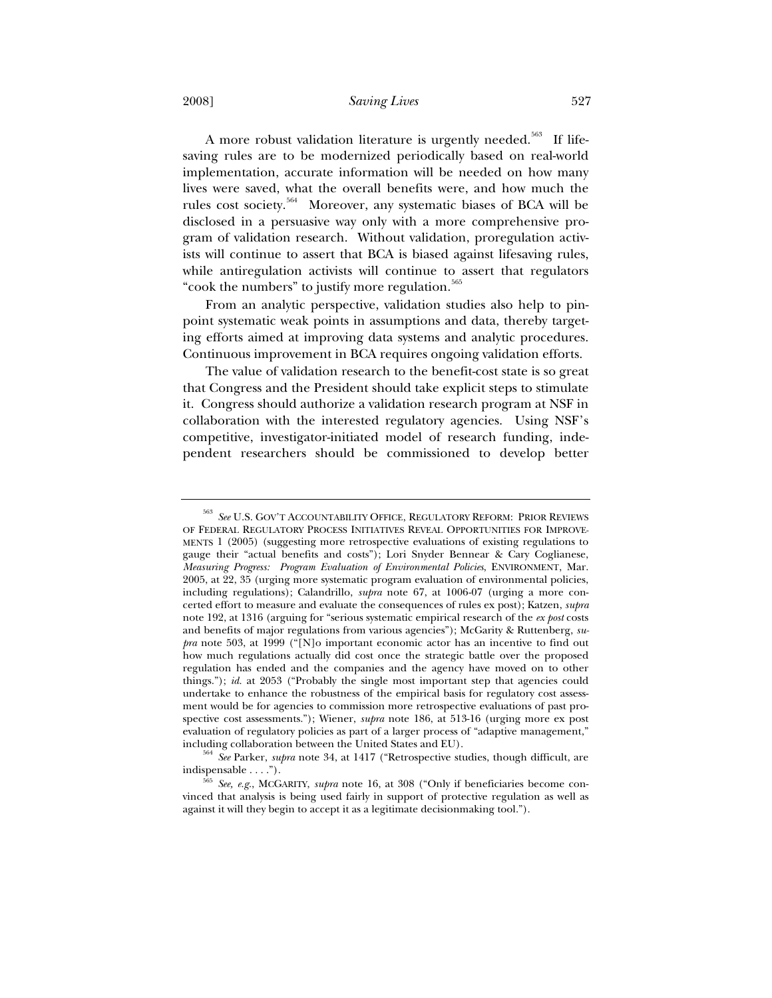#### 2008] *Saving Lives* 527

A more robust validation literature is urgently needed.<sup>563</sup> If lifesaving rules are to be modernized periodically based on real-world implementation, accurate information will be needed on how many lives were saved, what the overall benefits were, and how much the rules cost society.564 Moreover, any systematic biases of BCA will be disclosed in a persuasive way only with a more comprehensive program of validation research. Without validation, proregulation activists will continue to assert that BCA is biased against lifesaving rules, while antiregulation activists will continue to assert that regulators "cook the numbers" to justify more regulation.<sup>565</sup>

From an analytic perspective, validation studies also help to pinpoint systematic weak points in assumptions and data, thereby targeting efforts aimed at improving data systems and analytic procedures. Continuous improvement in BCA requires ongoing validation efforts.

The value of validation research to the benefit-cost state is so great that Congress and the President should take explicit steps to stimulate it. Congress should authorize a validation research program at NSF in collaboration with the interested regulatory agencies. Using NSF's competitive, investigator-initiated model of research funding, independent researchers should be commissioned to develop better

<sup>563</sup> *See* U.S. GOV'T ACCOUNTABILITY OFFICE, REGULATORY REFORM: PRIOR REVIEWS OF FEDERAL REGULATORY PROCESS INITIATIVES REVEAL OPPORTUNITIES FOR IMPROVE-MENTS 1 (2005) (suggesting more retrospective evaluations of existing regulations to gauge their "actual benefits and costs"); Lori Snyder Bennear & Cary Coglianese, *Measuring Progress: Program Evaluation of Environmental Policies*, ENVIRONMENT, Mar. 2005, at 22, 35 (urging more systematic program evaluation of environmental policies, including regulations); Calandrillo, *supra* note 67, at 1006-07 (urging a more concerted effort to measure and evaluate the consequences of rules ex post); Katzen, *supra* note 192, at 1316 (arguing for "serious systematic empirical research of the *ex post* costs and benefits of major regulations from various agencies"); McGarity & Ruttenberg, *supra* note 503, at 1999 ("[N]o important economic actor has an incentive to find out how much regulations actually did cost once the strategic battle over the proposed regulation has ended and the companies and the agency have moved on to other things."); *id.* at 2053 ("Probably the single most important step that agencies could undertake to enhance the robustness of the empirical basis for regulatory cost assessment would be for agencies to commission more retrospective evaluations of past prospective cost assessments."); Wiener, *supra* note 186, at 513-16 (urging more ex post evaluation of regulatory policies as part of a larger process of "adaptive management,"

including collaboration between the United States and EU). 564 *See* Parker, *supra* note 34, at 1417 ("Retrospective studies, though difficult, are

indispensable . . . .").<br><sup>565</sup> *See, e.g.*, MCGARITY, *supra* note 16, at 308 ("Only if beneficiaries become convinced that analysis is being used fairly in support of protective regulation as well as against it will they begin to accept it as a legitimate decisionmaking tool.").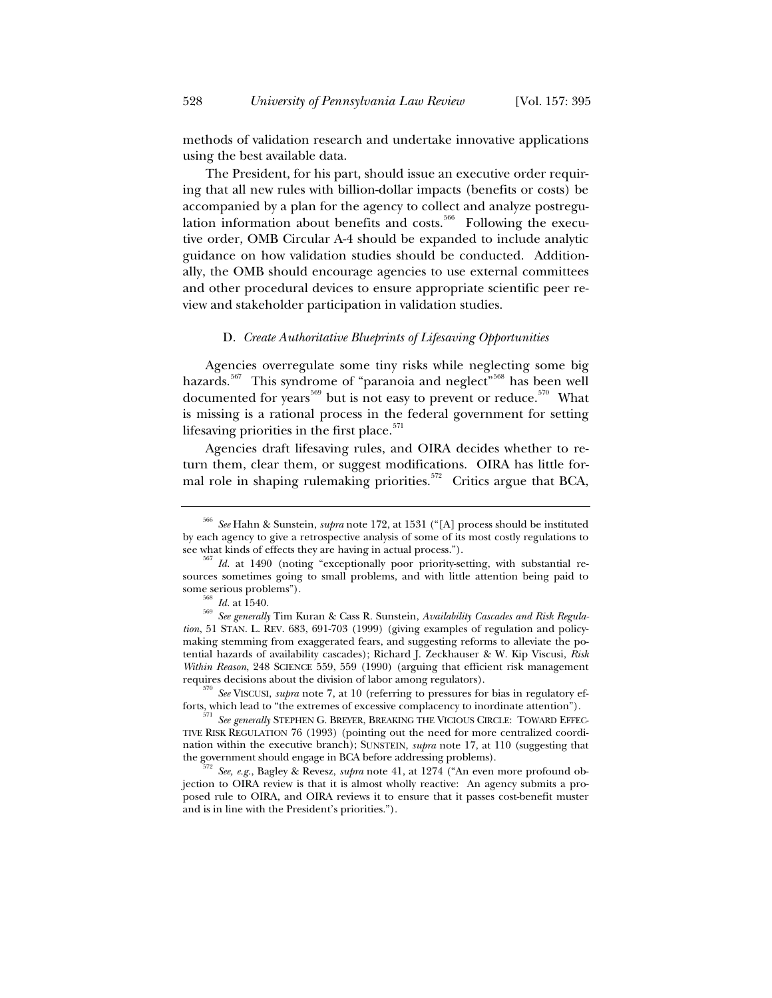methods of validation research and undertake innovative applications using the best available data.

The President, for his part, should issue an executive order requiring that all new rules with billion-dollar impacts (benefits or costs) be accompanied by a plan for the agency to collect and analyze postregulation information about benefits and costs.<sup>566</sup> Following the executive order, OMB Circular A-4 should be expanded to include analytic guidance on how validation studies should be conducted. Additionally, the OMB should encourage agencies to use external committees and other procedural devices to ensure appropriate scientific peer review and stakeholder participation in validation studies.

## D. *Create Authoritative Blueprints of Lifesaving Opportunities*

Agencies overregulate some tiny risks while neglecting some big hazards.<sup>567</sup> This syndrome of "paranoia and neglect"<sup>568</sup> has been well documented for years<sup>569</sup> but is not easy to prevent or reduce.<sup>570</sup> What is missing is a rational process in the federal government for setting lifesaving priorities in the first place. $571$ 

Agencies draft lifesaving rules, and OIRA decides whether to return them, clear them, or suggest modifications. OIRA has little formal role in shaping rulemaking priorities.<sup>572</sup> Critics argue that BCA,

requires decisions about the division of labor among regulators).<br><sup>570</sup> *See* VISCUSI, *supra* note 7, at 10 (referring to pressures for bias in regulatory ef-<br>forts, which lead to "the extremes of excessive complacency to

<sup>566</sup> *See* Hahn & Sunstein, *supra* note 172, at 1531 ("[A] process should be instituted by each agency to give a retrospective analysis of some of its most costly regulations to see what kinds of effects they are having in actual process.").

<sup>&</sup>lt;sup>567</sup> Id. at 1490 (noting "exceptionally poor priority-setting, with substantial resources sometimes going to small problems, and with little attention being paid to some serious problems"). 568 *Id.* at 1540. 569 *See generally* Tim Kuran & Cass R. Sunstein, *Availability Cascades and Risk Regula-*

*tion*, 51 STAN. L. REV. 683, 691-703 (1999) (giving examples of regulation and policymaking stemming from exaggerated fears, and suggesting reforms to alleviate the potential hazards of availability cascades); Richard J. Zeckhauser & W. Kip Viscusi, *Risk Within Reason*, 248 SCIENCE 559, 559 (1990) (arguing that efficient risk management

<sup>&</sup>lt;sup>1</sup> See generally STEPHEN G. BREYER, BREAKING THE VICIOUS CIRCLE: TOWARD EFFEC-TIVE RISK REGULATION 76 (1993) (pointing out the need for more centralized coordination within the executive branch); SUNSTEIN, *supra* note 17, at 110 (suggesting that the government should engage in BCA before addressing problems). 572 *See, e.g.*, Bagley & Revesz, *supra* note 41, at 1274 ("An even more profound ob-

jection to OIRA review is that it is almost wholly reactive: An agency submits a proposed rule to OIRA, and OIRA reviews it to ensure that it passes cost-benefit muster and is in line with the President's priorities.").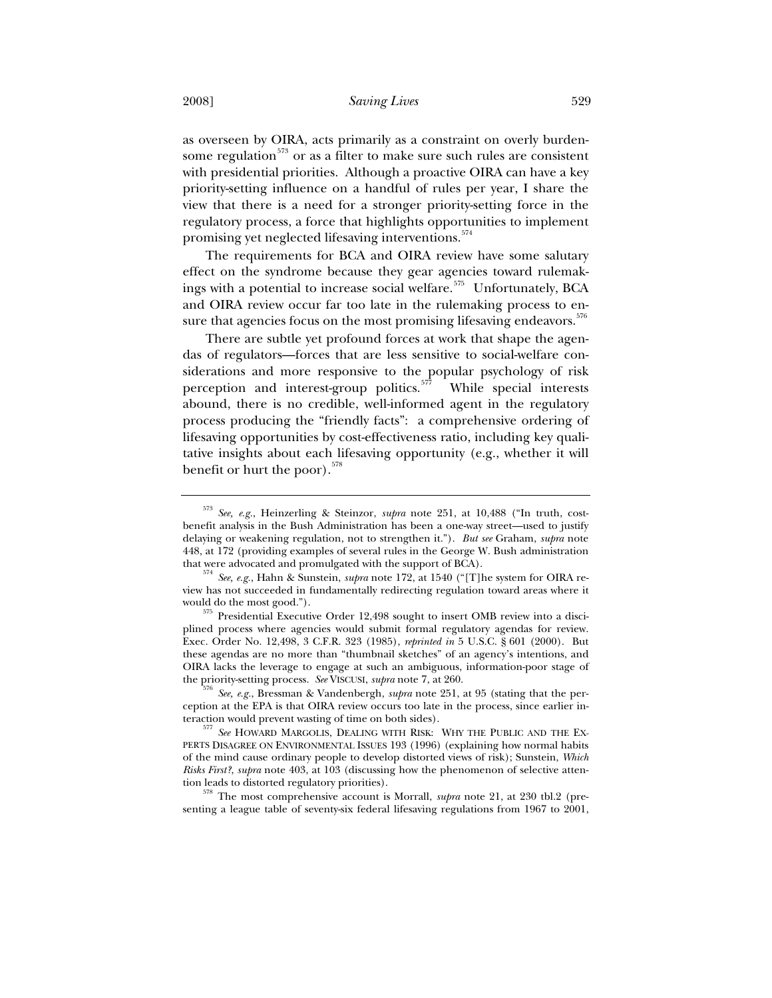as overseen by OIRA, acts primarily as a constraint on overly burdensome regulation<sup> $573$ </sup> or as a filter to make sure such rules are consistent with presidential priorities. Although a proactive OIRA can have a key priority-setting influence on a handful of rules per year, I share the view that there is a need for a stronger priority-setting force in the regulatory process, a force that highlights opportunities to implement promising yet neglected lifesaving interventions.<sup>574</sup>

The requirements for BCA and OIRA review have some salutary effect on the syndrome because they gear agencies toward rulemakings with a potential to increase social welfare.<sup>575</sup> Unfortunately, BCA and OIRA review occur far too late in the rulemaking process to ensure that agencies focus on the most promising lifesaving endeavors.<sup>576</sup>

There are subtle yet profound forces at work that shape the agendas of regulators—forces that are less sensitive to social-welfare considerations and more responsive to the popular psychology of risk perception and interest-group politics.<sup>577</sup> While special interests abound, there is no credible, well-informed agent in the regulatory process producing the "friendly facts": a comprehensive ordering of lifesaving opportunities by cost-effectiveness ratio, including key qualitative insights about each lifesaving opportunity (e.g., whether it will benefit or hurt the poor).<sup>578</sup>

<sup>573</sup> *See, e.g.*, Heinzerling & Steinzor, *supra* note 251, at 10,488 ("In truth, costbenefit analysis in the Bush Administration has been a one-way street—used to justify delaying or weakening regulation, not to strengthen it."). *But see* Graham, *supra* note 448, at 172 (providing examples of several rules in the George W. Bush administration

that were advocated and promulgated with the support of BCA). 574 *See, e.g.*, Hahn & Sunstein, *supra* note 172, at 1540 ("[T]he system for OIRA review has not succeeded in fundamentally redirecting regulation toward areas where it

<sup>575</sup> Presidential Executive Order 12,498 sought to insert OMB review into a disciplined process where agencies would submit formal regulatory agendas for review. Exec. Order No. 12,498, 3 C.F.R. 323 (1985), *reprinted in* 5 U.S.C. § 601 (2000). But these agendas are no more than "thumbnail sketches" of an agency's intentions, and OIRA lacks the leverage to engage at such an ambiguous, information-poor stage of

the priority-setting process. *See* VISCUSI, *supra* note 7, at 260.<br><sup>576</sup> *See, e.g.*, Bressman & Vandenbergh, *supra* note 251, at 95 (stating that the perception at the EPA is that OIRA review occurs too late in the process, since earlier in-

teraction would prevent wasting of time on both sides). 577 *See* HOWARD MARGOLIS, DEALING WITH RISK: WHY THE PUBLIC AND THE EX-PERTS DISAGREE ON ENVIRONMENTAL ISSUES 193 (1996) (explaining how normal habits of the mind cause ordinary people to develop distorted views of risk); Sunstein, *Which Risks First?*, *supra* note 403, at 103 (discussing how the phenomenon of selective atten-

tion leads to distorted regulatory priorities). 578 The most comprehensive account is Morrall, *supra* note 21, at 230 tbl.2 (presenting a league table of seventy-six federal lifesaving regulations from 1967 to 2001,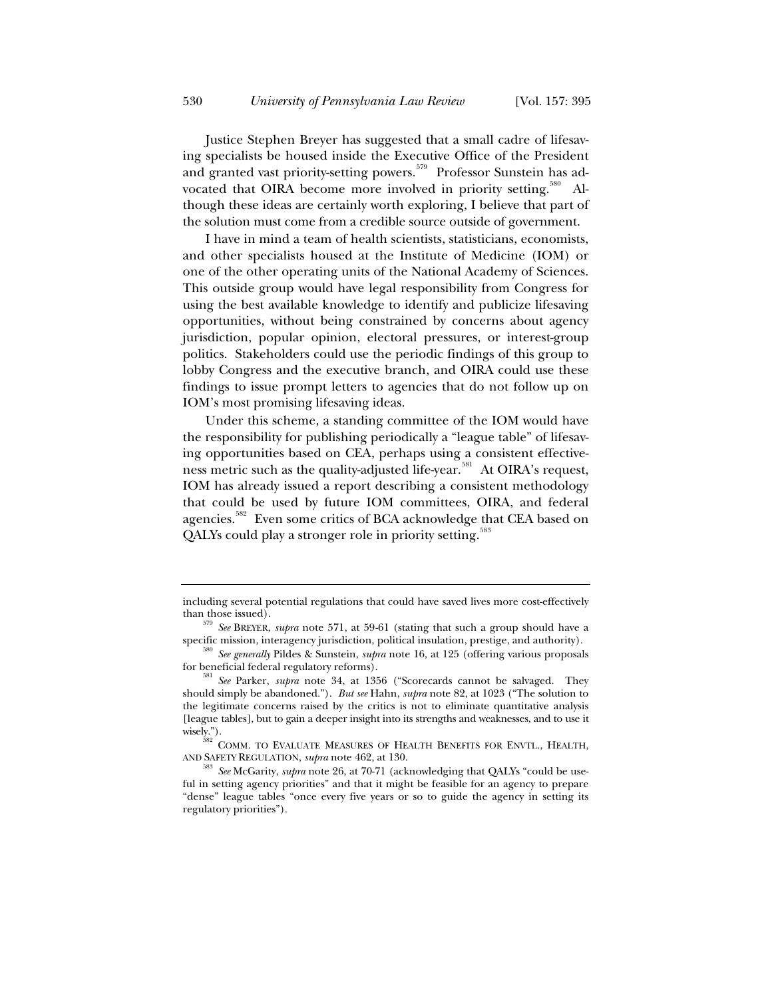Justice Stephen Breyer has suggested that a small cadre of lifesaving specialists be housed inside the Executive Office of the President and granted vast priority-setting powers.<sup>579</sup> Professor Sunstein has advocated that OIRA become more involved in priority setting.<sup>580</sup> Although these ideas are certainly worth exploring, I believe that part of the solution must come from a credible source outside of government.

I have in mind a team of health scientists, statisticians, economists, and other specialists housed at the Institute of Medicine (IOM) or one of the other operating units of the National Academy of Sciences. This outside group would have legal responsibility from Congress for using the best available knowledge to identify and publicize lifesaving opportunities, without being constrained by concerns about agency jurisdiction, popular opinion, electoral pressures, or interest-group politics. Stakeholders could use the periodic findings of this group to lobby Congress and the executive branch, and OIRA could use these findings to issue prompt letters to agencies that do not follow up on IOM's most promising lifesaving ideas.

Under this scheme, a standing committee of the IOM would have the responsibility for publishing periodically a "league table" of lifesaving opportunities based on CEA, perhaps using a consistent effectiveness metric such as the quality-adjusted life-year.<sup>581</sup> At OIRA's request, IOM has already issued a report describing a consistent methodology that could be used by future IOM committees, OIRA, and federal agencies.<sup>582</sup> Even some critics of BCA acknowledge that CEA based on QALYs could play a stronger role in priority setting.<sup>588</sup>

including several potential regulations that could have saved lives more cost-effectively

than those issued). 579 *See* BREYER, *supra* note 571, at 59-61 (stating that such a group should have a

specific mission, interagency jurisdiction, political insulation, prestige, and authority). 580 *See generally* Pildes & Sunstein, *supra* note 16, at 125 (offering various proposals for beneficial federal regulatory reforms). 581 *See* Parker, *supra* note 34, at 1356 ("Scorecards cannot be salvaged. They

should simply be abandoned."). *But see* Hahn, *supra* note 82, at 1023 ("The solution to the legitimate concerns raised by the critics is not to eliminate quantitative analysis [league tables], but to gain a deeper insight into its strengths and weaknesses, and to use it wisely.").<br><sup>582</sup> COMM. TO EVALUATE MEASURES OF HEALTH BENEFITS FOR ENVTL., HEALTH,

AND SAFETY REGULATION, *supra* note 462, at 130.<br><sup>583</sup> *See* McGarity, *supra* note 26, at 70-71 (acknowledging that QALYs "could be use-

ful in setting agency priorities" and that it might be feasible for an agency to prepare "dense" league tables "once every five years or so to guide the agency in setting its regulatory priorities").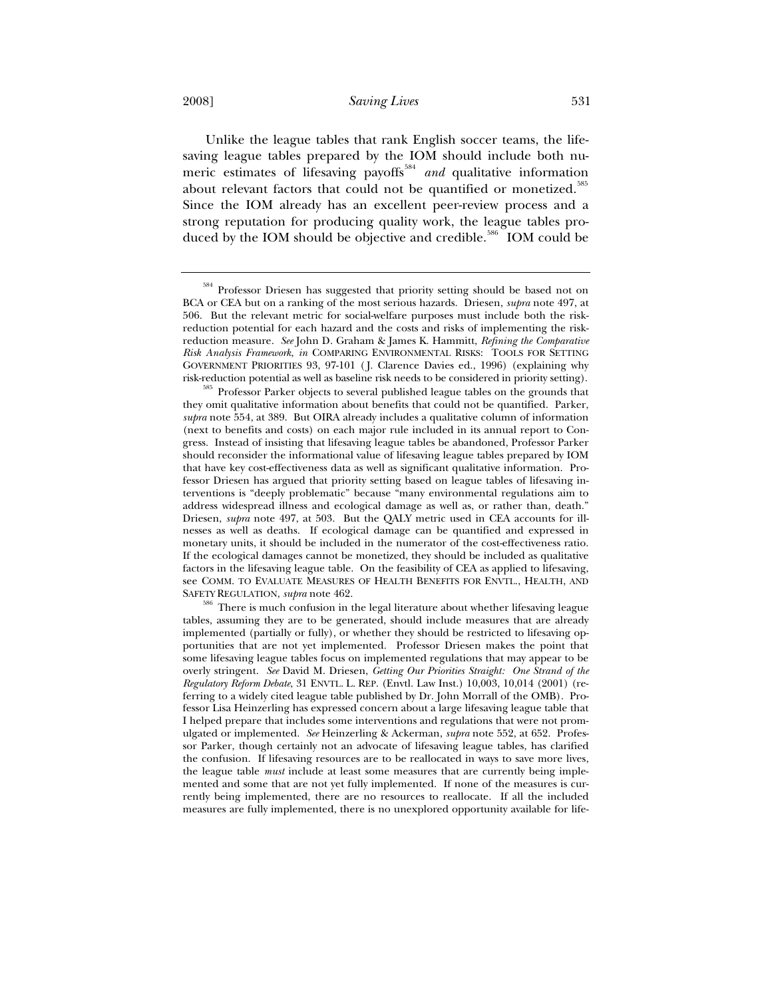2008] *Saving Lives* 531

Unlike the league tables that rank English soccer teams, the lifesaving league tables prepared by the IOM should include both numeric estimates of lifesaving payoffs<sup>584</sup> and qualitative information about relevant factors that could not be quantified or monetized.<sup>585</sup> Since the IOM already has an excellent peer-review process and a strong reputation for producing quality work, the league tables produced by the IOM should be objective and credible.<sup>586</sup> IOM could be

Professor Driesen has suggested that priority setting should be based not on BCA or CEA but on a ranking of the most serious hazards. Driesen, *supra* note 497, at 506. But the relevant metric for social-welfare purposes must include both the riskreduction potential for each hazard and the costs and risks of implementing the riskreduction measure. *See* John D. Graham & James K. Hammitt, *Refining the Comparative Risk Analysis Framework*, *in* COMPARING ENVIRONMENTAL RISKS: TOOLS FOR SETTING GOVERNMENT PRIORITIES 93, 97-101 ( J. Clarence Davies ed., 1996) (explaining why

risk-reduction potential as well as baseline risk needs to be considered in priority setting). 585 Professor Parker objects to several published league tables on the grounds that they omit qualitative information about benefits that could not be quantified. Parker, *supra* note 554, at 389. But OIRA already includes a qualitative column of information (next to benefits and costs) on each major rule included in its annual report to Congress. Instead of insisting that lifesaving league tables be abandoned, Professor Parker should reconsider the informational value of lifesaving league tables prepared by IOM that have key cost-effectiveness data as well as significant qualitative information. Professor Driesen has argued that priority setting based on league tables of lifesaving interventions is "deeply problematic" because "many environmental regulations aim to address widespread illness and ecological damage as well as, or rather than, death." Driesen, *supra* note 497, at 503. But the QALY metric used in CEA accounts for illnesses as well as deaths. If ecological damage can be quantified and expressed in monetary units, it should be included in the numerator of the cost-effectiveness ratio. If the ecological damages cannot be monetized, they should be included as qualitative factors in the lifesaving league table. On the feasibility of CEA as applied to lifesaving, see COMM. TO EVALUATE MEASURES OF HEALTH BENEFITS FOR ENVTL., HEALTH, AND

SAFETY REGULATION, *supra* note 462. 586 There is much confusion in the legal literature about whether lifesaving league tables, assuming they are to be generated, should include measures that are already implemented (partially or fully), or whether they should be restricted to lifesaving opportunities that are not yet implemented. Professor Driesen makes the point that some lifesaving league tables focus on implemented regulations that may appear to be overly stringent. *See* David M. Driesen, *Getting Our Priorities Straight: One Strand of the Regulatory Reform Debate*, 31 ENVTL. L. REP. (Envtl. Law Inst.) 10,003, 10,014 (2001) (referring to a widely cited league table published by Dr. John Morrall of the OMB). Professor Lisa Heinzerling has expressed concern about a large lifesaving league table that I helped prepare that includes some interventions and regulations that were not promulgated or implemented. *See* Heinzerling & Ackerman, *supra* note 552, at 652. Professor Parker, though certainly not an advocate of lifesaving league tables, has clarified the confusion. If lifesaving resources are to be reallocated in ways to save more lives, the league table *must* include at least some measures that are currently being implemented and some that are not yet fully implemented. If none of the measures is currently being implemented, there are no resources to reallocate. If all the included measures are fully implemented, there is no unexplored opportunity available for life-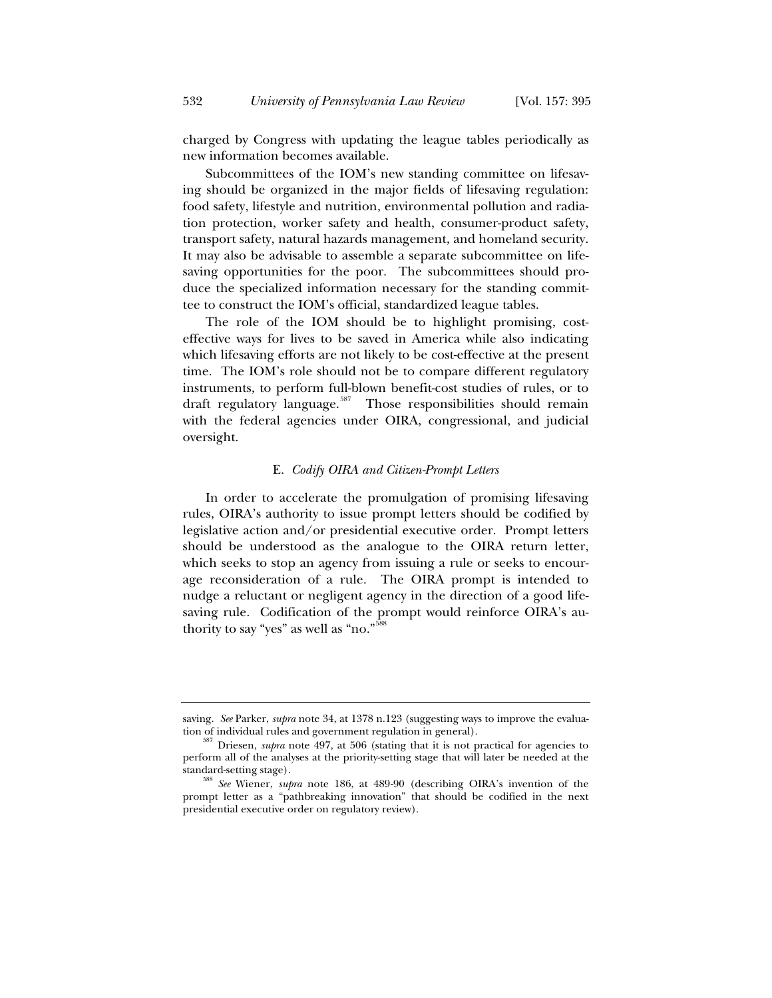charged by Congress with updating the league tables periodically as new information becomes available.

Subcommittees of the IOM's new standing committee on lifesaving should be organized in the major fields of lifesaving regulation: food safety, lifestyle and nutrition, environmental pollution and radiation protection, worker safety and health, consumer-product safety, transport safety, natural hazards management, and homeland security. It may also be advisable to assemble a separate subcommittee on lifesaving opportunities for the poor. The subcommittees should produce the specialized information necessary for the standing committee to construct the IOM's official, standardized league tables.

The role of the IOM should be to highlight promising, costeffective ways for lives to be saved in America while also indicating which lifesaving efforts are not likely to be cost-effective at the present time. The IOM's role should not be to compare different regulatory instruments, to perform full-blown benefit-cost studies of rules, or to draft regulatory language.<sup>587</sup> Those responsibilities should remain with the federal agencies under OIRA, congressional, and judicial oversight.

# E. *Codify OIRA and Citizen-Prompt Letters*

In order to accelerate the promulgation of promising lifesaving rules, OIRA's authority to issue prompt letters should be codified by legislative action and/or presidential executive order. Prompt letters should be understood as the analogue to the OIRA return letter, which seeks to stop an agency from issuing a rule or seeks to encourage reconsideration of a rule. The OIRA prompt is intended to nudge a reluctant or negligent agency in the direction of a good lifesaving rule. Codification of the prompt would reinforce OIRA's authority to say "yes" as well as "no."<sup>588</sup>

saving. *See* Parker, *supra* note 34, at 1378 n.123 (suggesting ways to improve the evalua-

tion of individual rules and government regulation in general).<br><sup>587</sup> Driesen, *supra* note 497, at 506 (stating that it is not practical for agencies to perform all of the analyses at the priority-setting stage that will later be needed at the

standard-setting stage). 588 *See* Wiener, *supra* note 186, at 489-90 (describing OIRA's invention of the prompt letter as a "pathbreaking innovation" that should be codified in the next presidential executive order on regulatory review).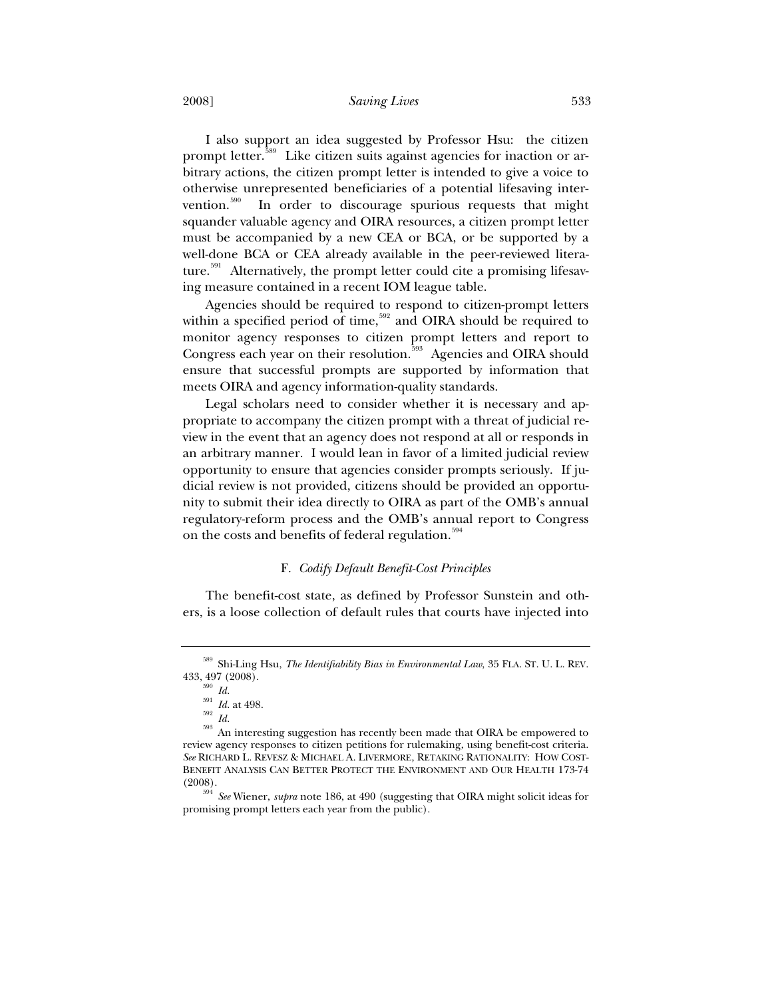#### 2008] *Saving Lives* 533

I also support an idea suggested by Professor Hsu: the citizen prompt letter.<sup>589</sup> Like citizen suits against agencies for inaction or arbitrary actions, the citizen prompt letter is intended to give a voice to otherwise unrepresented beneficiaries of a potential lifesaving intervention. $590$  In order to discourage spurious requests that might squander valuable agency and OIRA resources, a citizen prompt letter must be accompanied by a new CEA or BCA, or be supported by a well-done BCA or CEA already available in the peer-reviewed literature.<sup>591</sup> Alternatively, the prompt letter could cite a promising lifesaving measure contained in a recent IOM league table.

Agencies should be required to respond to citizen-prompt letters within a specified period of time,  $592$  and OIRA should be required to monitor agency responses to citizen prompt letters and report to Congress each year on their resolution.<sup>593</sup> Agencies and OIRA should ensure that successful prompts are supported by information that meets OIRA and agency information-quality standards.

Legal scholars need to consider whether it is necessary and appropriate to accompany the citizen prompt with a threat of judicial review in the event that an agency does not respond at all or responds in an arbitrary manner. I would lean in favor of a limited judicial review opportunity to ensure that agencies consider prompts seriously. If judicial review is not provided, citizens should be provided an opportunity to submit their idea directly to OIRA as part of the OMB's annual regulatory-reform process and the OMB's annual report to Congress on the costs and benefits of federal regulation.<sup>594</sup>

# F. *Codify Default Benefit-Cost Principles*

The benefit-cost state, as defined by Professor Sunstein and others, is a loose collection of default rules that courts have injected into

<sup>589</sup> Shi-Ling Hsu, *The Identifiability Bias in Environmental Law*, 35 FLA. ST. U. L. REV. 433, 497 (2008).<br> $\frac{590}{1}$  *Id.*<br> $\frac{591}{1}$  *Id.* at 498.

<sup>591</sup> *Id.* at 498. 592 *Id.* <sup>593</sup> An interesting suggestion has recently been made that OIRA be empowered to review agency responses to citizen petitions for rulemaking, using benefit-cost criteria. *See* RICHARD L. REVESZ & MICHAEL A. LIVERMORE, RETAKING RATIONALITY: HOW COST-BENEFIT ANALYSIS CAN BETTER PROTECT THE ENVIRONMENT AND OUR HEALTH 173-74 (2008).

<sup>594</sup> *See* Wiener, *supra* note 186, at 490 (suggesting that OIRA might solicit ideas for promising prompt letters each year from the public).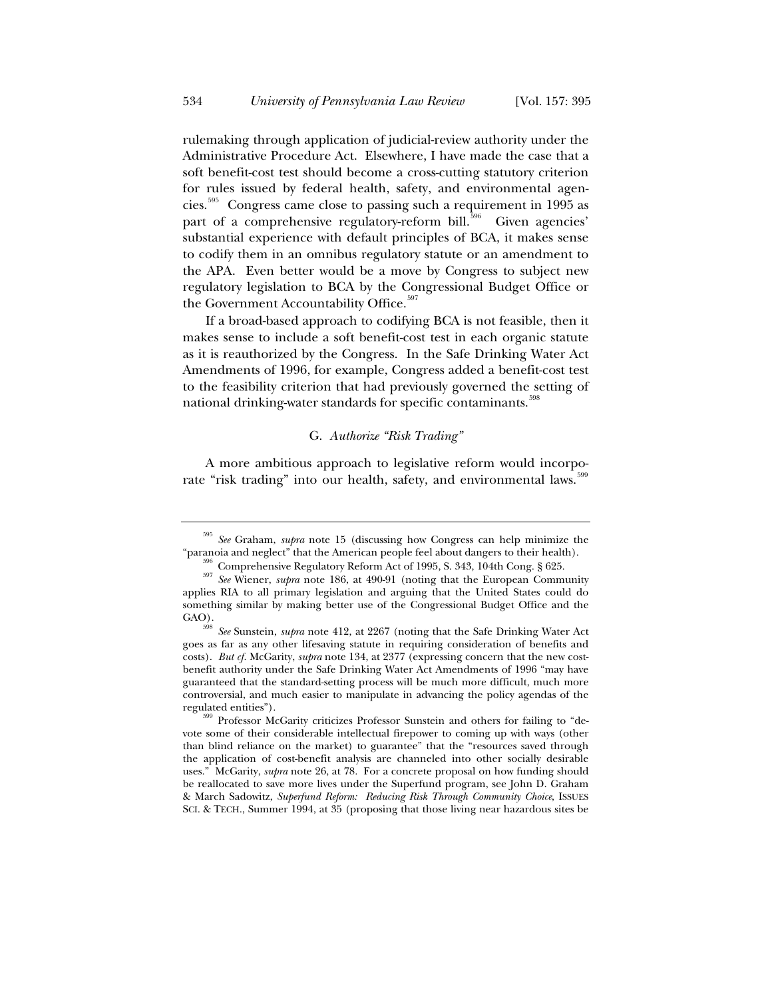rulemaking through application of judicial-review authority under the Administrative Procedure Act. Elsewhere, I have made the case that a soft benefit-cost test should become a cross-cutting statutory criterion for rules issued by federal health, safety, and environmental agencies.595 Congress came close to passing such a requirement in 1995 as part of a comprehensive regulatory-reform bill.<sup>596</sup> Given agencies' substantial experience with default principles of BCA, it makes sense to codify them in an omnibus regulatory statute or an amendment to the APA. Even better would be a move by Congress to subject new regulatory legislation to BCA by the Congressional Budget Office or the Government Accountability Office.<sup>597</sup>

If a broad-based approach to codifying BCA is not feasible, then it makes sense to include a soft benefit-cost test in each organic statute as it is reauthorized by the Congress. In the Safe Drinking Water Act Amendments of 1996, for example, Congress added a benefit-cost test to the feasibility criterion that had previously governed the setting of national drinking-water standards for specific contaminants.<sup>598</sup>

# G. *Authorize "Risk Trading"*

A more ambitious approach to legislative reform would incorporate "risk trading" into our health, safety, and environmental laws.<sup>599</sup>

<sup>595</sup> *See* Graham, *supra* note 15 (discussing how Congress can help minimize the "paranoia and neglect" that the American people feel about dangers to their health).<br><sup>596</sup> Comprehensive Regulatory Reform Act of 1995, S. 343, 104th Cong. § 625.<br><sup>597</sup> See Wiener, *supra* note 186, at 490-91 (noting that

applies RIA to all primary legislation and arguing that the United States could do something similar by making better use of the Congressional Budget Office and the GAO).

<sup>598</sup> *See* Sunstein, *supra* note 412, at 2267 (noting that the Safe Drinking Water Act goes as far as any other lifesaving statute in requiring consideration of benefits and costs). *But cf.* McGarity, *supra* note 134, at 2377 (expressing concern that the new costbenefit authority under the Safe Drinking Water Act Amendments of 1996 "may have guaranteed that the standard-setting process will be much more difficult, much more controversial, and much easier to manipulate in advancing the policy agendas of the regulated entities").<br>
<sup>599</sup> Professor McGarity criticizes Professor Sunstein and others for failing to "de-

vote some of their considerable intellectual firepower to coming up with ways (other than blind reliance on the market) to guarantee" that the "resources saved through the application of cost-benefit analysis are channeled into other socially desirable uses." McGarity, *supra* note 26, at 78. For a concrete proposal on how funding should be reallocated to save more lives under the Superfund program, see John D. Graham & March Sadowitz, *Superfund Reform: Reducing Risk Through Community Choice*, ISSUES SCI.&TECH., Summer 1994, at 35 (proposing that those living near hazardous sites be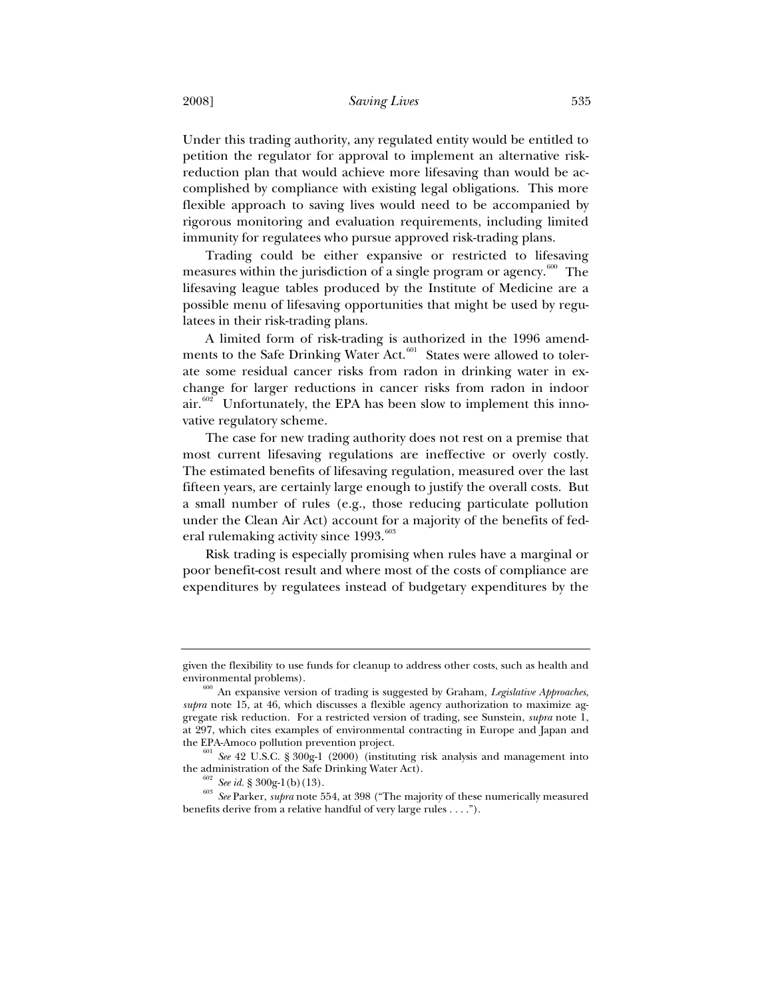Under this trading authority, any regulated entity would be entitled to petition the regulator for approval to implement an alternative riskreduction plan that would achieve more lifesaving than would be accomplished by compliance with existing legal obligations. This more flexible approach to saving lives would need to be accompanied by rigorous monitoring and evaluation requirements, including limited immunity for regulatees who pursue approved risk-trading plans.

Trading could be either expansive or restricted to lifesaving measures within the jurisdiction of a single program or agency.<sup>600</sup> The lifesaving league tables produced by the Institute of Medicine are a possible menu of lifesaving opportunities that might be used by regulatees in their risk-trading plans.

A limited form of risk-trading is authorized in the 1996 amendments to the Safe Drinking Water Act.<sup>601</sup> States were allowed to tolerate some residual cancer risks from radon in drinking water in exchange for larger reductions in cancer risks from radon in indoor  $air<sup>602</sup>$  Unfortunately, the EPA has been slow to implement this innovative regulatory scheme.

The case for new trading authority does not rest on a premise that most current lifesaving regulations are ineffective or overly costly. The estimated benefits of lifesaving regulation, measured over the last fifteen years, are certainly large enough to justify the overall costs. But a small number of rules (e.g., those reducing particulate pollution under the Clean Air Act) account for a majority of the benefits of federal rulemaking activity since  $1993.^{603}$ 

Risk trading is especially promising when rules have a marginal or poor benefit-cost result and where most of the costs of compliance are expenditures by regulatees instead of budgetary expenditures by the

given the flexibility to use funds for cleanup to address other costs, such as health and

environmental problems). 600 An expansive version of trading is suggested by Graham, *Legislative Approaches*, *supra* note 15, at 46, which discusses a flexible agency authorization to maximize aggregate risk reduction. For a restricted version of trading, see Sunstein, *supra* note 1, at 297, which cites examples of environmental contracting in Europe and Japan and

 $t_{\text{ref}}$   $\frac{601}{2}$  *See* 42 U.S.C. § 300g-1 (2000) (instituting risk analysis and management into the administration of the Safe Drinking Water Act).

the administration of the Safe Drinking Water Act). 602 *See id.* § 300g-1(b)(13). 603 *See* Parker, *supra* note 554, at 398 ("The majority of these numerically measured benefits derive from a relative handful of very large rules . . . .").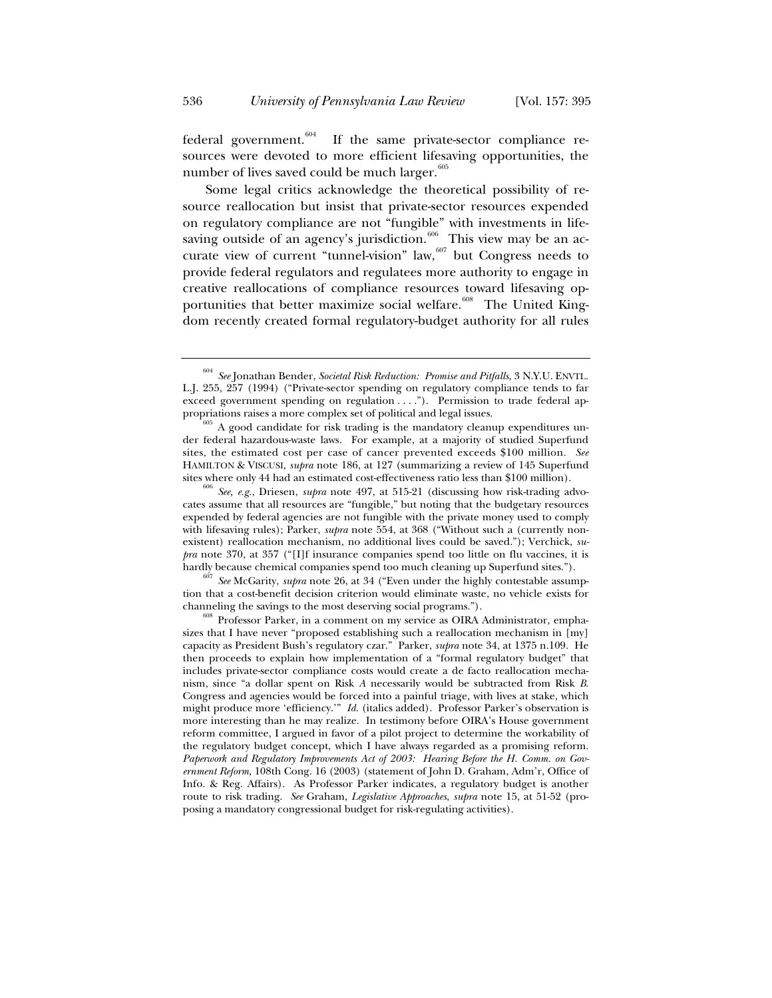federal government. $604$  If the same private-sector compliance resources were devoted to more efficient lifesaving opportunities, the number of lives saved could be much larger. $605$ 

Some legal critics acknowledge the theoretical possibility of resource reallocation but insist that private-sector resources expended on regulatory compliance are not "fungible" with investments in lifesaving outside of an agency's jurisdiction.<sup>606</sup> This view may be an accurate view of current "tunnel-vision" law, $607$  but Congress needs to provide federal regulators and regulatees more authority to engage in creative reallocations of compliance resources toward lifesaving opportunities that better maximize social welfare.<sup>608</sup> The United Kingdom recently created formal regulatory-budget authority for all rules

sites where only 44 had an estimated cost-effectiveness ratio less than \$100 million). <sup>606</sup> *See, e.g.*, Driesen, *supra* note 497, at 515-21 (discussing how risk-trading advocates assume that all resources are "fungible," but noting that the budgetary resources expended by federal agencies are not fungible with the private money used to comply with lifesaving rules); Parker, *supra* note 554, at 368 ("Without such a (currently nonexistent) reallocation mechanism, no additional lives could be saved."); Verchick, *supra* note 370, at 357 ("[I]f insurance companies spend too little on flu vaccines, it is hardly because chemical companies spend too much cleaning up Superfund sites.").<br><sup>607</sup> *See* McGarity, *supra* note 26, at 34 ("Even under the highly contestable assump-

tion that a cost-benefit decision criterion would eliminate waste, no vehicle exists for channeling the savings to the most deserving social programs.").

<sup>604</sup> *See* Jonathan Bender, *Societal Risk Reduction: Promise and Pitfalls*, 3 N.Y.U. ENVTL. L.J. 255, 257 (1994) ("Private-sector spending on regulatory compliance tends to far exceed government spending on regulation . . . ."). Permission to trade federal appropriations raises a more complex set of political and legal issues.

 $\beta$ <sup>b</sup> A good candidate for risk trading is the mandatory cleanup expenditures under federal hazardous-waste laws. For example, at a majority of studied Superfund sites, the estimated cost per case of cancer prevented exceeds \$100 million. *See* HAMILTON & VISCUSI, *supra* note 186, at 127 (summarizing a review of 145 Superfund

<sup>&</sup>lt;sup>608</sup> Professor Parker, in a comment on my service as OIRA Administrator, emphasizes that I have never "proposed establishing such a reallocation mechanism in [my] capacity as President Bush's regulatory czar." Parker, *supra* note 34, at 1375 n.109. He then proceeds to explain how implementation of a "formal regulatory budget" that includes private-sector compliance costs would create a de facto reallocation mechanism, since "a dollar spent on Risk *A* necessarily would be subtracted from Risk *B*. Congress and agencies would be forced into a painful triage, with lives at stake, which might produce more 'efficiency.'" *Id.* (italics added). Professor Parker's observation is more interesting than he may realize. In testimony before OIRA's House government reform committee, I argued in favor of a pilot project to determine the workability of the regulatory budget concept, which I have always regarded as a promising reform. *Paperwork and Regulatory Improvements Act of 2003: Hearing Before the H. Comm. on Government Reform,* 108th Cong. 16 (2003) (statement of John D. Graham, Adm'r, Office of Info. & Reg. Affairs). As Professor Parker indicates, a regulatory budget is another route to risk trading. *See* Graham, *Legislative Approaches*, *supra* note 15, at 51-52 (proposing a mandatory congressional budget for risk-regulating activities).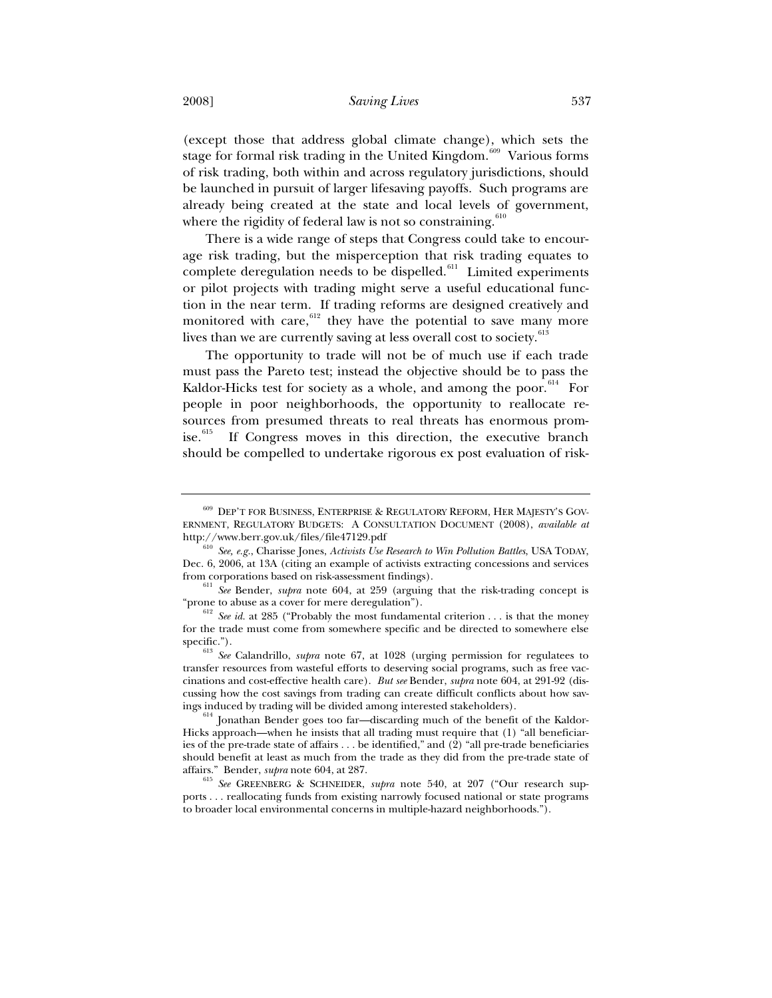(except those that address global climate change), which sets the stage for formal risk trading in the United Kingdom.<sup>609</sup> Various forms of risk trading, both within and across regulatory jurisdictions, should be launched in pursuit of larger lifesaving payoffs. Such programs are already being created at the state and local levels of government, where the rigidity of federal law is not so constraining. $610$ 

There is a wide range of steps that Congress could take to encourage risk trading, but the misperception that risk trading equates to complete deregulation needs to be dispelled.<sup>611</sup> Limited experiments or pilot projects with trading might serve a useful educational function in the near term. If trading reforms are designed creatively and monitored with care, $612$  they have the potential to save many more lives than we are currently saving at less overall cost to society.<sup>613</sup>

The opportunity to trade will not be of much use if each trade must pass the Pareto test; instead the objective should be to pass the Kaldor-Hicks test for society as a whole, and among the poor.<sup>614</sup> For people in poor neighborhoods, the opportunity to reallocate resources from presumed threats to real threats has enormous promise.<sup>615</sup> If Congress moves in this direction, the executive branch should be compelled to undertake rigorous ex post evaluation of risk-

<sup>609</sup> DEP'T FOR BUSINESS, ENTERPRISE & REGULATORY REFORM, HER MAJESTY'S GOV-ERNMENT, REGULATORY BUDGETS: ACONSULTATION DOCUMENT (2008), *available at*

http://www.berr.gov.uk/files/file47129.pdf 610 *See, e.g.*, Charisse Jones, *Activists Use Research to Win Pollution Battles*, USA TODAY, Dec. 6, 2006, at 13A (citing an example of activists extracting concessions and services

<sup>&</sup>lt;sup>611</sup> See Bender, *supra* note 604, at 259 (arguing that the risk-trading concept is "prone to abuse as a cover for mere deregulation").

<sup>&</sup>lt;sup>612</sup> *See id.* at 285 ("Probably the most fundamental criterion . . . is that the money for the trade must come from somewhere specific and be directed to somewhere else

specific.").<br><sup>613</sup> *See* Calandrillo, *supra* note 67, at 1028 (urging permission for regulatees to transfer resources from wasteful efforts to deserving social programs, such as free vaccinations and cost-effective health care). *But see* Bender, *supra* note 604, at 291-92 (discussing how the cost savings from trading can create difficult conflicts about how savings induced by trading will be divided among interested stakeholders).

Jonathan Bender goes too far-discarding much of the benefit of the Kaldor-Hicks approach—when he insists that all trading must require that (1) "all beneficiaries of the pre-trade state of affairs . . . be identified," and (2) "all pre-trade beneficiaries should benefit at least as much from the trade as they did from the pre-trade state of

affairs." Bender, *supra* note 604, at 287.<br><sup>615</sup> *See* GREENBERG & SCHNEIDER, *supra* note 540, at 207 ("Our research supports . . . reallocating funds from existing narrowly focused national or state programs to broader local environmental concerns in multiple-hazard neighborhoods.").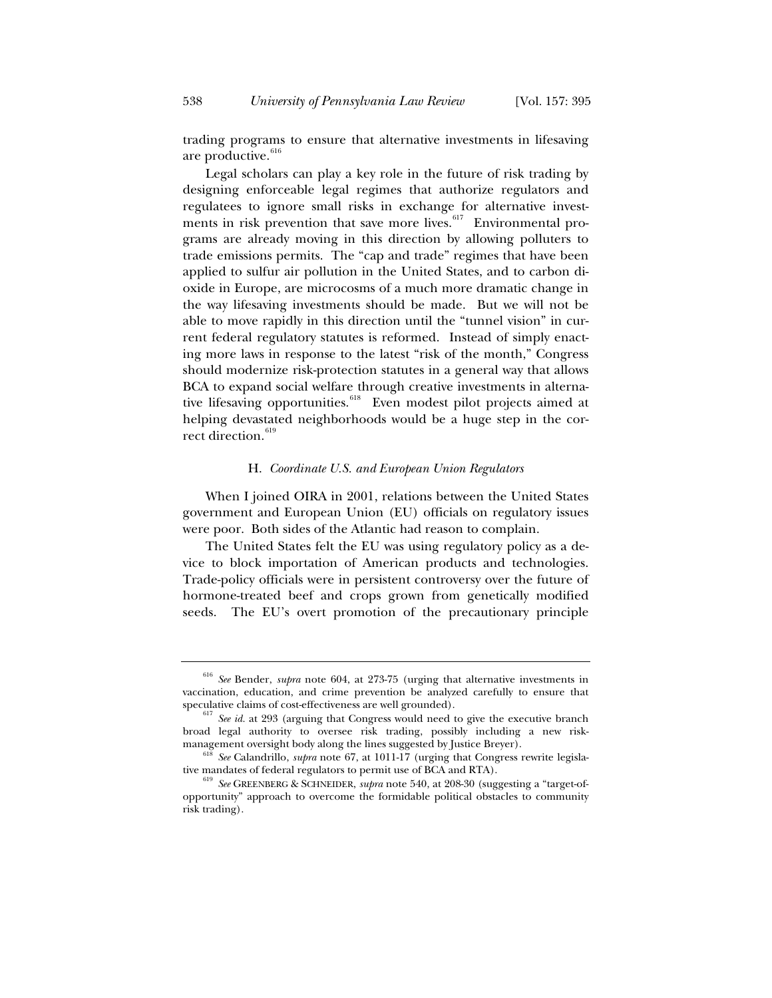trading programs to ensure that alternative investments in lifesaving are productive.<sup>616</sup>

Legal scholars can play a key role in the future of risk trading by designing enforceable legal regimes that authorize regulators and regulatees to ignore small risks in exchange for alternative investments in risk prevention that save more lives.<sup>617</sup> Environmental programs are already moving in this direction by allowing polluters to trade emissions permits. The "cap and trade" regimes that have been applied to sulfur air pollution in the United States, and to carbon dioxide in Europe, are microcosms of a much more dramatic change in the way lifesaving investments should be made. But we will not be able to move rapidly in this direction until the "tunnel vision" in current federal regulatory statutes is reformed. Instead of simply enacting more laws in response to the latest "risk of the month," Congress should modernize risk-protection statutes in a general way that allows BCA to expand social welfare through creative investments in alternative lifesaving opportunities.<sup>618</sup> Even modest pilot projects aimed at helping devastated neighborhoods would be a huge step in the correct direction.<sup>619</sup>

#### H. *Coordinate U.S. and European Union Regulators*

When I joined OIRA in 2001, relations between the United States government and European Union (EU) officials on regulatory issues were poor. Both sides of the Atlantic had reason to complain.

The United States felt the EU was using regulatory policy as a device to block importation of American products and technologies. Trade-policy officials were in persistent controversy over the future of hormone-treated beef and crops grown from genetically modified seeds. The EU's overt promotion of the precautionary principle

<sup>616</sup> *See* Bender, *supra* note 604, at 273-75 (urging that alternative investments in vaccination, education, and crime prevention be analyzed carefully to ensure that

 $5^{617}$  *See id.* at 293 (arguing that Congress would need to give the executive branch broad legal authority to oversee risk trading, possibly including a new riskmanagement oversight body along the lines suggested by Justice Breyer). 618 *See* Calandrillo, *supra* note 67, at 1011-17 (urging that Congress rewrite legisla-

tive mandates of federal regulators to permit use of BCA and RTA).<br><sup>619</sup> *See* GREENBERG & SCHNEIDER, *supra* note 540, at 208-30 (suggesting a "target-of-

opportunity" approach to overcome the formidable political obstacles to community risk trading).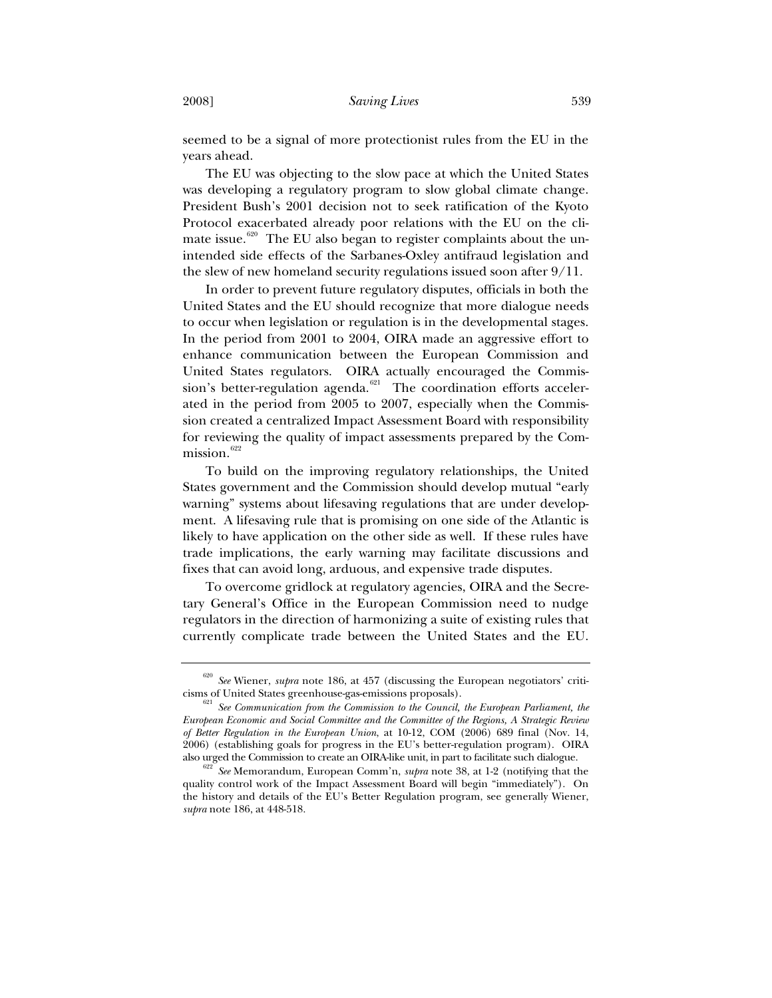seemed to be a signal of more protectionist rules from the EU in the years ahead.

The EU was objecting to the slow pace at which the United States was developing a regulatory program to slow global climate change. President Bush's 2001 decision not to seek ratification of the Kyoto Protocol exacerbated already poor relations with the EU on the climate issue.<sup>620</sup> The EU also began to register complaints about the unintended side effects of the Sarbanes-Oxley antifraud legislation and the slew of new homeland security regulations issued soon after 9/11.

In order to prevent future regulatory disputes, officials in both the United States and the EU should recognize that more dialogue needs to occur when legislation or regulation is in the developmental stages. In the period from 2001 to 2004, OIRA made an aggressive effort to enhance communication between the European Commission and United States regulators. OIRA actually encouraged the Commission's better-regulation agenda.<sup>621</sup> The coordination efforts accelerated in the period from 2005 to 2007, especially when the Commission created a centralized Impact Assessment Board with responsibility for reviewing the quality of impact assessments prepared by the Com $mission.<sup>622</sup>$ 

To build on the improving regulatory relationships, the United States government and the Commission should develop mutual "early warning" systems about lifesaving regulations that are under development. A lifesaving rule that is promising on one side of the Atlantic is likely to have application on the other side as well. If these rules have trade implications, the early warning may facilitate discussions and fixes that can avoid long, arduous, and expensive trade disputes.

To overcome gridlock at regulatory agencies, OIRA and the Secretary General's Office in the European Commission need to nudge regulators in the direction of harmonizing a suite of existing rules that currently complicate trade between the United States and the EU.

<sup>&</sup>lt;sup>620</sup> *See* Wiener, *supra* note 186, at 457 (discussing the European negotiators' criticisms of United States greenhouse-gas-emissions proposals).

<sup>&</sup>lt;sup>c</sup> See Communication from the Commission to the Council, the European Parliament, the *European Economic and Social Committee and the Committee of the Regions, A Strategic Review of Better Regulation in the European Union*, at 10-12, COM (2006) 689 final (Nov. 14, 2006) (establishing goals for progress in the EU's better-regulation program). OIRA also urged the Commission to create an OIRA-like unit, in part to facilitate such dialogue. 622 *See* Memorandum, European Comm'n, *supra* note 38, at 1-2 (notifying that the

quality control work of the Impact Assessment Board will begin "immediately"). On the history and details of the EU's Better Regulation program, see generally Wiener, *supra* note 186, at 448-518.